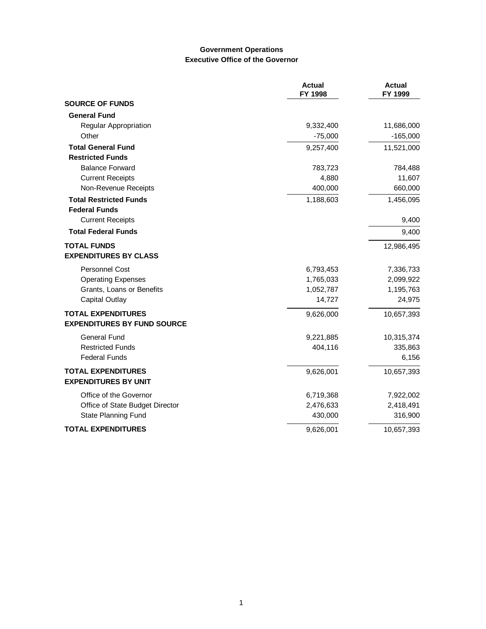### **Government Operations Executive Office of the Governor**

|                                    | <b>Actual</b><br>FY 1998 | <b>Actual</b><br>FY 1999 |
|------------------------------------|--------------------------|--------------------------|
| <b>SOURCE OF FUNDS</b>             |                          |                          |
| <b>General Fund</b>                |                          |                          |
| Regular Appropriation              | 9,332,400                | 11,686,000               |
| Other                              | $-75,000$                | $-165,000$               |
| <b>Total General Fund</b>          | 9,257,400                | 11,521,000               |
| <b>Restricted Funds</b>            |                          |                          |
| <b>Balance Forward</b>             | 783,723                  | 784,488                  |
| <b>Current Receipts</b>            | 4,880                    | 11,607                   |
| Non-Revenue Receipts               | 400,000                  | 660,000                  |
| <b>Total Restricted Funds</b>      | 1,188,603                | 1,456,095                |
| <b>Federal Funds</b>               |                          |                          |
| <b>Current Receipts</b>            |                          | 9,400                    |
| <b>Total Federal Funds</b>         |                          | 9,400                    |
| <b>TOTAL FUNDS</b>                 |                          | 12,986,495               |
| <b>EXPENDITURES BY CLASS</b>       |                          |                          |
| Personnel Cost                     | 6,793,453                | 7,336,733                |
| <b>Operating Expenses</b>          | 1,765,033                | 2,099,922                |
| Grants, Loans or Benefits          | 1,052,787                | 1,195,763                |
| Capital Outlay                     | 14,727                   | 24,975                   |
| <b>TOTAL EXPENDITURES</b>          | 9,626,000                | 10,657,393               |
| <b>EXPENDITURES BY FUND SOURCE</b> |                          |                          |
| <b>General Fund</b>                | 9,221,885                | 10,315,374               |
| <b>Restricted Funds</b>            | 404,116                  | 335,863                  |
| <b>Federal Funds</b>               |                          | 6,156                    |
| <b>TOTAL EXPENDITURES</b>          | 9,626,001                | 10,657,393               |
| <b>EXPENDITURES BY UNIT</b>        |                          |                          |
| Office of the Governor             | 6,719,368                | 7,922,002                |
| Office of State Budget Director    | 2,476,633                | 2,418,491                |
| State Planning Fund                | 430,000                  | 316,900                  |
| <b>TOTAL EXPENDITURES</b>          | 9,626,001                | 10,657,393               |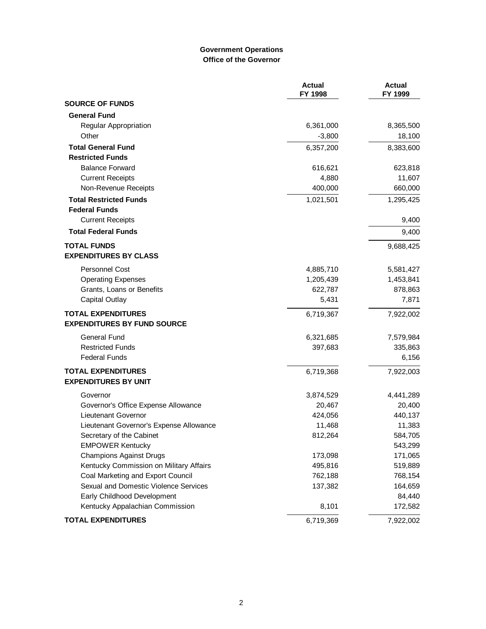### **Government Operations Office of the Governor**

|                                         | <b>Actual</b><br>FY 1998 | <b>Actual</b><br>FY 1999 |
|-----------------------------------------|--------------------------|--------------------------|
| <b>SOURCE OF FUNDS</b>                  |                          |                          |
| <b>General Fund</b>                     |                          |                          |
| <b>Regular Appropriation</b>            | 6,361,000                | 8,365,500                |
| Other                                   | $-3,800$                 | 18,100                   |
| <b>Total General Fund</b>               | 6,357,200                | 8,383,600                |
| <b>Restricted Funds</b>                 |                          |                          |
| <b>Balance Forward</b>                  | 616,621                  | 623,818                  |
| <b>Current Receipts</b>                 | 4,880                    | 11,607                   |
| Non-Revenue Receipts                    | 400,000                  | 660,000                  |
| <b>Total Restricted Funds</b>           | 1,021,501                | 1,295,425                |
| <b>Federal Funds</b>                    |                          |                          |
| <b>Current Receipts</b>                 |                          | 9,400                    |
| <b>Total Federal Funds</b>              |                          | 9,400                    |
| <b>TOTAL FUNDS</b>                      |                          | 9,688,425                |
| <b>EXPENDITURES BY CLASS</b>            |                          |                          |
| <b>Personnel Cost</b>                   | 4,885,710                | 5,581,427                |
| <b>Operating Expenses</b>               | 1,205,439                | 1,453,841                |
| Grants, Loans or Benefits               | 622,787                  | 878,863                  |
| <b>Capital Outlay</b>                   | 5,431                    | 7,871                    |
| <b>TOTAL EXPENDITURES</b>               | 6,719,367                | 7,922,002                |
| <b>EXPENDITURES BY FUND SOURCE</b>      |                          |                          |
| General Fund                            | 6,321,685                | 7,579,984                |
| <b>Restricted Funds</b>                 | 397,683                  | 335,863                  |
| <b>Federal Funds</b>                    |                          | 6,156                    |
| <b>TOTAL EXPENDITURES</b>               | 6,719,368                | 7,922,003                |
| <b>EXPENDITURES BY UNIT</b>             |                          |                          |
| Governor                                | 3,874,529                | 4,441,289                |
| Governor's Office Expense Allowance     | 20,467                   | 20,400                   |
| Lieutenant Governor                     | 424,056                  | 440,137                  |
| Lieutenant Governor's Expense Allowance | 11,468                   | 11,383                   |
| Secretary of the Cabinet                | 812,264                  | 584,705                  |
| <b>EMPOWER Kentucky</b>                 |                          | 543,299                  |
| <b>Champions Against Drugs</b>          | 173,098                  | 171,065                  |
| Kentucky Commission on Military Affairs | 495,816                  | 519,889                  |
| Coal Marketing and Export Council       | 762,188                  | 768,154                  |
| Sexual and Domestic Violence Services   | 137,382                  | 164,659                  |
| Early Childhood Development             |                          | 84,440                   |
| Kentucky Appalachian Commission         | 8,101                    | 172,582                  |
| <b>TOTAL EXPENDITURES</b>               | 6,719,369                | 7,922,002                |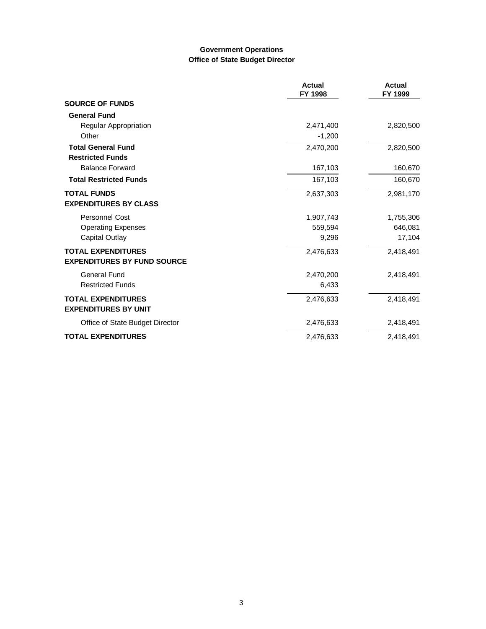# **Government Operations Office of State Budget Director**

|                                    | <b>Actual</b><br>FY 1998 | Actual<br>FY 1999 |
|------------------------------------|--------------------------|-------------------|
| <b>SOURCE OF FUNDS</b>             |                          |                   |
| <b>General Fund</b>                |                          |                   |
| Regular Appropriation              | 2,471,400                | 2,820,500         |
| Other                              | $-1,200$                 |                   |
| <b>Total General Fund</b>          | 2,470,200                | 2,820,500         |
| <b>Restricted Funds</b>            |                          |                   |
| <b>Balance Forward</b>             | 167,103                  | 160,670           |
| <b>Total Restricted Funds</b>      | 167,103                  | 160,670           |
| <b>TOTAL FUNDS</b>                 | 2,637,303                | 2,981,170         |
| <b>EXPENDITURES BY CLASS</b>       |                          |                   |
| <b>Personnel Cost</b>              | 1,907,743                | 1,755,306         |
| <b>Operating Expenses</b>          | 559,594                  | 646,081           |
| Capital Outlay                     | 9,296                    | 17,104            |
| <b>TOTAL EXPENDITURES</b>          | 2,476,633                | 2,418,491         |
| <b>EXPENDITURES BY FUND SOURCE</b> |                          |                   |
| General Fund                       | 2,470,200                | 2,418,491         |
| <b>Restricted Funds</b>            | 6,433                    |                   |
| <b>TOTAL EXPENDITURES</b>          | 2,476,633                | 2,418,491         |
| <b>EXPENDITURES BY UNIT</b>        |                          |                   |
| Office of State Budget Director    | 2,476,633                | 2,418,491         |
| <b>TOTAL EXPENDITURES</b>          | 2,476,633                | 2,418,491         |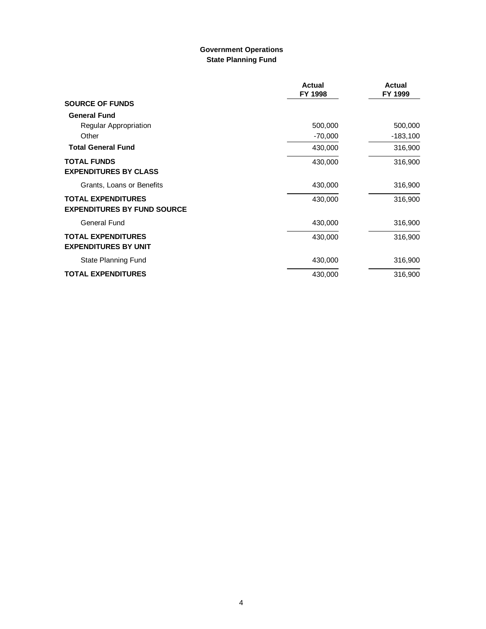### **Government Operations State Planning Fund**

|                                                                 | <b>Actual</b><br>FY 1998 | <b>Actual</b><br>FY 1999 |
|-----------------------------------------------------------------|--------------------------|--------------------------|
| <b>SOURCE OF FUNDS</b>                                          |                          |                          |
| <b>General Fund</b>                                             |                          |                          |
| Regular Appropriation                                           | 500,000                  | 500,000                  |
| Other                                                           | $-70,000$                | $-183,100$               |
| <b>Total General Fund</b>                                       | 430,000                  | 316,900                  |
| <b>TOTAL FUNDS</b><br><b>EXPENDITURES BY CLASS</b>              | 430,000                  | 316,900                  |
| Grants, Loans or Benefits                                       | 430,000                  | 316,900                  |
| <b>TOTAL EXPENDITURES</b><br><b>EXPENDITURES BY FUND SOURCE</b> | 430,000                  | 316,900                  |
| General Fund                                                    | 430,000                  | 316,900                  |
| <b>TOTAL EXPENDITURES</b><br><b>EXPENDITURES BY UNIT</b>        | 430,000                  | 316,900                  |
| State Planning Fund                                             | 430,000                  | 316,900                  |
| <b>TOTAL EXPENDITURES</b>                                       | 430,000                  | 316,900                  |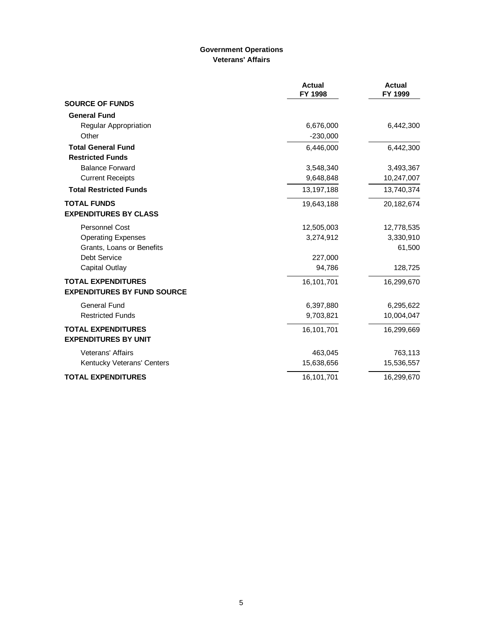# **Government Operations Veterans' Affairs**

|                                                          | <b>Actual</b><br>FY 1998 | <b>Actual</b><br>FY 1999 |
|----------------------------------------------------------|--------------------------|--------------------------|
| <b>SOURCE OF FUNDS</b>                                   |                          |                          |
| <b>General Fund</b>                                      |                          |                          |
| Regular Appropriation                                    | 6,676,000                | 6,442,300                |
| Other                                                    | $-230,000$               |                          |
| <b>Total General Fund</b>                                | 6,446,000                | 6,442,300                |
| <b>Restricted Funds</b>                                  |                          |                          |
| <b>Balance Forward</b>                                   | 3,548,340                | 3,493,367                |
| <b>Current Receipts</b>                                  | 9,648,848                | 10,247,007               |
| <b>Total Restricted Funds</b>                            | 13,197,188               | 13,740,374               |
| <b>TOTAL FUNDS</b>                                       | 19,643,188               | 20,182,674               |
| <b>EXPENDITURES BY CLASS</b>                             |                          |                          |
| Personnel Cost                                           | 12,505,003               | 12,778,535               |
| <b>Operating Expenses</b>                                | 3,274,912                | 3,330,910                |
| Grants, Loans or Benefits                                |                          | 61,500                   |
| Debt Service                                             | 227,000                  |                          |
| Capital Outlay                                           | 94,786                   | 128,725                  |
| <b>TOTAL EXPENDITURES</b>                                | 16,101,701               | 16,299,670               |
| <b>EXPENDITURES BY FUND SOURCE</b>                       |                          |                          |
| <b>General Fund</b>                                      | 6,397,880                | 6,295,622                |
| <b>Restricted Funds</b>                                  | 9,703,821                | 10,004,047               |
| <b>TOTAL EXPENDITURES</b><br><b>EXPENDITURES BY UNIT</b> | 16,101,701               | 16,299,669               |
| Veterans' Affairs                                        | 463,045                  | 763,113                  |
| Kentucky Veterans' Centers                               | 15,638,656               | 15,536,557               |
| <b>TOTAL EXPENDITURES</b>                                | 16,101,701               | 16,299,670               |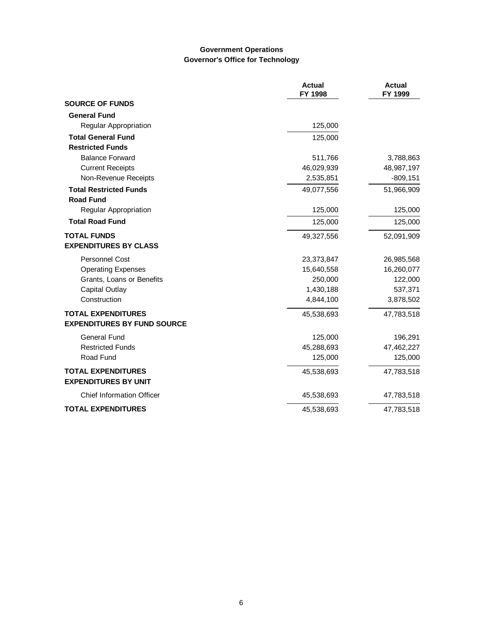### **Government Operations Governor's Office for Technology**

|                                                          | <b>Actual</b><br>FY 1998 | <b>Actual</b><br>FY 1999 |
|----------------------------------------------------------|--------------------------|--------------------------|
| <b>SOURCE OF FUNDS</b>                                   |                          |                          |
| <b>General Fund</b>                                      |                          |                          |
| Regular Appropriation                                    | 125,000                  |                          |
| <b>Total General Fund</b>                                | 125,000                  |                          |
| <b>Restricted Funds</b>                                  |                          |                          |
| <b>Balance Forward</b>                                   | 511,766                  | 3,788,863                |
| <b>Current Receipts</b>                                  | 46,029,939               | 48,987,197               |
| Non-Revenue Receipts                                     | 2,535,851                | $-809, 151$              |
| <b>Total Restricted Funds</b>                            | 49,077,556               | 51,966,909               |
| <b>Road Fund</b>                                         |                          |                          |
| <b>Regular Appropriation</b>                             | 125,000                  | 125,000                  |
| <b>Total Road Fund</b>                                   | 125,000                  | 125,000                  |
| <b>TOTAL FUNDS</b>                                       | 49,327,556               | 52,091,909               |
| <b>EXPENDITURES BY CLASS</b>                             |                          |                          |
| <b>Personnel Cost</b>                                    | 23,373,847               | 26,985,568               |
| <b>Operating Expenses</b>                                | 15,640,558               | 16,260,077               |
| Grants, Loans or Benefits                                | 250,000                  | 122,000                  |
| Capital Outlay                                           | 1,430,188                | 537,371                  |
| Construction                                             | 4,844,100                | 3,878,502                |
| <b>TOTAL EXPENDITURES</b>                                | 45,538,693               | 47,783,518               |
| <b>EXPENDITURES BY FUND SOURCE</b>                       |                          |                          |
| <b>General Fund</b>                                      | 125,000                  | 196,291                  |
| <b>Restricted Funds</b>                                  | 45,288,693               | 47,462,227               |
| Road Fund                                                | 125,000                  | 125,000                  |
| <b>TOTAL EXPENDITURES</b><br><b>EXPENDITURES BY UNIT</b> | 45,538,693               | 47,783,518               |
| <b>Chief Information Officer</b>                         | 45,538,693               | 47,783,518               |
| <b>TOTAL EXPENDITURES</b>                                | 45,538,693               | 47,783,518               |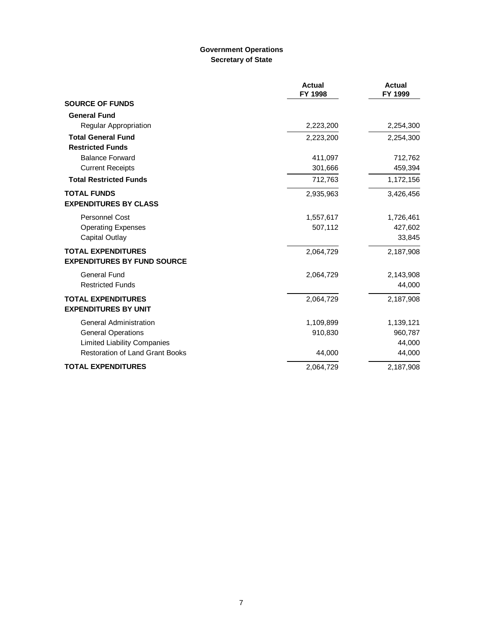# **Government Operations Secretary of State**

|                                                                 | <b>Actual</b><br>FY 1998 | <b>Actual</b><br>FY 1999 |
|-----------------------------------------------------------------|--------------------------|--------------------------|
| <b>SOURCE OF FUNDS</b>                                          |                          |                          |
| <b>General Fund</b>                                             |                          |                          |
| Regular Appropriation                                           | 2,223,200                | 2,254,300                |
| <b>Total General Fund</b>                                       | 2,223,200                | 2,254,300                |
| <b>Restricted Funds</b>                                         |                          |                          |
| <b>Balance Forward</b>                                          | 411,097                  | 712,762                  |
| <b>Current Receipts</b>                                         | 301,666                  | 459,394                  |
| <b>Total Restricted Funds</b>                                   | 712,763                  | 1,172,156                |
| <b>TOTAL FUNDS</b><br><b>EXPENDITURES BY CLASS</b>              | 2,935,963                | 3,426,456                |
| <b>Personnel Cost</b>                                           | 1,557,617                | 1,726,461                |
| <b>Operating Expenses</b>                                       | 507,112                  | 427,602                  |
| <b>Capital Outlay</b>                                           |                          | 33,845                   |
| <b>TOTAL EXPENDITURES</b><br><b>EXPENDITURES BY FUND SOURCE</b> | 2,064,729                | 2,187,908                |
| General Fund                                                    | 2,064,729                | 2,143,908                |
| <b>Restricted Funds</b>                                         |                          | 44,000                   |
| <b>TOTAL EXPENDITURES</b><br><b>EXPENDITURES BY UNIT</b>        | 2,064,729                | 2,187,908                |
| <b>General Administration</b>                                   | 1,109,899                | 1,139,121                |
| <b>General Operations</b>                                       | 910,830                  | 960,787                  |
| <b>Limited Liability Companies</b>                              |                          | 44,000                   |
| <b>Restoration of Land Grant Books</b>                          | 44,000                   | 44,000                   |
| <b>TOTAL EXPENDITURES</b>                                       | 2,064,729                | 2,187,908                |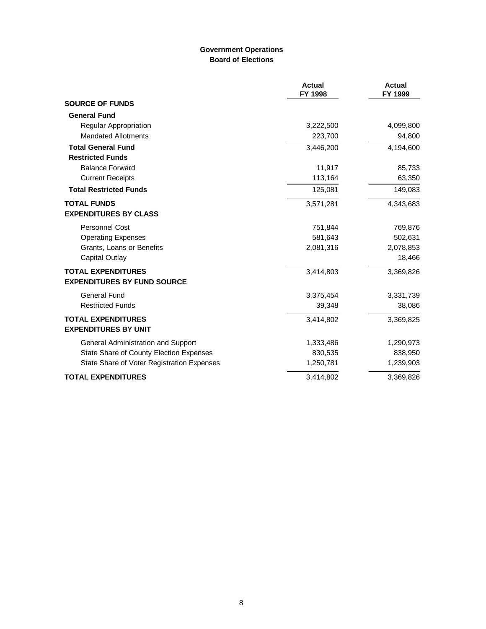### **Government Operations Board of Elections**

|                                                                 | <b>Actual</b><br>FY 1998 | <b>Actual</b><br>FY 1999 |
|-----------------------------------------------------------------|--------------------------|--------------------------|
| <b>SOURCE OF FUNDS</b>                                          |                          |                          |
| <b>General Fund</b>                                             |                          |                          |
| Regular Appropriation                                           | 3,222,500                | 4,099,800                |
| <b>Mandated Allotments</b>                                      | 223,700                  | 94,800                   |
| <b>Total General Fund</b>                                       | 3,446,200                | 4,194,600                |
| <b>Restricted Funds</b>                                         |                          |                          |
| <b>Balance Forward</b>                                          | 11,917                   | 85,733                   |
| <b>Current Receipts</b>                                         | 113,164                  | 63,350                   |
| <b>Total Restricted Funds</b>                                   | 125,081                  | 149,083                  |
| <b>TOTAL FUNDS</b><br><b>EXPENDITURES BY CLASS</b>              | 3,571,281                | 4,343,683                |
|                                                                 |                          |                          |
| Personnel Cost                                                  | 751,844                  | 769,876                  |
| <b>Operating Expenses</b>                                       | 581,643                  | 502,631                  |
| Grants, Loans or Benefits                                       | 2,081,316                | 2,078,853                |
| Capital Outlay                                                  |                          | 18,466                   |
| <b>TOTAL EXPENDITURES</b><br><b>EXPENDITURES BY FUND SOURCE</b> | 3,414,803                | 3,369,826                |
| <b>General Fund</b>                                             | 3,375,454                | 3,331,739                |
| <b>Restricted Funds</b>                                         | 39,348                   | 38,086                   |
| <b>TOTAL EXPENDITURES</b><br><b>EXPENDITURES BY UNIT</b>        | 3,414,802                | 3,369,825                |
| General Administration and Support                              | 1,333,486                | 1,290,973                |
| State Share of County Election Expenses                         | 830,535                  | 838,950                  |
| State Share of Voter Registration Expenses                      | 1,250,781                | 1,239,903                |
| <b>TOTAL EXPENDITURES</b>                                       | 3,414,802                | 3,369,826                |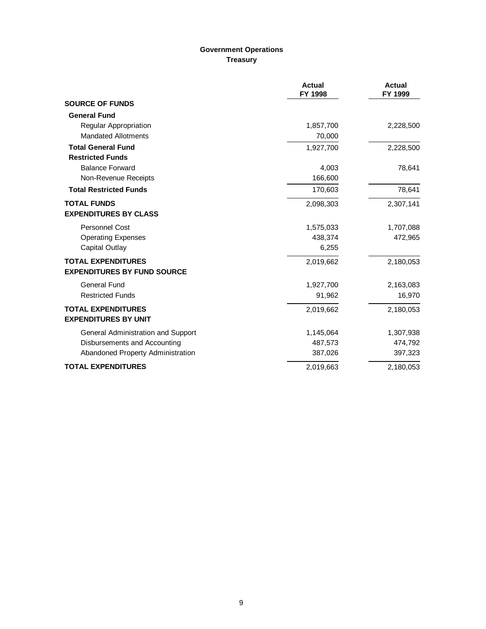# **Government Operations Treasury**

|                                    | <b>Actual</b><br>FY 1998 | <b>Actual</b><br>FY 1999 |
|------------------------------------|--------------------------|--------------------------|
| <b>SOURCE OF FUNDS</b>             |                          |                          |
| <b>General Fund</b>                |                          |                          |
| <b>Regular Appropriation</b>       | 1,857,700                | 2,228,500                |
| <b>Mandated Allotments</b>         | 70,000                   |                          |
| <b>Total General Fund</b>          | 1,927,700                | 2,228,500                |
| <b>Restricted Funds</b>            |                          |                          |
| <b>Balance Forward</b>             | 4,003                    | 78,641                   |
| Non-Revenue Receipts               | 166,600                  |                          |
| <b>Total Restricted Funds</b>      | 170,603                  | 78,641                   |
| <b>TOTAL FUNDS</b>                 | 2,098,303                | 2,307,141                |
| <b>EXPENDITURES BY CLASS</b>       |                          |                          |
| <b>Personnel Cost</b>              | 1,575,033                | 1,707,088                |
| <b>Operating Expenses</b>          | 438,374                  | 472,965                  |
| Capital Outlay                     | 6,255                    |                          |
| <b>TOTAL EXPENDITURES</b>          | 2,019,662                | 2,180,053                |
| <b>EXPENDITURES BY FUND SOURCE</b> |                          |                          |
| <b>General Fund</b>                | 1,927,700                | 2,163,083                |
| <b>Restricted Funds</b>            | 91,962                   | 16,970                   |
| <b>TOTAL EXPENDITURES</b>          | 2,019,662                | 2,180,053                |
| <b>EXPENDITURES BY UNIT</b>        |                          |                          |
| General Administration and Support | 1,145,064                | 1,307,938                |
| Disbursements and Accounting       | 487,573                  | 474,792                  |
| Abandoned Property Administration  | 387,026                  | 397,323                  |
| <b>TOTAL EXPENDITURES</b>          | 2,019,663                | 2,180,053                |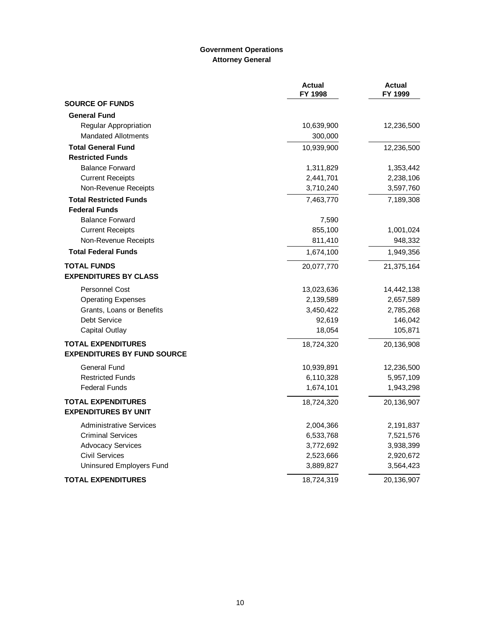# **Government Operations Attorney General**

|                                    | <b>Actual</b><br>FY 1998 | <b>Actual</b><br>FY 1999 |
|------------------------------------|--------------------------|--------------------------|
| <b>SOURCE OF FUNDS</b>             |                          |                          |
| <b>General Fund</b>                |                          |                          |
| Regular Appropriation              | 10,639,900               | 12,236,500               |
| <b>Mandated Allotments</b>         | 300,000                  |                          |
| <b>Total General Fund</b>          | 10,939,900               | 12,236,500               |
| <b>Restricted Funds</b>            |                          |                          |
| <b>Balance Forward</b>             | 1,311,829                | 1,353,442                |
| <b>Current Receipts</b>            | 2,441,701                | 2,238,106                |
| Non-Revenue Receipts               | 3,710,240                | 3,597,760                |
| <b>Total Restricted Funds</b>      | 7,463,770                | 7,189,308                |
| <b>Federal Funds</b>               |                          |                          |
| <b>Balance Forward</b>             | 7,590                    |                          |
| <b>Current Receipts</b>            | 855,100                  | 1,001,024                |
| Non-Revenue Receipts               | 811,410                  | 948,332                  |
| <b>Total Federal Funds</b>         | 1,674,100                | 1,949,356                |
| <b>TOTAL FUNDS</b>                 | 20,077,770               | 21,375,164               |
| <b>EXPENDITURES BY CLASS</b>       |                          |                          |
| <b>Personnel Cost</b>              | 13,023,636               | 14,442,138               |
| <b>Operating Expenses</b>          | 2,139,589                | 2,657,589                |
| Grants, Loans or Benefits          | 3,450,422                | 2,785,268                |
| <b>Debt Service</b>                | 92,619                   | 146,042                  |
| <b>Capital Outlay</b>              | 18,054                   | 105,871                  |
| <b>TOTAL EXPENDITURES</b>          | 18,724,320               | 20,136,908               |
| <b>EXPENDITURES BY FUND SOURCE</b> |                          |                          |
| <b>General Fund</b>                | 10,939,891               | 12,236,500               |
| <b>Restricted Funds</b>            | 6,110,328                | 5,957,109                |
| <b>Federal Funds</b>               | 1,674,101                | 1,943,298                |
| <b>TOTAL EXPENDITURES</b>          | 18,724,320               | 20,136,907               |
| <b>EXPENDITURES BY UNIT</b>        |                          |                          |
| <b>Administrative Services</b>     | 2,004,366                | 2,191,837                |
| <b>Criminal Services</b>           | 6,533,768                | 7,521,576                |
| <b>Advocacy Services</b>           | 3,772,692                | 3,938,399                |
| <b>Civil Services</b>              | 2,523,666                | 2,920,672                |
| Uninsured Employers Fund           | 3,889,827                | 3,564,423                |
| <b>TOTAL EXPENDITURES</b>          | 18,724,319               | 20,136,907               |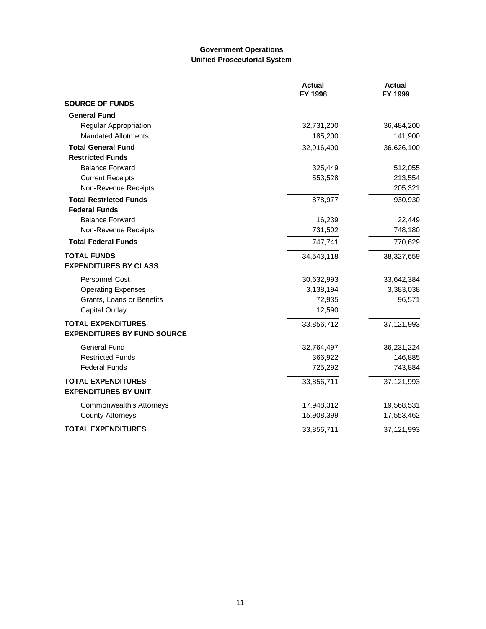#### **Government Operations Unified Prosecutorial System**

|                                    | <b>Actual</b><br>FY 1998 | <b>Actual</b><br>FY 1999 |
|------------------------------------|--------------------------|--------------------------|
| <b>SOURCE OF FUNDS</b>             |                          |                          |
| <b>General Fund</b>                |                          |                          |
| Regular Appropriation              | 32,731,200               | 36,484,200               |
| <b>Mandated Allotments</b>         | 185,200                  | 141,900                  |
| <b>Total General Fund</b>          | 32,916,400               | 36,626,100               |
| <b>Restricted Funds</b>            |                          |                          |
| <b>Balance Forward</b>             | 325,449                  | 512,055                  |
| <b>Current Receipts</b>            | 553,528                  | 213,554                  |
| Non-Revenue Receipts               |                          | 205,321                  |
| <b>Total Restricted Funds</b>      | 878,977                  | 930,930                  |
| <b>Federal Funds</b>               |                          |                          |
| <b>Balance Forward</b>             | 16,239                   | 22,449                   |
| Non-Revenue Receipts               | 731,502                  | 748,180                  |
| <b>Total Federal Funds</b>         | 747,741                  | 770,629                  |
| <b>TOTAL FUNDS</b>                 | 34,543,118               | 38,327,659               |
| <b>EXPENDITURES BY CLASS</b>       |                          |                          |
| <b>Personnel Cost</b>              | 30,632,993               | 33,642,384               |
| <b>Operating Expenses</b>          | 3,138,194                | 3,383,038                |
| Grants, Loans or Benefits          | 72,935                   | 96,571                   |
| <b>Capital Outlay</b>              | 12,590                   |                          |
| <b>TOTAL EXPENDITURES</b>          | 33,856,712               | 37,121,993               |
| <b>EXPENDITURES BY FUND SOURCE</b> |                          |                          |
| <b>General Fund</b>                | 32,764,497               | 36,231,224               |
| <b>Restricted Funds</b>            | 366,922                  | 146,885                  |
| <b>Federal Funds</b>               | 725,292                  | 743,884                  |
| <b>TOTAL EXPENDITURES</b>          | 33,856,711               | 37,121,993               |
| <b>EXPENDITURES BY UNIT</b>        |                          |                          |
| Commonwealth's Attorneys           | 17,948,312               | 19,568,531               |
| <b>County Attorneys</b>            | 15,908,399               | 17,553,462               |
| <b>TOTAL EXPENDITURES</b>          | 33,856,711               | 37,121,993               |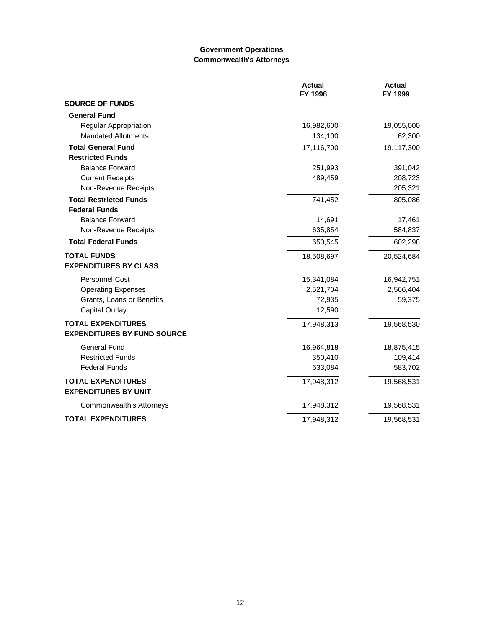#### **Government Operations Commonwealth's Attorneys**

|                                                          | <b>Actual</b><br>FY 1998 | <b>Actual</b><br>FY 1999 |
|----------------------------------------------------------|--------------------------|--------------------------|
| <b>SOURCE OF FUNDS</b>                                   |                          |                          |
| <b>General Fund</b>                                      |                          |                          |
| Regular Appropriation                                    | 16,982,600               | 19,055,000               |
| <b>Mandated Allotments</b>                               | 134,100                  | 62,300                   |
| <b>Total General Fund</b>                                | 17,116,700               | 19,117,300               |
| <b>Restricted Funds</b>                                  |                          |                          |
| <b>Balance Forward</b>                                   | 251,993                  | 391,042                  |
| <b>Current Receipts</b>                                  | 489,459                  | 208,723                  |
| Non-Revenue Receipts                                     |                          | 205,321                  |
| <b>Total Restricted Funds</b>                            | 741,452                  | 805,086                  |
| <b>Federal Funds</b>                                     |                          |                          |
| <b>Balance Forward</b>                                   | 14,691                   | 17,461                   |
| Non-Revenue Receipts                                     | 635,854                  | 584,837                  |
| <b>Total Federal Funds</b>                               | 650,545                  | 602,298                  |
| <b>TOTAL FUNDS</b>                                       | 18,508,697               | 20,524,684               |
| <b>EXPENDITURES BY CLASS</b>                             |                          |                          |
| <b>Personnel Cost</b>                                    | 15,341,084               | 16,942,751               |
| <b>Operating Expenses</b>                                | 2,521,704                | 2,566,404                |
| Grants, Loans or Benefits                                | 72,935                   | 59,375                   |
| <b>Capital Outlay</b>                                    | 12,590                   |                          |
| <b>TOTAL EXPENDITURES</b>                                | 17,948,313               | 19,568,530               |
| <b>EXPENDITURES BY FUND SOURCE</b>                       |                          |                          |
| <b>General Fund</b>                                      | 16,964,818               | 18,875,415               |
| <b>Restricted Funds</b>                                  | 350,410                  | 109,414                  |
| <b>Federal Funds</b>                                     | 633,084                  | 583,702                  |
| <b>TOTAL EXPENDITURES</b><br><b>EXPENDITURES BY UNIT</b> | 17,948,312               | 19,568,531               |
| Commonwealth's Attorneys                                 | 17,948,312               | 19,568,531               |
| <b>TOTAL EXPENDITURES</b>                                | 17,948,312               | 19,568,531               |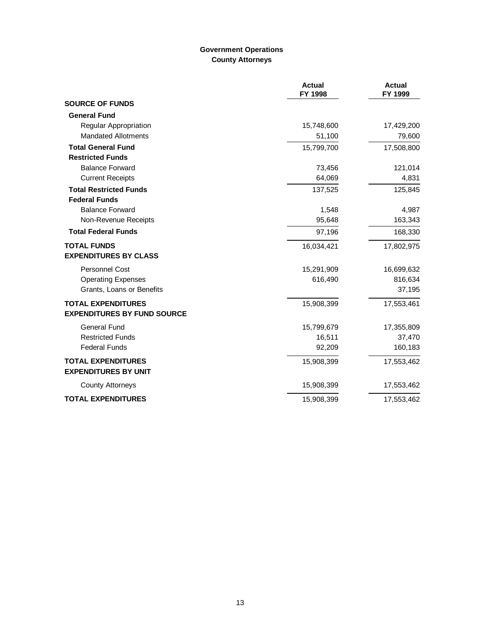# **Government Operations County Attorneys**

|                                                          | <b>Actual</b><br>FY 1998 | <b>Actual</b><br>FY 1999 |
|----------------------------------------------------------|--------------------------|--------------------------|
| <b>SOURCE OF FUNDS</b>                                   |                          |                          |
| <b>General Fund</b>                                      |                          |                          |
| Regular Appropriation                                    | 15,748,600               | 17,429,200               |
| <b>Mandated Allotments</b>                               | 51,100                   | 79,600                   |
| <b>Total General Fund</b>                                | 15,799,700               | 17,508,800               |
| <b>Restricted Funds</b>                                  |                          |                          |
| <b>Balance Forward</b>                                   | 73,456                   | 121,014                  |
| <b>Current Receipts</b>                                  | 64,069                   | 4,831                    |
| <b>Total Restricted Funds</b>                            | 137,525                  | 125,845                  |
| <b>Federal Funds</b>                                     |                          |                          |
| <b>Balance Forward</b>                                   | 1,548                    | 4,987                    |
| Non-Revenue Receipts                                     | 95,648                   | 163,343                  |
| <b>Total Federal Funds</b>                               | 97,196                   | 168,330                  |
| <b>TOTAL FUNDS</b>                                       | 16,034,421               | 17,802,975               |
| <b>EXPENDITURES BY CLASS</b>                             |                          |                          |
| <b>Personnel Cost</b>                                    | 15,291,909               | 16,699,632               |
| <b>Operating Expenses</b>                                | 616,490                  | 816,634                  |
| Grants, Loans or Benefits                                |                          | 37,195                   |
| <b>TOTAL EXPENDITURES</b>                                | 15,908,399               | 17,553,461               |
| <b>EXPENDITURES BY FUND SOURCE</b>                       |                          |                          |
| <b>General Fund</b>                                      | 15,799,679               | 17,355,809               |
| <b>Restricted Funds</b>                                  | 16,511                   | 37,470                   |
| <b>Federal Funds</b>                                     | 92,209                   | 160,183                  |
| <b>TOTAL EXPENDITURES</b><br><b>EXPENDITURES BY UNIT</b> | 15,908,399               | 17,553,462               |
| <b>County Attorneys</b>                                  | 15,908,399               | 17,553,462               |
| <b>TOTAL EXPENDITURES</b>                                | 15,908,399               | 17,553,462               |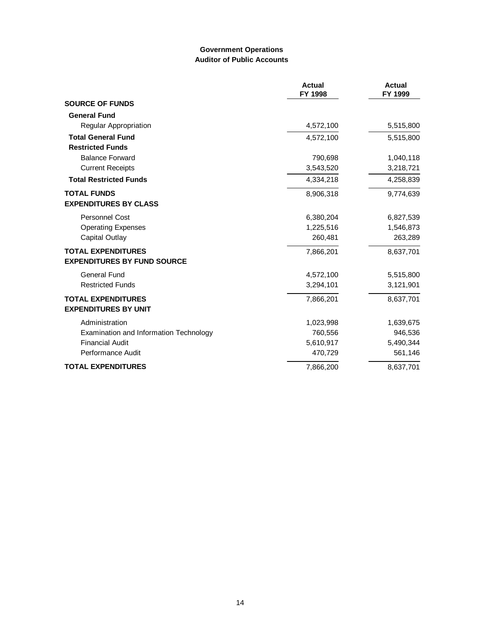### **Government Operations Auditor of Public Accounts**

|                                                                 | <b>Actual</b><br>FY 1998 | <b>Actual</b><br>FY 1999 |
|-----------------------------------------------------------------|--------------------------|--------------------------|
| <b>SOURCE OF FUNDS</b>                                          |                          |                          |
| <b>General Fund</b>                                             |                          |                          |
| <b>Regular Appropriation</b>                                    | 4,572,100                | 5,515,800                |
| <b>Total General Fund</b>                                       | 4,572,100                | 5,515,800                |
| <b>Restricted Funds</b>                                         |                          |                          |
| <b>Balance Forward</b>                                          | 790,698                  | 1,040,118                |
| <b>Current Receipts</b>                                         | 3,543,520                | 3,218,721                |
| <b>Total Restricted Funds</b>                                   | 4,334,218                | 4,258,839                |
| <b>TOTAL FUNDS</b><br><b>EXPENDITURES BY CLASS</b>              | 8,906,318                | 9,774,639                |
| <b>Personnel Cost</b>                                           | 6,380,204                | 6,827,539                |
| <b>Operating Expenses</b>                                       | 1,225,516                | 1,546,873                |
| Capital Outlay                                                  | 260,481                  | 263,289                  |
| <b>TOTAL EXPENDITURES</b><br><b>EXPENDITURES BY FUND SOURCE</b> | 7,866,201                | 8,637,701                |
| General Fund                                                    | 4,572,100                | 5,515,800                |
| <b>Restricted Funds</b>                                         | 3,294,101                | 3,121,901                |
| <b>TOTAL EXPENDITURES</b><br><b>EXPENDITURES BY UNIT</b>        | 7,866,201                | 8,637,701                |
| Administration                                                  | 1,023,998                | 1,639,675                |
| Examination and Information Technology                          | 760,556                  | 946,536                  |
| <b>Financial Audit</b>                                          | 5,610,917                | 5,490,344                |
| <b>Performance Audit</b>                                        | 470,729                  | 561,146                  |
| <b>TOTAL EXPENDITURES</b>                                       | 7,866,200                | 8,637,701                |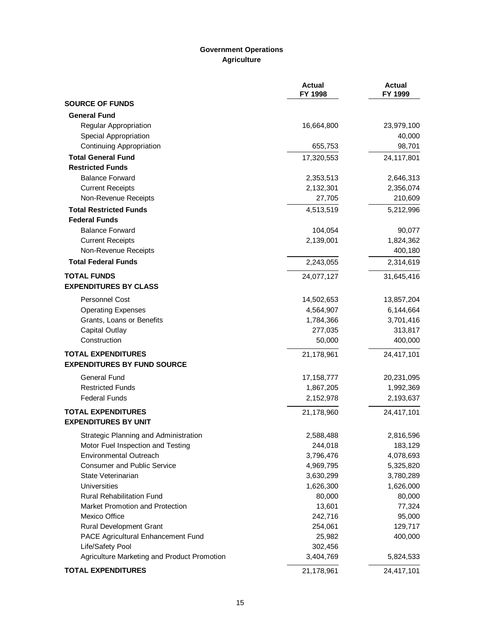# **Government Operations Agriculture**

|                                             | <b>Actual</b><br>FY 1998 | <b>Actual</b><br>FY 1999 |
|---------------------------------------------|--------------------------|--------------------------|
| <b>SOURCE OF FUNDS</b>                      |                          |                          |
| <b>General Fund</b>                         |                          |                          |
| <b>Regular Appropriation</b>                | 16,664,800               | 23,979,100               |
| Special Appropriation                       |                          | 40,000                   |
| <b>Continuing Appropriation</b>             | 655,753                  | 98,701                   |
| <b>Total General Fund</b>                   | 17,320,553               | 24,117,801               |
| <b>Restricted Funds</b>                     |                          |                          |
| <b>Balance Forward</b>                      | 2,353,513                | 2,646,313                |
| <b>Current Receipts</b>                     | 2,132,301                | 2,356,074                |
| Non-Revenue Receipts                        | 27,705                   | 210,609                  |
| <b>Total Restricted Funds</b>               | 4,513,519                | 5,212,996                |
| <b>Federal Funds</b>                        |                          |                          |
| <b>Balance Forward</b>                      | 104,054                  | 90,077                   |
| <b>Current Receipts</b>                     | 2,139,001                | 1,824,362                |
| Non-Revenue Receipts                        |                          | 400,180                  |
| <b>Total Federal Funds</b>                  | 2,243,055                | 2,314,619                |
| <b>TOTAL FUNDS</b>                          | 24,077,127               | 31,645,416               |
| <b>EXPENDITURES BY CLASS</b>                |                          |                          |
| <b>Personnel Cost</b>                       | 14,502,653               | 13,857,204               |
| <b>Operating Expenses</b>                   | 4,564,907                | 6,144,664                |
| Grants, Loans or Benefits                   | 1,784,366                | 3,701,416                |
| <b>Capital Outlay</b>                       | 277,035                  | 313,817                  |
| Construction                                | 50,000                   | 400,000                  |
| <b>TOTAL EXPENDITURES</b>                   | 21,178,961               | 24,417,101               |
| <b>EXPENDITURES BY FUND SOURCE</b>          |                          |                          |
| <b>General Fund</b>                         | 17,158,777               | 20,231,095               |
| <b>Restricted Funds</b>                     | 1,867,205                | 1,992,369                |
| <b>Federal Funds</b>                        | 2,152,978                | 2,193,637                |
| <b>TOTAL EXPENDITURES</b>                   | 21,178,960               | 24,417,101               |
| <b>EXPENDITURES BY UNIT</b>                 |                          |                          |
| Strategic Planning and Administration       | 2,588,488                | 2,816,596                |
| Motor Fuel Inspection and Testing           | 244,018                  | 183,129                  |
| <b>Environmental Outreach</b>               | 3,796,476                | 4,078,693                |
| <b>Consumer and Public Service</b>          | 4,969,795                | 5,325,820                |
| State Veterinarian                          | 3,630,299                | 3,780,289                |
| <b>Universities</b>                         | 1,626,300                | 1,626,000                |
| <b>Rural Rehabilitation Fund</b>            | 80,000                   | 80,000                   |
| Market Promotion and Protection             | 13,601                   | 77,324                   |
| Mexico Office                               | 242,716                  | 95,000                   |
| <b>Rural Development Grant</b>              | 254,061                  | 129,717                  |
| PACE Agricultural Enhancement Fund          | 25,982                   | 400,000                  |
| Life/Safety Pool                            | 302,456                  |                          |
| Agriculture Marketing and Product Promotion | 3,404,769                | 5,824,533                |
| <b>TOTAL EXPENDITURES</b>                   | 21,178,961               | 24,417,101               |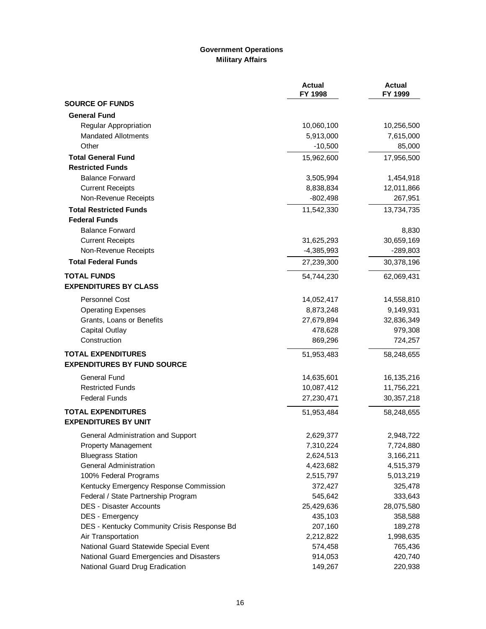# **Government Operations Military Affairs**

|                                             | <b>Actual</b><br>FY 1998 | <b>Actual</b><br>FY 1999 |
|---------------------------------------------|--------------------------|--------------------------|
| <b>SOURCE OF FUNDS</b>                      |                          |                          |
| <b>General Fund</b>                         |                          |                          |
| <b>Regular Appropriation</b>                | 10,060,100               | 10,256,500               |
| <b>Mandated Allotments</b>                  | 5,913,000                | 7,615,000                |
| Other                                       | $-10,500$                | 85,000                   |
| <b>Total General Fund</b>                   | 15,962,600               | 17,956,500               |
| <b>Restricted Funds</b>                     |                          |                          |
| <b>Balance Forward</b>                      | 3,505,994                | 1,454,918                |
| <b>Current Receipts</b>                     | 8,838,834                | 12,011,866               |
| Non-Revenue Receipts                        | $-802,498$               | 267,951                  |
| <b>Total Restricted Funds</b>               | 11,542,330               | 13,734,735               |
| <b>Federal Funds</b>                        |                          |                          |
| <b>Balance Forward</b>                      |                          | 8,830                    |
| <b>Current Receipts</b>                     | 31,625,293               | 30,659,169               |
| Non-Revenue Receipts                        | $-4,385,993$             | $-289,803$               |
| <b>Total Federal Funds</b>                  | 27,239,300               | 30,378,196               |
| <b>TOTAL FUNDS</b>                          | 54,744,230               | 62,069,431               |
| <b>EXPENDITURES BY CLASS</b>                |                          |                          |
| Personnel Cost                              | 14,052,417               | 14,558,810               |
| <b>Operating Expenses</b>                   | 8,873,248                | 9,149,931                |
| Grants, Loans or Benefits                   | 27,679,894               | 32,836,349               |
| <b>Capital Outlay</b>                       | 478,628                  | 979,308                  |
| Construction                                | 869,296                  | 724,257                  |
| <b>TOTAL EXPENDITURES</b>                   | 51,953,483               | 58,248,655               |
| <b>EXPENDITURES BY FUND SOURCE</b>          |                          |                          |
| General Fund                                | 14,635,601               | 16,135,216               |
| <b>Restricted Funds</b>                     | 10,087,412               | 11,756,221               |
| <b>Federal Funds</b>                        | 27,230,471               | 30,357,218               |
| <b>TOTAL EXPENDITURES</b>                   | 51,953,484               | 58,248,655               |
| <b>EXPENDITURES BY UNIT</b>                 |                          |                          |
| General Administration and Support          | 2,629,377                | 2,948,722                |
| <b>Property Management</b>                  | 7,310,224                | 7,724,880                |
| <b>Bluegrass Station</b>                    | 2,624,513                | 3,166,211                |
| <b>General Administration</b>               | 4,423,682                | 4,515,379                |
| 100% Federal Programs                       | 2,515,797                | 5,013,219                |
| Kentucky Emergency Response Commission      | 372,427                  | 325,478                  |
| Federal / State Partnership Program         | 545,642                  | 333,643                  |
| <b>DES - Disaster Accounts</b>              | 25,429,636               | 28,075,580               |
| DES - Emergency                             | 435,103                  | 358,588                  |
| DES - Kentucky Community Crisis Response Bd | 207,160                  | 189,278                  |
| Air Transportation                          | 2,212,822                | 1,998,635                |
| National Guard Statewide Special Event      | 574,458                  | 765,436                  |
| National Guard Emergencies and Disasters    | 914,053                  | 420,740                  |
| National Guard Drug Eradication             | 149,267                  | 220,938                  |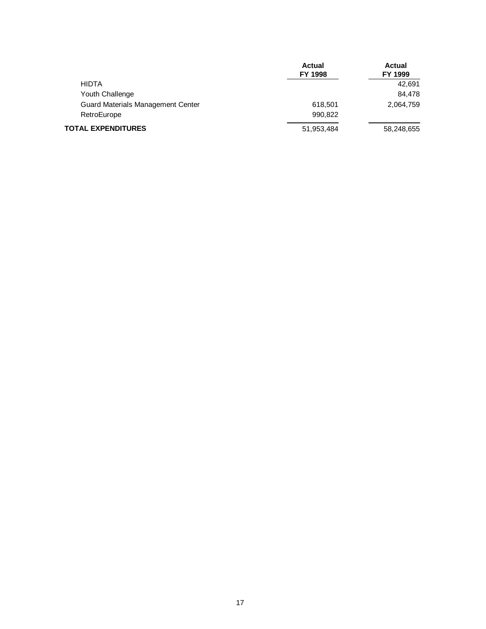|                                          | <b>Actual</b><br>FY 1998 | <b>Actual</b><br>FY 1999 |
|------------------------------------------|--------------------------|--------------------------|
| <b>HIDTA</b>                             |                          | 42.691                   |
| Youth Challenge                          |                          | 84.478                   |
| <b>Guard Materials Management Center</b> | 618,501                  | 2,064,759                |
| RetroEurope                              | 990.822                  |                          |
| <b>TOTAL EXPENDITURES</b>                | 51,953,484               | 58,248,655               |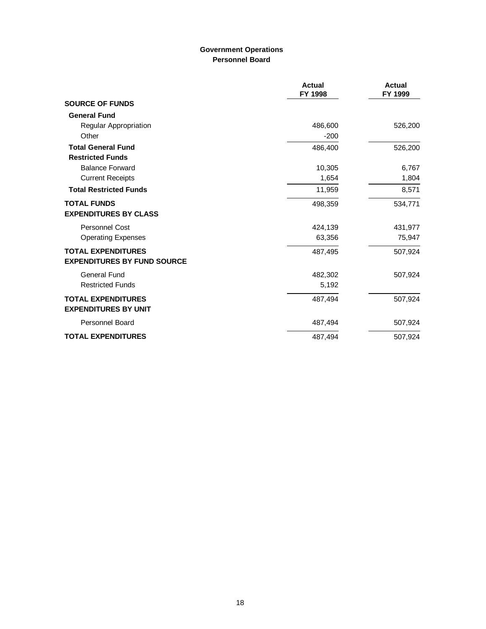# **Government Operations Personnel Board**

|                                    | <b>Actual</b><br>FY 1998 | <b>Actual</b><br>FY 1999 |
|------------------------------------|--------------------------|--------------------------|
| <b>SOURCE OF FUNDS</b>             |                          |                          |
| <b>General Fund</b>                |                          |                          |
| Regular Appropriation              | 486,600                  | 526,200                  |
| Other                              | $-200$                   |                          |
| <b>Total General Fund</b>          | 486,400                  | 526,200                  |
| <b>Restricted Funds</b>            |                          |                          |
| <b>Balance Forward</b>             | 10,305                   | 6,767                    |
| <b>Current Receipts</b>            | 1,654                    | 1,804                    |
| <b>Total Restricted Funds</b>      | 11,959                   | 8,571                    |
| <b>TOTAL FUNDS</b>                 | 498,359                  | 534,771                  |
| <b>EXPENDITURES BY CLASS</b>       |                          |                          |
| Personnel Cost                     | 424,139                  | 431,977                  |
| <b>Operating Expenses</b>          | 63,356                   | 75,947                   |
| <b>TOTAL EXPENDITURES</b>          | 487,495                  | 507,924                  |
| <b>EXPENDITURES BY FUND SOURCE</b> |                          |                          |
| <b>General Fund</b>                | 482,302                  | 507,924                  |
| <b>Restricted Funds</b>            | 5,192                    |                          |
| <b>TOTAL EXPENDITURES</b>          | 487,494                  | 507,924                  |
| <b>EXPENDITURES BY UNIT</b>        |                          |                          |
| <b>Personnel Board</b>             | 487,494                  | 507,924                  |
| <b>TOTAL EXPENDITURES</b>          | 487,494                  | 507,924                  |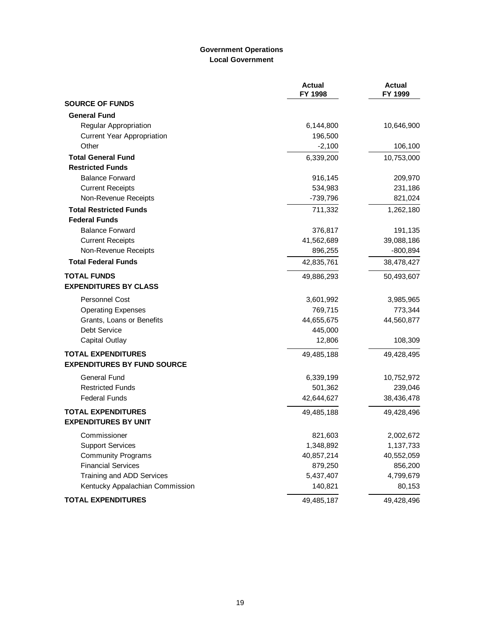# **Government Operations Local Government**

|                                    | <b>Actual</b><br>FY 1998 | <b>Actual</b><br>FY 1999 |
|------------------------------------|--------------------------|--------------------------|
| <b>SOURCE OF FUNDS</b>             |                          |                          |
| <b>General Fund</b>                |                          |                          |
| <b>Regular Appropriation</b>       | 6,144,800                | 10,646,900               |
| <b>Current Year Appropriation</b>  | 196,500                  |                          |
| Other                              | $-2,100$                 | 106,100                  |
| <b>Total General Fund</b>          | 6,339,200                | 10,753,000               |
| <b>Restricted Funds</b>            |                          |                          |
| <b>Balance Forward</b>             | 916,145                  | 209,970                  |
| <b>Current Receipts</b>            | 534,983                  | 231,186                  |
| Non-Revenue Receipts               | $-739,796$               | 821,024                  |
| <b>Total Restricted Funds</b>      | 711,332                  | 1,262,180                |
| <b>Federal Funds</b>               |                          |                          |
| <b>Balance Forward</b>             | 376,817                  | 191,135                  |
| <b>Current Receipts</b>            | 41,562,689               | 39,088,186               |
| Non-Revenue Receipts               | 896,255                  | $-800,894$               |
| <b>Total Federal Funds</b>         | 42,835,761               | 38,478,427               |
| <b>TOTAL FUNDS</b>                 | 49,886,293               | 50,493,607               |
| <b>EXPENDITURES BY CLASS</b>       |                          |                          |
| <b>Personnel Cost</b>              | 3,601,992                | 3,985,965                |
| <b>Operating Expenses</b>          | 769,715                  | 773,344                  |
| Grants, Loans or Benefits          | 44,655,675               | 44,560,877               |
| Debt Service                       | 445,000                  |                          |
| <b>Capital Outlay</b>              | 12,806                   | 108,309                  |
| <b>TOTAL EXPENDITURES</b>          | 49,485,188               | 49,428,495               |
| <b>EXPENDITURES BY FUND SOURCE</b> |                          |                          |
| <b>General Fund</b>                | 6,339,199                | 10,752,972               |
| <b>Restricted Funds</b>            | 501,362                  | 239,046                  |
| <b>Federal Funds</b>               | 42,644,627               | 38,436,478               |
| <b>TOTAL EXPENDITURES</b>          | 49,485,188               | 49,428,496               |
| <b>EXPENDITURES BY UNIT</b>        |                          |                          |
| Commissioner                       | 821,603                  | 2,002,672                |
| <b>Support Services</b>            | 1,348,892                | 1,137,733                |
| <b>Community Programs</b>          | 40,857,214               | 40,552,059               |
| <b>Financial Services</b>          | 879,250                  | 856,200                  |
| Training and ADD Services          | 5,437,407                | 4,799,679                |
| Kentucky Appalachian Commission    | 140,821                  | 80,153                   |
| <b>TOTAL EXPENDITURES</b>          | 49,485,187               | 49,428,496               |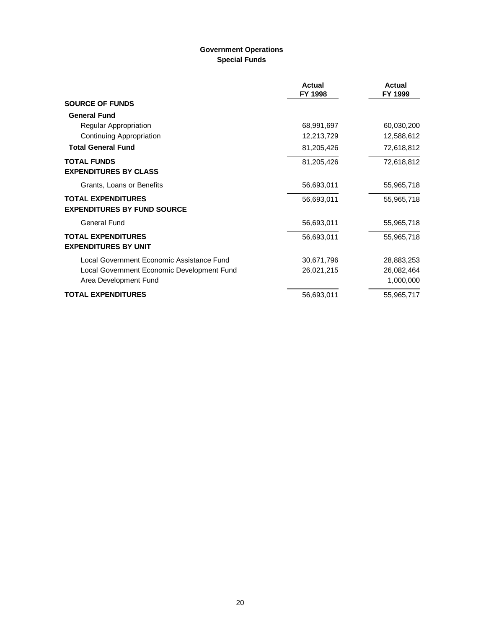# **Government Operations Special Funds**

|                                                                 | Actual<br>FY 1998 | Actual<br>FY 1999 |
|-----------------------------------------------------------------|-------------------|-------------------|
| <b>SOURCE OF FUNDS</b>                                          |                   |                   |
| <b>General Fund</b>                                             |                   |                   |
| Regular Appropriation                                           | 68,991,697        | 60,030,200        |
| Continuing Appropriation                                        | 12,213,729        | 12,588,612        |
| <b>Total General Fund</b>                                       | 81,205,426        | 72,618,812        |
| <b>TOTAL FUNDS</b><br><b>EXPENDITURES BY CLASS</b>              | 81,205,426        | 72,618,812        |
| Grants, Loans or Benefits                                       | 56,693,011        | 55,965,718        |
| <b>TOTAL EXPENDITURES</b><br><b>EXPENDITURES BY FUND SOURCE</b> | 56,693,011        | 55,965,718        |
| General Fund                                                    | 56,693,011        | 55,965,718        |
| <b>TOTAL EXPENDITURES</b><br><b>EXPENDITURES BY UNIT</b>        | 56,693,011        | 55,965,718        |
| Local Government Economic Assistance Fund                       | 30,671,796        | 28,883,253        |
| Local Government Economic Development Fund                      | 26,021,215        | 26,082,464        |
| Area Development Fund                                           |                   | 1,000,000         |
| <b>TOTAL EXPENDITURES</b>                                       | 56,693,011        | 55,965,717        |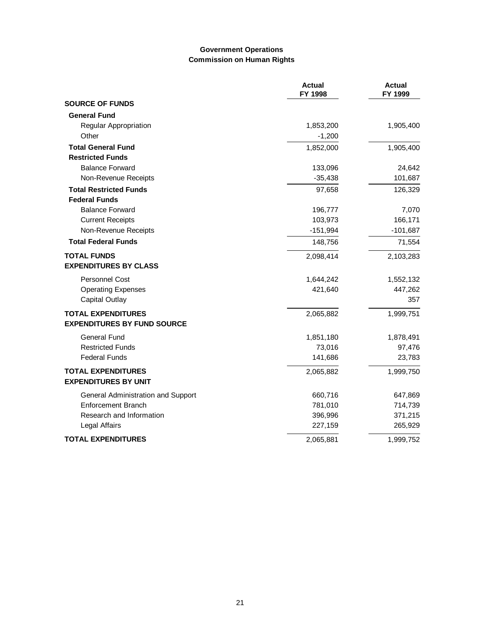### **Government Operations Commission on Human Rights**

|                                    | <b>Actual</b><br>FY 1998 | <b>Actual</b><br>FY 1999 |
|------------------------------------|--------------------------|--------------------------|
| <b>SOURCE OF FUNDS</b>             |                          |                          |
| <b>General Fund</b>                |                          |                          |
| <b>Regular Appropriation</b>       | 1,853,200                | 1,905,400                |
| Other                              | $-1,200$                 |                          |
| <b>Total General Fund</b>          | 1,852,000                | 1,905,400                |
| <b>Restricted Funds</b>            |                          |                          |
| <b>Balance Forward</b>             | 133,096                  | 24,642                   |
| Non-Revenue Receipts               | $-35,438$                | 101,687                  |
| <b>Total Restricted Funds</b>      | 97,658                   | 126,329                  |
| <b>Federal Funds</b>               |                          |                          |
| <b>Balance Forward</b>             | 196,777                  | 7,070                    |
| <b>Current Receipts</b>            | 103,973                  | 166,171                  |
| Non-Revenue Receipts               | $-151,994$               | $-101,687$               |
| <b>Total Federal Funds</b>         | 148,756                  | 71,554                   |
| <b>TOTAL FUNDS</b>                 | 2,098,414                | 2,103,283                |
| <b>EXPENDITURES BY CLASS</b>       |                          |                          |
| <b>Personnel Cost</b>              | 1,644,242                | 1,552,132                |
| <b>Operating Expenses</b>          | 421,640                  | 447,262                  |
| <b>Capital Outlay</b>              |                          | 357                      |
| <b>TOTAL EXPENDITURES</b>          | 2,065,882                | 1,999,751                |
| <b>EXPENDITURES BY FUND SOURCE</b> |                          |                          |
| <b>General Fund</b>                | 1,851,180                | 1,878,491                |
| <b>Restricted Funds</b>            | 73,016                   | 97,476                   |
| <b>Federal Funds</b>               | 141,686                  | 23,783                   |
| <b>TOTAL EXPENDITURES</b>          | 2,065,882                | 1,999,750                |
| <b>EXPENDITURES BY UNIT</b>        |                          |                          |
| General Administration and Support | 660,716                  | 647,869                  |
| <b>Enforcement Branch</b>          | 781,010                  | 714,739                  |
| Research and Information           | 396,996                  | 371,215                  |
| Legal Affairs                      | 227,159                  | 265,929                  |
| <b>TOTAL EXPENDITURES</b>          | 2,065,881                | 1,999,752                |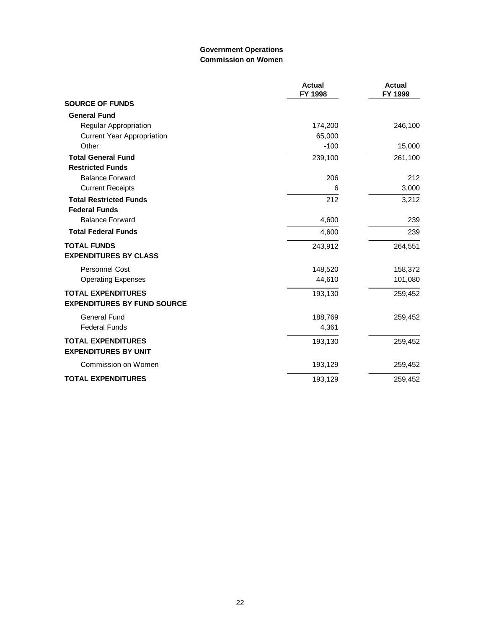### **Government Operations Commission on Women**

|                                                          | <b>Actual</b><br>FY 1998 | <b>Actual</b><br>FY 1999 |
|----------------------------------------------------------|--------------------------|--------------------------|
| <b>SOURCE OF FUNDS</b>                                   |                          |                          |
| <b>General Fund</b>                                      |                          |                          |
| Regular Appropriation                                    | 174,200                  | 246,100                  |
| <b>Current Year Appropriation</b>                        | 65,000                   |                          |
| Other                                                    | $-100$                   | 15,000                   |
| <b>Total General Fund</b>                                | 239,100                  | 261,100                  |
| <b>Restricted Funds</b>                                  |                          |                          |
| <b>Balance Forward</b>                                   | 206                      | 212                      |
| <b>Current Receipts</b>                                  | 6                        | 3,000                    |
| <b>Total Restricted Funds</b>                            | 212                      | 3,212                    |
| <b>Federal Funds</b>                                     |                          |                          |
| <b>Balance Forward</b>                                   | 4,600                    | 239                      |
| <b>Total Federal Funds</b>                               | 4,600                    | 239                      |
| <b>TOTAL FUNDS</b>                                       | 243,912                  | 264,551                  |
| <b>EXPENDITURES BY CLASS</b>                             |                          |                          |
| <b>Personnel Cost</b>                                    | 148,520                  | 158,372                  |
| <b>Operating Expenses</b>                                | 44,610                   | 101,080                  |
| <b>TOTAL EXPENDITURES</b>                                | 193,130                  | 259,452                  |
| <b>EXPENDITURES BY FUND SOURCE</b>                       |                          |                          |
| <b>General Fund</b>                                      | 188,769                  | 259,452                  |
| <b>Federal Funds</b>                                     | 4,361                    |                          |
| <b>TOTAL EXPENDITURES</b><br><b>EXPENDITURES BY UNIT</b> | 193,130                  | 259,452                  |
| Commission on Women                                      | 193,129                  | 259,452                  |
| <b>TOTAL EXPENDITURES</b>                                | 193,129                  | 259,452                  |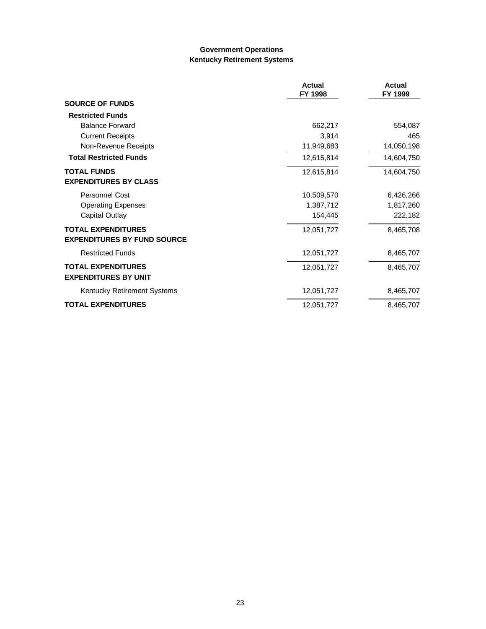### **Government Operations Kentucky Retirement Systems**

|                                    | <b>Actual</b><br>FY 1998 | <b>Actual</b><br>FY 1999 |
|------------------------------------|--------------------------|--------------------------|
| <b>SOURCE OF FUNDS</b>             |                          |                          |
| <b>Restricted Funds</b>            |                          |                          |
| <b>Balance Forward</b>             | 662,217                  | 554,087                  |
| <b>Current Receipts</b>            | 3,914                    | 465                      |
| Non-Revenue Receipts               | 11,949,683               | 14,050,198               |
| <b>Total Restricted Funds</b>      | 12,615,814               | 14,604,750               |
| <b>TOTAL FUNDS</b>                 | 12,615,814               | 14,604,750               |
| <b>EXPENDITURES BY CLASS</b>       |                          |                          |
| <b>Personnel Cost</b>              | 10,509,570               | 6,426,266                |
| <b>Operating Expenses</b>          | 1,387,712                | 1,817,260                |
| Capital Outlay                     | 154,445                  | 222,182                  |
| <b>TOTAL EXPENDITURES</b>          | 12,051,727               | 8,465,708                |
| <b>EXPENDITURES BY FUND SOURCE</b> |                          |                          |
| <b>Restricted Funds</b>            | 12,051,727               | 8,465,707                |
| <b>TOTAL EXPENDITURES</b>          | 12,051,727               | 8,465,707                |
| <b>EXPENDITURES BY UNIT</b>        |                          |                          |
| Kentucky Retirement Systems        | 12,051,727               | 8,465,707                |
| <b>TOTAL EXPENDITURES</b>          | 12,051,727               | 8,465,707                |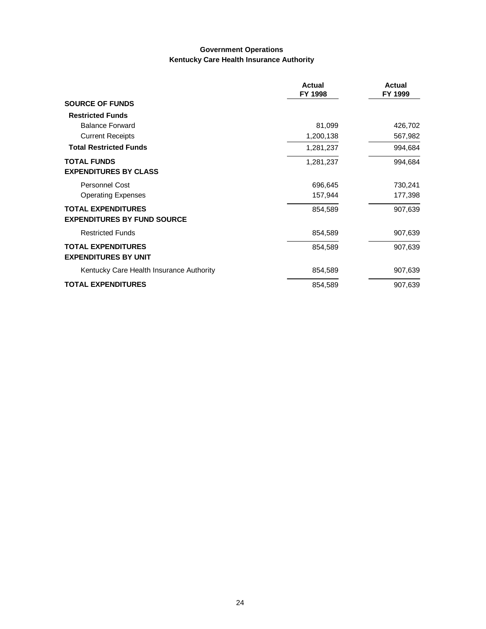#### **Government Operations Kentucky Care Health Insurance Authority**

|                                          | <b>Actual</b><br>FY 1998 | <b>Actual</b><br>FY 1999 |
|------------------------------------------|--------------------------|--------------------------|
| <b>SOURCE OF FUNDS</b>                   |                          |                          |
| <b>Restricted Funds</b>                  |                          |                          |
| <b>Balance Forward</b>                   | 81,099                   | 426,702                  |
| <b>Current Receipts</b>                  | 1,200,138                | 567,982                  |
| <b>Total Restricted Funds</b>            | 1,281,237                | 994,684                  |
| <b>TOTAL FUNDS</b>                       | 1,281,237                | 994,684                  |
| <b>EXPENDITURES BY CLASS</b>             |                          |                          |
| <b>Personnel Cost</b>                    | 696,645                  | 730,241                  |
| <b>Operating Expenses</b>                | 157,944                  | 177,398                  |
| <b>TOTAL EXPENDITURES</b>                | 854,589                  | 907,639                  |
| <b>EXPENDITURES BY FUND SOURCE</b>       |                          |                          |
| <b>Restricted Funds</b>                  | 854,589                  | 907,639                  |
| <b>TOTAL EXPENDITURES</b>                | 854,589                  | 907,639                  |
| <b>EXPENDITURES BY UNIT</b>              |                          |                          |
| Kentucky Care Health Insurance Authority | 854,589                  | 907,639                  |
| <b>TOTAL EXPENDITURES</b>                | 854,589                  | 907,639                  |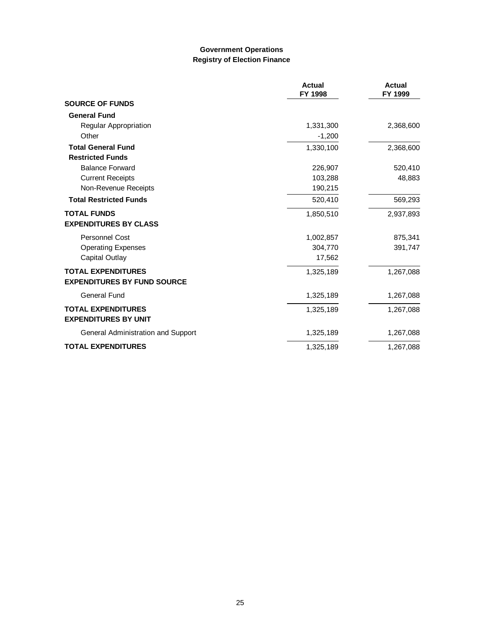### **Government Operations Registry of Election Finance**

|                                    | <b>Actual</b><br>FY 1998 | Actual<br>FY 1999 |
|------------------------------------|--------------------------|-------------------|
| <b>SOURCE OF FUNDS</b>             |                          |                   |
| <b>General Fund</b>                |                          |                   |
| <b>Regular Appropriation</b>       | 1,331,300                | 2,368,600         |
| Other                              | $-1,200$                 |                   |
| <b>Total General Fund</b>          | 1,330,100                | 2,368,600         |
| <b>Restricted Funds</b>            |                          |                   |
| <b>Balance Forward</b>             | 226,907                  | 520,410           |
| <b>Current Receipts</b>            | 103,288                  | 48,883            |
| Non-Revenue Receipts               | 190,215                  |                   |
| <b>Total Restricted Funds</b>      | 520,410                  | 569,293           |
| <b>TOTAL FUNDS</b>                 | 1,850,510                | 2,937,893         |
| <b>EXPENDITURES BY CLASS</b>       |                          |                   |
| <b>Personnel Cost</b>              | 1,002,857                | 875,341           |
| <b>Operating Expenses</b>          | 304,770                  | 391,747           |
| Capital Outlay                     | 17,562                   |                   |
| <b>TOTAL EXPENDITURES</b>          | 1,325,189                | 1,267,088         |
| <b>EXPENDITURES BY FUND SOURCE</b> |                          |                   |
| <b>General Fund</b>                | 1,325,189                | 1,267,088         |
| <b>TOTAL EXPENDITURES</b>          | 1,325,189                | 1,267,088         |
| <b>EXPENDITURES BY UNIT</b>        |                          |                   |
| General Administration and Support | 1,325,189                | 1,267,088         |
| <b>TOTAL EXPENDITURES</b>          | 1,325,189                | 1,267,088         |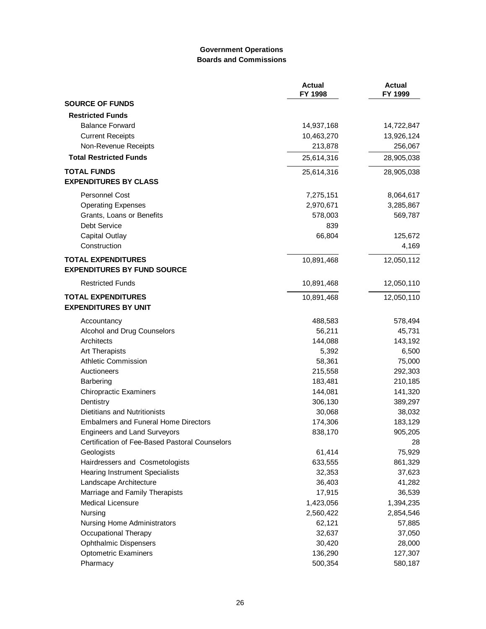### **Government Operations Boards and Commissions**

|                                                          | <b>Actual</b><br>FY 1998 | <b>Actual</b><br>FY 1999 |
|----------------------------------------------------------|--------------------------|--------------------------|
| <b>SOURCE OF FUNDS</b>                                   |                          |                          |
| <b>Restricted Funds</b>                                  |                          |                          |
| <b>Balance Forward</b>                                   | 14,937,168               | 14,722,847               |
| <b>Current Receipts</b>                                  | 10,463,270               | 13,926,124               |
| Non-Revenue Receipts                                     | 213,878                  | 256,067                  |
| <b>Total Restricted Funds</b>                            | 25,614,316               | 28,905,038               |
| <b>TOTAL FUNDS</b><br><b>EXPENDITURES BY CLASS</b>       | 25,614,316               | 28,905,038               |
| <b>Personnel Cost</b>                                    | 7,275,151                | 8,064,617                |
| <b>Operating Expenses</b>                                | 2,970,671                | 3,285,867                |
| Grants, Loans or Benefits                                | 578,003                  | 569,787                  |
| Debt Service                                             | 839                      |                          |
| Capital Outlay                                           | 66,804                   | 125,672                  |
| Construction                                             |                          | 4,169                    |
| <b>TOTAL EXPENDITURES</b>                                | 10,891,468               | 12,050,112               |
| <b>EXPENDITURES BY FUND SOURCE</b>                       |                          |                          |
| <b>Restricted Funds</b>                                  | 10,891,468               | 12,050,110               |
| <b>TOTAL EXPENDITURES</b><br><b>EXPENDITURES BY UNIT</b> | 10,891,468               | 12,050,110               |
| Accountancy                                              | 488,583                  | 578,494                  |
| Alcohol and Drug Counselors                              | 56,211                   | 45,731                   |
| Architects                                               | 144,088                  | 143,192                  |
| Art Therapists                                           | 5,392                    | 6,500                    |
| <b>Athletic Commission</b>                               | 58,361                   | 75,000                   |
| Auctioneers                                              | 215,558                  | 292,303                  |
| Barbering                                                | 183,481                  | 210,185                  |
| <b>Chiropractic Examiners</b>                            | 144,081                  | 141,320                  |
| Dentistry                                                | 306,130                  | 389,297                  |
| Dietitians and Nutritionists                             | 30,068                   | 38,032                   |
| <b>Embalmers and Funeral Home Directors</b>              | 174,306                  | 183,129                  |
| <b>Engineers and Land Surveyors</b>                      | 838,170                  | 905,205                  |
| Certification of Fee-Based Pastoral Counselors           |                          | 28                       |
| Geologists                                               | 61,414                   | 75,929                   |
| Hairdressers and Cosmetologists                          | 633,555                  | 861,329                  |
| <b>Hearing Instrument Specialists</b>                    | 32,353                   | 37,623                   |
| Landscape Architecture                                   | 36,403                   | 41,282                   |
| Marriage and Family Therapists                           | 17,915                   | 36,539                   |
| <b>Medical Licensure</b>                                 | 1,423,056                | 1,394,235                |
| Nursing                                                  | 2,560,422                | 2,854,546                |
| <b>Nursing Home Administrators</b>                       | 62,121                   | 57,885                   |
| Occupational Therapy                                     | 32,637                   | 37,050                   |
| <b>Ophthalmic Dispensers</b>                             | 30,420                   | 28,000                   |
| <b>Optometric Examiners</b>                              | 136,290                  | 127,307                  |
| Pharmacy                                                 | 500,354                  | 580,187                  |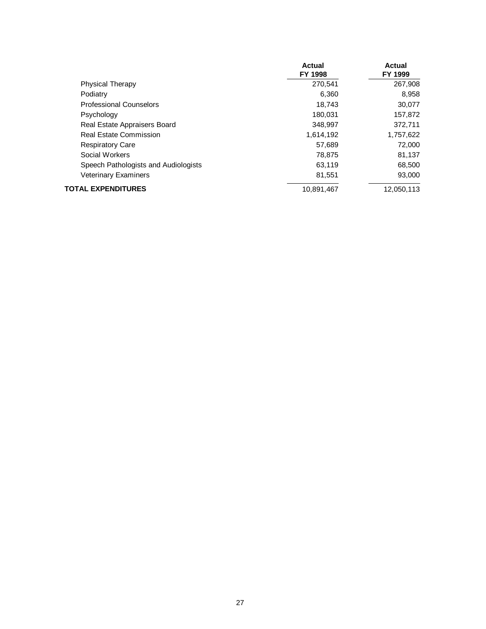|                                      | Actual<br><b>FY 1998</b> | Actual<br>FY 1999 |
|--------------------------------------|--------------------------|-------------------|
|                                      |                          |                   |
| <b>Physical Therapy</b>              | 270,541                  | 267,908           |
| Podiatry                             | 6.360                    | 8,958             |
| <b>Professional Counselors</b>       | 18,743                   | 30,077            |
| Psychology                           | 180,031                  | 157,872           |
| Real Estate Appraisers Board         | 348,997                  | 372,711           |
| <b>Real Estate Commission</b>        | 1,614,192                | 1,757,622         |
| <b>Respiratory Care</b>              | 57,689                   | 72,000            |
| Social Workers                       | 78.875                   | 81,137            |
| Speech Pathologists and Audiologists | 63.119                   | 68,500            |
| <b>Veterinary Examiners</b>          | 81,551                   | 93,000            |
| TOTAL EXPENDITURES                   | 10.891.467               | 12.050.113        |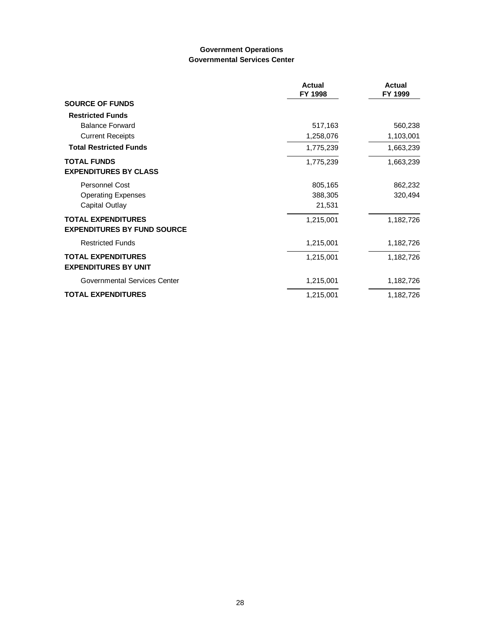#### **Government Operations Governmental Services Center**

|                                                                 | <b>Actual</b><br>FY 1998 | <b>Actual</b><br>FY 1999 |
|-----------------------------------------------------------------|--------------------------|--------------------------|
| <b>SOURCE OF FUNDS</b>                                          |                          |                          |
| <b>Restricted Funds</b>                                         |                          |                          |
| <b>Balance Forward</b>                                          | 517,163                  | 560,238                  |
| <b>Current Receipts</b>                                         | 1,258,076                | 1,103,001                |
| <b>Total Restricted Funds</b>                                   | 1,775,239                | 1,663,239                |
| <b>TOTAL FUNDS</b><br><b>EXPENDITURES BY CLASS</b>              | 1,775,239                | 1,663,239                |
| <b>Personnel Cost</b>                                           | 805,165                  | 862,232                  |
| <b>Operating Expenses</b>                                       | 388,305                  | 320,494                  |
| Capital Outlay                                                  | 21,531                   |                          |
| <b>TOTAL EXPENDITURES</b><br><b>EXPENDITURES BY FUND SOURCE</b> | 1,215,001                | 1,182,726                |
| <b>Restricted Funds</b>                                         | 1,215,001                | 1,182,726                |
| <b>TOTAL EXPENDITURES</b><br><b>EXPENDITURES BY UNIT</b>        | 1,215,001                | 1,182,726                |
| Governmental Services Center                                    | 1,215,001                | 1,182,726                |
| <b>TOTAL EXPENDITURES</b>                                       | 1,215,001                | 1,182,726                |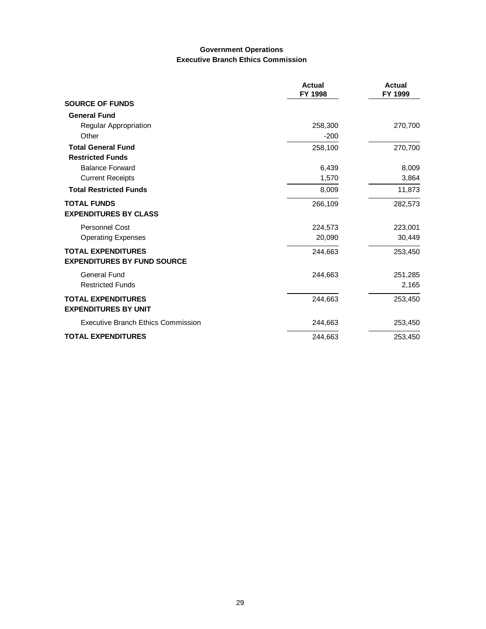### **Government Operations Executive Branch Ethics Commission**

|                                           | <b>Actual</b><br>FY 1998 | Actual<br>FY 1999 |
|-------------------------------------------|--------------------------|-------------------|
| <b>SOURCE OF FUNDS</b>                    |                          |                   |
| <b>General Fund</b>                       |                          |                   |
| Regular Appropriation                     | 258,300                  | 270,700           |
| Other                                     | $-200$                   |                   |
| <b>Total General Fund</b>                 | 258,100                  | 270,700           |
| <b>Restricted Funds</b>                   |                          |                   |
| <b>Balance Forward</b>                    | 6,439                    | 8,009             |
| <b>Current Receipts</b>                   | 1,570                    | 3,864             |
| <b>Total Restricted Funds</b>             | 8,009                    | 11,873            |
| <b>TOTAL FUNDS</b>                        | 266,109                  | 282,573           |
| <b>EXPENDITURES BY CLASS</b>              |                          |                   |
| <b>Personnel Cost</b>                     | 224,573                  | 223,001           |
| <b>Operating Expenses</b>                 | 20,090                   | 30,449            |
| <b>TOTAL EXPENDITURES</b>                 | 244,663                  | 253,450           |
| <b>EXPENDITURES BY FUND SOURCE</b>        |                          |                   |
| General Fund                              | 244,663                  | 251,285           |
| <b>Restricted Funds</b>                   |                          | 2,165             |
| <b>TOTAL EXPENDITURES</b>                 | 244,663                  | 253,450           |
| <b>EXPENDITURES BY UNIT</b>               |                          |                   |
| <b>Executive Branch Ethics Commission</b> | 244,663                  | 253,450           |
| <b>TOTAL EXPENDITURES</b>                 | 244,663                  | 253,450           |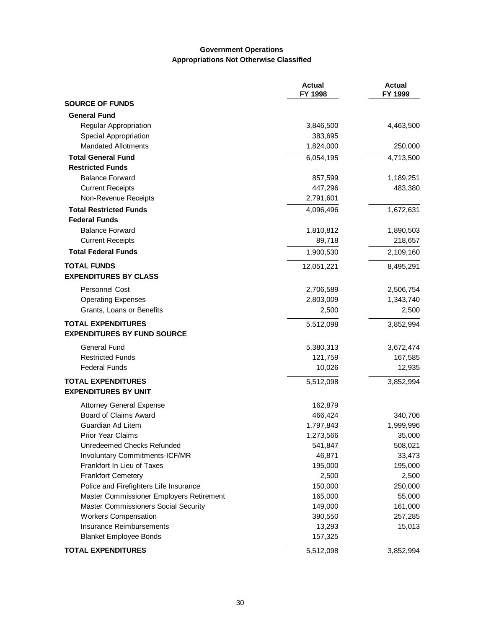#### **Government Operations Appropriations Not Otherwise Classified**

|                                          | <b>Actual</b><br>FY 1998 | <b>Actual</b><br>FY 1999 |
|------------------------------------------|--------------------------|--------------------------|
| <b>SOURCE OF FUNDS</b>                   |                          |                          |
| <b>General Fund</b>                      |                          |                          |
| <b>Regular Appropriation</b>             | 3,846,500                | 4,463,500                |
| Special Appropriation                    | 383,695                  |                          |
| <b>Mandated Allotments</b>               | 1,824,000                | 250,000                  |
| <b>Total General Fund</b>                | 6,054,195                | 4,713,500                |
| <b>Restricted Funds</b>                  |                          |                          |
| <b>Balance Forward</b>                   | 857,599                  | 1,189,251                |
| <b>Current Receipts</b>                  | 447,296                  | 483,380                  |
| Non-Revenue Receipts                     | 2,791,601                |                          |
| <b>Total Restricted Funds</b>            | 4,096,496                | 1,672,631                |
| <b>Federal Funds</b>                     |                          |                          |
| <b>Balance Forward</b>                   | 1,810,812                | 1,890,503                |
| <b>Current Receipts</b>                  | 89,718                   | 218,657                  |
| <b>Total Federal Funds</b>               | 1,900,530                | 2,109,160                |
| <b>TOTAL FUNDS</b>                       | 12,051,221               | 8,495,291                |
| <b>EXPENDITURES BY CLASS</b>             |                          |                          |
| Personnel Cost                           | 2,706,589                | 2,506,754                |
| <b>Operating Expenses</b>                | 2,803,009                | 1,343,740                |
| Grants, Loans or Benefits                | 2,500                    | 2,500                    |
| <b>TOTAL EXPENDITURES</b>                | 5,512,098                | 3,852,994                |
| <b>EXPENDITURES BY FUND SOURCE</b>       |                          |                          |
| General Fund                             | 5,380,313                | 3,672,474                |
| <b>Restricted Funds</b>                  | 121,759                  | 167,585                  |
| <b>Federal Funds</b>                     | 10,026                   | 12,935                   |
| <b>TOTAL EXPENDITURES</b>                | 5,512,098                | 3,852,994                |
| <b>EXPENDITURES BY UNIT</b>              |                          |                          |
| <b>Attorney General Expense</b>          | 162,879                  |                          |
| Board of Claims Award                    | 466,424                  | 340,706                  |
| Guardian Ad Litem                        | 1,797,843                | 1,999,996                |
| <b>Prior Year Claims</b>                 | 1,273,566                | 35,000                   |
| Unredeemed Checks Refunded               | 541,847                  | 508,021                  |
| Involuntary Commitments-ICF/MR           | 46,871                   | 33,473                   |
| Frankfort In Lieu of Taxes               | 195,000                  | 195,000                  |
| <b>Frankfort Cemetery</b>                | 2,500                    | 2,500                    |
| Police and Firefighters Life Insurance   | 150,000                  | 250,000                  |
| Master Commissioner Employers Retirement | 165,000                  | 55,000                   |
| Master Commissioners Social Security     | 149,000                  | 161,000                  |
| <b>Workers Compensation</b>              | 390,550                  | 257,285                  |
| <b>Insurance Reimbursements</b>          | 13,293                   | 15,013                   |
| <b>Blanket Employee Bonds</b>            | 157,325                  |                          |
| <b>TOTAL EXPENDITURES</b>                | 5,512,098                | 3,852,994                |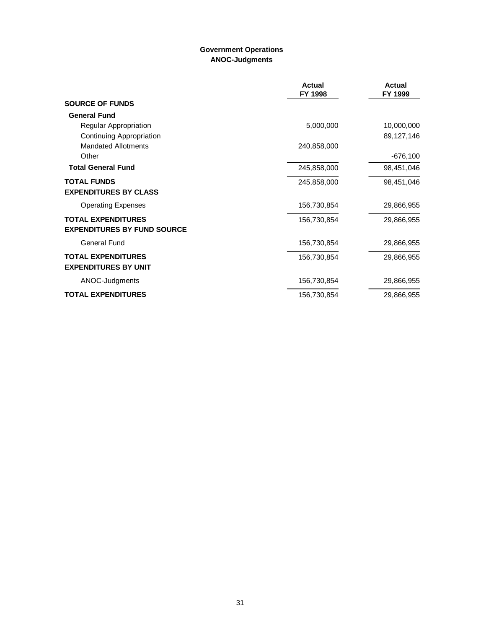# **Government Operations ANOC-Judgments**

|                                    | <b>Actual</b><br>FY 1998 | <b>Actual</b><br>FY 1999 |
|------------------------------------|--------------------------|--------------------------|
| <b>SOURCE OF FUNDS</b>             |                          |                          |
| <b>General Fund</b>                |                          |                          |
| Regular Appropriation              | 5,000,000                | 10,000,000               |
| Continuing Appropriation           |                          | 89,127,146               |
| <b>Mandated Allotments</b>         | 240,858,000              |                          |
| Other                              |                          | $-676,100$               |
| <b>Total General Fund</b>          | 245,858,000              | 98,451,046               |
| <b>TOTAL FUNDS</b>                 | 245,858,000              | 98,451,046               |
| <b>EXPENDITURES BY CLASS</b>       |                          |                          |
| <b>Operating Expenses</b>          | 156,730,854              | 29,866,955               |
| <b>TOTAL EXPENDITURES</b>          | 156,730,854              | 29,866,955               |
| <b>EXPENDITURES BY FUND SOURCE</b> |                          |                          |
| <b>General Fund</b>                | 156,730,854              | 29,866,955               |
| <b>TOTAL EXPENDITURES</b>          | 156,730,854              | 29,866,955               |
| <b>EXPENDITURES BY UNIT</b>        |                          |                          |
| ANOC-Judgments                     | 156,730,854              | 29,866,955               |
| <b>TOTAL EXPENDITURES</b>          | 156,730,854              | 29,866,955               |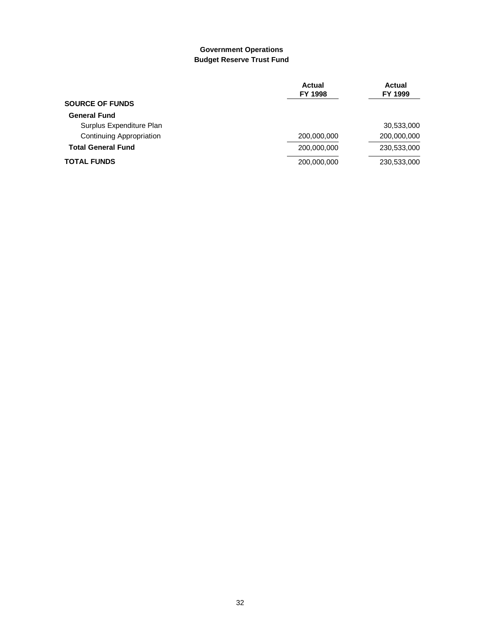#### **Government Operations Budget Reserve Trust Fund**

|                                 | Actual<br><b>FY 1998</b> | Actual<br>FY 1999 |
|---------------------------------|--------------------------|-------------------|
| <b>SOURCE OF FUNDS</b>          |                          |                   |
| <b>General Fund</b>             |                          |                   |
| Surplus Expenditure Plan        |                          | 30,533,000        |
| <b>Continuing Appropriation</b> | 200,000,000              | 200,000,000       |
| <b>Total General Fund</b>       | 200,000,000              | 230,533,000       |
| <b>TOTAL FUNDS</b>              | 200,000,000              | 230,533,000       |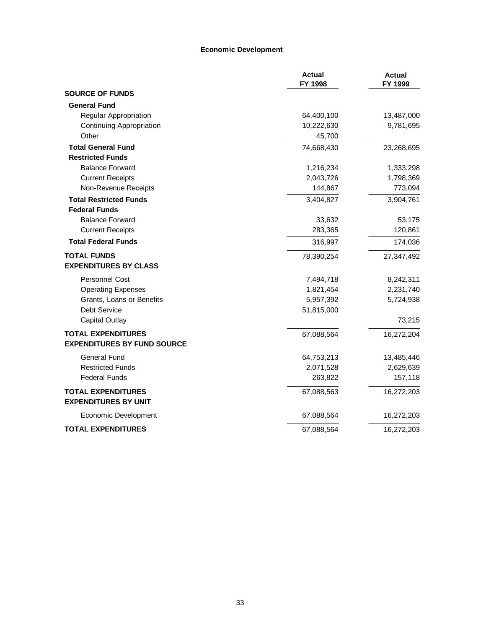#### **Economic Development**

|                                                          | <b>Actual</b><br>FY 1998 | <b>Actual</b><br>FY 1999 |
|----------------------------------------------------------|--------------------------|--------------------------|
| <b>SOURCE OF FUNDS</b>                                   |                          |                          |
| <b>General Fund</b>                                      |                          |                          |
| Regular Appropriation                                    | 64,400,100               | 13,487,000               |
| <b>Continuing Appropriation</b>                          | 10,222,630               | 9,781,695                |
| Other                                                    | 45,700                   |                          |
| <b>Total General Fund</b>                                | 74,668,430               | 23,268,695               |
| <b>Restricted Funds</b>                                  |                          |                          |
| <b>Balance Forward</b>                                   | 1,216,234                | 1,333,298                |
| <b>Current Receipts</b>                                  | 2,043,726                | 1,798,369                |
| Non-Revenue Receipts                                     | 144,867                  | 773,094                  |
| <b>Total Restricted Funds</b>                            | 3,404,827                | 3,904,761                |
| <b>Federal Funds</b>                                     |                          |                          |
| <b>Balance Forward</b>                                   | 33,632                   | 53,175                   |
| <b>Current Receipts</b>                                  | 283,365                  | 120,861                  |
| <b>Total Federal Funds</b>                               | 316,997                  | 174,036                  |
| <b>TOTAL FUNDS</b>                                       | 78,390,254               | 27,347,492               |
| <b>EXPENDITURES BY CLASS</b>                             |                          |                          |
| <b>Personnel Cost</b>                                    | 7,494,718                | 8,242,311                |
| <b>Operating Expenses</b>                                | 1,821,454                | 2,231,740                |
| Grants, Loans or Benefits                                | 5,957,392                | 5,724,938                |
| Debt Service                                             | 51,815,000               |                          |
| Capital Outlay                                           |                          | 73,215                   |
| <b>TOTAL EXPENDITURES</b>                                | 67,088,564               | 16,272,204               |
| <b>EXPENDITURES BY FUND SOURCE</b>                       |                          |                          |
| General Fund                                             | 64,753,213               | 13,485,446               |
| <b>Restricted Funds</b>                                  | 2,071,528                | 2,629,639                |
| <b>Federal Funds</b>                                     | 263,822                  | 157,118                  |
| <b>TOTAL EXPENDITURES</b><br><b>EXPENDITURES BY UNIT</b> | 67,088,563               | 16,272,203               |
| Economic Development                                     | 67,088,564               | 16,272,203               |
| <b>TOTAL EXPENDITURES</b>                                | 67,088,564               | 16,272,203               |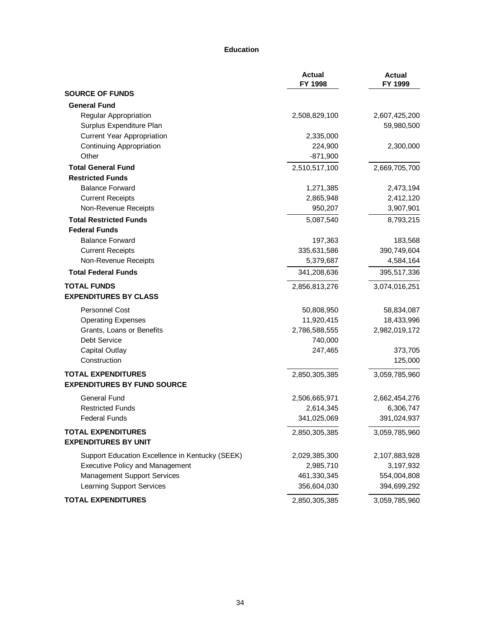#### **Education**

|                                                 | <b>Actual</b><br>FY 1998 | <b>Actual</b><br>FY 1999 |
|-------------------------------------------------|--------------------------|--------------------------|
| <b>SOURCE OF FUNDS</b>                          |                          |                          |
| <b>General Fund</b>                             |                          |                          |
| Regular Appropriation                           | 2,508,829,100            | 2,607,425,200            |
| Surplus Expenditure Plan                        |                          | 59,980,500               |
| <b>Current Year Appropriation</b>               | 2,335,000                |                          |
| <b>Continuing Appropriation</b>                 | 224,900                  | 2,300,000                |
| Other                                           | $-871,900$               |                          |
| <b>Total General Fund</b>                       | 2,510,517,100            | 2,669,705,700            |
| <b>Restricted Funds</b>                         |                          |                          |
| <b>Balance Forward</b>                          | 1,271,385                | 2,473,194                |
| <b>Current Receipts</b>                         | 2,865,948                | 2,412,120                |
| Non-Revenue Receipts                            | 950,207                  | 3,907,901                |
| <b>Total Restricted Funds</b>                   | 5,087,540                | 8,793,215                |
| <b>Federal Funds</b>                            |                          |                          |
| <b>Balance Forward</b>                          | 197,363                  | 183,568                  |
| <b>Current Receipts</b>                         | 335,631,586              | 390,749,604              |
| Non-Revenue Receipts                            | 5,379,687                | 4,584,164                |
| <b>Total Federal Funds</b>                      | 341,208,636              | 395,517,336              |
| <b>TOTAL FUNDS</b>                              | 2,856,813,276            | 3,074,016,251            |
| <b>EXPENDITURES BY CLASS</b>                    |                          |                          |
| <b>Personnel Cost</b>                           | 50,808,950               | 58,834,087               |
| <b>Operating Expenses</b>                       | 11,920,415               | 18,433,996               |
| Grants, Loans or Benefits                       | 2,786,588,555            | 2,982,019,172            |
| Debt Service                                    | 740,000                  |                          |
| <b>Capital Outlay</b>                           | 247,465                  | 373,705                  |
| Construction                                    |                          | 125,000                  |
| <b>TOTAL EXPENDITURES</b>                       | 2,850,305,385            | 3,059,785,960            |
| <b>EXPENDITURES BY FUND SOURCE</b>              |                          |                          |
| General Fund                                    | 2,506,665,971            | 2,662,454,276            |
| <b>Restricted Funds</b>                         | 2,614,345                | 6,306,747                |
| <b>Federal Funds</b>                            | 341,025,069              | 391,024,937              |
| <b>TOTAL EXPENDITURES</b>                       | 2,850,305,385            | 3,059,785,960            |
| <b>EXPENDITURES BY UNIT</b>                     |                          |                          |
| Support Education Excellence in Kentucky (SEEK) | 2,029,385,300            | 2,107,883,928            |
| <b>Executive Policy and Management</b>          | 2,985,710                | 3,197,932                |
| <b>Management Support Services</b>              | 461,330,345              | 554,004,808              |
| <b>Learning Support Services</b>                | 356,604,030              | 394,699,292              |
| <b>TOTAL EXPENDITURES</b>                       | 2,850,305,385            | 3,059,785,960            |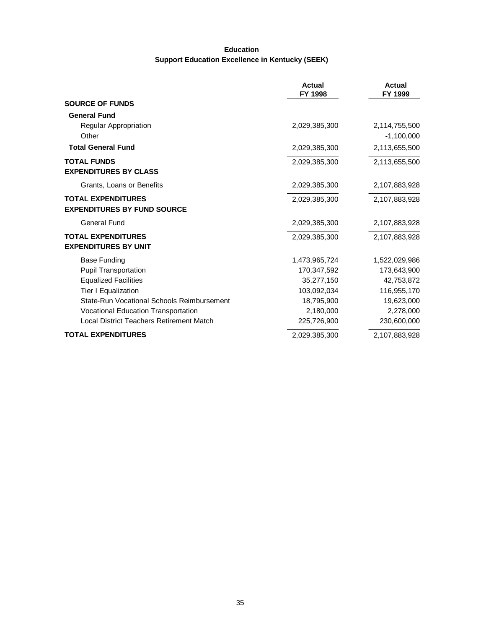### **Education Support Education Excellence in Kentucky (SEEK)**

|                                                                 | <b>Actual</b><br>FY 1998 | <b>Actual</b><br>FY 1999      |
|-----------------------------------------------------------------|--------------------------|-------------------------------|
| <b>SOURCE OF FUNDS</b>                                          |                          |                               |
| <b>General Fund</b>                                             |                          |                               |
| <b>Regular Appropriation</b><br>Other                           | 2,029,385,300            | 2,114,755,500<br>$-1,100,000$ |
| <b>Total General Fund</b>                                       | 2,029,385,300            | 2,113,655,500                 |
| <b>TOTAL FUNDS</b><br><b>EXPENDITURES BY CLASS</b>              | 2,029,385,300            | 2,113,655,500                 |
| Grants, Loans or Benefits                                       | 2,029,385,300            | 2,107,883,928                 |
| <b>TOTAL EXPENDITURES</b><br><b>EXPENDITURES BY FUND SOURCE</b> | 2,029,385,300            | 2,107,883,928                 |
| <b>General Fund</b>                                             | 2,029,385,300            | 2,107,883,928                 |
| <b>TOTAL EXPENDITURES</b><br><b>EXPENDITURES BY UNIT</b>        | 2,029,385,300            | 2,107,883,928                 |
| <b>Base Funding</b>                                             | 1,473,965,724            | 1,522,029,986                 |
| <b>Pupil Transportation</b>                                     | 170,347,592              | 173,643,900                   |
| <b>Equalized Facilities</b>                                     | 35,277,150               | 42,753,872                    |
| Tier I Equalization                                             | 103,092,034              | 116,955,170                   |
| State-Run Vocational Schools Reimbursement                      | 18,795,900               | 19,623,000                    |
| Vocational Education Transportation                             | 2,180,000                | 2,278,000                     |
| <b>Local District Teachers Retirement Match</b>                 | 225,726,900              | 230,600,000                   |
| <b>TOTAL EXPENDITURES</b>                                       | 2,029,385,300            | 2,107,883,928                 |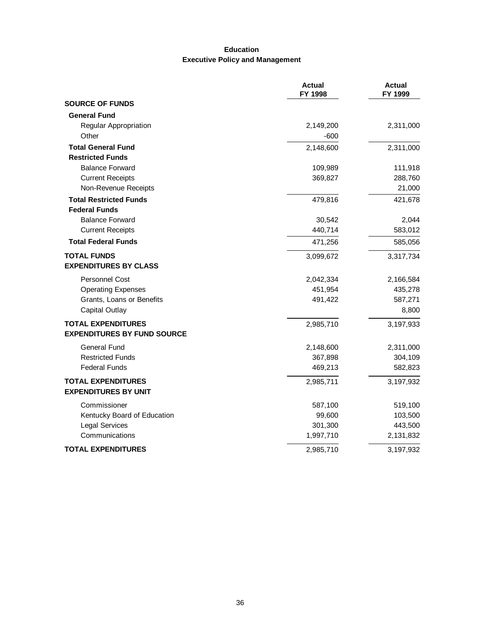### **Education Executive Policy and Management**

|                                    | <b>Actual</b><br>FY 1998 | <b>Actual</b><br>FY 1999 |
|------------------------------------|--------------------------|--------------------------|
| <b>SOURCE OF FUNDS</b>             |                          |                          |
| <b>General Fund</b>                |                          |                          |
| Regular Appropriation              | 2,149,200                | 2,311,000                |
| Other                              | $-600$                   |                          |
| <b>Total General Fund</b>          | 2,148,600                | 2,311,000                |
| <b>Restricted Funds</b>            |                          |                          |
| <b>Balance Forward</b>             | 109,989                  | 111,918                  |
| <b>Current Receipts</b>            | 369,827                  | 288,760                  |
| Non-Revenue Receipts               |                          | 21,000                   |
| <b>Total Restricted Funds</b>      | 479,816                  | 421,678                  |
| <b>Federal Funds</b>               |                          |                          |
| <b>Balance Forward</b>             | 30,542                   | 2,044                    |
| <b>Current Receipts</b>            | 440,714                  | 583,012                  |
| <b>Total Federal Funds</b>         | 471,256                  | 585,056                  |
| <b>TOTAL FUNDS</b>                 | 3,099,672                | 3,317,734                |
| <b>EXPENDITURES BY CLASS</b>       |                          |                          |
| <b>Personnel Cost</b>              | 2,042,334                | 2,166,584                |
| <b>Operating Expenses</b>          | 451,954                  | 435,278                  |
| Grants, Loans or Benefits          | 491,422                  | 587,271                  |
| <b>Capital Outlay</b>              |                          | 8,800                    |
| <b>TOTAL EXPENDITURES</b>          | 2,985,710                | 3,197,933                |
| <b>EXPENDITURES BY FUND SOURCE</b> |                          |                          |
| <b>General Fund</b>                | 2,148,600                | 2,311,000                |
| <b>Restricted Funds</b>            | 367,898                  | 304,109                  |
| <b>Federal Funds</b>               | 469,213                  | 582,823                  |
| <b>TOTAL EXPENDITURES</b>          | 2,985,711                | 3,197,932                |
| <b>EXPENDITURES BY UNIT</b>        |                          |                          |
| Commissioner                       | 587,100                  | 519,100                  |
| Kentucky Board of Education        | 99,600                   | 103,500                  |
| <b>Legal Services</b>              | 301,300                  | 443,500                  |
| Communications                     | 1,997,710                | 2,131,832                |
| <b>TOTAL EXPENDITURES</b>          | 2,985,710                | 3,197,932                |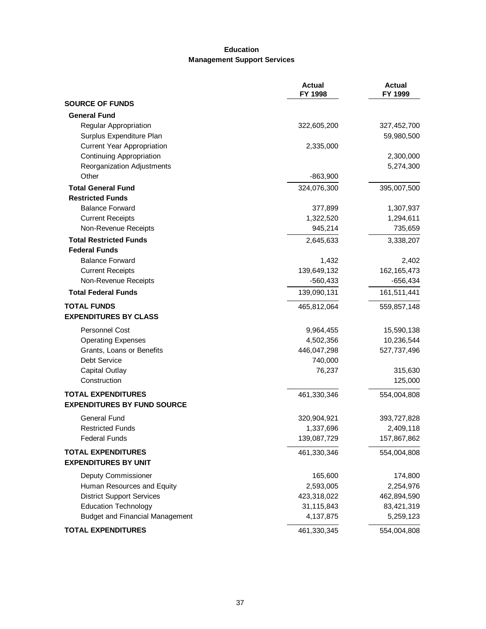# **Education Management Support Services**

|                                        | <b>Actual</b><br>FY 1998 | <b>Actual</b><br>FY 1999 |
|----------------------------------------|--------------------------|--------------------------|
| <b>SOURCE OF FUNDS</b>                 |                          |                          |
| <b>General Fund</b>                    |                          |                          |
| <b>Regular Appropriation</b>           | 322,605,200              | 327,452,700              |
| Surplus Expenditure Plan               |                          | 59,980,500               |
| <b>Current Year Appropriation</b>      | 2,335,000                |                          |
| Continuing Appropriation               |                          | 2,300,000                |
| Reorganization Adjustments             |                          | 5,274,300                |
| Other                                  | $-863,900$               |                          |
| <b>Total General Fund</b>              | 324,076,300              | 395,007,500              |
| <b>Restricted Funds</b>                |                          |                          |
| <b>Balance Forward</b>                 | 377,899                  | 1,307,937                |
| <b>Current Receipts</b>                | 1,322,520                | 1,294,611                |
| Non-Revenue Receipts                   | 945,214                  | 735,659                  |
| <b>Total Restricted Funds</b>          | 2,645,633                | 3,338,207                |
| <b>Federal Funds</b>                   |                          |                          |
| <b>Balance Forward</b>                 | 1,432                    | 2,402                    |
| <b>Current Receipts</b>                | 139,649,132              | 162, 165, 473            |
| Non-Revenue Receipts                   | $-560,433$               | $-656,434$               |
| <b>Total Federal Funds</b>             | 139,090,131              | 161,511,441              |
| <b>TOTAL FUNDS</b>                     | 465,812,064              | 559,857,148              |
| <b>EXPENDITURES BY CLASS</b>           |                          |                          |
| <b>Personnel Cost</b>                  | 9,964,455                | 15,590,138               |
| <b>Operating Expenses</b>              | 4,502,356                | 10,236,544               |
| Grants, Loans or Benefits              | 446,047,298              | 527,737,496              |
| Debt Service                           | 740,000                  |                          |
| Capital Outlay                         | 76,237                   | 315,630                  |
| Construction                           |                          | 125,000                  |
| <b>TOTAL EXPENDITURES</b>              | 461,330,346              | 554,004,808              |
| <b>EXPENDITURES BY FUND SOURCE</b>     |                          |                          |
| <b>General Fund</b>                    | 320,904,921              | 393,727,828              |
| <b>Restricted Funds</b>                | 1,337,696                | 2,409,118                |
| <b>Federal Funds</b>                   | 139,087,729              | 157,867,862              |
| <b>TOTAL EXPENDITURES</b>              | 461,330,346              | 554,004,808              |
| <b>EXPENDITURES BY UNIT</b>            |                          |                          |
| Deputy Commissioner                    | 165,600                  | 174,800                  |
| Human Resources and Equity             | 2,593,005                | 2,254,976                |
| <b>District Support Services</b>       | 423,318,022              | 462,894,590              |
| <b>Education Technology</b>            | 31,115,843               | 83,421,319               |
| <b>Budget and Financial Management</b> | 4,137,875                | 5,259,123                |
| <b>TOTAL EXPENDITURES</b>              | 461,330,345              | 554,004,808              |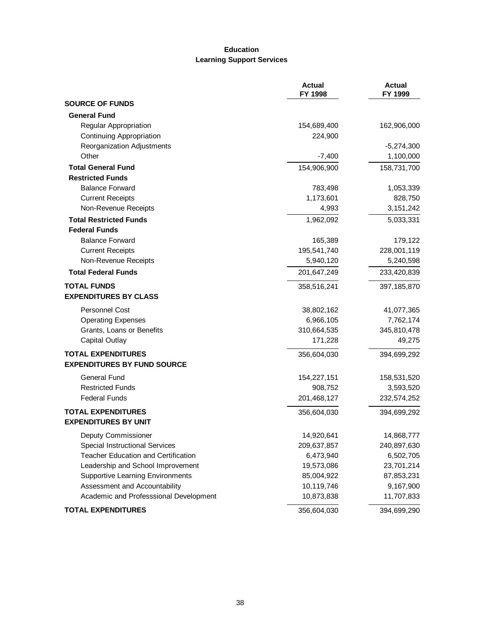# **Education Learning Support Services**

|                                         | <b>Actual</b><br>FY 1998 | <b>Actual</b><br>FY 1999 |
|-----------------------------------------|--------------------------|--------------------------|
| <b>SOURCE OF FUNDS</b>                  |                          |                          |
| <b>General Fund</b>                     |                          |                          |
| Regular Appropriation                   | 154,689,400              | 162,906,000              |
| <b>Continuing Appropriation</b>         | 224,900                  |                          |
| Reorganization Adjustments              |                          | $-5,274,300$             |
| Other                                   | $-7,400$                 | 1,100,000                |
| <b>Total General Fund</b>               | 154,906,900              | 158,731,700              |
| <b>Restricted Funds</b>                 |                          |                          |
| <b>Balance Forward</b>                  | 783,498                  | 1,053,339                |
| <b>Current Receipts</b>                 | 1,173,601                | 828,750                  |
| Non-Revenue Receipts                    | 4,993                    | 3, 151, 242              |
| <b>Total Restricted Funds</b>           | 1,962,092                | 5,033,331                |
| <b>Federal Funds</b>                    |                          |                          |
| <b>Balance Forward</b>                  | 165,389                  | 179,122                  |
| <b>Current Receipts</b>                 | 195,541,740              | 228,001,119              |
| Non-Revenue Receipts                    | 5,940,120                | 5,240,598                |
| <b>Total Federal Funds</b>              | 201,647,249              | 233,420,839              |
| <b>TOTAL FUNDS</b>                      | 358,516,241              | 397, 185, 870            |
| <b>EXPENDITURES BY CLASS</b>            |                          |                          |
| <b>Personnel Cost</b>                   | 38,802,162               | 41,077,365               |
| <b>Operating Expenses</b>               | 6,966,105                | 7,762,174                |
| Grants, Loans or Benefits               | 310,664,535              | 345,810,478              |
| <b>Capital Outlay</b>                   | 171,228                  | 49,275                   |
| <b>TOTAL EXPENDITURES</b>               | 356,604,030              | 394,699,292              |
| <b>EXPENDITURES BY FUND SOURCE</b>      |                          |                          |
| <b>General Fund</b>                     | 154,227,151              | 158,531,520              |
| <b>Restricted Funds</b>                 | 908,752                  | 3,593,520                |
| <b>Federal Funds</b>                    | 201,468,127              | 232,574,252              |
| <b>TOTAL EXPENDITURES</b>               | 356,604,030              | 394,699,292              |
| <b>EXPENDITURES BY UNIT</b>             |                          |                          |
| <b>Deputy Commissioner</b>              | 14,920,641               | 14,868,777               |
| Special Instructional Services          | 209,637,857              | 240,897,630              |
| Teacher Education and Certification     | 6,473,940                | 6,502,705                |
| Leadership and School Improvement       | 19,573,086               | 23,701,214               |
| <b>Supportive Learning Environments</b> | 85,004,922               | 87,853,231               |
| Assessment and Accountability           | 10,119,746               | 9,167,900                |
| Academic and Professsional Development  | 10,873,838               | 11,707,833               |
| <b>TOTAL EXPENDITURES</b>               | 356,604,030              | 394,699,290              |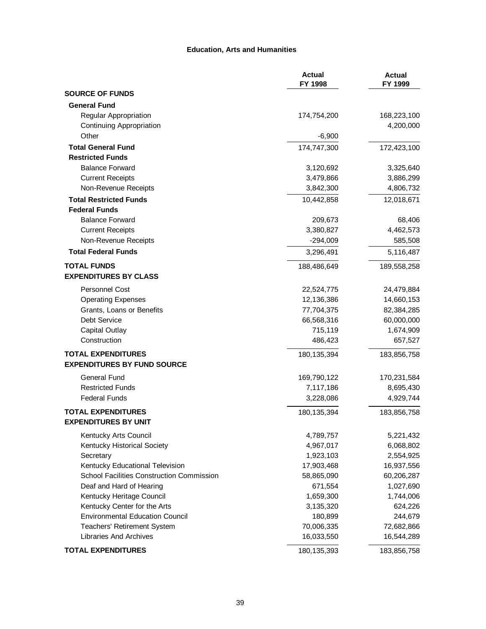#### **Education, Arts and Humanities**

|                                                                 | <b>Actual</b><br>FY 1998 | <b>Actual</b><br>FY 1999 |
|-----------------------------------------------------------------|--------------------------|--------------------------|
| <b>SOURCE OF FUNDS</b>                                          |                          |                          |
| <b>General Fund</b>                                             |                          |                          |
| Regular Appropriation                                           | 174,754,200              | 168,223,100              |
| <b>Continuing Appropriation</b>                                 |                          | 4,200,000                |
| Other                                                           | $-6,900$                 |                          |
| <b>Total General Fund</b>                                       | 174,747,300              | 172,423,100              |
| <b>Restricted Funds</b>                                         |                          |                          |
| <b>Balance Forward</b>                                          | 3,120,692                | 3,325,640                |
| <b>Current Receipts</b>                                         | 3,479,866                | 3,886,299                |
| Non-Revenue Receipts                                            | 3,842,300                | 4,806,732                |
| <b>Total Restricted Funds</b>                                   | 10,442,858               | 12,018,671               |
| <b>Federal Funds</b>                                            |                          |                          |
| <b>Balance Forward</b>                                          | 209,673                  | 68,406                   |
| <b>Current Receipts</b>                                         | 3,380,827                | 4,462,573                |
| Non-Revenue Receipts                                            | $-294,009$               | 585,508                  |
| <b>Total Federal Funds</b>                                      | 3,296,491                | 5,116,487                |
| <b>TOTAL FUNDS</b>                                              | 188,486,649              | 189,558,258              |
| <b>EXPENDITURES BY CLASS</b>                                    |                          |                          |
| <b>Personnel Cost</b>                                           | 22,524,775               | 24,479,884               |
| <b>Operating Expenses</b>                                       | 12,136,386               | 14,660,153               |
| Grants, Loans or Benefits                                       | 77,704,375               | 82,384,285               |
| Debt Service                                                    | 66,568,316               | 60,000,000               |
| <b>Capital Outlay</b>                                           | 715,119                  | 1,674,909                |
| Construction                                                    | 486,423                  | 657,527                  |
| <b>TOTAL EXPENDITURES</b><br><b>EXPENDITURES BY FUND SOURCE</b> | 180, 135, 394            | 183,856,758              |
| <b>General Fund</b>                                             | 169,790,122              | 170,231,584              |
| <b>Restricted Funds</b>                                         | 7,117,186                | 8,695,430                |
| <b>Federal Funds</b>                                            | 3,228,086                | 4,929,744                |
| <b>TOTAL EXPENDITURES</b><br><b>EXPENDITURES BY UNIT</b>        | 180, 135, 394            | 183,856,758              |
| Kentucky Arts Council                                           | 4,789,757                | 5,221,432                |
| Kentucky Historical Society                                     | 4,967,017                | 6,068,802                |
| Secretary                                                       | 1,923,103                | 2,554,925                |
| Kentucky Educational Television                                 | 17,903,468               | 16,937,556               |
| School Facilities Construction Commission                       | 58,865,090               | 60,206,287               |
| Deaf and Hard of Hearing                                        | 671,554                  | 1,027,690                |
| Kentucky Heritage Council                                       | 1,659,300                | 1,744,006                |
| Kentucky Center for the Arts                                    | 3,135,320                | 624,226                  |
| <b>Environmental Education Council</b>                          | 180,899                  | 244,679                  |
| Teachers' Retirement System                                     | 70,006,335               | 72,682,866               |
| <b>Libraries And Archives</b>                                   | 16,033,550               | 16,544,289               |
| <b>TOTAL EXPENDITURES</b>                                       | 180, 135, 393            | 183,856,758              |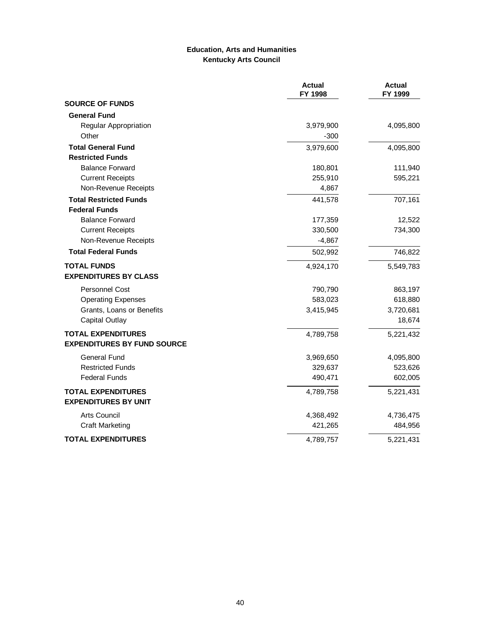### **Education, Arts and Humanities Kentucky Arts Council**

|                                    | <b>Actual</b><br>FY 1998 | <b>Actual</b><br>FY 1999 |
|------------------------------------|--------------------------|--------------------------|
| <b>SOURCE OF FUNDS</b>             |                          |                          |
| <b>General Fund</b>                |                          |                          |
| Regular Appropriation              | 3,979,900                | 4,095,800                |
| Other                              | $-300$                   |                          |
| <b>Total General Fund</b>          | 3,979,600                | 4,095,800                |
| <b>Restricted Funds</b>            |                          |                          |
| <b>Balance Forward</b>             | 180,801                  | 111,940                  |
| <b>Current Receipts</b>            | 255,910                  | 595,221                  |
| Non-Revenue Receipts               | 4,867                    |                          |
| <b>Total Restricted Funds</b>      | 441,578                  | 707,161                  |
| <b>Federal Funds</b>               |                          |                          |
| <b>Balance Forward</b>             | 177,359                  | 12,522                   |
| <b>Current Receipts</b>            | 330,500                  | 734,300                  |
| Non-Revenue Receipts               | $-4,867$                 |                          |
| <b>Total Federal Funds</b>         | 502,992                  | 746,822                  |
| <b>TOTAL FUNDS</b>                 | 4,924,170                | 5,549,783                |
| <b>EXPENDITURES BY CLASS</b>       |                          |                          |
| <b>Personnel Cost</b>              | 790,790                  | 863,197                  |
| <b>Operating Expenses</b>          | 583,023                  | 618,880                  |
| Grants, Loans or Benefits          | 3,415,945                | 3,720,681                |
| Capital Outlay                     |                          | 18,674                   |
| <b>TOTAL EXPENDITURES</b>          | 4,789,758                | 5,221,432                |
| <b>EXPENDITURES BY FUND SOURCE</b> |                          |                          |
| <b>General Fund</b>                | 3,969,650                | 4,095,800                |
| <b>Restricted Funds</b>            | 329,637                  | 523,626                  |
| <b>Federal Funds</b>               | 490,471                  | 602,005                  |
| <b>TOTAL EXPENDITURES</b>          | 4,789,758                | 5,221,431                |
| <b>EXPENDITURES BY UNIT</b>        |                          |                          |
| <b>Arts Council</b>                | 4,368,492                | 4,736,475                |
| <b>Craft Marketing</b>             | 421,265                  | 484,956                  |
| <b>TOTAL EXPENDITURES</b>          | 4,789,757                | 5,221,431                |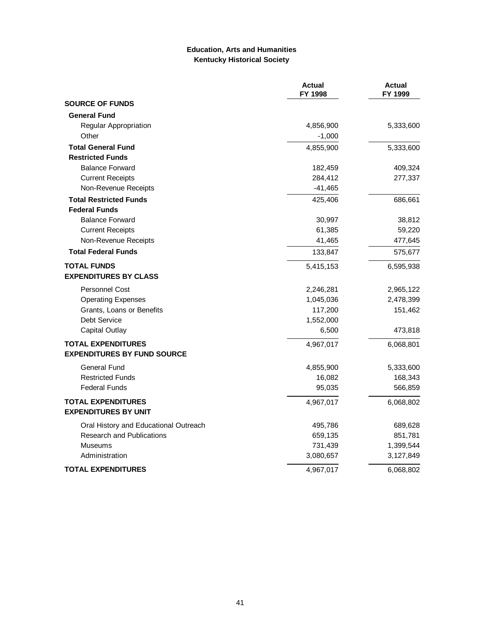### **Education, Arts and Humanities Kentucky Historical Society**

|                                       | <b>Actual</b><br>FY 1998 | <b>Actual</b><br>FY 1999 |
|---------------------------------------|--------------------------|--------------------------|
| <b>SOURCE OF FUNDS</b>                |                          |                          |
| <b>General Fund</b>                   |                          |                          |
| Regular Appropriation                 | 4,856,900                | 5,333,600                |
| Other                                 | $-1,000$                 |                          |
| <b>Total General Fund</b>             | 4,855,900                | 5,333,600                |
| <b>Restricted Funds</b>               |                          |                          |
| <b>Balance Forward</b>                | 182,459                  | 409,324                  |
| <b>Current Receipts</b>               | 284,412                  | 277,337                  |
| Non-Revenue Receipts                  | $-41,465$                |                          |
| <b>Total Restricted Funds</b>         | 425,406                  | 686,661                  |
| <b>Federal Funds</b>                  |                          |                          |
| <b>Balance Forward</b>                | 30,997                   | 38,812                   |
| <b>Current Receipts</b>               | 61,385                   | 59,220                   |
| Non-Revenue Receipts                  | 41,465                   | 477,645                  |
| <b>Total Federal Funds</b>            | 133,847                  | 575,677                  |
| <b>TOTAL FUNDS</b>                    | 5,415,153                | 6,595,938                |
| <b>EXPENDITURES BY CLASS</b>          |                          |                          |
| <b>Personnel Cost</b>                 | 2,246,281                | 2,965,122                |
| <b>Operating Expenses</b>             | 1,045,036                | 2,478,399                |
| Grants, Loans or Benefits             | 117,200                  | 151,462                  |
| <b>Debt Service</b>                   | 1,552,000                |                          |
| <b>Capital Outlay</b>                 | 6,500                    | 473,818                  |
| <b>TOTAL EXPENDITURES</b>             | 4,967,017                | 6,068,801                |
| <b>EXPENDITURES BY FUND SOURCE</b>    |                          |                          |
| <b>General Fund</b>                   | 4,855,900                | 5,333,600                |
| <b>Restricted Funds</b>               | 16,082                   | 168,343                  |
| <b>Federal Funds</b>                  | 95,035                   | 566,859                  |
| <b>TOTAL EXPENDITURES</b>             | 4,967,017                | 6,068,802                |
| <b>EXPENDITURES BY UNIT</b>           |                          |                          |
| Oral History and Educational Outreach | 495,786                  | 689,628                  |
| <b>Research and Publications</b>      | 659,135                  | 851,781                  |
| Museums                               | 731,439                  | 1,399,544                |
| Administration                        | 3,080,657                | 3,127,849                |
| <b>TOTAL EXPENDITURES</b>             | 4,967,017                | 6,068,802                |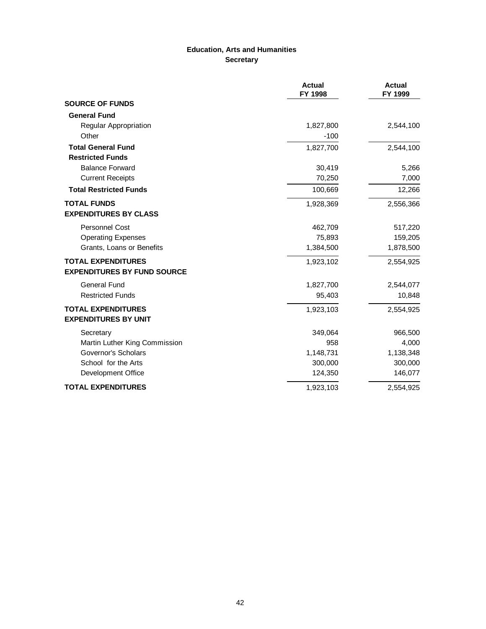# **Education, Arts and Humanities Secretary**

|                                    | <b>Actual</b><br>FY 1998 | <b>Actual</b><br>FY 1999 |
|------------------------------------|--------------------------|--------------------------|
| <b>SOURCE OF FUNDS</b>             |                          |                          |
| <b>General Fund</b>                |                          |                          |
| Regular Appropriation              | 1,827,800                | 2,544,100                |
| Other                              | $-100$                   |                          |
| <b>Total General Fund</b>          | 1,827,700                | 2,544,100                |
| <b>Restricted Funds</b>            |                          |                          |
| <b>Balance Forward</b>             | 30,419                   | 5,266                    |
| <b>Current Receipts</b>            | 70,250                   | 7,000                    |
| <b>Total Restricted Funds</b>      | 100,669                  | 12,266                   |
| <b>TOTAL FUNDS</b>                 | 1,928,369                | 2,556,366                |
| <b>EXPENDITURES BY CLASS</b>       |                          |                          |
| <b>Personnel Cost</b>              | 462,709                  | 517,220                  |
| <b>Operating Expenses</b>          | 75,893                   | 159,205                  |
| Grants, Loans or Benefits          | 1,384,500                | 1,878,500                |
| <b>TOTAL EXPENDITURES</b>          | 1,923,102                | 2,554,925                |
| <b>EXPENDITURES BY FUND SOURCE</b> |                          |                          |
| <b>General Fund</b>                | 1,827,700                | 2,544,077                |
| <b>Restricted Funds</b>            | 95,403                   | 10,848                   |
| <b>TOTAL EXPENDITURES</b>          | 1,923,103                | 2,554,925                |
| <b>EXPENDITURES BY UNIT</b>        |                          |                          |
| Secretary                          | 349,064                  | 966,500                  |
| Martin Luther King Commission      | 958                      | 4,000                    |
| Governor's Scholars                | 1,148,731                | 1,138,348                |
| School for the Arts                | 300,000                  | 300,000                  |
| Development Office                 | 124,350                  | 146,077                  |
| <b>TOTAL EXPENDITURES</b>          | 1,923,103                | 2,554,925                |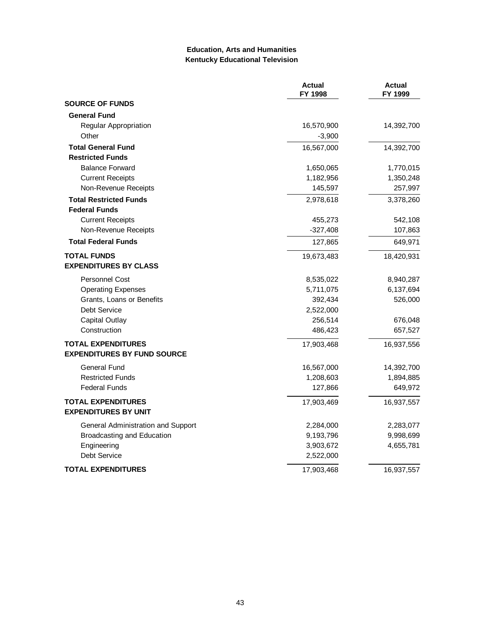### **Education, Arts and Humanities Kentucky Educational Television**

|                                    | <b>Actual</b><br>FY 1998 | <b>Actual</b><br>FY 1999 |
|------------------------------------|--------------------------|--------------------------|
| <b>SOURCE OF FUNDS</b>             |                          |                          |
| <b>General Fund</b>                |                          |                          |
| Regular Appropriation              | 16,570,900               | 14,392,700               |
| Other                              | $-3,900$                 |                          |
| <b>Total General Fund</b>          | 16,567,000               | 14,392,700               |
| <b>Restricted Funds</b>            |                          |                          |
| <b>Balance Forward</b>             | 1,650,065                | 1,770,015                |
| <b>Current Receipts</b>            | 1,182,956                | 1,350,248                |
| Non-Revenue Receipts               | 145,597                  | 257,997                  |
| <b>Total Restricted Funds</b>      | 2,978,618                | 3,378,260                |
| <b>Federal Funds</b>               |                          |                          |
| <b>Current Receipts</b>            | 455,273                  | 542,108                  |
| Non-Revenue Receipts               | $-327,408$               | 107,863                  |
| <b>Total Federal Funds</b>         | 127,865                  | 649,971                  |
| <b>TOTAL FUNDS</b>                 | 19,673,483               | 18,420,931               |
| <b>EXPENDITURES BY CLASS</b>       |                          |                          |
| <b>Personnel Cost</b>              | 8,535,022                | 8,940,287                |
| <b>Operating Expenses</b>          | 5,711,075                | 6,137,694                |
| Grants, Loans or Benefits          | 392,434                  | 526,000                  |
| Debt Service                       | 2,522,000                |                          |
| <b>Capital Outlay</b>              | 256,514                  | 676,048                  |
| Construction                       | 486,423                  | 657,527                  |
| <b>TOTAL EXPENDITURES</b>          | 17,903,468               | 16,937,556               |
| <b>EXPENDITURES BY FUND SOURCE</b> |                          |                          |
| <b>General Fund</b>                | 16,567,000               | 14,392,700               |
| <b>Restricted Funds</b>            | 1,208,603                | 1,894,885                |
| <b>Federal Funds</b>               | 127,866                  | 649,972                  |
| <b>TOTAL EXPENDITURES</b>          | 17,903,469               | 16,937,557               |
| <b>EXPENDITURES BY UNIT</b>        |                          |                          |
| General Administration and Support | 2,284,000                | 2,283,077                |
| Broadcasting and Education         | 9,193,796                | 9,998,699                |
| Engineering                        | 3,903,672                | 4,655,781                |
| <b>Debt Service</b>                | 2,522,000                |                          |
| <b>TOTAL EXPENDITURES</b>          | 17,903,468               | 16,937,557               |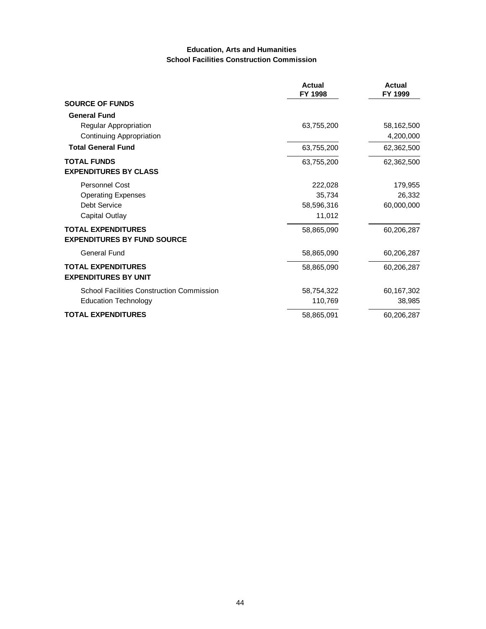#### **Education, Arts and Humanities School Facilities Construction Commission**

|                                                                 | <b>Actual</b><br>FY 1998 | Actual<br>FY 1999 |
|-----------------------------------------------------------------|--------------------------|-------------------|
| <b>SOURCE OF FUNDS</b>                                          |                          |                   |
| <b>General Fund</b>                                             |                          |                   |
| Regular Appropriation                                           | 63,755,200               | 58,162,500        |
| <b>Continuing Appropriation</b>                                 |                          | 4,200,000         |
| <b>Total General Fund</b>                                       | 63,755,200               | 62,362,500        |
| <b>TOTAL FUNDS</b>                                              | 63,755,200               | 62,362,500        |
| <b>EXPENDITURES BY CLASS</b>                                    |                          |                   |
| Personnel Cost                                                  | 222,028                  | 179,955           |
| <b>Operating Expenses</b>                                       | 35,734                   | 26,332            |
| Debt Service                                                    | 58,596,316               | 60,000,000        |
| Capital Outlay                                                  | 11,012                   |                   |
| <b>TOTAL EXPENDITURES</b><br><b>EXPENDITURES BY FUND SOURCE</b> | 58,865,090               | 60,206,287        |
| General Fund                                                    | 58,865,090               | 60,206,287        |
| <b>TOTAL EXPENDITURES</b><br><b>EXPENDITURES BY UNIT</b>        | 58,865,090               | 60,206,287        |
| <b>School Facilities Construction Commission</b>                | 58,754,322               | 60,167,302        |
| <b>Education Technology</b>                                     | 110,769                  | 38,985            |
| <b>TOTAL EXPENDITURES</b>                                       | 58,865,091               | 60,206,287        |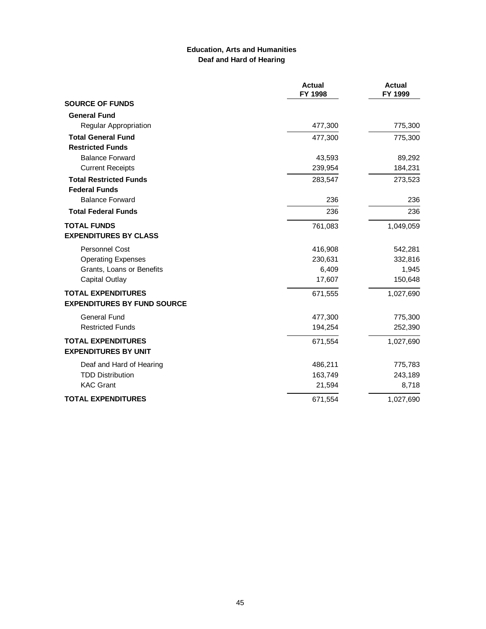### **Education, Arts and Humanities Deaf and Hard of Hearing**

|                                    | <b>Actual</b><br>FY 1998 | <b>Actual</b><br>FY 1999 |
|------------------------------------|--------------------------|--------------------------|
| <b>SOURCE OF FUNDS</b>             |                          |                          |
| <b>General Fund</b>                |                          |                          |
| <b>Regular Appropriation</b>       | 477,300                  | 775,300                  |
| <b>Total General Fund</b>          | 477,300                  | 775,300                  |
| <b>Restricted Funds</b>            |                          |                          |
| <b>Balance Forward</b>             | 43,593                   | 89,292                   |
| <b>Current Receipts</b>            | 239,954                  | 184,231                  |
| <b>Total Restricted Funds</b>      | 283,547                  | 273,523                  |
| <b>Federal Funds</b>               |                          |                          |
| <b>Balance Forward</b>             | 236                      | 236                      |
| <b>Total Federal Funds</b>         | 236                      | 236                      |
| <b>TOTAL FUNDS</b>                 | 761,083                  | 1,049,059                |
| <b>EXPENDITURES BY CLASS</b>       |                          |                          |
| <b>Personnel Cost</b>              | 416,908                  | 542,281                  |
| <b>Operating Expenses</b>          | 230,631                  | 332,816                  |
| Grants, Loans or Benefits          | 6,409                    | 1,945                    |
| <b>Capital Outlay</b>              | 17,607                   | 150,648                  |
| <b>TOTAL EXPENDITURES</b>          | 671,555                  | 1,027,690                |
| <b>EXPENDITURES BY FUND SOURCE</b> |                          |                          |
| <b>General Fund</b>                | 477,300                  | 775,300                  |
| <b>Restricted Funds</b>            | 194,254                  | 252,390                  |
| <b>TOTAL EXPENDITURES</b>          | 671,554                  | 1,027,690                |
| <b>EXPENDITURES BY UNIT</b>        |                          |                          |
| Deaf and Hard of Hearing           | 486,211                  | 775,783                  |
| <b>TDD Distribution</b>            | 163,749                  | 243,189                  |
| <b>KAC Grant</b>                   | 21,594                   | 8,718                    |
| <b>TOTAL EXPENDITURES</b>          | 671,554                  | 1,027,690                |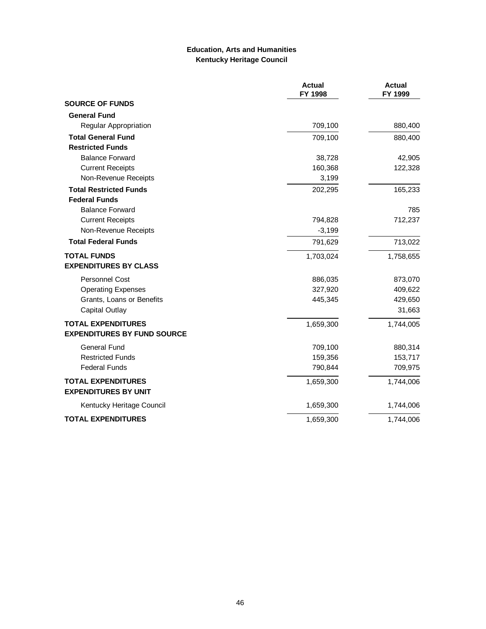# **Education, Arts and Humanities Kentucky Heritage Council**

|                                                          | <b>Actual</b><br>FY 1998 | <b>Actual</b><br>FY 1999 |
|----------------------------------------------------------|--------------------------|--------------------------|
| <b>SOURCE OF FUNDS</b>                                   |                          |                          |
| <b>General Fund</b>                                      |                          |                          |
| Regular Appropriation                                    | 709,100                  | 880,400                  |
| <b>Total General Fund</b>                                | 709,100                  | 880,400                  |
| <b>Restricted Funds</b>                                  |                          |                          |
| <b>Balance Forward</b>                                   | 38,728                   | 42,905                   |
| <b>Current Receipts</b>                                  | 160,368                  | 122,328                  |
| Non-Revenue Receipts                                     | 3,199                    |                          |
| <b>Total Restricted Funds</b>                            | 202,295                  | 165,233                  |
| <b>Federal Funds</b>                                     |                          |                          |
| <b>Balance Forward</b>                                   |                          | 785                      |
| <b>Current Receipts</b>                                  | 794,828                  | 712,237                  |
| Non-Revenue Receipts                                     | $-3,199$                 |                          |
| <b>Total Federal Funds</b>                               | 791,629                  | 713,022                  |
| <b>TOTAL FUNDS</b>                                       | 1,703,024                | 1,758,655                |
| <b>EXPENDITURES BY CLASS</b>                             |                          |                          |
| <b>Personnel Cost</b>                                    | 886,035                  | 873,070                  |
| <b>Operating Expenses</b>                                | 327,920                  | 409,622                  |
| Grants, Loans or Benefits                                | 445,345                  | 429,650                  |
| <b>Capital Outlay</b>                                    |                          | 31,663                   |
| <b>TOTAL EXPENDITURES</b>                                | 1,659,300                | 1,744,005                |
| <b>EXPENDITURES BY FUND SOURCE</b>                       |                          |                          |
| <b>General Fund</b>                                      | 709,100                  | 880,314                  |
| <b>Restricted Funds</b>                                  | 159,356                  | 153,717                  |
| <b>Federal Funds</b>                                     | 790,844                  | 709,975                  |
| <b>TOTAL EXPENDITURES</b><br><b>EXPENDITURES BY UNIT</b> | 1,659,300                | 1,744,006                |
| Kentucky Heritage Council                                | 1,659,300                | 1,744,006                |
| <b>TOTAL EXPENDITURES</b>                                | 1,659,300                | 1,744,006                |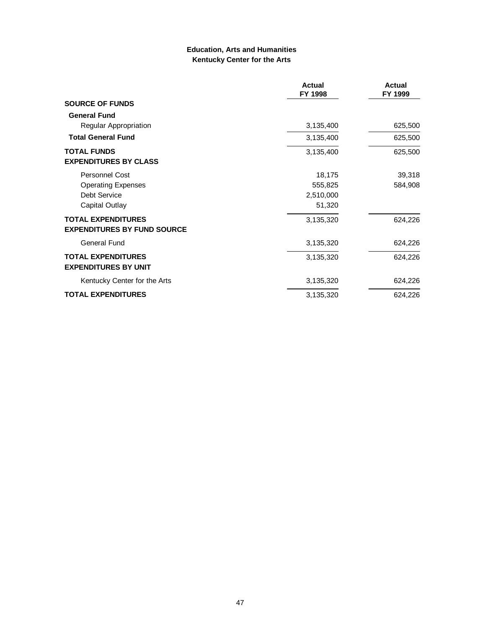### **Education, Arts and Humanities Kentucky Center for the Arts**

|                                                                 | <b>Actual</b><br>FY 1998 | <b>Actual</b><br>FY 1999 |
|-----------------------------------------------------------------|--------------------------|--------------------------|
| <b>SOURCE OF FUNDS</b>                                          |                          |                          |
| <b>General Fund</b>                                             |                          |                          |
| Regular Appropriation                                           | 3,135,400                | 625,500                  |
| <b>Total General Fund</b>                                       | 3,135,400                | 625,500                  |
| <b>TOTAL FUNDS</b>                                              | 3,135,400                | 625,500                  |
| <b>EXPENDITURES BY CLASS</b>                                    |                          |                          |
| <b>Personnel Cost</b>                                           | 18,175                   | 39,318                   |
| <b>Operating Expenses</b>                                       | 555,825                  | 584,908                  |
| Debt Service                                                    | 2,510,000                |                          |
| Capital Outlay                                                  | 51,320                   |                          |
| <b>TOTAL EXPENDITURES</b><br><b>EXPENDITURES BY FUND SOURCE</b> | 3,135,320                | 624,226                  |
| General Fund                                                    | 3,135,320                | 624,226                  |
| <b>TOTAL EXPENDITURES</b><br><b>EXPENDITURES BY UNIT</b>        | 3,135,320                | 624,226                  |
| Kentucky Center for the Arts                                    | 3,135,320                | 624,226                  |
| <b>TOTAL EXPENDITURES</b>                                       | 3,135,320                | 624,226                  |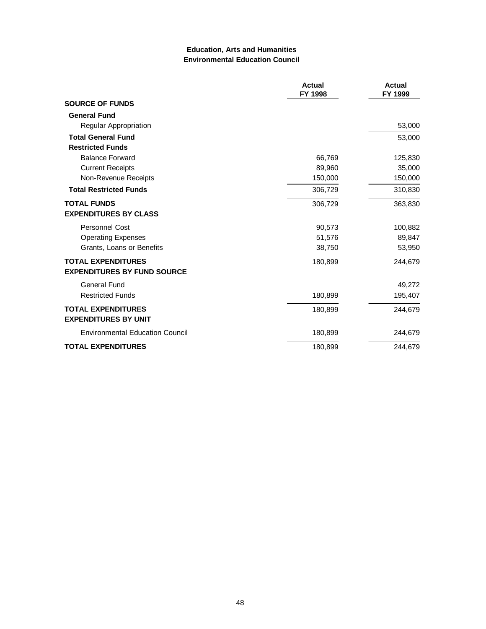### **Education, Arts and Humanities Environmental Education Council**

|                                        | <b>Actual</b><br>FY 1998 | <b>Actual</b><br>FY 1999 |
|----------------------------------------|--------------------------|--------------------------|
| <b>SOURCE OF FUNDS</b>                 |                          |                          |
| <b>General Fund</b>                    |                          |                          |
| Regular Appropriation                  |                          | 53,000                   |
| <b>Total General Fund</b>              |                          | 53,000                   |
| <b>Restricted Funds</b>                |                          |                          |
| <b>Balance Forward</b>                 | 66,769                   | 125,830                  |
| <b>Current Receipts</b>                | 89,960                   | 35,000                   |
| Non-Revenue Receipts                   | 150,000                  | 150,000                  |
| <b>Total Restricted Funds</b>          | 306,729                  | 310,830                  |
| <b>TOTAL FUNDS</b>                     | 306,729                  | 363,830                  |
| <b>EXPENDITURES BY CLASS</b>           |                          |                          |
| <b>Personnel Cost</b>                  | 90,573                   | 100,882                  |
| <b>Operating Expenses</b>              | 51,576                   | 89,847                   |
| Grants, Loans or Benefits              | 38,750                   | 53,950                   |
| <b>TOTAL EXPENDITURES</b>              | 180,899                  | 244,679                  |
| <b>EXPENDITURES BY FUND SOURCE</b>     |                          |                          |
| <b>General Fund</b>                    |                          | 49,272                   |
| <b>Restricted Funds</b>                | 180,899                  | 195,407                  |
| <b>TOTAL EXPENDITURES</b>              | 180,899                  | 244,679                  |
| <b>EXPENDITURES BY UNIT</b>            |                          |                          |
| <b>Environmental Education Council</b> | 180,899                  | 244,679                  |
| <b>TOTAL EXPENDITURES</b>              | 180,899                  | 244,679                  |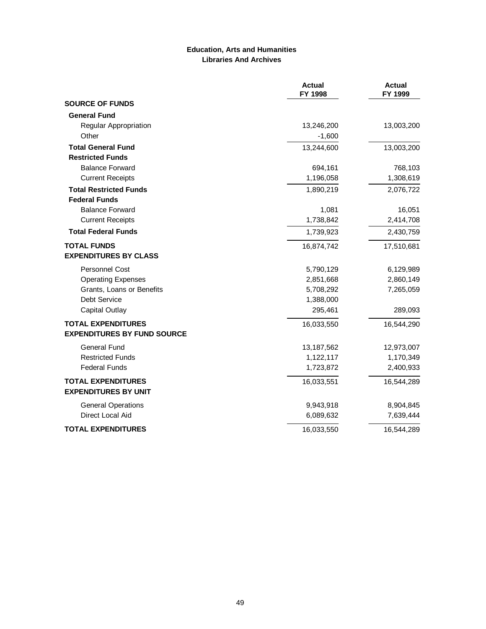#### **Education, Arts and Humanities Libraries And Archives**

|                                    | <b>Actual</b><br>FY 1998 | <b>Actual</b><br>FY 1999 |
|------------------------------------|--------------------------|--------------------------|
| <b>SOURCE OF FUNDS</b>             |                          |                          |
| <b>General Fund</b>                |                          |                          |
| Regular Appropriation              | 13,246,200               | 13,003,200               |
| Other                              | $-1,600$                 |                          |
| <b>Total General Fund</b>          | 13,244,600               | 13,003,200               |
| <b>Restricted Funds</b>            |                          |                          |
| <b>Balance Forward</b>             | 694,161                  | 768,103                  |
| <b>Current Receipts</b>            | 1,196,058                | 1,308,619                |
| <b>Total Restricted Funds</b>      | 1,890,219                | 2,076,722                |
| <b>Federal Funds</b>               |                          |                          |
| <b>Balance Forward</b>             | 1,081                    | 16,051                   |
| <b>Current Receipts</b>            | 1,738,842                | 2,414,708                |
| <b>Total Federal Funds</b>         | 1,739,923                | 2,430,759                |
| <b>TOTAL FUNDS</b>                 | 16,874,742               | 17,510,681               |
| <b>EXPENDITURES BY CLASS</b>       |                          |                          |
| <b>Personnel Cost</b>              | 5,790,129                | 6,129,989                |
| <b>Operating Expenses</b>          | 2,851,668                | 2,860,149                |
| Grants, Loans or Benefits          | 5,708,292                | 7,265,059                |
| Debt Service                       | 1,388,000                |                          |
| Capital Outlay                     | 295,461                  | 289,093                  |
| <b>TOTAL EXPENDITURES</b>          | 16,033,550               | 16,544,290               |
| <b>EXPENDITURES BY FUND SOURCE</b> |                          |                          |
| General Fund                       | 13,187,562               | 12,973,007               |
| <b>Restricted Funds</b>            | 1,122,117                | 1,170,349                |
| <b>Federal Funds</b>               | 1,723,872                | 2,400,933                |
| <b>TOTAL EXPENDITURES</b>          | 16,033,551               | 16,544,289               |
| <b>EXPENDITURES BY UNIT</b>        |                          |                          |
| <b>General Operations</b>          | 9,943,918                | 8,904,845                |
| Direct Local Aid                   | 6,089,632                | 7,639,444                |
| <b>TOTAL EXPENDITURES</b>          | 16,033,550               | 16,544,289               |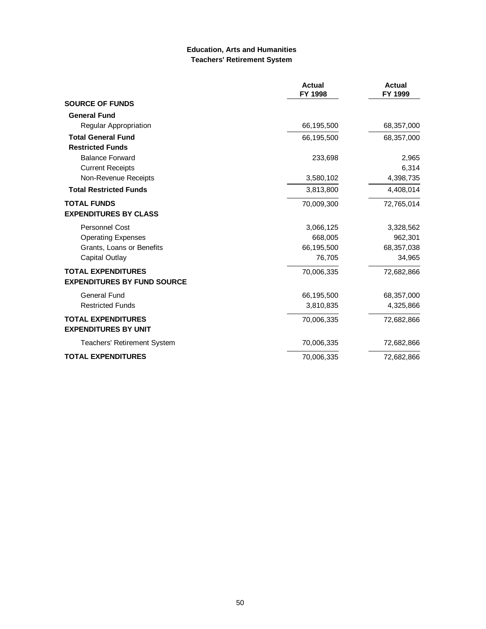#### **Education, Arts and Humanities Teachers' Retirement System**

|                                                          | <b>Actual</b><br>FY 1998 | <b>Actual</b><br>FY 1999 |
|----------------------------------------------------------|--------------------------|--------------------------|
| <b>SOURCE OF FUNDS</b>                                   |                          |                          |
| <b>General Fund</b>                                      |                          |                          |
| <b>Regular Appropriation</b>                             | 66,195,500               | 68,357,000               |
| <b>Total General Fund</b>                                | 66,195,500               | 68,357,000               |
| <b>Restricted Funds</b>                                  |                          |                          |
| <b>Balance Forward</b>                                   | 233,698                  | 2,965                    |
| <b>Current Receipts</b>                                  |                          | 6,314                    |
| Non-Revenue Receipts                                     | 3,580,102                | 4,398,735                |
| <b>Total Restricted Funds</b>                            | 3,813,800                | 4,408,014                |
| <b>TOTAL FUNDS</b>                                       | 70,009,300               | 72,765,014               |
| <b>EXPENDITURES BY CLASS</b>                             |                          |                          |
| <b>Personnel Cost</b>                                    | 3,066,125                | 3,328,562                |
| <b>Operating Expenses</b>                                | 668,005                  | 962,301                  |
| Grants, Loans or Benefits                                | 66,195,500               | 68,357,038               |
| Capital Outlay                                           | 76,705                   | 34,965                   |
| <b>TOTAL EXPENDITURES</b>                                | 70,006,335               | 72,682,866               |
| <b>EXPENDITURES BY FUND SOURCE</b>                       |                          |                          |
| <b>General Fund</b>                                      | 66,195,500               | 68,357,000               |
| <b>Restricted Funds</b>                                  | 3,810,835                | 4,325,866                |
| <b>TOTAL EXPENDITURES</b><br><b>EXPENDITURES BY UNIT</b> | 70,006,335               | 72,682,866               |
| <b>Teachers' Retirement System</b>                       | 70,006,335               | 72,682,866               |
| <b>TOTAL EXPENDITURES</b>                                | 70,006,335               | 72,682,866               |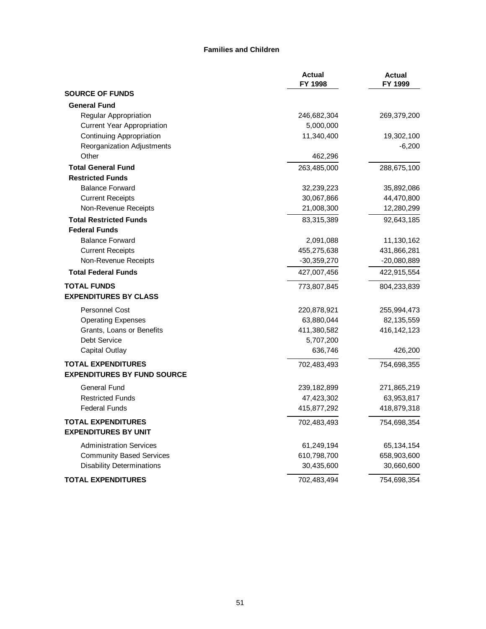#### **Families and Children**

|                                    | <b>Actual</b><br>FY 1998 | <b>Actual</b><br>FY 1999 |
|------------------------------------|--------------------------|--------------------------|
| <b>SOURCE OF FUNDS</b>             |                          |                          |
| <b>General Fund</b>                |                          |                          |
| Regular Appropriation              | 246,682,304              | 269,379,200              |
| <b>Current Year Appropriation</b>  | 5,000,000                |                          |
| <b>Continuing Appropriation</b>    | 11,340,400               | 19,302,100               |
| Reorganization Adjustments         |                          | $-6,200$                 |
| Other                              | 462,296                  |                          |
| <b>Total General Fund</b>          | 263,485,000              | 288,675,100              |
| <b>Restricted Funds</b>            |                          |                          |
| <b>Balance Forward</b>             | 32,239,223               | 35,892,086               |
| <b>Current Receipts</b>            | 30,067,866               | 44,470,800               |
| Non-Revenue Receipts               | 21,008,300               | 12,280,299               |
| <b>Total Restricted Funds</b>      | 83,315,389               | 92,643,185               |
| <b>Federal Funds</b>               |                          |                          |
| <b>Balance Forward</b>             | 2,091,088                | 11,130,162               |
| <b>Current Receipts</b>            | 455,275,638              | 431,866,281              |
| Non-Revenue Receipts               | -30,359,270              | $-20,080,889$            |
| <b>Total Federal Funds</b>         | 427,007,456              | 422,915,554              |
| <b>TOTAL FUNDS</b>                 | 773,807,845              | 804,233,839              |
| <b>EXPENDITURES BY CLASS</b>       |                          |                          |
| <b>Personnel Cost</b>              | 220,878,921              | 255,994,473              |
| <b>Operating Expenses</b>          | 63,880,044               | 82,135,559               |
| Grants, Loans or Benefits          | 411,380,582              | 416,142,123              |
| Debt Service                       | 5,707,200                |                          |
| Capital Outlay                     | 636,746                  | 426,200                  |
| <b>TOTAL EXPENDITURES</b>          | 702,483,493              | 754,698,355              |
| <b>EXPENDITURES BY FUND SOURCE</b> |                          |                          |
| <b>General Fund</b>                | 239,182,899              | 271,865,219              |
| <b>Restricted Funds</b>            | 47,423,302               | 63,953,817               |
| <b>Federal Funds</b>               | 415,877,292              | 418,879,318              |
| <b>TOTAL EXPENDITURES</b>          | 702,483,493              | 754,698,354              |
| <b>EXPENDITURES BY UNIT</b>        |                          |                          |
| <b>Administration Services</b>     | 61,249,194               | 65,134,154               |
| <b>Community Based Services</b>    | 610,798,700              | 658,903,600              |
| <b>Disability Determinations</b>   | 30,435,600               | 30,660,600               |
| <b>TOTAL EXPENDITURES</b>          | 702,483,494              | 754,698,354              |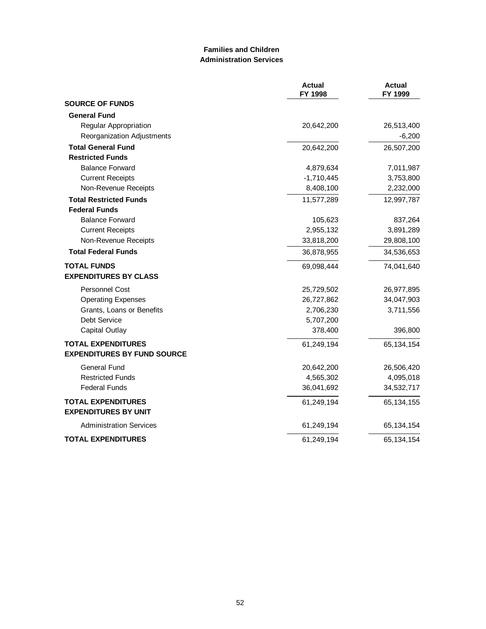# **Families and Children Administration Services**

|                                                                 | <b>Actual</b><br>FY 1998 | <b>Actual</b><br>FY 1999 |
|-----------------------------------------------------------------|--------------------------|--------------------------|
| <b>SOURCE OF FUNDS</b>                                          |                          |                          |
| <b>General Fund</b>                                             |                          |                          |
| Regular Appropriation                                           | 20,642,200               | 26,513,400               |
| Reorganization Adjustments                                      |                          | $-6,200$                 |
| <b>Total General Fund</b>                                       | 20,642,200               | 26,507,200               |
| <b>Restricted Funds</b>                                         |                          |                          |
| <b>Balance Forward</b>                                          | 4,879,634                | 7,011,987                |
| <b>Current Receipts</b>                                         | $-1,710,445$             | 3,753,800                |
| Non-Revenue Receipts                                            | 8,408,100                | 2,232,000                |
| <b>Total Restricted Funds</b>                                   | 11,577,289               | 12,997,787               |
| <b>Federal Funds</b>                                            |                          |                          |
| <b>Balance Forward</b>                                          | 105,623                  | 837,264                  |
| <b>Current Receipts</b>                                         | 2,955,132                | 3,891,289                |
| Non-Revenue Receipts                                            | 33,818,200               | 29,808,100               |
| <b>Total Federal Funds</b>                                      | 36,878,955               | 34,536,653               |
| <b>TOTAL FUNDS</b><br><b>EXPENDITURES BY CLASS</b>              | 69,098,444               | 74,041,640               |
|                                                                 |                          |                          |
| <b>Personnel Cost</b>                                           | 25,729,502               | 26,977,895               |
| <b>Operating Expenses</b>                                       | 26,727,862               | 34,047,903               |
| Grants, Loans or Benefits                                       | 2,706,230                | 3,711,556                |
| Debt Service                                                    | 5,707,200                |                          |
| <b>Capital Outlay</b>                                           | 378,400                  | 396,800                  |
| <b>TOTAL EXPENDITURES</b><br><b>EXPENDITURES BY FUND SOURCE</b> | 61,249,194               | 65,134,154               |
| <b>General Fund</b>                                             | 20,642,200               | 26,506,420               |
| <b>Restricted Funds</b>                                         | 4,565,302                | 4,095,018                |
| <b>Federal Funds</b>                                            | 36,041,692               | 34,532,717               |
| <b>TOTAL EXPENDITURES</b><br><b>EXPENDITURES BY UNIT</b>        | 61,249,194               | 65,134,155               |
| <b>Administration Services</b>                                  | 61,249,194               | 65,134,154               |
| <b>TOTAL EXPENDITURES</b>                                       | 61,249,194               | 65,134,154               |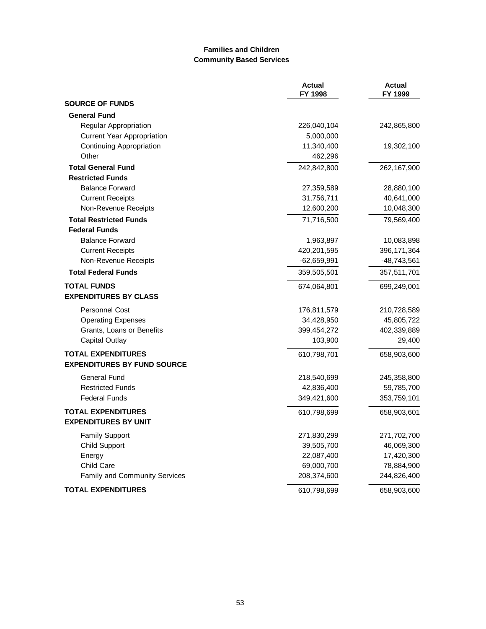# **Families and Children Community Based Services**

|                                    | <b>Actual</b><br>FY 1998 | <b>Actual</b><br>FY 1999 |
|------------------------------------|--------------------------|--------------------------|
| <b>SOURCE OF FUNDS</b>             |                          |                          |
| <b>General Fund</b>                |                          |                          |
| Regular Appropriation              | 226,040,104              | 242,865,800              |
| <b>Current Year Appropriation</b>  | 5,000,000                |                          |
| <b>Continuing Appropriation</b>    | 11,340,400               | 19,302,100               |
| Other                              | 462,296                  |                          |
| <b>Total General Fund</b>          | 242,842,800              | 262,167,900              |
| <b>Restricted Funds</b>            |                          |                          |
| <b>Balance Forward</b>             | 27,359,589               | 28,880,100               |
| <b>Current Receipts</b>            | 31,756,711               | 40,641,000               |
| Non-Revenue Receipts               | 12,600,200               | 10,048,300               |
| <b>Total Restricted Funds</b>      | 71,716,500               | 79,569,400               |
| <b>Federal Funds</b>               |                          |                          |
| <b>Balance Forward</b>             | 1,963,897                | 10,083,898               |
| <b>Current Receipts</b>            | 420,201,595              | 396,171,364              |
| Non-Revenue Receipts               | $-62,659,991$            | -48,743,561              |
| <b>Total Federal Funds</b>         | 359,505,501              | 357,511,701              |
| <b>TOTAL FUNDS</b>                 | 674,064,801              | 699,249,001              |
| <b>EXPENDITURES BY CLASS</b>       |                          |                          |
| Personnel Cost                     | 176,811,579              | 210,728,589              |
| <b>Operating Expenses</b>          | 34,428,950               | 45,805,722               |
| Grants, Loans or Benefits          | 399,454,272              | 402,339,889              |
| <b>Capital Outlay</b>              | 103,900                  | 29,400                   |
| <b>TOTAL EXPENDITURES</b>          | 610,798,701              | 658,903,600              |
| <b>EXPENDITURES BY FUND SOURCE</b> |                          |                          |
| <b>General Fund</b>                | 218,540,699              | 245,358,800              |
| <b>Restricted Funds</b>            | 42,836,400               | 59,785,700               |
| <b>Federal Funds</b>               | 349,421,600              | 353,759,101              |
| <b>TOTAL EXPENDITURES</b>          | 610,798,699              | 658,903,601              |
| <b>EXPENDITURES BY UNIT</b>        |                          |                          |
| <b>Family Support</b>              | 271,830,299              | 271,702,700              |
| <b>Child Support</b>               | 39,505,700               | 46,069,300               |
| Energy                             | 22,087,400               | 17,420,300               |
| <b>Child Care</b>                  | 69,000,700               | 78,884,900               |
| Family and Community Services      | 208,374,600              | 244,826,400              |
| <b>TOTAL EXPENDITURES</b>          | 610,798,699              | 658,903,600              |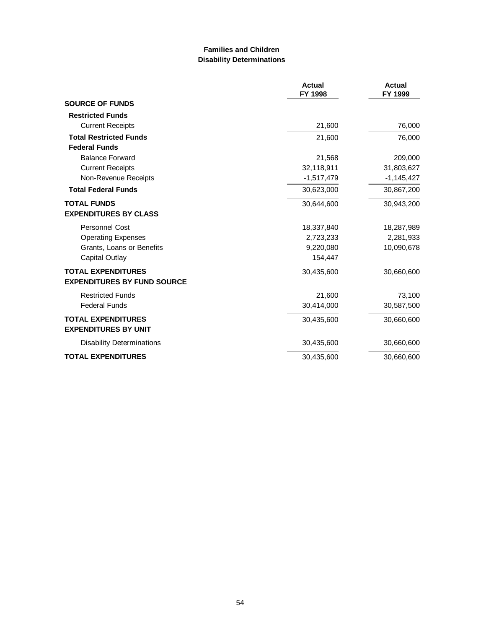### **Families and Children Disability Determinations**

|                                    | <b>Actual</b><br>FY 1998 | <b>Actual</b><br>FY 1999 |
|------------------------------------|--------------------------|--------------------------|
| <b>SOURCE OF FUNDS</b>             |                          |                          |
| <b>Restricted Funds</b>            |                          |                          |
| <b>Current Receipts</b>            | 21,600                   | 76,000                   |
| <b>Total Restricted Funds</b>      | 21,600                   | 76,000                   |
| <b>Federal Funds</b>               |                          |                          |
| <b>Balance Forward</b>             | 21,568                   | 209,000                  |
| <b>Current Receipts</b>            | 32,118,911               | 31,803,627               |
| Non-Revenue Receipts               | $-1,517,479$             | $-1,145,427$             |
| <b>Total Federal Funds</b>         | 30,623,000               | 30,867,200               |
| <b>TOTAL FUNDS</b>                 | 30,644,600               | 30,943,200               |
| <b>EXPENDITURES BY CLASS</b>       |                          |                          |
| <b>Personnel Cost</b>              | 18,337,840               | 18,287,989               |
| <b>Operating Expenses</b>          | 2,723,233                | 2,281,933                |
| Grants, Loans or Benefits          | 9,220,080                | 10,090,678               |
| Capital Outlay                     | 154,447                  |                          |
| <b>TOTAL EXPENDITURES</b>          | 30,435,600               | 30,660,600               |
| <b>EXPENDITURES BY FUND SOURCE</b> |                          |                          |
| <b>Restricted Funds</b>            | 21,600                   | 73,100                   |
| <b>Federal Funds</b>               | 30,414,000               | 30,587,500               |
| <b>TOTAL EXPENDITURES</b>          | 30,435,600               | 30,660,600               |
| <b>EXPENDITURES BY UNIT</b>        |                          |                          |
| <b>Disability Determinations</b>   | 30,435,600               | 30,660,600               |
| <b>TOTAL EXPENDITURES</b>          | 30,435,600               | 30,660,600               |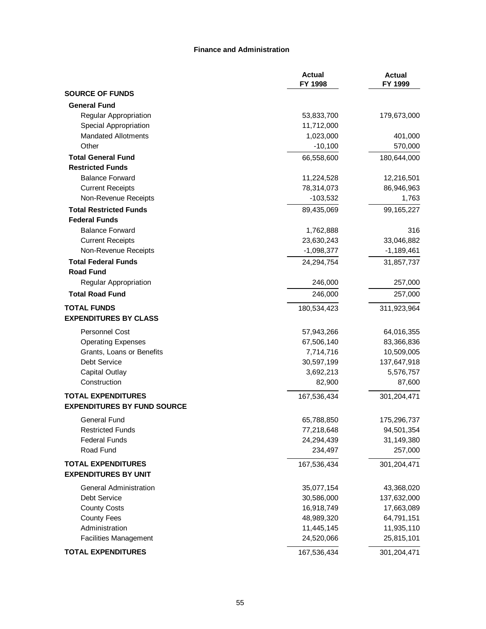#### **Finance and Administration**

|                                    | <b>Actual</b><br>FY 1998 | <b>Actual</b><br>FY 1999 |
|------------------------------------|--------------------------|--------------------------|
| <b>SOURCE OF FUNDS</b>             |                          |                          |
| <b>General Fund</b>                |                          |                          |
| Regular Appropriation              | 53,833,700               | 179,673,000              |
| Special Appropriation              | 11,712,000               |                          |
| <b>Mandated Allotments</b>         | 1,023,000                | 401,000                  |
| Other                              | $-10,100$                | 570,000                  |
| <b>Total General Fund</b>          | 66,558,600               | 180,644,000              |
| <b>Restricted Funds</b>            |                          |                          |
| <b>Balance Forward</b>             | 11,224,528               | 12,216,501               |
| <b>Current Receipts</b>            | 78,314,073               | 86,946,963               |
| Non-Revenue Receipts               | $-103,532$               | 1,763                    |
| <b>Total Restricted Funds</b>      | 89,435,069               | 99,165,227               |
| <b>Federal Funds</b>               |                          |                          |
| <b>Balance Forward</b>             | 1,762,888                | 316                      |
| <b>Current Receipts</b>            | 23,630,243               | 33,046,882               |
| Non-Revenue Receipts               | $-1,098,377$             | $-1,189,461$             |
| <b>Total Federal Funds</b>         | 24,294,754               | 31,857,737               |
| <b>Road Fund</b>                   |                          |                          |
| Regular Appropriation              | 246,000                  | 257,000                  |
| <b>Total Road Fund</b>             | 246,000                  | 257,000                  |
| <b>TOTAL FUNDS</b>                 | 180,534,423              | 311,923,964              |
| <b>EXPENDITURES BY CLASS</b>       |                          |                          |
| Personnel Cost                     | 57,943,266               | 64,016,355               |
| <b>Operating Expenses</b>          | 67,506,140               | 83,366,836               |
| Grants, Loans or Benefits          | 7,714,716                | 10,509,005               |
| Debt Service                       | 30,597,199               | 137,647,918              |
| <b>Capital Outlay</b>              | 3,692,213                | 5,576,757                |
| Construction                       | 82,900                   | 87,600                   |
| <b>TOTAL EXPENDITURES</b>          | 167,536,434              | 301,204,471              |
| <b>EXPENDITURES BY FUND SOURCE</b> |                          |                          |
| <b>General Fund</b>                | 65,788,850               | 175,296,737              |
| <b>Restricted Funds</b>            | 77,218,648               | 94,501,354               |
| <b>Federal Funds</b>               | 24,294,439               | 31,149,380               |
| Road Fund                          | 234,497                  | 257,000                  |
| <b>TOTAL EXPENDITURES</b>          | 167,536,434              | 301,204,471              |
| <b>EXPENDITURES BY UNIT</b>        |                          |                          |
| <b>General Administration</b>      | 35,077,154               | 43,368,020               |
| Debt Service                       | 30,586,000               | 137,632,000              |
| <b>County Costs</b>                | 16,918,749               | 17,663,089               |
| <b>County Fees</b>                 | 48,989,320               | 64,791,151               |
| Administration                     | 11,445,145               | 11,935,110               |
| <b>Facilities Management</b>       | 24,520,066               | 25,815,101               |
| <b>TOTAL EXPENDITURES</b>          | 167,536,434              | 301,204,471              |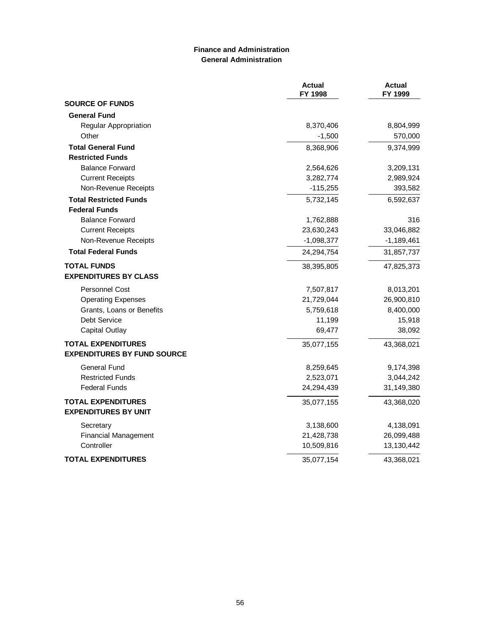### **Finance and Administration General Administration**

|                                    | <b>Actual</b><br>FY 1998 | <b>Actual</b><br>FY 1999 |
|------------------------------------|--------------------------|--------------------------|
| <b>SOURCE OF FUNDS</b>             |                          |                          |
| <b>General Fund</b>                |                          |                          |
| Regular Appropriation              | 8,370,406                | 8,804,999                |
| Other                              | $-1,500$                 | 570,000                  |
| <b>Total General Fund</b>          | 8,368,906                | 9,374,999                |
| <b>Restricted Funds</b>            |                          |                          |
| <b>Balance Forward</b>             | 2,564,626                | 3,209,131                |
| <b>Current Receipts</b>            | 3,282,774                | 2,989,924                |
| Non-Revenue Receipts               | $-115,255$               | 393,582                  |
| <b>Total Restricted Funds</b>      | 5,732,145                | 6,592,637                |
| <b>Federal Funds</b>               |                          |                          |
| <b>Balance Forward</b>             | 1,762,888                | 316                      |
| <b>Current Receipts</b>            | 23,630,243               | 33,046,882               |
| Non-Revenue Receipts               | $-1,098,377$             | $-1,189,461$             |
| <b>Total Federal Funds</b>         | 24,294,754               | 31,857,737               |
| <b>TOTAL FUNDS</b>                 | 38,395,805               | 47,825,373               |
| <b>EXPENDITURES BY CLASS</b>       |                          |                          |
| <b>Personnel Cost</b>              | 7,507,817                | 8,013,201                |
| <b>Operating Expenses</b>          | 21,729,044               | 26,900,810               |
| Grants, Loans or Benefits          | 5,759,618                | 8,400,000                |
| Debt Service                       | 11,199                   | 15,918                   |
| <b>Capital Outlay</b>              | 69,477                   | 38,092                   |
| <b>TOTAL EXPENDITURES</b>          | 35,077,155               | 43,368,021               |
| <b>EXPENDITURES BY FUND SOURCE</b> |                          |                          |
| <b>General Fund</b>                | 8,259,645                | 9,174,398                |
| <b>Restricted Funds</b>            | 2,523,071                | 3,044,242                |
| <b>Federal Funds</b>               | 24,294,439               | 31,149,380               |
| <b>TOTAL EXPENDITURES</b>          | 35,077,155               | 43,368,020               |
| <b>EXPENDITURES BY UNIT</b>        |                          |                          |
| Secretary                          | 3,138,600                | 4,138,091                |
| <b>Financial Management</b>        | 21,428,738               | 26,099,488               |
| Controller                         | 10,509,816               | 13,130,442               |
| <b>TOTAL EXPENDITURES</b>          | 35,077,154               | 43,368,021               |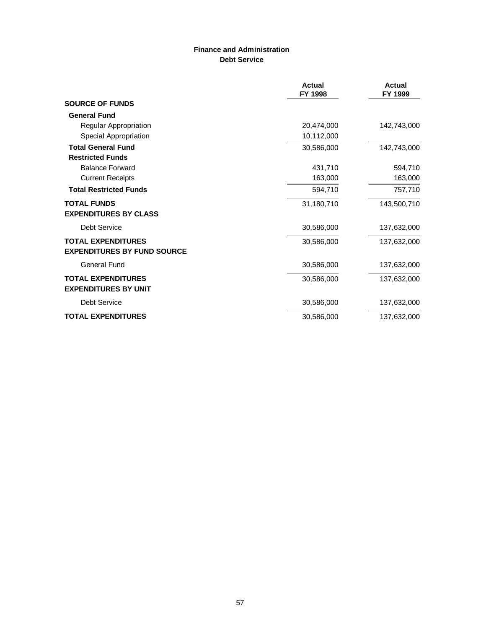# **Finance and Administration Debt Service**

|                                                                 | Actual<br>FY 1998 | Actual<br>FY 1999 |
|-----------------------------------------------------------------|-------------------|-------------------|
| <b>SOURCE OF FUNDS</b>                                          |                   |                   |
| <b>General Fund</b>                                             |                   |                   |
| Regular Appropriation                                           | 20,474,000        | 142,743,000       |
| Special Appropriation                                           | 10,112,000        |                   |
| <b>Total General Fund</b>                                       | 30,586,000        | 142,743,000       |
| <b>Restricted Funds</b>                                         |                   |                   |
| <b>Balance Forward</b>                                          | 431,710           | 594,710           |
| <b>Current Receipts</b>                                         | 163,000           | 163,000           |
| <b>Total Restricted Funds</b>                                   | 594,710           | 757,710           |
| <b>TOTAL FUNDS</b>                                              | 31,180,710        | 143,500,710       |
| <b>EXPENDITURES BY CLASS</b>                                    |                   |                   |
| Debt Service                                                    | 30,586,000        | 137,632,000       |
| <b>TOTAL EXPENDITURES</b><br><b>EXPENDITURES BY FUND SOURCE</b> | 30,586,000        | 137,632,000       |
| <b>General Fund</b>                                             | 30,586,000        | 137,632,000       |
| <b>TOTAL EXPENDITURES</b><br><b>EXPENDITURES BY UNIT</b>        | 30,586,000        | 137,632,000       |
| Debt Service                                                    | 30,586,000        | 137,632,000       |
| <b>TOTAL EXPENDITURES</b>                                       | 30,586,000        | 137,632,000       |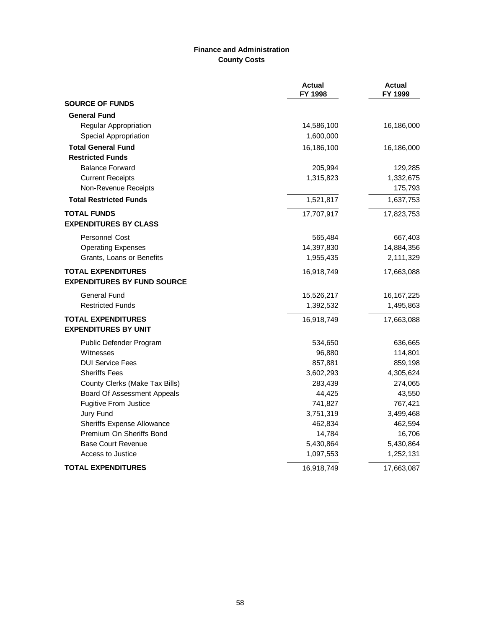# **Finance and Administration County Costs**

|                                    | <b>Actual</b><br>FY 1998 | <b>Actual</b><br>FY 1999 |
|------------------------------------|--------------------------|--------------------------|
| <b>SOURCE OF FUNDS</b>             |                          |                          |
| <b>General Fund</b>                |                          |                          |
| Regular Appropriation              | 14,586,100               | 16,186,000               |
| Special Appropriation              | 1,600,000                |                          |
| <b>Total General Fund</b>          | 16,186,100               | 16,186,000               |
| <b>Restricted Funds</b>            |                          |                          |
| <b>Balance Forward</b>             | 205,994                  | 129,285                  |
| <b>Current Receipts</b>            | 1,315,823                | 1,332,675                |
| Non-Revenue Receipts               |                          | 175,793                  |
| <b>Total Restricted Funds</b>      | 1,521,817                | 1,637,753                |
| <b>TOTAL FUNDS</b>                 | 17,707,917               | 17,823,753               |
| <b>EXPENDITURES BY CLASS</b>       |                          |                          |
| <b>Personnel Cost</b>              | 565,484                  | 667,403                  |
| <b>Operating Expenses</b>          | 14,397,830               | 14,884,356               |
| Grants, Loans or Benefits          | 1,955,435                | 2,111,329                |
| <b>TOTAL EXPENDITURES</b>          | 16,918,749               | 17,663,088               |
| <b>EXPENDITURES BY FUND SOURCE</b> |                          |                          |
| <b>General Fund</b>                | 15,526,217               | 16, 167, 225             |
| <b>Restricted Funds</b>            | 1,392,532                | 1,495,863                |
| <b>TOTAL EXPENDITURES</b>          | 16,918,749               | 17,663,088               |
| <b>EXPENDITURES BY UNIT</b>        |                          |                          |
| Public Defender Program            | 534,650                  | 636,665                  |
| Witnesses                          | 96,880                   | 114,801                  |
| <b>DUI Service Fees</b>            | 857,881                  | 859,198                  |
| <b>Sheriffs Fees</b>               | 3,602,293                | 4,305,624                |
| County Clerks (Make Tax Bills)     | 283,439                  | 274,065                  |
| Board Of Assessment Appeals        | 44,425                   | 43,550                   |
| <b>Fugitive From Justice</b>       | 741,827                  | 767,421                  |
| Jury Fund                          | 3,751,319                | 3,499,468                |
| <b>Sheriffs Expense Allowance</b>  | 462,834                  | 462,594                  |
| Premium On Sheriffs Bond           | 14,784                   | 16,706                   |
| <b>Base Court Revenue</b>          | 5,430,864                | 5,430,864                |
| Access to Justice                  | 1,097,553                | 1,252,131                |
| <b>TOTAL EXPENDITURES</b>          | 16,918,749               | 17,663,087               |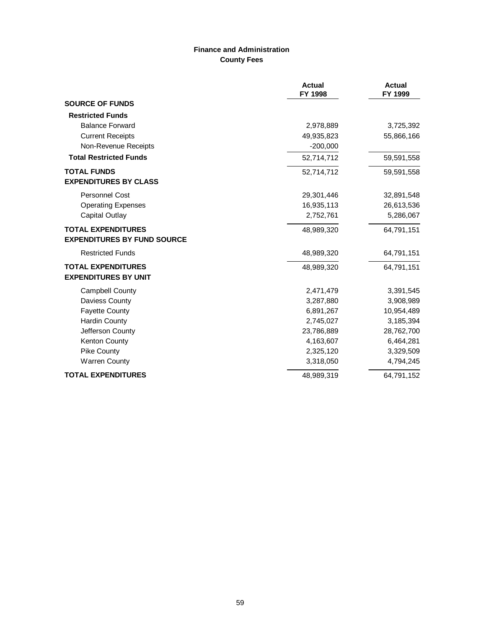# **Finance and Administration County Fees**

|                                                                 | <b>Actual</b><br>FY 1998 | <b>Actual</b><br>FY 1999 |
|-----------------------------------------------------------------|--------------------------|--------------------------|
| <b>SOURCE OF FUNDS</b>                                          |                          |                          |
| <b>Restricted Funds</b>                                         |                          |                          |
| <b>Balance Forward</b>                                          | 2,978,889                | 3,725,392                |
| <b>Current Receipts</b>                                         | 49,935,823               | 55,866,166               |
| Non-Revenue Receipts                                            | $-200,000$               |                          |
| <b>Total Restricted Funds</b>                                   | 52,714,712               | 59,591,558               |
| <b>TOTAL FUNDS</b>                                              | 52,714,712               | 59,591,558               |
| <b>EXPENDITURES BY CLASS</b>                                    |                          |                          |
| <b>Personnel Cost</b>                                           | 29,301,446               | 32,891,548               |
| <b>Operating Expenses</b>                                       | 16,935,113               | 26,613,536               |
| Capital Outlay                                                  | 2,752,761                | 5,286,067                |
| <b>TOTAL EXPENDITURES</b><br><b>EXPENDITURES BY FUND SOURCE</b> | 48,989,320               | 64,791,151               |
| <b>Restricted Funds</b>                                         |                          |                          |
|                                                                 | 48,989,320               | 64,791,151               |
| <b>TOTAL EXPENDITURES</b><br><b>EXPENDITURES BY UNIT</b>        | 48,989,320               | 64,791,151               |
| <b>Campbell County</b>                                          | 2,471,479                | 3,391,545                |
| Daviess County                                                  | 3,287,880                | 3,908,989                |
| <b>Fayette County</b>                                           | 6,891,267                | 10,954,489               |
| <b>Hardin County</b>                                            | 2,745,027                | 3,185,394                |
| Jefferson County                                                | 23,786,889               | 28,762,700               |
| Kenton County                                                   | 4,163,607                | 6,464,281                |
| <b>Pike County</b>                                              | 2,325,120                | 3,329,509                |
| <b>Warren County</b>                                            | 3,318,050                | 4,794,245                |
| <b>TOTAL EXPENDITURES</b>                                       | 48,989,319               | 64,791,152               |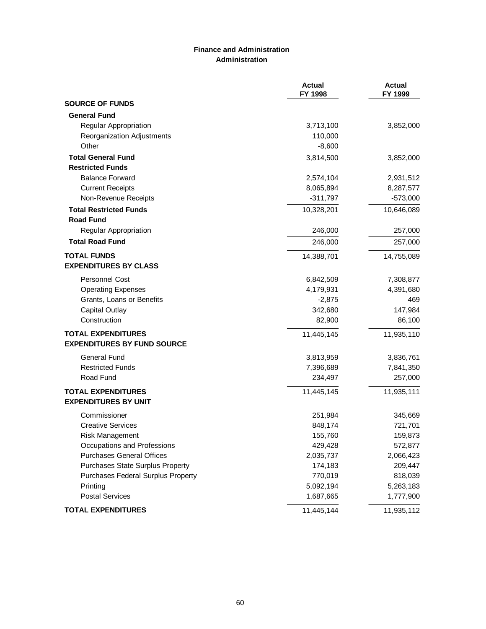### **Finance and Administration Administration**

|                                    | <b>Actual</b><br>FY 1998 | <b>Actual</b><br>FY 1999 |
|------------------------------------|--------------------------|--------------------------|
| <b>SOURCE OF FUNDS</b>             |                          |                          |
| <b>General Fund</b>                |                          |                          |
| Regular Appropriation              | 3,713,100                | 3,852,000                |
| Reorganization Adjustments         | 110,000                  |                          |
| Other                              | $-8,600$                 |                          |
| <b>Total General Fund</b>          | 3,814,500                | 3,852,000                |
| <b>Restricted Funds</b>            |                          |                          |
| <b>Balance Forward</b>             | 2,574,104                | 2,931,512                |
| <b>Current Receipts</b>            | 8,065,894                | 8,287,577                |
| Non-Revenue Receipts               | $-311,797$               | $-573,000$               |
| <b>Total Restricted Funds</b>      | 10,328,201               | 10,646,089               |
| <b>Road Fund</b>                   |                          |                          |
| Regular Appropriation              | 246,000                  | 257,000                  |
| <b>Total Road Fund</b>             | 246,000                  | 257,000                  |
| <b>TOTAL FUNDS</b>                 | 14,388,701               | 14,755,089               |
| <b>EXPENDITURES BY CLASS</b>       |                          |                          |
| Personnel Cost                     | 6,842,509                | 7,308,877                |
| <b>Operating Expenses</b>          | 4,179,931                | 4,391,680                |
| Grants, Loans or Benefits          | $-2,875$                 | 469                      |
| <b>Capital Outlay</b>              | 342,680                  | 147,984                  |
| Construction                       | 82,900                   | 86,100                   |
| <b>TOTAL EXPENDITURES</b>          | 11,445,145               | 11,935,110               |
| <b>EXPENDITURES BY FUND SOURCE</b> |                          |                          |
| <b>General Fund</b>                | 3,813,959                | 3,836,761                |
| <b>Restricted Funds</b>            | 7,396,689                | 7,841,350                |
| Road Fund                          | 234,497                  | 257,000                  |
| <b>TOTAL EXPENDITURES</b>          | 11,445,145               | 11,935,111               |
| <b>EXPENDITURES BY UNIT</b>        |                          |                          |
| Commissioner                       | 251,984                  | 345,669                  |
| <b>Creative Services</b>           | 848,174                  | 721,701                  |
| Risk Management                    | 155,760                  | 159,873                  |
| Occupations and Professions        | 429,428                  | 572,877                  |
| <b>Purchases General Offices</b>   | 2,035,737                | 2,066,423                |
| Purchases State Surplus Property   | 174,183                  | 209,447                  |
| Purchases Federal Surplus Property | 770,019                  | 818,039                  |
| Printing                           | 5,092,194                | 5,263,183                |
| <b>Postal Services</b>             | 1,687,665                | 1,777,900                |
| <b>TOTAL EXPENDITURES</b>          | 11,445,144               | 11,935,112               |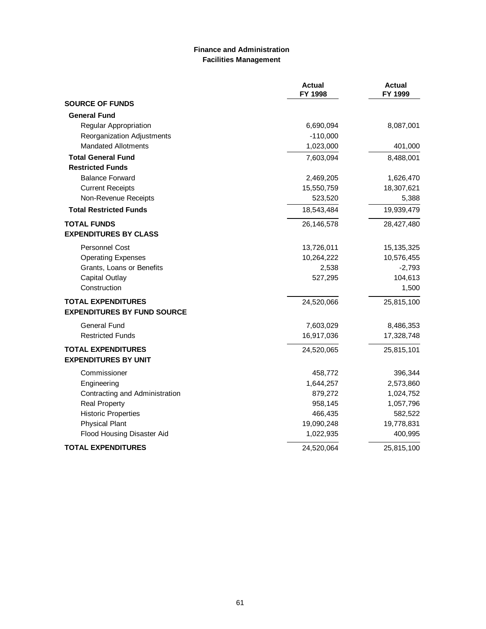### **Finance and Administration Facilities Management**

|                                                          | <b>Actual</b><br>FY 1998 | <b>Actual</b><br>FY 1999 |
|----------------------------------------------------------|--------------------------|--------------------------|
| <b>SOURCE OF FUNDS</b>                                   |                          |                          |
| <b>General Fund</b>                                      |                          |                          |
| Regular Appropriation                                    | 6,690,094                | 8,087,001                |
| Reorganization Adjustments                               | $-110,000$               |                          |
| <b>Mandated Allotments</b>                               | 1,023,000                | 401,000                  |
| <b>Total General Fund</b>                                | 7,603,094                | 8,488,001                |
| <b>Restricted Funds</b>                                  |                          |                          |
| <b>Balance Forward</b>                                   | 2,469,205                | 1,626,470                |
| <b>Current Receipts</b>                                  | 15,550,759               | 18,307,621               |
| Non-Revenue Receipts                                     | 523,520                  | 5,388                    |
| <b>Total Restricted Funds</b>                            | 18,543,484               | 19,939,479               |
| <b>TOTAL FUNDS</b><br><b>EXPENDITURES BY CLASS</b>       | 26,146,578               | 28,427,480               |
|                                                          |                          |                          |
| Personnel Cost                                           | 13,726,011               | 15,135,325               |
| <b>Operating Expenses</b>                                | 10,264,222               | 10,576,455               |
| Grants, Loans or Benefits<br><b>Capital Outlay</b>       | 2,538<br>527,295         | $-2,793$<br>104,613      |
| Construction                                             |                          | 1,500                    |
| <b>TOTAL EXPENDITURES</b>                                | 24,520,066               | 25,815,100               |
| <b>EXPENDITURES BY FUND SOURCE</b>                       |                          |                          |
| <b>General Fund</b>                                      | 7,603,029                | 8,486,353                |
| <b>Restricted Funds</b>                                  | 16,917,036               | 17,328,748               |
| <b>TOTAL EXPENDITURES</b><br><b>EXPENDITURES BY UNIT</b> | 24,520,065               | 25,815,101               |
| Commissioner                                             | 458,772                  | 396,344                  |
| Engineering                                              | 1,644,257                | 2,573,860                |
| Contracting and Administration                           | 879,272                  | 1,024,752                |
| <b>Real Property</b>                                     | 958,145                  | 1,057,796                |
| <b>Historic Properties</b>                               | 466,435                  | 582,522                  |
| <b>Physical Plant</b>                                    | 19,090,248               | 19,778,831               |
| Flood Housing Disaster Aid                               | 1,022,935                | 400,995                  |
| <b>TOTAL EXPENDITURES</b>                                | 24,520,064               | 25,815,100               |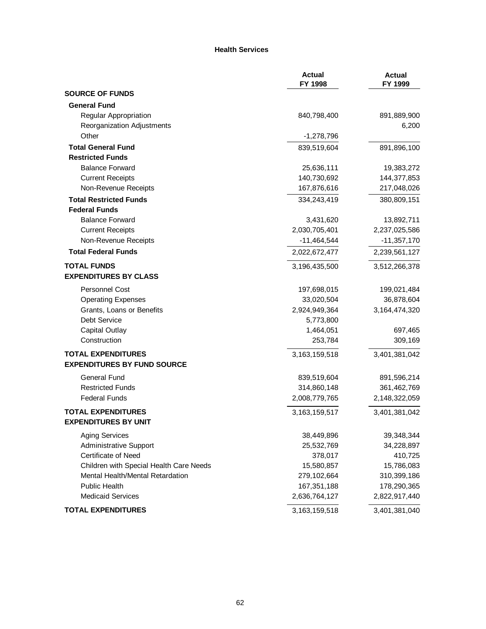#### **Health Services**

|                                         | <b>Actual</b><br>FY 1998 | <b>Actual</b><br>FY 1999 |
|-----------------------------------------|--------------------------|--------------------------|
| <b>SOURCE OF FUNDS</b>                  |                          |                          |
| <b>General Fund</b>                     |                          |                          |
| Regular Appropriation                   | 840,798,400              | 891,889,900              |
| Reorganization Adjustments              |                          | 6,200                    |
| Other                                   | $-1,278,796$             |                          |
| <b>Total General Fund</b>               | 839,519,604              | 891,896,100              |
| <b>Restricted Funds</b>                 |                          |                          |
| <b>Balance Forward</b>                  | 25,636,111               | 19,383,272               |
| <b>Current Receipts</b>                 | 140,730,692              | 144,377,853              |
| Non-Revenue Receipts                    | 167,876,616              | 217,048,026              |
| <b>Total Restricted Funds</b>           | 334,243,419              | 380,809,151              |
| <b>Federal Funds</b>                    |                          |                          |
| <b>Balance Forward</b>                  | 3,431,620                | 13,892,711               |
| <b>Current Receipts</b>                 | 2,030,705,401            | 2,237,025,586            |
| Non-Revenue Receipts                    | $-11,464,544$            | $-11,357,170$            |
| <b>Total Federal Funds</b>              | 2,022,672,477            | 2,239,561,127            |
| <b>TOTAL FUNDS</b>                      | 3,196,435,500            | 3,512,266,378            |
| <b>EXPENDITURES BY CLASS</b>            |                          |                          |
| Personnel Cost                          | 197,698,015              | 199,021,484              |
| <b>Operating Expenses</b>               | 33,020,504               | 36,878,604               |
| Grants, Loans or Benefits               | 2,924,949,364            | 3,164,474,320            |
| Debt Service                            | 5,773,800                |                          |
| Capital Outlay                          | 1,464,051                | 697,465                  |
| Construction                            | 253,784                  | 309,169                  |
| <b>TOTAL EXPENDITURES</b>               | 3,163,159,518            | 3,401,381,042            |
| <b>EXPENDITURES BY FUND SOURCE</b>      |                          |                          |
| General Fund                            | 839,519,604              | 891,596,214              |
| <b>Restricted Funds</b>                 | 314,860,148              | 361,462,769              |
| <b>Federal Funds</b>                    | 2,008,779,765            | 2,148,322,059            |
| <b>TOTAL EXPENDITURES</b>               | 3, 163, 159, 517         | 3,401,381,042            |
| <b>EXPENDITURES BY UNIT</b>             |                          |                          |
| <b>Aging Services</b>                   | 38,449,896               | 39,348,344               |
| <b>Administrative Support</b>           | 25,532,769               | 34,228,897               |
| Certificate of Need                     | 378,017                  | 410,725                  |
| Children with Special Health Care Needs | 15,580,857               | 15,786,083               |
| Mental Health/Mental Retardation        | 279,102,664              | 310,399,186              |
| <b>Public Health</b>                    | 167,351,188              | 178,290,365              |
| <b>Medicaid Services</b>                | 2,636,764,127            | 2,822,917,440            |
| <b>TOTAL EXPENDITURES</b>               | 3, 163, 159, 518         | 3,401,381,040            |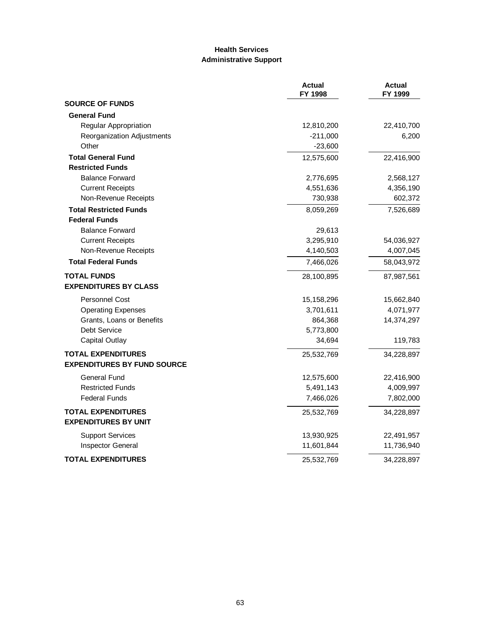# **Health Services Administrative Support**

|                                    | <b>Actual</b><br>FY 1998 | <b>Actual</b><br>FY 1999 |
|------------------------------------|--------------------------|--------------------------|
| <b>SOURCE OF FUNDS</b>             |                          |                          |
| <b>General Fund</b>                |                          |                          |
| Regular Appropriation              | 12,810,200               | 22,410,700               |
| Reorganization Adjustments         | $-211,000$               | 6,200                    |
| Other                              | $-23,600$                |                          |
| <b>Total General Fund</b>          | 12,575,600               | 22,416,900               |
| <b>Restricted Funds</b>            |                          |                          |
| <b>Balance Forward</b>             | 2,776,695                | 2,568,127                |
| <b>Current Receipts</b>            | 4,551,636                | 4,356,190                |
| Non-Revenue Receipts               | 730,938                  | 602,372                  |
| <b>Total Restricted Funds</b>      | 8,059,269                | 7,526,689                |
| <b>Federal Funds</b>               |                          |                          |
| <b>Balance Forward</b>             | 29,613                   |                          |
| <b>Current Receipts</b>            | 3,295,910                | 54,036,927               |
| Non-Revenue Receipts               | 4,140,503                | 4,007,045                |
| <b>Total Federal Funds</b>         | 7,466,026                | 58,043,972               |
| <b>TOTAL FUNDS</b>                 | 28,100,895               | 87,987,561               |
| <b>EXPENDITURES BY CLASS</b>       |                          |                          |
| Personnel Cost                     | 15,158,296               | 15,662,840               |
| <b>Operating Expenses</b>          | 3,701,611                | 4,071,977                |
| Grants, Loans or Benefits          | 864,368                  | 14,374,297               |
| Debt Service                       | 5,773,800                |                          |
| <b>Capital Outlay</b>              | 34,694                   | 119,783                  |
| <b>TOTAL EXPENDITURES</b>          | 25,532,769               | 34,228,897               |
| <b>EXPENDITURES BY FUND SOURCE</b> |                          |                          |
| General Fund                       | 12,575,600               | 22,416,900               |
| <b>Restricted Funds</b>            | 5,491,143                | 4,009,997                |
| <b>Federal Funds</b>               | 7,466,026                | 7,802,000                |
| <b>TOTAL EXPENDITURES</b>          | 25,532,769               | 34,228,897               |
| <b>EXPENDITURES BY UNIT</b>        |                          |                          |
| <b>Support Services</b>            | 13,930,925               | 22,491,957               |
| <b>Inspector General</b>           | 11,601,844               | 11,736,940               |
| <b>TOTAL EXPENDITURES</b>          | 25,532,769               | 34,228,897               |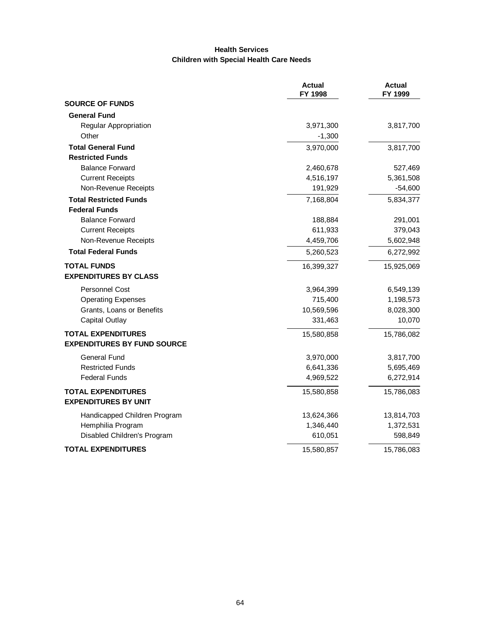# **Health Services Children with Special Health Care Needs**

|                                    | <b>Actual</b><br>FY 1998 | <b>Actual</b><br>FY 1999 |
|------------------------------------|--------------------------|--------------------------|
| <b>SOURCE OF FUNDS</b>             |                          |                          |
| <b>General Fund</b>                |                          |                          |
| Regular Appropriation              | 3,971,300                | 3,817,700                |
| Other                              | $-1,300$                 |                          |
| <b>Total General Fund</b>          | 3,970,000                | 3,817,700                |
| <b>Restricted Funds</b>            |                          |                          |
| <b>Balance Forward</b>             | 2,460,678                | 527,469                  |
| <b>Current Receipts</b>            | 4,516,197                | 5,361,508                |
| Non-Revenue Receipts               | 191,929                  | $-54,600$                |
| <b>Total Restricted Funds</b>      | 7,168,804                | 5,834,377                |
| <b>Federal Funds</b>               |                          |                          |
| <b>Balance Forward</b>             | 188,884                  | 291,001                  |
| <b>Current Receipts</b>            | 611,933                  | 379,043                  |
| Non-Revenue Receipts               | 4,459,706                | 5,602,948                |
| <b>Total Federal Funds</b>         | 5,260,523                | 6,272,992                |
| <b>TOTAL FUNDS</b>                 | 16,399,327               | 15,925,069               |
| <b>EXPENDITURES BY CLASS</b>       |                          |                          |
| <b>Personnel Cost</b>              | 3,964,399                | 6,549,139                |
| <b>Operating Expenses</b>          | 715,400                  | 1,198,573                |
| Grants, Loans or Benefits          | 10,569,596               | 8,028,300                |
| <b>Capital Outlay</b>              | 331,463                  | 10,070                   |
| <b>TOTAL EXPENDITURES</b>          | 15,580,858               | 15,786,082               |
| <b>EXPENDITURES BY FUND SOURCE</b> |                          |                          |
| <b>General Fund</b>                | 3,970,000                | 3,817,700                |
| <b>Restricted Funds</b>            | 6,641,336                | 5,695,469                |
| <b>Federal Funds</b>               | 4,969,522                | 6,272,914                |
| <b>TOTAL EXPENDITURES</b>          | 15,580,858               | 15,786,083               |
| <b>EXPENDITURES BY UNIT</b>        |                          |                          |
| Handicapped Children Program       | 13,624,366               | 13,814,703               |
| Hemphilia Program                  | 1,346,440                | 1,372,531                |
| Disabled Children's Program        | 610,051                  | 598,849                  |
| <b>TOTAL EXPENDITURES</b>          | 15,580,857               | 15,786,083               |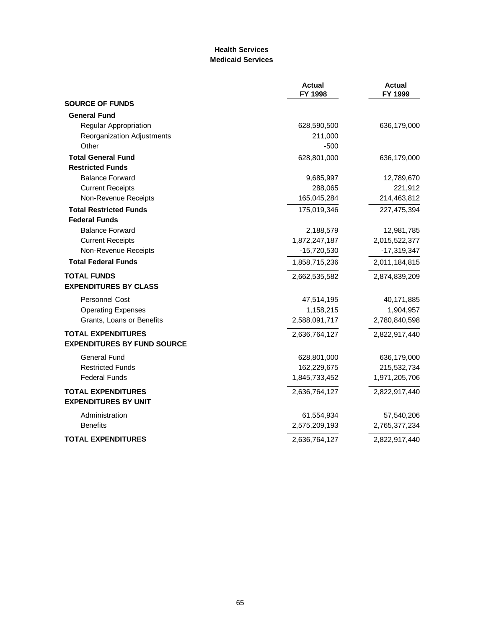### **Health Services Medicaid Services**

|                                    | <b>Actual</b><br>FY 1998 | <b>Actual</b><br>FY 1999 |
|------------------------------------|--------------------------|--------------------------|
| <b>SOURCE OF FUNDS</b>             |                          |                          |
| <b>General Fund</b>                |                          |                          |
| Regular Appropriation              | 628,590,500              | 636,179,000              |
| Reorganization Adjustments         | 211,000                  |                          |
| Other                              | $-500$                   |                          |
| <b>Total General Fund</b>          | 628,801,000              | 636,179,000              |
| <b>Restricted Funds</b>            |                          |                          |
| <b>Balance Forward</b>             | 9,685,997                | 12,789,670               |
| <b>Current Receipts</b>            | 288,065                  | 221,912                  |
| Non-Revenue Receipts               | 165,045,284              | 214,463,812              |
| <b>Total Restricted Funds</b>      | 175,019,346              | 227,475,394              |
| <b>Federal Funds</b>               |                          |                          |
| <b>Balance Forward</b>             | 2,188,579                | 12,981,785               |
| <b>Current Receipts</b>            | 1,872,247,187            | 2,015,522,377            |
| Non-Revenue Receipts               | $-15,720,530$            | $-17,319,347$            |
| <b>Total Federal Funds</b>         | 1,858,715,236            | 2,011,184,815            |
| <b>TOTAL FUNDS</b>                 | 2,662,535,582            | 2,874,839,209            |
| <b>EXPENDITURES BY CLASS</b>       |                          |                          |
| <b>Personnel Cost</b>              | 47,514,195               | 40,171,885               |
| <b>Operating Expenses</b>          | 1,158,215                | 1,904,957                |
| Grants, Loans or Benefits          | 2,588,091,717            | 2,780,840,598            |
| <b>TOTAL EXPENDITURES</b>          | 2,636,764,127            | 2,822,917,440            |
| <b>EXPENDITURES BY FUND SOURCE</b> |                          |                          |
| General Fund                       | 628,801,000              | 636,179,000              |
| <b>Restricted Funds</b>            | 162,229,675              | 215,532,734              |
| <b>Federal Funds</b>               | 1,845,733,452            | 1,971,205,706            |
| <b>TOTAL EXPENDITURES</b>          | 2,636,764,127            | 2,822,917,440            |
| <b>EXPENDITURES BY UNIT</b>        |                          |                          |
| Administration                     | 61,554,934               | 57,540,206               |
| <b>Benefits</b>                    | 2,575,209,193            | 2,765,377,234            |
| <b>TOTAL EXPENDITURES</b>          | 2,636,764,127            | 2,822,917,440            |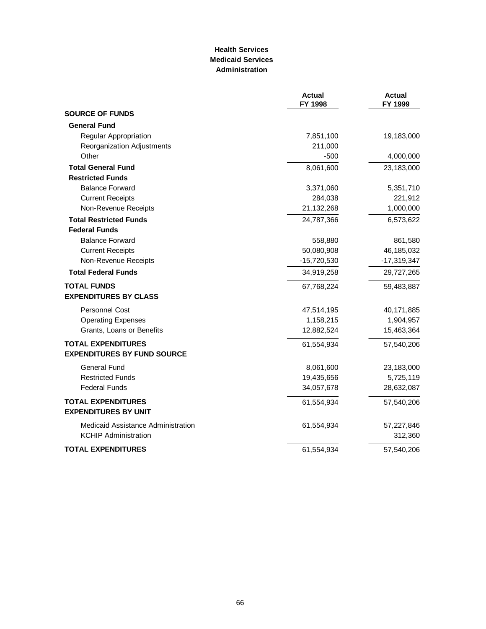### **Health Services Medicaid Services Administration**

|                                    | <b>Actual</b><br>FY 1998 | <b>Actual</b><br>FY 1999 |
|------------------------------------|--------------------------|--------------------------|
| <b>SOURCE OF FUNDS</b>             |                          |                          |
| <b>General Fund</b>                |                          |                          |
| Regular Appropriation              | 7,851,100                | 19,183,000               |
| Reorganization Adjustments         | 211,000                  |                          |
| Other                              | $-500$                   | 4,000,000                |
| <b>Total General Fund</b>          | 8,061,600                | 23,183,000               |
| <b>Restricted Funds</b>            |                          |                          |
| <b>Balance Forward</b>             | 3,371,060                | 5,351,710                |
| <b>Current Receipts</b>            | 284,038                  | 221,912                  |
| Non-Revenue Receipts               | 21,132,268               | 1,000,000                |
| <b>Total Restricted Funds</b>      | 24,787,366               | 6,573,622                |
| <b>Federal Funds</b>               |                          |                          |
| <b>Balance Forward</b>             | 558,880                  | 861,580                  |
| <b>Current Receipts</b>            | 50,080,908               | 46,185,032               |
| Non-Revenue Receipts               | $-15,720,530$            | $-17,319,347$            |
| <b>Total Federal Funds</b>         | 34,919,258               | 29,727,265               |
| <b>TOTAL FUNDS</b>                 | 67,768,224               | 59,483,887               |
| <b>EXPENDITURES BY CLASS</b>       |                          |                          |
| Personnel Cost                     | 47,514,195               | 40,171,885               |
| <b>Operating Expenses</b>          | 1,158,215                | 1,904,957                |
| Grants, Loans or Benefits          | 12,882,524               | 15,463,364               |
| <b>TOTAL EXPENDITURES</b>          | 61,554,934               | 57,540,206               |
| <b>EXPENDITURES BY FUND SOURCE</b> |                          |                          |
| <b>General Fund</b>                | 8,061,600                | 23,183,000               |
| <b>Restricted Funds</b>            | 19,435,656               | 5,725,119                |
| <b>Federal Funds</b>               | 34,057,678               | 28,632,087               |
| <b>TOTAL EXPENDITURES</b>          | 61,554,934               | 57,540,206               |
| <b>EXPENDITURES BY UNIT</b>        |                          |                          |
| Medicaid Assistance Administration | 61,554,934               | 57,227,846               |
| <b>KCHIP Administration</b>        |                          | 312,360                  |
| <b>TOTAL EXPENDITURES</b>          | 61,554,934               | 57,540,206               |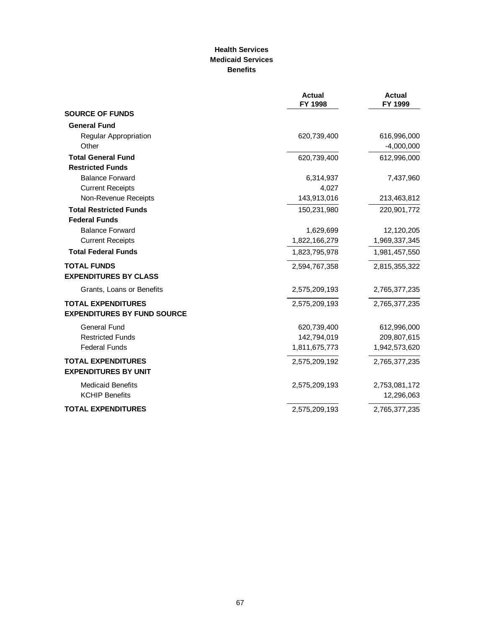### **Health Services Medicaid Services Benefits**

|                                                          | <b>Actual</b><br>FY 1998 | <b>Actual</b><br>FY 1999 |
|----------------------------------------------------------|--------------------------|--------------------------|
| <b>SOURCE OF FUNDS</b>                                   |                          |                          |
| <b>General Fund</b>                                      |                          |                          |
| <b>Regular Appropriation</b>                             | 620,739,400              | 616,996,000              |
| Other                                                    |                          | $-4,000,000$             |
| <b>Total General Fund</b>                                | 620,739,400              | 612,996,000              |
| <b>Restricted Funds</b>                                  |                          |                          |
| <b>Balance Forward</b>                                   | 6,314,937                | 7,437,960                |
| <b>Current Receipts</b>                                  | 4,027                    |                          |
| Non-Revenue Receipts                                     | 143,913,016              | 213,463,812              |
| <b>Total Restricted Funds</b>                            | 150,231,980              | 220,901,772              |
| <b>Federal Funds</b>                                     |                          |                          |
| <b>Balance Forward</b>                                   | 1,629,699                | 12,120,205               |
| <b>Current Receipts</b>                                  | 1,822,166,279            | 1,969,337,345            |
| <b>Total Federal Funds</b>                               | 1,823,795,978            | 1,981,457,550            |
| <b>TOTAL FUNDS</b>                                       | 2,594,767,358            | 2,815,355,322            |
| <b>EXPENDITURES BY CLASS</b>                             |                          |                          |
| Grants, Loans or Benefits                                | 2,575,209,193            | 2,765,377,235            |
| <b>TOTAL EXPENDITURES</b>                                | 2,575,209,193            | 2,765,377,235            |
| <b>EXPENDITURES BY FUND SOURCE</b>                       |                          |                          |
| <b>General Fund</b>                                      | 620,739,400              | 612,996,000              |
| <b>Restricted Funds</b>                                  | 142,794,019              | 209,807,615              |
| <b>Federal Funds</b>                                     | 1,811,675,773            | 1,942,573,620            |
| <b>TOTAL EXPENDITURES</b><br><b>EXPENDITURES BY UNIT</b> | 2,575,209,192            | 2,765,377,235            |
| <b>Medicaid Benefits</b>                                 | 2,575,209,193            | 2,753,081,172            |
| <b>KCHIP Benefits</b>                                    |                          | 12,296,063               |
| <b>TOTAL EXPENDITURES</b>                                | 2,575,209,193            | 2,765,377,235            |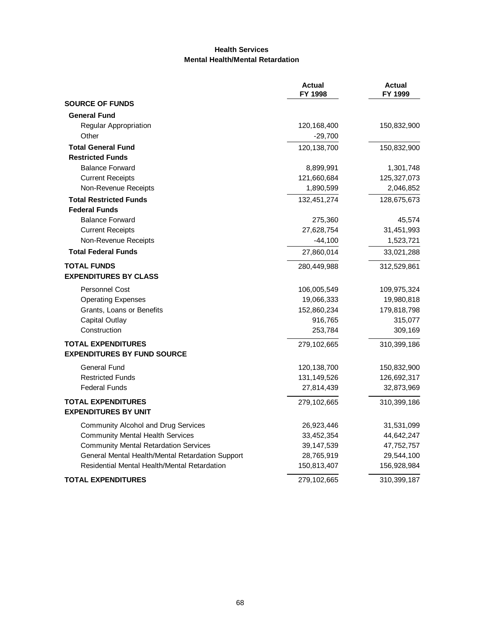### **Health Services Mental Health/Mental Retardation**

|                                                          | <b>Actual</b><br>FY 1998 | <b>Actual</b><br>FY 1999 |
|----------------------------------------------------------|--------------------------|--------------------------|
| <b>SOURCE OF FUNDS</b>                                   |                          |                          |
| <b>General Fund</b>                                      |                          |                          |
| Regular Appropriation                                    | 120,168,400              | 150,832,900              |
| Other                                                    | $-29,700$                |                          |
| <b>Total General Fund</b>                                | 120,138,700              | 150,832,900              |
| <b>Restricted Funds</b>                                  |                          |                          |
| <b>Balance Forward</b>                                   | 8,899,991                | 1,301,748                |
| <b>Current Receipts</b>                                  | 121,660,684              | 125,327,073              |
| Non-Revenue Receipts                                     | 1,890,599                | 2,046,852                |
| <b>Total Restricted Funds</b>                            | 132,451,274              | 128,675,673              |
| <b>Federal Funds</b>                                     |                          |                          |
| <b>Balance Forward</b>                                   | 275,360                  | 45,574                   |
| <b>Current Receipts</b>                                  | 27,628,754               | 31,451,993               |
| Non-Revenue Receipts                                     | $-44,100$                | 1,523,721                |
| <b>Total Federal Funds</b>                               | 27,860,014               | 33,021,288               |
| <b>TOTAL FUNDS</b>                                       | 280,449,988              | 312,529,861              |
| <b>EXPENDITURES BY CLASS</b>                             |                          |                          |
| <b>Personnel Cost</b>                                    | 106,005,549              | 109,975,324              |
| <b>Operating Expenses</b>                                | 19,066,333               | 19,980,818               |
| Grants, Loans or Benefits                                | 152,860,234              | 179,818,798              |
| <b>Capital Outlay</b>                                    | 916,765                  | 315,077                  |
| Construction                                             | 253,784                  | 309,169                  |
| <b>TOTAL EXPENDITURES</b>                                | 279,102,665              | 310,399,186              |
| <b>EXPENDITURES BY FUND SOURCE</b>                       |                          |                          |
| <b>General Fund</b>                                      | 120,138,700              | 150,832,900              |
| <b>Restricted Funds</b>                                  | 131,149,526              | 126,692,317              |
| <b>Federal Funds</b>                                     | 27,814,439               | 32,873,969               |
| <b>TOTAL EXPENDITURES</b><br><b>EXPENDITURES BY UNIT</b> | 279,102,665              | 310,399,186              |
| <b>Community Alcohol and Drug Services</b>               | 26,923,446               | 31,531,099               |
| <b>Community Mental Health Services</b>                  | 33,452,354               | 44,642,247               |
| <b>Community Mental Retardation Services</b>             | 39,147,539               | 47,752,757               |
| General Mental Health/Mental Retardation Support         | 28,765,919               | 29,544,100               |
| Residential Mental Health/Mental Retardation             | 150,813,407              | 156,928,984              |
| TOTAL EXPENDITURES                                       | 279,102,665              | 310,399,187              |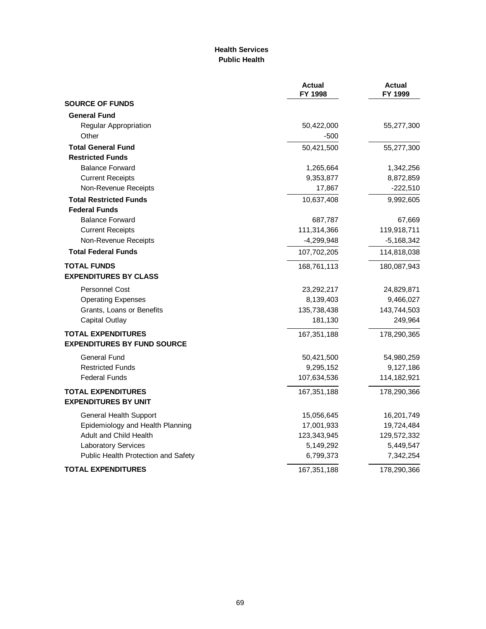### **Health Services Public Health**

|                                                                 | <b>Actual</b><br>FY 1998 | <b>Actual</b><br>FY 1999 |
|-----------------------------------------------------------------|--------------------------|--------------------------|
| <b>SOURCE OF FUNDS</b>                                          |                          |                          |
| <b>General Fund</b>                                             |                          |                          |
| Regular Appropriation                                           | 50,422,000               | 55,277,300               |
| Other                                                           | $-500$                   |                          |
| <b>Total General Fund</b>                                       | 50,421,500               | 55,277,300               |
| <b>Restricted Funds</b>                                         |                          |                          |
| <b>Balance Forward</b>                                          | 1,265,664                | 1,342,256                |
| <b>Current Receipts</b>                                         | 9,353,877                | 8,872,859                |
| Non-Revenue Receipts                                            | 17,867                   | $-222,510$               |
| <b>Total Restricted Funds</b>                                   | 10,637,408               | 9,992,605                |
| <b>Federal Funds</b>                                            |                          |                          |
| <b>Balance Forward</b>                                          | 687,787                  | 67,669                   |
| <b>Current Receipts</b>                                         | 111,314,366              | 119,918,711              |
| Non-Revenue Receipts                                            | $-4,299,948$             | $-5,168,342$             |
| <b>Total Federal Funds</b>                                      | 107,702,205              | 114,818,038              |
| <b>TOTAL FUNDS</b><br><b>EXPENDITURES BY CLASS</b>              | 168,761,113              | 180,087,943              |
| Personnel Cost                                                  | 23,292,217               | 24,829,871               |
| <b>Operating Expenses</b>                                       | 8,139,403                | 9,466,027                |
| Grants, Loans or Benefits                                       | 135,738,438              | 143,744,503              |
| <b>Capital Outlay</b>                                           | 181,130                  | 249,964                  |
| <b>TOTAL EXPENDITURES</b><br><b>EXPENDITURES BY FUND SOURCE</b> | 167,351,188              | 178,290,365              |
| General Fund                                                    | 50,421,500               | 54,980,259               |
| <b>Restricted Funds</b>                                         | 9,295,152                | 9,127,186                |
| <b>Federal Funds</b>                                            | 107,634,536              | 114,182,921              |
| <b>TOTAL EXPENDITURES</b><br><b>EXPENDITURES BY UNIT</b>        | 167,351,188              | 178,290,366              |
| <b>General Health Support</b>                                   | 15,056,645               | 16,201,749               |
| Epidemiology and Health Planning                                | 17,001,933               | 19,724,484               |
| Adult and Child Health                                          | 123,343,945              | 129,572,332              |
| Laboratory Services                                             | 5,149,292                | 5,449,547                |
| Public Health Protection and Safety                             | 6,799,373                | 7,342,254                |
| <b>TOTAL EXPENDITURES</b>                                       | 167,351,188              | 178,290,366              |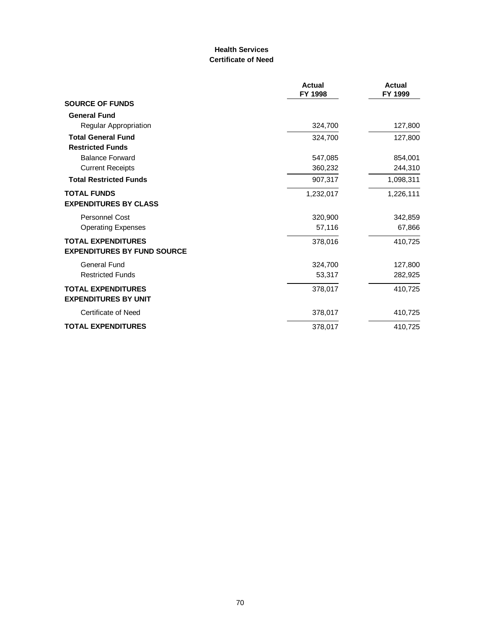### **Health Services Certificate of Need**

|                                                          | Actual<br>FY 1998 | Actual<br>FY 1999 |
|----------------------------------------------------------|-------------------|-------------------|
| <b>SOURCE OF FUNDS</b>                                   |                   |                   |
| <b>General Fund</b>                                      |                   |                   |
| Regular Appropriation                                    | 324,700           | 127,800           |
| <b>Total General Fund</b>                                | 324,700           | 127,800           |
| <b>Restricted Funds</b>                                  |                   |                   |
| <b>Balance Forward</b>                                   | 547,085           | 854,001           |
| <b>Current Receipts</b>                                  | 360,232           | 244,310           |
| <b>Total Restricted Funds</b>                            | 907,317           | 1,098,311         |
| <b>TOTAL FUNDS</b>                                       | 1,232,017         | 1,226,111         |
| <b>EXPENDITURES BY CLASS</b>                             |                   |                   |
| Personnel Cost                                           | 320,900           | 342,859           |
| <b>Operating Expenses</b>                                | 57,116            | 67,866            |
| <b>TOTAL EXPENDITURES</b>                                | 378,016           | 410,725           |
| <b>EXPENDITURES BY FUND SOURCE</b>                       |                   |                   |
| <b>General Fund</b>                                      | 324,700           | 127,800           |
| <b>Restricted Funds</b>                                  | 53,317            | 282,925           |
| <b>TOTAL EXPENDITURES</b><br><b>EXPENDITURES BY UNIT</b> | 378,017           | 410,725           |
| Certificate of Need                                      | 378,017           | 410,725           |
| <b>TOTAL EXPENDITURES</b>                                | 378,017           | 410,725           |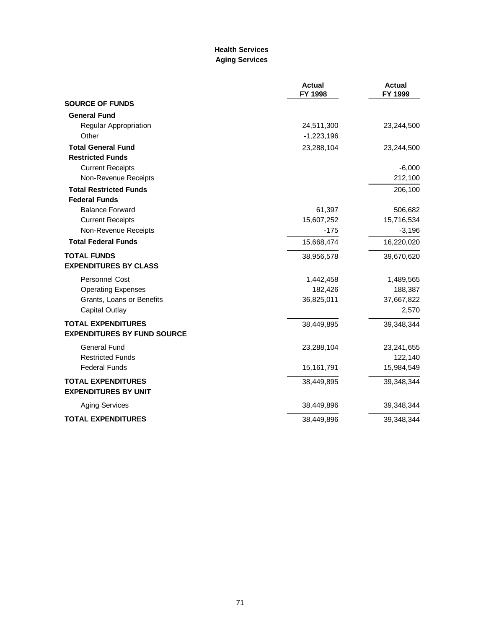### **Health Services Aging Services**

|                                                          | <b>Actual</b><br>FY 1998 | <b>Actual</b><br>FY 1999 |
|----------------------------------------------------------|--------------------------|--------------------------|
| <b>SOURCE OF FUNDS</b>                                   |                          |                          |
| <b>General Fund</b>                                      |                          |                          |
| Regular Appropriation                                    | 24,511,300               | 23,244,500               |
| Other                                                    | $-1,223,196$             |                          |
| <b>Total General Fund</b>                                | 23,288,104               | 23,244,500               |
| <b>Restricted Funds</b>                                  |                          |                          |
| <b>Current Receipts</b>                                  |                          | $-6,000$                 |
| Non-Revenue Receipts                                     |                          | 212,100                  |
| <b>Total Restricted Funds</b>                            |                          | 206,100                  |
| <b>Federal Funds</b>                                     |                          |                          |
| <b>Balance Forward</b>                                   | 61,397                   | 506,682                  |
| <b>Current Receipts</b>                                  | 15,607,252               | 15,716,534               |
| Non-Revenue Receipts                                     | $-175$                   | $-3,196$                 |
| <b>Total Federal Funds</b>                               | 15,668,474               | 16,220,020               |
| <b>TOTAL FUNDS</b>                                       | 38,956,578               | 39,670,620               |
| <b>EXPENDITURES BY CLASS</b>                             |                          |                          |
| <b>Personnel Cost</b>                                    | 1,442,458                | 1,489,565                |
| <b>Operating Expenses</b>                                | 182,426                  | 188,387                  |
| Grants, Loans or Benefits                                | 36,825,011               | 37,667,822               |
| <b>Capital Outlay</b>                                    |                          | 2,570                    |
| <b>TOTAL EXPENDITURES</b>                                | 38,449,895               | 39,348,344               |
| <b>EXPENDITURES BY FUND SOURCE</b>                       |                          |                          |
| <b>General Fund</b>                                      | 23,288,104               | 23,241,655               |
| <b>Restricted Funds</b>                                  |                          | 122,140                  |
| <b>Federal Funds</b>                                     | 15,161,791               | 15,984,549               |
| <b>TOTAL EXPENDITURES</b><br><b>EXPENDITURES BY UNIT</b> | 38,449,895               | 39,348,344               |
| <b>Aging Services</b>                                    | 38,449,896               | 39,348,344               |
| <b>TOTAL EXPENDITURES</b>                                | 38,449,896               | 39,348,344               |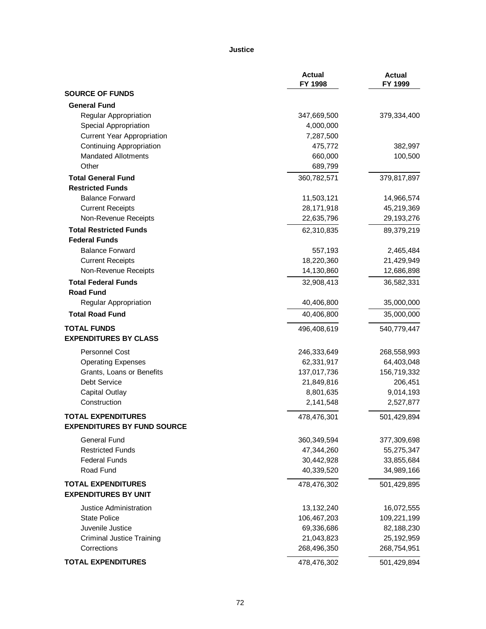#### **Justice**

|                                   | <b>Actual</b><br>FY 1998 | <b>Actual</b><br>FY 1999 |
|-----------------------------------|--------------------------|--------------------------|
| <b>SOURCE OF FUNDS</b>            |                          |                          |
| <b>General Fund</b>               |                          |                          |
| Regular Appropriation             | 347,669,500              | 379,334,400              |
| Special Appropriation             | 4,000,000                |                          |
| <b>Current Year Appropriation</b> | 7,287,500                |                          |
| <b>Continuing Appropriation</b>   | 475,772                  | 382,997                  |
| <b>Mandated Allotments</b>        | 660,000                  | 100,500                  |
| Other                             | 689,799                  |                          |
| <b>Total General Fund</b>         | 360,782,571              | 379,817,897              |
| <b>Restricted Funds</b>           |                          |                          |
| <b>Balance Forward</b>            | 11,503,121               | 14,966,574               |
| <b>Current Receipts</b>           | 28,171,918               | 45,219,369               |
| Non-Revenue Receipts              | 22,635,796               | 29,193,276               |
| <b>Total Restricted Funds</b>     | 62,310,835               | 89,379,219               |
| <b>Federal Funds</b>              |                          |                          |
| <b>Balance Forward</b>            | 557,193                  | 2,465,484                |
| <b>Current Receipts</b>           | 18,220,360               | 21,429,949               |
| Non-Revenue Receipts              | 14,130,860               | 12,686,898               |
| <b>Total Federal Funds</b>        | 32,908,413               | 36,582,331               |
| <b>Road Fund</b>                  |                          |                          |
| Regular Appropriation             | 40,406,800               | 35,000,000               |
| <b>Total Road Fund</b>            | 40,406,800               | 35,000,000               |
| <b>TOTAL FUNDS</b>                | 496,408,619              | 540,779,447              |
| <b>EXPENDITURES BY CLASS</b>      |                          |                          |
| Personnel Cost                    | 246,333,649              | 268,558,993              |
| <b>Operating Expenses</b>         | 62,331,917               | 64,403,048               |
| Grants, Loans or Benefits         | 137,017,736              | 156,719,332              |
| <b>Debt Service</b>               | 21,849,816               | 206,451                  |
| <b>Capital Outlay</b>             | 8,801,635                | 9,014,193                |
| Construction                      | 2,141,548                | 2,527,877                |
| <b>TOTAL EXPENDITURES</b>         | 478,476,301              | 501,429,894              |
| EXPENDITURES BY FUND SOURCE       |                          |                          |
| General Fund                      | 360,349,594              | 377,309,698              |
| <b>Restricted Funds</b>           | 47,344,260               | 55,275,347               |
| <b>Federal Funds</b>              | 30,442,928               | 33,855,684               |
| Road Fund                         | 40,339,520               | 34,989,166               |
| <b>TOTAL EXPENDITURES</b>         | 478,476,302              | 501,429,895              |
| <b>EXPENDITURES BY UNIT</b>       |                          |                          |
| Justice Administration            | 13,132,240               | 16,072,555               |
| <b>State Police</b>               | 106,467,203              | 109,221,199              |
| Juvenile Justice                  | 69,336,686               | 82,188,230               |
| <b>Criminal Justice Training</b>  | 21,043,823               | 25,192,959               |
| Corrections                       | 268,496,350              | 268,754,951              |
| <b>TOTAL EXPENDITURES</b>         | 478,476,302              | 501,429,894              |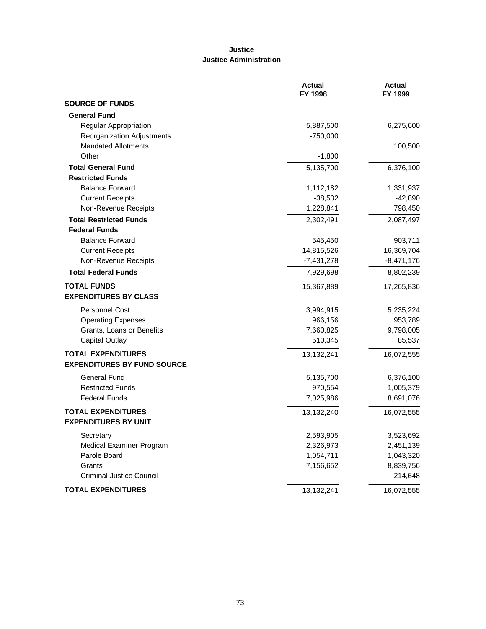# **Justice Justice Administration**

|                                    | <b>Actual</b><br>FY 1998 | <b>Actual</b><br>FY 1999 |
|------------------------------------|--------------------------|--------------------------|
| <b>SOURCE OF FUNDS</b>             |                          |                          |
| <b>General Fund</b>                |                          |                          |
| Regular Appropriation              | 5,887,500                | 6,275,600                |
| Reorganization Adjustments         | -750,000                 |                          |
| <b>Mandated Allotments</b>         |                          | 100,500                  |
| Other                              | $-1,800$                 |                          |
| <b>Total General Fund</b>          | 5,135,700                | 6,376,100                |
| <b>Restricted Funds</b>            |                          |                          |
| <b>Balance Forward</b>             | 1,112,182                | 1,331,937                |
| <b>Current Receipts</b>            | $-38,532$                | $-42,890$                |
| Non-Revenue Receipts               | 1,228,841                | 798,450                  |
| <b>Total Restricted Funds</b>      | 2,302,491                | 2,087,497                |
| <b>Federal Funds</b>               |                          |                          |
| <b>Balance Forward</b>             | 545,450                  | 903,711                  |
| <b>Current Receipts</b>            | 14,815,526               | 16,369,704               |
| Non-Revenue Receipts               | -7,431,278               | $-8,471,176$             |
| <b>Total Federal Funds</b>         | 7,929,698                | 8,802,239                |
| <b>TOTAL FUNDS</b>                 | 15,367,889               | 17,265,836               |
| <b>EXPENDITURES BY CLASS</b>       |                          |                          |
| <b>Personnel Cost</b>              | 3,994,915                | 5,235,224                |
| <b>Operating Expenses</b>          | 966,156                  | 953,789                  |
| Grants, Loans or Benefits          | 7,660,825                | 9,798,005                |
| <b>Capital Outlay</b>              | 510,345                  | 85,537                   |
| <b>TOTAL EXPENDITURES</b>          | 13,132,241               | 16,072,555               |
| <b>EXPENDITURES BY FUND SOURCE</b> |                          |                          |
| General Fund                       | 5,135,700                | 6,376,100                |
| <b>Restricted Funds</b>            | 970,554                  | 1,005,379                |
| <b>Federal Funds</b>               | 7,025,986                | 8,691,076                |
| <b>TOTAL EXPENDITURES</b>          | 13,132,240               | 16,072,555               |
| <b>EXPENDITURES BY UNIT</b>        |                          |                          |
| Secretary                          | 2,593,905                | 3,523,692                |
| Medical Examiner Program           | 2,326,973                | 2,451,139                |
| Parole Board                       | 1,054,711                | 1,043,320                |
| Grants                             | 7,156,652                | 8,839,756                |
| <b>Criminal Justice Council</b>    |                          | 214,648                  |
| <b>TOTAL EXPENDITURES</b>          | 13,132,241               | 16,072,555               |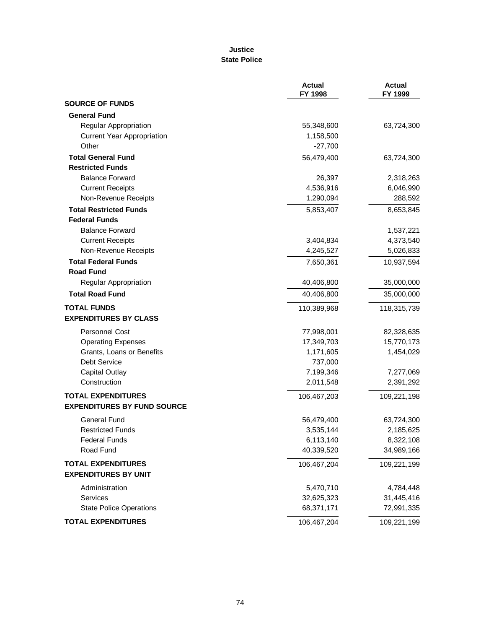### **Justice State Police**

|                                    | <b>Actual</b><br>FY 1998 | <b>Actual</b><br>FY 1999 |
|------------------------------------|--------------------------|--------------------------|
| <b>SOURCE OF FUNDS</b>             |                          |                          |
| <b>General Fund</b>                |                          |                          |
| Regular Appropriation              | 55,348,600               | 63,724,300               |
| <b>Current Year Appropriation</b>  | 1,158,500                |                          |
| Other                              | $-27,700$                |                          |
| <b>Total General Fund</b>          | 56,479,400               | 63,724,300               |
| <b>Restricted Funds</b>            |                          |                          |
| <b>Balance Forward</b>             | 26,397                   | 2,318,263                |
| <b>Current Receipts</b>            | 4,536,916                | 6,046,990                |
| Non-Revenue Receipts               | 1,290,094                | 288,592                  |
| <b>Total Restricted Funds</b>      | 5,853,407                | 8,653,845                |
| <b>Federal Funds</b>               |                          |                          |
| <b>Balance Forward</b>             |                          | 1,537,221                |
| <b>Current Receipts</b>            | 3,404,834                | 4,373,540                |
| Non-Revenue Receipts               | 4,245,527                | 5,026,833                |
| <b>Total Federal Funds</b>         | 7,650,361                | 10,937,594               |
| <b>Road Fund</b>                   |                          |                          |
| <b>Regular Appropriation</b>       | 40,406,800               | 35,000,000               |
| <b>Total Road Fund</b>             | 40,406,800               | 35,000,000               |
| <b>TOTAL FUNDS</b>                 | 110,389,968              | 118,315,739              |
| <b>EXPENDITURES BY CLASS</b>       |                          |                          |
| <b>Personnel Cost</b>              | 77,998,001               | 82,328,635               |
| <b>Operating Expenses</b>          | 17,349,703               | 15,770,173               |
| Grants, Loans or Benefits          | 1,171,605                | 1,454,029                |
| Debt Service                       | 737,000                  |                          |
| <b>Capital Outlay</b>              | 7,199,346                | 7,277,069                |
| Construction                       | 2,011,548                | 2,391,292                |
| <b>TOTAL EXPENDITURES</b>          | 106,467,203              | 109,221,198              |
| <b>EXPENDITURES BY FUND SOURCE</b> |                          |                          |
| <b>General Fund</b>                | 56,479,400               | 63,724,300               |
| <b>Restricted Funds</b>            | 3,535,144                | 2,185,625                |
| <b>Federal Funds</b>               | 6,113,140                | 8,322,108                |
| Road Fund                          | 40,339,520               | 34,989,166               |
| <b>TOTAL EXPENDITURES</b>          | 106,467,204              | 109,221,199              |
| <b>EXPENDITURES BY UNIT</b>        |                          |                          |
| Administration                     | 5,470,710                | 4,784,448                |
| Services                           | 32,625,323               | 31,445,416               |
| <b>State Police Operations</b>     | 68,371,171               | 72,991,335               |
| <b>TOTAL EXPENDITURES</b>          | 106,467,204              | 109,221,199              |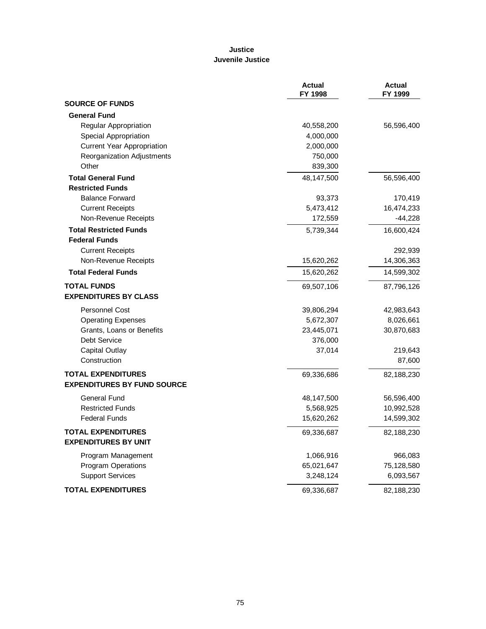# **Justice Juvenile Justice**

|                                    | <b>Actual</b><br>FY 1998 | <b>Actual</b><br>FY 1999 |
|------------------------------------|--------------------------|--------------------------|
| <b>SOURCE OF FUNDS</b>             |                          |                          |
| <b>General Fund</b>                |                          |                          |
| <b>Regular Appropriation</b>       | 40,558,200               | 56,596,400               |
| Special Appropriation              | 4,000,000                |                          |
| <b>Current Year Appropriation</b>  | 2,000,000                |                          |
| Reorganization Adjustments         | 750,000                  |                          |
| Other                              | 839,300                  |                          |
| <b>Total General Fund</b>          | 48,147,500               | 56,596,400               |
| <b>Restricted Funds</b>            |                          |                          |
| <b>Balance Forward</b>             | 93,373                   | 170,419                  |
| <b>Current Receipts</b>            | 5,473,412                | 16,474,233               |
| Non-Revenue Receipts               | 172,559                  | $-44,228$                |
| <b>Total Restricted Funds</b>      | 5,739,344                | 16,600,424               |
| <b>Federal Funds</b>               |                          |                          |
| <b>Current Receipts</b>            |                          | 292,939                  |
| Non-Revenue Receipts               | 15,620,262               | 14,306,363               |
| <b>Total Federal Funds</b>         | 15,620,262               | 14,599,302               |
| <b>TOTAL FUNDS</b>                 | 69,507,106               | 87,796,126               |
| <b>EXPENDITURES BY CLASS</b>       |                          |                          |
| Personnel Cost                     | 39,806,294               | 42,983,643               |
| <b>Operating Expenses</b>          | 5,672,307                | 8,026,661                |
| Grants, Loans or Benefits          | 23,445,071               | 30,870,683               |
| Debt Service                       | 376,000                  |                          |
| <b>Capital Outlay</b>              | 37,014                   | 219,643                  |
| Construction                       |                          | 87,600                   |
| <b>TOTAL EXPENDITURES</b>          | 69,336,686               | 82,188,230               |
| <b>EXPENDITURES BY FUND SOURCE</b> |                          |                          |
| General Fund                       | 48,147,500               | 56,596,400               |
| <b>Restricted Funds</b>            | 5,568,925                | 10,992,528               |
| <b>Federal Funds</b>               | 15,620,262               | 14,599,302               |
| <b>TOTAL EXPENDITURES</b>          | 69,336,687               | 82,188,230               |
| <b>EXPENDITURES BY UNIT</b>        |                          |                          |
| Program Management                 | 1,066,916                | 966,083                  |
| <b>Program Operations</b>          | 65,021,647               | 75,128,580               |
| <b>Support Services</b>            | 3,248,124                | 6,093,567                |
| <b>TOTAL EXPENDITURES</b>          | 69,336,687               | 82,188,230               |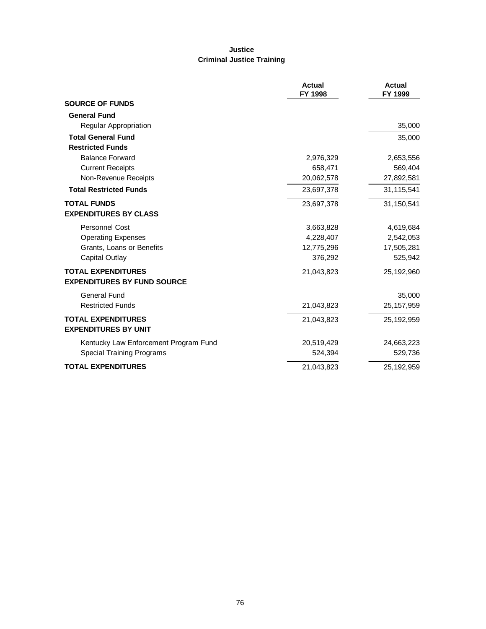# **Justice Criminal Justice Training**

|                                       | <b>Actual</b><br>FY 1998 | <b>Actual</b><br>FY 1999 |
|---------------------------------------|--------------------------|--------------------------|
| <b>SOURCE OF FUNDS</b>                |                          |                          |
| <b>General Fund</b>                   |                          |                          |
| Regular Appropriation                 |                          | 35,000                   |
| <b>Total General Fund</b>             |                          | 35,000                   |
| <b>Restricted Funds</b>               |                          |                          |
| <b>Balance Forward</b>                | 2,976,329                | 2,653,556                |
| <b>Current Receipts</b>               | 658,471                  | 569,404                  |
| Non-Revenue Receipts                  | 20,062,578               | 27,892,581               |
| <b>Total Restricted Funds</b>         | 23,697,378               | 31,115,541               |
| <b>TOTAL FUNDS</b>                    | 23,697,378               | 31,150,541               |
| <b>EXPENDITURES BY CLASS</b>          |                          |                          |
| <b>Personnel Cost</b>                 | 3,663,828                | 4,619,684                |
| <b>Operating Expenses</b>             | 4,228,407                | 2,542,053                |
| Grants, Loans or Benefits             | 12,775,296               | 17,505,281               |
| Capital Outlay                        | 376,292                  | 525,942                  |
| <b>TOTAL EXPENDITURES</b>             | 21,043,823               | 25,192,960               |
| <b>EXPENDITURES BY FUND SOURCE</b>    |                          |                          |
| <b>General Fund</b>                   |                          | 35,000                   |
| <b>Restricted Funds</b>               | 21,043,823               | 25, 157, 959             |
| <b>TOTAL EXPENDITURES</b>             | 21,043,823               | 25,192,959               |
| <b>EXPENDITURES BY UNIT</b>           |                          |                          |
| Kentucky Law Enforcement Program Fund | 20,519,429               | 24,663,223               |
| Special Training Programs             | 524,394                  | 529,736                  |
| <b>TOTAL EXPENDITURES</b>             | 21,043,823               | 25,192,959               |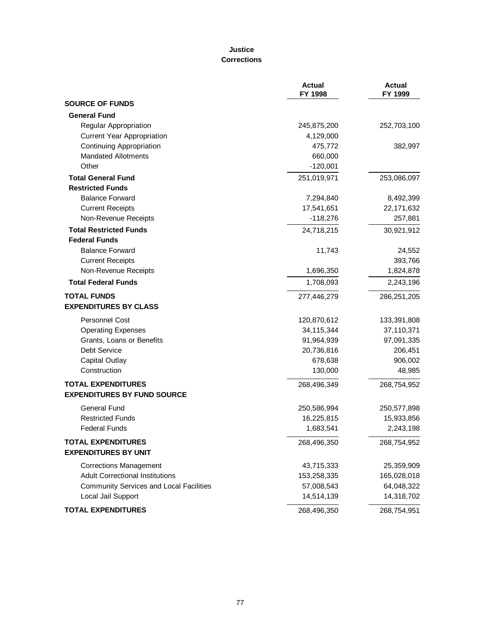### **Justice Corrections**

|                                                | <b>Actual</b><br>FY 1998 | <b>Actual</b><br>FY 1999 |
|------------------------------------------------|--------------------------|--------------------------|
| <b>SOURCE OF FUNDS</b>                         |                          |                          |
| <b>General Fund</b>                            |                          |                          |
| Regular Appropriation                          | 245,875,200              | 252,703,100              |
| <b>Current Year Appropriation</b>              | 4,129,000                |                          |
| <b>Continuing Appropriation</b>                | 475,772                  | 382,997                  |
| <b>Mandated Allotments</b>                     | 660,000                  |                          |
| Other                                          | $-120,001$               |                          |
| <b>Total General Fund</b>                      | 251,019,971              | 253,086,097              |
| <b>Restricted Funds</b>                        |                          |                          |
| <b>Balance Forward</b>                         | 7,294,840                | 8,492,399                |
| <b>Current Receipts</b>                        | 17,541,651               | 22, 171, 632             |
| Non-Revenue Receipts                           | $-118,276$               | 257,881                  |
| <b>Total Restricted Funds</b>                  | 24,718,215               | 30,921,912               |
| <b>Federal Funds</b>                           |                          |                          |
| <b>Balance Forward</b>                         | 11,743                   | 24,552                   |
| <b>Current Receipts</b>                        |                          | 393,766                  |
| Non-Revenue Receipts                           | 1,696,350                | 1,824,878                |
| <b>Total Federal Funds</b>                     | 1,708,093                | 2,243,196                |
| <b>TOTAL FUNDS</b>                             | 277,446,279              | 286,251,205              |
| <b>EXPENDITURES BY CLASS</b>                   |                          |                          |
| <b>Personnel Cost</b>                          | 120,870,612              | 133,391,808              |
| <b>Operating Expenses</b>                      | 34,115,344               | 37,110,371               |
| Grants, Loans or Benefits                      | 91,964,939               | 97,091,335               |
| Debt Service                                   | 20,736,816               | 206,451                  |
| <b>Capital Outlay</b>                          | 678,638                  | 906,002                  |
| Construction                                   | 130,000                  | 48,985                   |
| <b>TOTAL EXPENDITURES</b>                      | 268,496,349              | 268,754,952              |
| <b>EXPENDITURES BY FUND SOURCE</b>             |                          |                          |
| <b>General Fund</b>                            | 250,586,994              | 250,577,898              |
| <b>Restricted Funds</b>                        | 16,225,815               | 15,933,856               |
| <b>Federal Funds</b>                           | 1,683,541                | 2,243,198                |
| <b>TOTAL EXPENDITURES</b>                      | 268,496,350              | 268,754,952              |
| <b>EXPENDITURES BY UNIT</b>                    |                          |                          |
| <b>Corrections Management</b>                  | 43,715,333               | 25,359,909               |
| <b>Adult Correctional Institutions</b>         | 153,258,335              | 165,028,018              |
| <b>Community Services and Local Facilities</b> | 57,008,543               | 64,048,322               |
| Local Jail Support                             | 14,514,139               | 14,318,702               |
| <b>TOTAL EXPENDITURES</b>                      | 268,496,350              | 268,754,951              |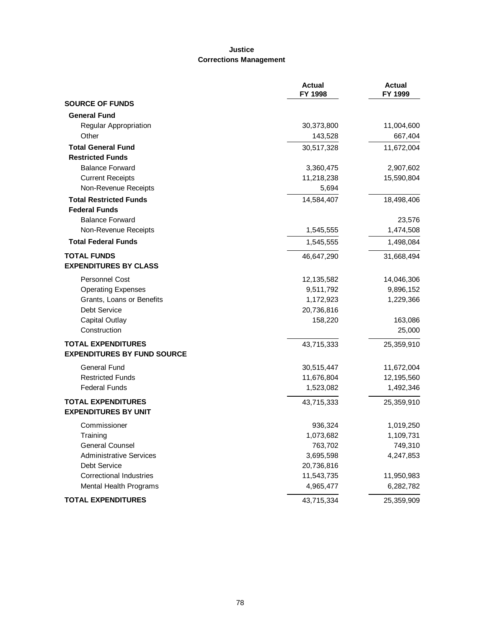# **Justice Corrections Management**

|                                    | <b>Actual</b><br>FY 1998 | <b>Actual</b><br>FY 1999 |
|------------------------------------|--------------------------|--------------------------|
| <b>SOURCE OF FUNDS</b>             |                          |                          |
| <b>General Fund</b>                |                          |                          |
| Regular Appropriation              | 30,373,800               | 11,004,600               |
| Other                              | 143,528                  | 667,404                  |
| <b>Total General Fund</b>          | 30,517,328               | 11,672,004               |
| <b>Restricted Funds</b>            |                          |                          |
| <b>Balance Forward</b>             | 3,360,475                | 2,907,602                |
| <b>Current Receipts</b>            | 11,218,238               | 15,590,804               |
| Non-Revenue Receipts               | 5,694                    |                          |
| <b>Total Restricted Funds</b>      | 14,584,407               | 18,498,406               |
| <b>Federal Funds</b>               |                          |                          |
| <b>Balance Forward</b>             |                          | 23,576                   |
| Non-Revenue Receipts               | 1,545,555                | 1,474,508                |
| <b>Total Federal Funds</b>         | 1,545,555                | 1,498,084                |
| <b>TOTAL FUNDS</b>                 | 46,647,290               | 31,668,494               |
| <b>EXPENDITURES BY CLASS</b>       |                          |                          |
| <b>Personnel Cost</b>              | 12,135,582               | 14,046,306               |
| <b>Operating Expenses</b>          | 9,511,792                | 9,896,152                |
| Grants, Loans or Benefits          | 1,172,923                | 1,229,366                |
| Debt Service                       | 20,736,816               |                          |
| <b>Capital Outlay</b>              | 158,220                  | 163,086                  |
| Construction                       |                          | 25,000                   |
| <b>TOTAL EXPENDITURES</b>          | 43,715,333               | 25,359,910               |
| <b>EXPENDITURES BY FUND SOURCE</b> |                          |                          |
| <b>General Fund</b>                | 30,515,447               | 11,672,004               |
| <b>Restricted Funds</b>            | 11,676,804               | 12,195,560               |
| <b>Federal Funds</b>               | 1,523,082                | 1,492,346                |
| <b>TOTAL EXPENDITURES</b>          | 43,715,333               | 25,359,910               |
| <b>EXPENDITURES BY UNIT</b>        |                          |                          |
| Commissioner                       | 936,324                  | 1,019,250                |
| Training                           | 1,073,682                | 1,109,731                |
| <b>General Counsel</b>             | 763,702                  | 749,310                  |
| <b>Administrative Services</b>     | 3,695,598                | 4,247,853                |
| Debt Service                       | 20,736,816               |                          |
| <b>Correctional Industries</b>     | 11,543,735               | 11,950,983               |
| Mental Health Programs             | 4,965,477                | 6,282,782                |
| <b>TOTAL EXPENDITURES</b>          | 43,715,334               | 25,359,909               |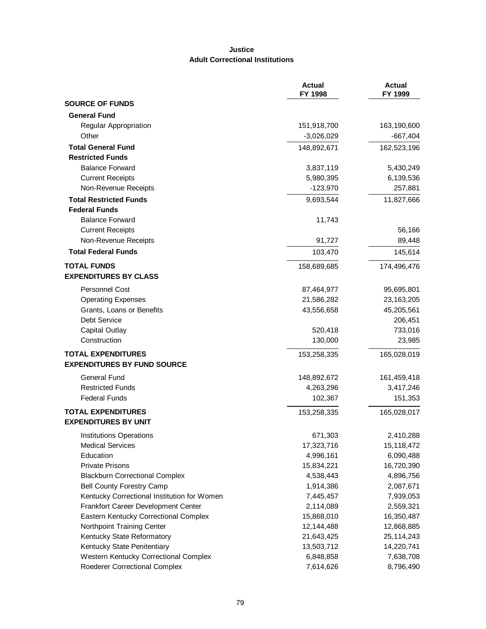# **Justice Adult Correctional Institutions**

|                                             | <b>Actual</b><br>FY 1998 | <b>Actual</b><br>FY 1999 |
|---------------------------------------------|--------------------------|--------------------------|
| <b>SOURCE OF FUNDS</b>                      |                          |                          |
| <b>General Fund</b>                         |                          |                          |
| <b>Regular Appropriation</b>                | 151,918,700              | 163,190,600              |
| Other                                       | $-3,026,029$             | $-667,404$               |
| <b>Total General Fund</b>                   | 148,892,671              | 162,523,196              |
| <b>Restricted Funds</b>                     |                          |                          |
| <b>Balance Forward</b>                      | 3,837,119                | 5,430,249                |
| <b>Current Receipts</b>                     | 5,980,395                | 6,139,536                |
| Non-Revenue Receipts                        | $-123,970$               | 257,881                  |
| <b>Total Restricted Funds</b>               | 9,693,544                | 11,827,666               |
| <b>Federal Funds</b>                        |                          |                          |
| <b>Balance Forward</b>                      | 11,743                   |                          |
| <b>Current Receipts</b>                     |                          | 56,166                   |
| Non-Revenue Receipts                        | 91,727                   | 89,448                   |
| <b>Total Federal Funds</b>                  | 103,470                  | 145,614                  |
| <b>TOTAL FUNDS</b>                          | 158,689,685              | 174,496,476              |
| <b>EXPENDITURES BY CLASS</b>                |                          |                          |
| Personnel Cost                              | 87,464,977               | 95,695,801               |
| <b>Operating Expenses</b>                   | 21,586,282               | 23,163,205               |
| Grants, Loans or Benefits                   | 43,556,658               | 45,205,561               |
| Debt Service                                |                          | 206,451                  |
| <b>Capital Outlay</b>                       | 520,418                  | 733,016                  |
| Construction                                | 130,000                  | 23,985                   |
|                                             |                          |                          |
| <b>TOTAL EXPENDITURES</b>                   | 153,258,335              | 165,028,019              |
| <b>EXPENDITURES BY FUND SOURCE</b>          |                          |                          |
| <b>General Fund</b>                         | 148,892,672              | 161,459,418              |
| <b>Restricted Funds</b>                     | 4,263,296                | 3,417,246                |
| <b>Federal Funds</b>                        | 102,367                  | 151,353                  |
| <b>TOTAL EXPENDITURES</b>                   | 153,258,335              | 165,028,017              |
| <b>EXPENDITURES BY UNIT</b>                 |                          |                          |
| Institutions Operations                     | 671,303                  | 2,410,288                |
| <b>Medical Services</b>                     | 17,323,716               | 15,118,472               |
| Education                                   | 4,996,161                | 6,090,488                |
| <b>Private Prisons</b>                      | 15,834,221               | 16,720,390               |
| <b>Blackburn Correctional Complex</b>       | 4,538,443                | 4,896,756                |
| <b>Bell County Forestry Camp</b>            | 1,914,386                | 2,087,671                |
| Kentucky Correctional Institution for Women | 7,445,457                | 7,939,053                |
| Frankfort Career Development Center         | 2,114,089                | 2,559,321                |
| Eastern Kentucky Correctional Complex       | 15,868,010               | 16,350,487               |
| Northpoint Training Center                  | 12,144,488               | 12,868,885               |
| Kentucky State Reformatory                  | 21,643,425               | 25,114,243               |
| Kentucky State Penitentiary                 | 13,503,712               | 14,220,741               |
| Western Kentucky Correctional Complex       | 6,848,858                | 7,638,708                |
| Roederer Correctional Complex               | 7,614,626                | 8,796,490                |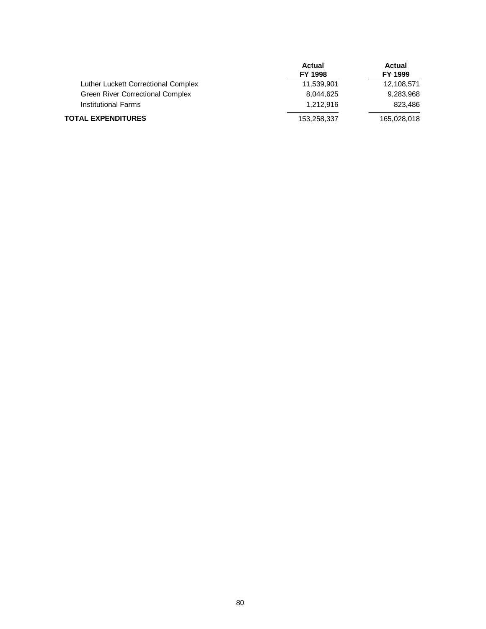|                                     | <b>Actual</b> | Actual      |
|-------------------------------------|---------------|-------------|
|                                     | FY 1998       | FY 1999     |
| Luther Luckett Correctional Complex | 11,539,901    | 12,108,571  |
| Green River Correctional Complex    | 8.044.625     | 9,283,968   |
| <b>Institutional Farms</b>          | 1.212.916     | 823,486     |
| <b>TOTAL EXPENDITURES</b>           | 153,258,337   | 165,028,018 |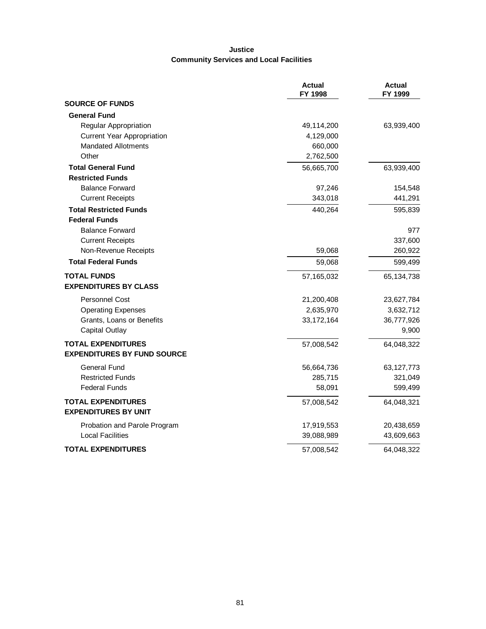# **Justice Community Services and Local Facilities**

|                                    | <b>Actual</b><br>FY 1998 | <b>Actual</b><br>FY 1999 |
|------------------------------------|--------------------------|--------------------------|
| <b>SOURCE OF FUNDS</b>             |                          |                          |
| <b>General Fund</b>                |                          |                          |
| Regular Appropriation              | 49,114,200               | 63,939,400               |
| <b>Current Year Appropriation</b>  | 4,129,000                |                          |
| <b>Mandated Allotments</b>         | 660,000                  |                          |
| Other                              | 2,762,500                |                          |
| <b>Total General Fund</b>          | 56,665,700               | 63,939,400               |
| <b>Restricted Funds</b>            |                          |                          |
| <b>Balance Forward</b>             | 97,246                   | 154,548                  |
| <b>Current Receipts</b>            | 343,018                  | 441,291                  |
| <b>Total Restricted Funds</b>      | 440,264                  | 595,839                  |
| <b>Federal Funds</b>               |                          |                          |
| <b>Balance Forward</b>             |                          | 977                      |
| <b>Current Receipts</b>            |                          | 337,600                  |
| Non-Revenue Receipts               | 59,068                   | 260,922                  |
| <b>Total Federal Funds</b>         | 59,068                   | 599,499                  |
| <b>TOTAL FUNDS</b>                 | 57,165,032               | 65,134,738               |
| <b>EXPENDITURES BY CLASS</b>       |                          |                          |
| <b>Personnel Cost</b>              | 21,200,408               | 23,627,784               |
| <b>Operating Expenses</b>          | 2,635,970                | 3,632,712                |
| Grants, Loans or Benefits          | 33, 172, 164             | 36,777,926               |
| <b>Capital Outlay</b>              |                          | 9,900                    |
| <b>TOTAL EXPENDITURES</b>          | 57,008,542               | 64,048,322               |
| <b>EXPENDITURES BY FUND SOURCE</b> |                          |                          |
| General Fund                       | 56,664,736               | 63,127,773               |
| <b>Restricted Funds</b>            | 285,715                  | 321,049                  |
| <b>Federal Funds</b>               | 58,091                   | 599,499                  |
| <b>TOTAL EXPENDITURES</b>          | 57,008,542               | 64,048,321               |
| <b>EXPENDITURES BY UNIT</b>        |                          |                          |
| Probation and Parole Program       | 17,919,553               | 20,438,659               |
| <b>Local Facilities</b>            | 39,088,989               | 43,609,663               |
| <b>TOTAL EXPENDITURES</b>          | 57,008,542               | 64,048,322               |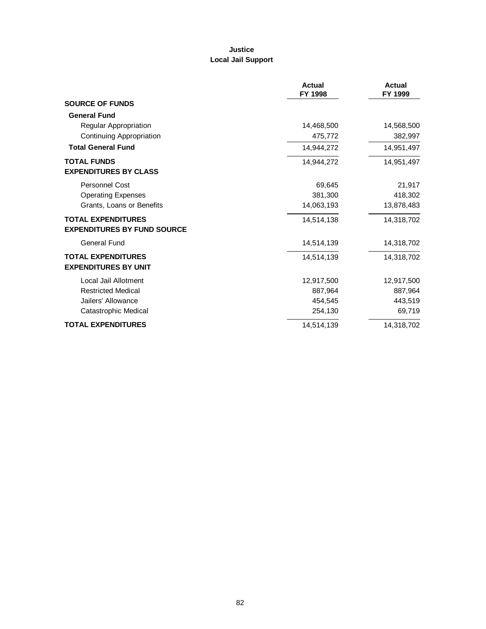# **Justice Local Jail Support**

|                                    | <b>Actual</b><br>FY 1998 | <b>Actual</b><br>FY 1999 |
|------------------------------------|--------------------------|--------------------------|
| <b>SOURCE OF FUNDS</b>             |                          |                          |
| <b>General Fund</b>                |                          |                          |
| Regular Appropriation              | 14,468,500               | 14,568,500               |
| <b>Continuing Appropriation</b>    | 475,772                  | 382,997                  |
| <b>Total General Fund</b>          | 14,944,272               | 14,951,497               |
| <b>TOTAL FUNDS</b>                 | 14,944,272               | 14,951,497               |
| <b>EXPENDITURES BY CLASS</b>       |                          |                          |
| <b>Personnel Cost</b>              | 69,645                   | 21,917                   |
| <b>Operating Expenses</b>          | 381,300                  | 418,302                  |
| Grants, Loans or Benefits          | 14,063,193               | 13,878,483               |
| <b>TOTAL EXPENDITURES</b>          | 14,514,138               | 14,318,702               |
| <b>EXPENDITURES BY FUND SOURCE</b> |                          |                          |
| <b>General Fund</b>                | 14,514,139               | 14,318,702               |
| <b>TOTAL EXPENDITURES</b>          | 14.514.139               | 14,318,702               |
| <b>EXPENDITURES BY UNIT</b>        |                          |                          |
| Local Jail Allotment               | 12,917,500               | 12,917,500               |
| <b>Restricted Medical</b>          | 887,964                  | 887,964                  |
| Jailers' Allowance                 | 454,545                  | 443,519                  |
| Catastrophic Medical               | 254,130                  | 69,719                   |
| <b>TOTAL EXPENDITURES</b>          | 14,514,139               | 14,318,702               |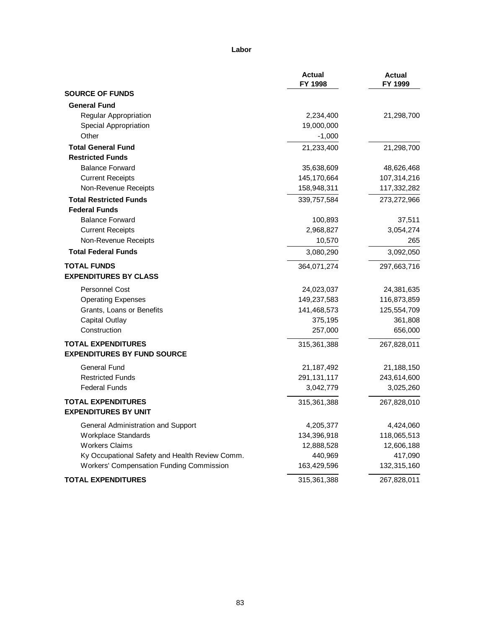#### **Labor**

|                                                 | <b>Actual</b><br>FY 1998 | <b>Actual</b><br>FY 1999 |
|-------------------------------------------------|--------------------------|--------------------------|
| <b>SOURCE OF FUNDS</b>                          |                          |                          |
| <b>General Fund</b>                             |                          |                          |
| Regular Appropriation                           | 2,234,400                | 21,298,700               |
| Special Appropriation                           | 19,000,000               |                          |
| Other                                           | $-1,000$                 |                          |
| <b>Total General Fund</b>                       | 21,233,400               | 21,298,700               |
| <b>Restricted Funds</b>                         |                          |                          |
| <b>Balance Forward</b>                          | 35,638,609               | 48,626,468               |
| <b>Current Receipts</b>                         | 145,170,664              | 107,314,216              |
| Non-Revenue Receipts                            | 158,948,311              | 117,332,282              |
| <b>Total Restricted Funds</b>                   | 339,757,584              | 273,272,966              |
| <b>Federal Funds</b>                            |                          |                          |
| <b>Balance Forward</b>                          | 100,893                  | 37,511                   |
| <b>Current Receipts</b>                         | 2,968,827                | 3,054,274                |
| Non-Revenue Receipts                            | 10,570                   | 265                      |
| <b>Total Federal Funds</b>                      | 3,080,290                | 3,092,050                |
| <b>TOTAL FUNDS</b>                              | 364,071,274              | 297,663,716              |
| <b>EXPENDITURES BY CLASS</b>                    |                          |                          |
| <b>Personnel Cost</b>                           | 24,023,037               | 24,381,635               |
| <b>Operating Expenses</b>                       | 149,237,583              | 116,873,859              |
| Grants, Loans or Benefits                       | 141,468,573              | 125,554,709              |
| Capital Outlay                                  | 375,195                  | 361,808                  |
| Construction                                    | 257,000                  | 656,000                  |
| <b>TOTAL EXPENDITURES</b>                       | 315,361,388              | 267,828,011              |
| <b>EXPENDITURES BY FUND SOURCE</b>              |                          |                          |
| General Fund                                    | 21,187,492               | 21,188,150               |
| <b>Restricted Funds</b>                         | 291, 131, 117            | 243,614,600              |
| <b>Federal Funds</b>                            | 3,042,779                | 3,025,260                |
| <b>TOTAL EXPENDITURES</b>                       | 315,361,388              | 267,828,010              |
| <b>EXPENDITURES BY UNIT</b>                     |                          |                          |
| General Administration and Support              | 4,205,377                | 4,424,060                |
| <b>Workplace Standards</b>                      | 134,396,918              | 118,065,513              |
| <b>Workers Claims</b>                           | 12,888,528               | 12,606,188               |
| Ky Occupational Safety and Health Review Comm.  | 440,969                  | 417,090                  |
| <b>Workers' Compensation Funding Commission</b> | 163,429,596              | 132,315,160              |
| <b>TOTAL EXPENDITURES</b>                       | 315,361,388              | 267,828,011              |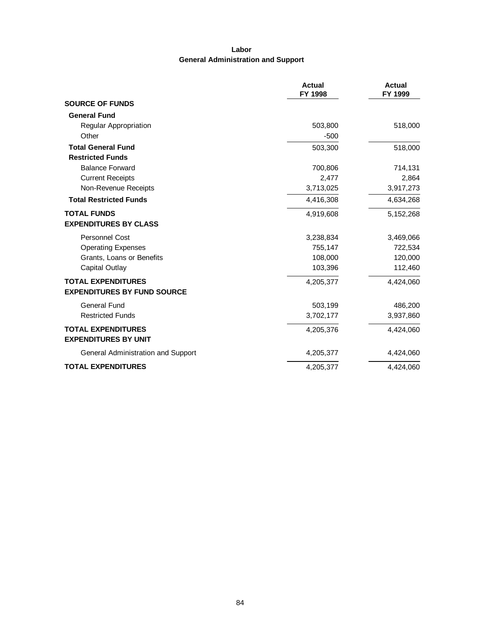# **Labor General Administration and Support**

|                                    | <b>Actual</b><br>FY 1998 | <b>Actual</b><br>FY 1999 |
|------------------------------------|--------------------------|--------------------------|
| <b>SOURCE OF FUNDS</b>             |                          |                          |
| <b>General Fund</b>                |                          |                          |
| Regular Appropriation              | 503,800                  | 518,000                  |
| Other                              | $-500$                   |                          |
| <b>Total General Fund</b>          | 503,300                  | 518,000                  |
| <b>Restricted Funds</b>            |                          |                          |
| <b>Balance Forward</b>             | 700,806                  | 714,131                  |
| <b>Current Receipts</b>            | 2,477                    | 2,864                    |
| Non-Revenue Receipts               | 3,713,025                | 3,917,273                |
| <b>Total Restricted Funds</b>      | 4,416,308                | 4,634,268                |
| <b>TOTAL FUNDS</b>                 | 4,919,608                | 5,152,268                |
| <b>EXPENDITURES BY CLASS</b>       |                          |                          |
| <b>Personnel Cost</b>              | 3,238,834                | 3,469,066                |
| <b>Operating Expenses</b>          | 755,147                  | 722,534                  |
| Grants, Loans or Benefits          | 108,000                  | 120,000                  |
| Capital Outlay                     | 103,396                  | 112,460                  |
| <b>TOTAL EXPENDITURES</b>          | 4,205,377                | 4,424,060                |
| <b>EXPENDITURES BY FUND SOURCE</b> |                          |                          |
| <b>General Fund</b>                | 503,199                  | 486,200                  |
| <b>Restricted Funds</b>            | 3,702,177                | 3,937,860                |
| <b>TOTAL EXPENDITURES</b>          | 4,205,376                | 4,424,060                |
| <b>EXPENDITURES BY UNIT</b>        |                          |                          |
| General Administration and Support | 4,205,377                | 4,424,060                |
| <b>TOTAL EXPENDITURES</b>          | 4,205,377                | 4,424,060                |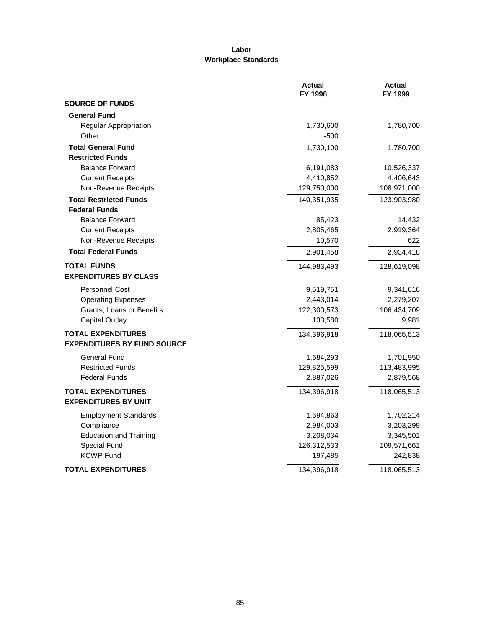### **Labor Workplace Standards**

|                                                                 | <b>Actual</b><br>FY 1998 | <b>Actual</b><br>FY 1999 |
|-----------------------------------------------------------------|--------------------------|--------------------------|
| <b>SOURCE OF FUNDS</b>                                          |                          |                          |
| <b>General Fund</b>                                             |                          |                          |
| Regular Appropriation                                           | 1,730,600                | 1,780,700                |
| Other                                                           | $-500$                   |                          |
| <b>Total General Fund</b>                                       | 1,730,100                | 1,780,700                |
| <b>Restricted Funds</b>                                         |                          |                          |
| <b>Balance Forward</b>                                          | 6,191,083                | 10,526,337               |
| <b>Current Receipts</b>                                         | 4,410,852                | 4,406,643                |
| Non-Revenue Receipts                                            | 129,750,000              | 108,971,000              |
| <b>Total Restricted Funds</b>                                   | 140,351,935              | 123,903,980              |
| <b>Federal Funds</b>                                            |                          |                          |
| <b>Balance Forward</b>                                          | 85,423                   | 14,432                   |
| <b>Current Receipts</b>                                         | 2,805,465                | 2,919,364                |
| Non-Revenue Receipts                                            | 10,570                   | 622                      |
| <b>Total Federal Funds</b>                                      | 2,901,458                | 2,934,418                |
| <b>TOTAL FUNDS</b><br><b>EXPENDITURES BY CLASS</b>              | 144,983,493              | 128,619,098              |
| Personnel Cost                                                  | 9,519,751                | 9,341,616                |
| <b>Operating Expenses</b>                                       | 2,443,014                | 2,279,207                |
| Grants, Loans or Benefits                                       | 122,300,573              | 106,434,709              |
| <b>Capital Outlay</b>                                           | 133,580                  | 9,981                    |
| <b>TOTAL EXPENDITURES</b><br><b>EXPENDITURES BY FUND SOURCE</b> | 134,396,918              | 118,065,513              |
| General Fund                                                    | 1,684,293                | 1,701,950                |
| <b>Restricted Funds</b>                                         | 129,825,599              | 113,483,995              |
| <b>Federal Funds</b>                                            | 2,887,026                | 2,879,568                |
| <b>TOTAL EXPENDITURES</b><br><b>EXPENDITURES BY UNIT</b>        | 134,396,918              | 118,065,513              |
| <b>Employment Standards</b>                                     | 1,694,863                | 1,702,214                |
| Compliance                                                      | 2,984,003                | 3,203,299                |
| <b>Education and Training</b>                                   | 3,208,034                | 3,345,501                |
| Special Fund                                                    | 126,312,533              | 109,571,661              |
| <b>KCWP Fund</b>                                                | 197,485                  | 242,838                  |
| <b>TOTAL EXPENDITURES</b>                                       | 134,396,918              | 118,065,513              |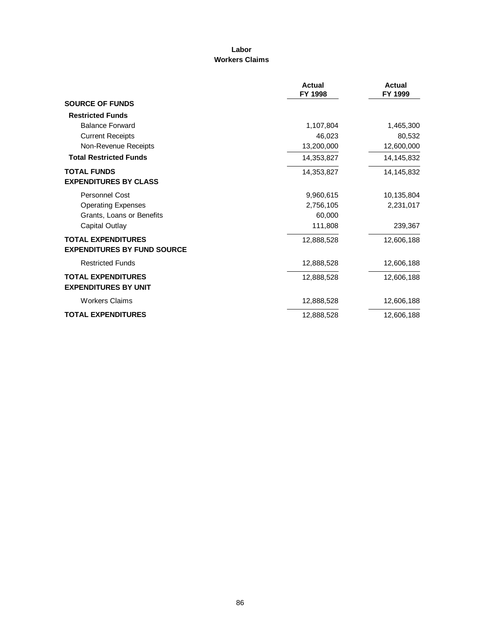### **Labor Workers Claims**

|                                                                 | <b>Actual</b><br>FY 1998 | Actual<br>FY 1999 |
|-----------------------------------------------------------------|--------------------------|-------------------|
| <b>SOURCE OF FUNDS</b>                                          |                          |                   |
| <b>Restricted Funds</b>                                         |                          |                   |
| <b>Balance Forward</b>                                          | 1,107,804                | 1,465,300         |
| <b>Current Receipts</b>                                         | 46,023                   | 80,532            |
| Non-Revenue Receipts                                            | 13,200,000               | 12,600,000        |
| <b>Total Restricted Funds</b>                                   | 14,353,827               | 14,145,832        |
| <b>TOTAL FUNDS</b><br><b>EXPENDITURES BY CLASS</b>              | 14,353,827               | 14,145,832        |
| Personnel Cost                                                  | 9,960,615                | 10,135,804        |
| <b>Operating Expenses</b>                                       | 2,756,105                | 2,231,017         |
| Grants, Loans or Benefits                                       | 60,000                   |                   |
| Capital Outlay                                                  | 111,808                  | 239,367           |
| <b>TOTAL EXPENDITURES</b><br><b>EXPENDITURES BY FUND SOURCE</b> | 12,888,528               | 12,606,188        |
| <b>Restricted Funds</b>                                         | 12,888,528               | 12,606,188        |
| <b>TOTAL EXPENDITURES</b><br><b>EXPENDITURES BY UNIT</b>        | 12,888,528               | 12,606,188        |
| <b>Workers Claims</b>                                           | 12,888,528               | 12,606,188        |
| <b>TOTAL EXPENDITURES</b>                                       | 12,888,528               | 12,606,188        |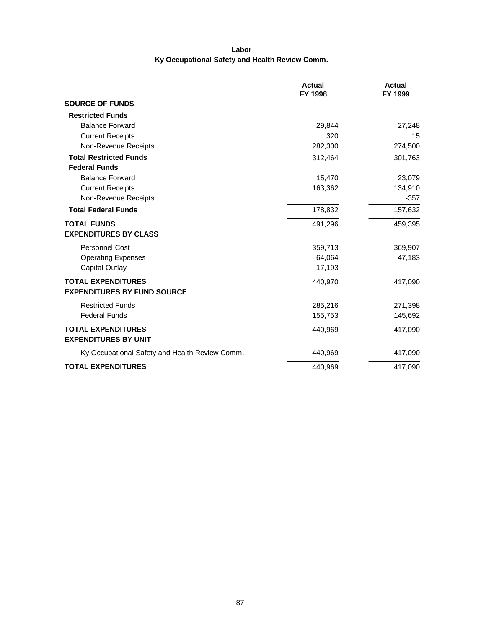# **Labor Ky Occupational Safety and Health Review Comm.**

|                                                | <b>Actual</b><br>FY 1998 | <b>Actual</b><br>FY 1999 |
|------------------------------------------------|--------------------------|--------------------------|
| <b>SOURCE OF FUNDS</b>                         |                          |                          |
| <b>Restricted Funds</b>                        |                          |                          |
| <b>Balance Forward</b>                         | 29,844                   | 27,248                   |
| <b>Current Receipts</b>                        | 320                      | 15                       |
| Non-Revenue Receipts                           | 282,300                  | 274,500                  |
| <b>Total Restricted Funds</b>                  | 312,464                  | 301,763                  |
| <b>Federal Funds</b>                           |                          |                          |
| <b>Balance Forward</b>                         | 15,470                   | 23,079                   |
| <b>Current Receipts</b>                        | 163,362                  | 134,910                  |
| Non-Revenue Receipts                           |                          | $-357$                   |
| <b>Total Federal Funds</b>                     | 178,832                  | 157,632                  |
| <b>TOTAL FUNDS</b>                             | 491,296                  | 459,395                  |
| <b>EXPENDITURES BY CLASS</b>                   |                          |                          |
| <b>Personnel Cost</b>                          | 359,713                  | 369,907                  |
| <b>Operating Expenses</b>                      | 64,064                   | 47,183                   |
| Capital Outlay                                 | 17,193                   |                          |
| <b>TOTAL EXPENDITURES</b>                      | 440,970                  | 417,090                  |
| <b>EXPENDITURES BY FUND SOURCE</b>             |                          |                          |
| <b>Restricted Funds</b>                        | 285,216                  | 271,398                  |
| <b>Federal Funds</b>                           | 155,753                  | 145,692                  |
| <b>TOTAL EXPENDITURES</b>                      | 440,969                  | 417,090                  |
| <b>EXPENDITURES BY UNIT</b>                    |                          |                          |
| Ky Occupational Safety and Health Review Comm. | 440,969                  | 417,090                  |
| <b>TOTAL EXPENDITURES</b>                      | 440,969                  | 417,090                  |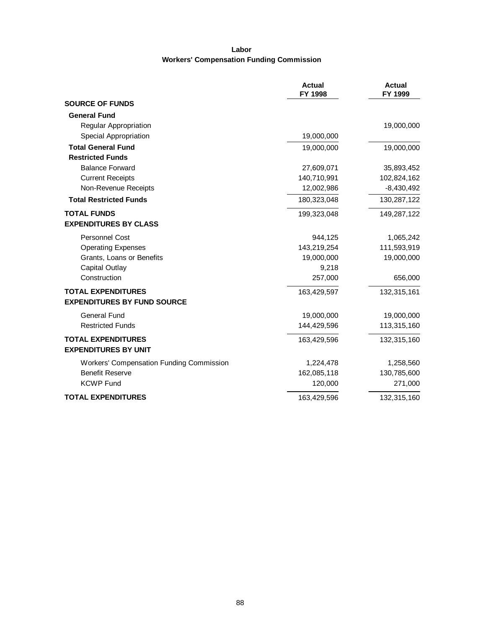# **Labor Workers' Compensation Funding Commission**

|                                                          | <b>Actual</b><br>FY 1998 | <b>Actual</b><br>FY 1999 |
|----------------------------------------------------------|--------------------------|--------------------------|
| <b>SOURCE OF FUNDS</b>                                   |                          |                          |
| <b>General Fund</b>                                      |                          |                          |
| <b>Regular Appropriation</b>                             |                          | 19,000,000               |
| Special Appropriation                                    | 19,000,000               |                          |
| <b>Total General Fund</b>                                | 19,000,000               | 19,000,000               |
| <b>Restricted Funds</b>                                  |                          |                          |
| <b>Balance Forward</b>                                   | 27,609,071               | 35,893,452               |
| <b>Current Receipts</b>                                  | 140,710,991              | 102,824,162              |
| Non-Revenue Receipts                                     | 12,002,986               | $-8,430,492$             |
| <b>Total Restricted Funds</b>                            | 180,323,048              | 130,287,122              |
| <b>TOTAL FUNDS</b>                                       | 199,323,048              | 149,287,122              |
| <b>EXPENDITURES BY CLASS</b>                             |                          |                          |
| <b>Personnel Cost</b>                                    | 944,125                  | 1,065,242                |
| <b>Operating Expenses</b>                                | 143,219,254              | 111,593,919              |
| Grants, Loans or Benefits                                | 19,000,000               | 19,000,000               |
| <b>Capital Outlay</b>                                    | 9,218                    |                          |
| Construction                                             | 257,000                  | 656,000                  |
| <b>TOTAL EXPENDITURES</b>                                | 163,429,597              | 132,315,161              |
| <b>EXPENDITURES BY FUND SOURCE</b>                       |                          |                          |
| <b>General Fund</b>                                      | 19,000,000               | 19,000,000               |
| <b>Restricted Funds</b>                                  | 144,429,596              | 113,315,160              |
| <b>TOTAL EXPENDITURES</b><br><b>EXPENDITURES BY UNIT</b> | 163,429,596              | 132,315,160              |
| Workers' Compensation Funding Commission                 | 1,224,478                | 1,258,560                |
| <b>Benefit Reserve</b>                                   | 162,085,118              | 130,785,600              |
| <b>KCWP Fund</b>                                         | 120,000                  | 271,000                  |
| <b>TOTAL EXPENDITURES</b>                                | 163,429,596              | 132,315,160              |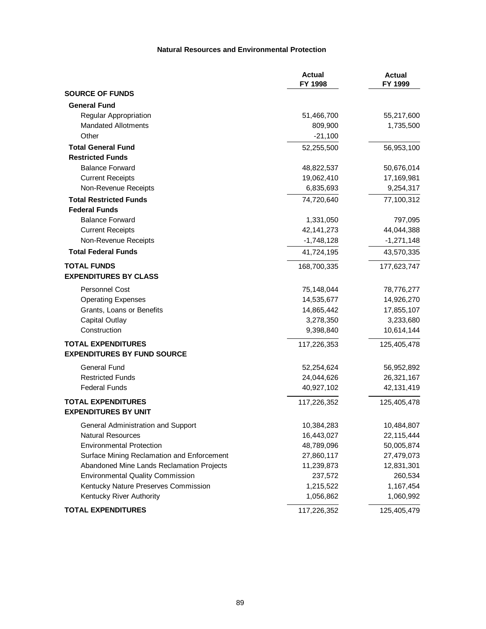#### **Natural Resources and Environmental Protection**

|                                            | <b>Actual</b><br>FY 1998 | <b>Actual</b><br>FY 1999 |
|--------------------------------------------|--------------------------|--------------------------|
| <b>SOURCE OF FUNDS</b>                     |                          |                          |
| <b>General Fund</b>                        |                          |                          |
| Regular Appropriation                      | 51,466,700               | 55,217,600               |
| <b>Mandated Allotments</b>                 | 809,900                  | 1,735,500                |
| Other                                      | $-21,100$                |                          |
| <b>Total General Fund</b>                  | 52,255,500               | 56,953,100               |
| <b>Restricted Funds</b>                    |                          |                          |
| <b>Balance Forward</b>                     | 48,822,537               | 50,676,014               |
| <b>Current Receipts</b>                    | 19,062,410               | 17,169,981               |
| Non-Revenue Receipts                       | 6,835,693                | 9,254,317                |
| <b>Total Restricted Funds</b>              | 74,720,640               | 77,100,312               |
| <b>Federal Funds</b>                       |                          |                          |
| <b>Balance Forward</b>                     | 1,331,050                | 797,095                  |
| <b>Current Receipts</b>                    | 42, 141, 273             | 44,044,388               |
| Non-Revenue Receipts                       | $-1,748,128$             | $-1,271,148$             |
| <b>Total Federal Funds</b>                 | 41,724,195               | 43,570,335               |
| <b>TOTAL FUNDS</b>                         | 168,700,335              | 177,623,747              |
| <b>EXPENDITURES BY CLASS</b>               |                          |                          |
| <b>Personnel Cost</b>                      | 75,148,044               | 78,776,277               |
| <b>Operating Expenses</b>                  | 14,535,677               | 14,926,270               |
| Grants, Loans or Benefits                  | 14,865,442               | 17,855,107               |
| <b>Capital Outlay</b>                      | 3,278,350                | 3,233,680                |
| Construction                               | 9,398,840                | 10,614,144               |
| <b>TOTAL EXPENDITURES</b>                  | 117,226,353              | 125,405,478              |
| <b>EXPENDITURES BY FUND SOURCE</b>         |                          |                          |
| General Fund                               | 52,254,624               | 56,952,892               |
| <b>Restricted Funds</b>                    | 24,044,626               | 26,321,167               |
| <b>Federal Funds</b>                       | 40,927,102               | 42,131,419               |
| <b>TOTAL EXPENDITURES</b>                  | 117,226,352              | 125,405,478              |
| <b>EXPENDITURES BY UNIT</b>                |                          |                          |
| General Administration and Support         | 10,384,283               | 10,484,807               |
| <b>Natural Resources</b>                   | 16,443,027               | 22,115,444               |
| <b>Environmental Protection</b>            | 48,789,096               | 50,005,874               |
| Surface Mining Reclamation and Enforcement | 27,860,117               | 27,479,073               |
| Abandoned Mine Lands Reclamation Projects  | 11,239,873               | 12,831,301               |
| <b>Environmental Quality Commission</b>    | 237,572                  | 260,534                  |
| Kentucky Nature Preserves Commission       | 1,215,522                | 1,167,454                |
| Kentucky River Authority                   | 1,056,862                | 1,060,992                |
| <b>TOTAL EXPENDITURES</b>                  | 117,226,352              | 125,405,479              |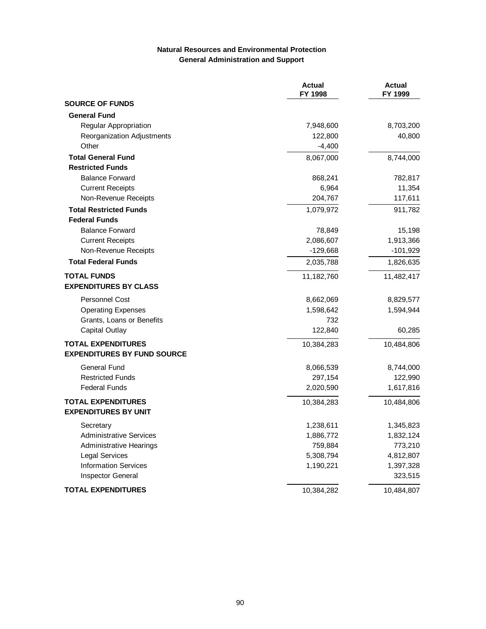### **Natural Resources and Environmental Protection General Administration and Support**

|                                    | <b>Actual</b><br>FY 1998 | <b>Actual</b><br>FY 1999 |
|------------------------------------|--------------------------|--------------------------|
| <b>SOURCE OF FUNDS</b>             |                          |                          |
| <b>General Fund</b>                |                          |                          |
| Regular Appropriation              | 7,948,600                | 8,703,200                |
| Reorganization Adjustments         | 122,800                  | 40,800                   |
| Other                              | $-4,400$                 |                          |
| <b>Total General Fund</b>          | 8,067,000                | 8,744,000                |
| <b>Restricted Funds</b>            |                          |                          |
| <b>Balance Forward</b>             | 868,241                  | 782,817                  |
| <b>Current Receipts</b>            | 6,964                    | 11,354                   |
| Non-Revenue Receipts               | 204,767                  | 117,611                  |
| <b>Total Restricted Funds</b>      | 1,079,972                | 911,782                  |
| <b>Federal Funds</b>               |                          |                          |
| <b>Balance Forward</b>             | 78,849                   | 15,198                   |
| <b>Current Receipts</b>            | 2,086,607                | 1,913,366                |
| Non-Revenue Receipts               | $-129,668$               | $-101,929$               |
| <b>Total Federal Funds</b>         | 2,035,788                | 1,826,635                |
| <b>TOTAL FUNDS</b>                 | 11,182,760               | 11,482,417               |
| <b>EXPENDITURES BY CLASS</b>       |                          |                          |
| <b>Personnel Cost</b>              | 8,662,069                | 8,829,577                |
| <b>Operating Expenses</b>          | 1,598,642                | 1,594,944                |
| Grants, Loans or Benefits          | 732                      |                          |
| <b>Capital Outlay</b>              | 122,840                  | 60,285                   |
| <b>TOTAL EXPENDITURES</b>          | 10,384,283               | 10,484,806               |
| <b>EXPENDITURES BY FUND SOURCE</b> |                          |                          |
| <b>General Fund</b>                | 8,066,539                | 8,744,000                |
| <b>Restricted Funds</b>            | 297,154                  | 122,990                  |
| <b>Federal Funds</b>               | 2,020,590                | 1,617,816                |
| <b>TOTAL EXPENDITURES</b>          | 10,384,283               | 10,484,806               |
| <b>EXPENDITURES BY UNIT</b>        |                          |                          |
| Secretary                          | 1,238,611                | 1,345,823                |
| <b>Administrative Services</b>     | 1,886,772                | 1,832,124                |
| <b>Administrative Hearings</b>     | 759,884                  | 773,210                  |
| Legal Services                     | 5,308,794                | 4,812,807                |
| <b>Information Services</b>        | 1,190,221                | 1,397,328                |
| Inspector General                  |                          | 323,515                  |
| <b>TOTAL EXPENDITURES</b>          | 10,384,282               | 10,484,807               |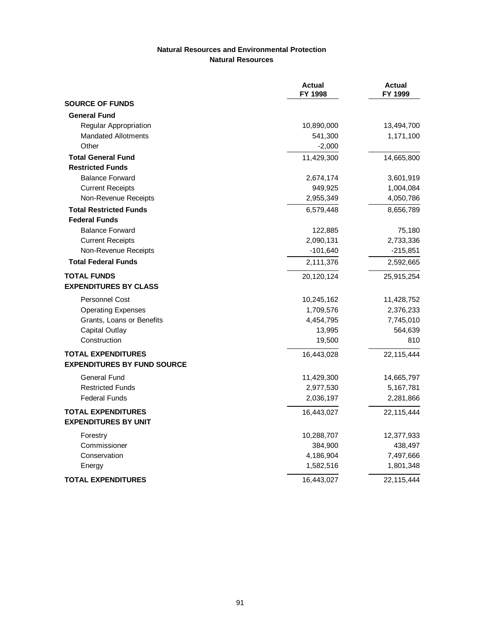#### **Natural Resources and Environmental Protection Natural Resources**

|                                    | <b>Actual</b><br>FY 1998 | <b>Actual</b><br>FY 1999 |
|------------------------------------|--------------------------|--------------------------|
| <b>SOURCE OF FUNDS</b>             |                          |                          |
| <b>General Fund</b>                |                          |                          |
| Regular Appropriation              | 10,890,000               | 13,494,700               |
| <b>Mandated Allotments</b>         | 541,300                  | 1,171,100                |
| Other                              | $-2,000$                 |                          |
| <b>Total General Fund</b>          | 11,429,300               | 14,665,800               |
| <b>Restricted Funds</b>            |                          |                          |
| <b>Balance Forward</b>             | 2,674,174                | 3,601,919                |
| <b>Current Receipts</b>            | 949,925                  | 1,004,084                |
| Non-Revenue Receipts               | 2,955,349                | 4,050,786                |
| <b>Total Restricted Funds</b>      | 6,579,448                | 8,656,789                |
| <b>Federal Funds</b>               |                          |                          |
| <b>Balance Forward</b>             | 122,885                  | 75,180                   |
| <b>Current Receipts</b>            | 2,090,131                | 2,733,336                |
| Non-Revenue Receipts               | $-101,640$               | $-215,851$               |
| <b>Total Federal Funds</b>         | 2,111,376                | 2,592,665                |
| <b>TOTAL FUNDS</b>                 | 20,120,124               | 25,915,254               |
| <b>EXPENDITURES BY CLASS</b>       |                          |                          |
| <b>Personnel Cost</b>              | 10,245,162               | 11,428,752               |
| <b>Operating Expenses</b>          | 1,709,576                | 2,376,233                |
| Grants, Loans or Benefits          | 4,454,795                | 7,745,010                |
| <b>Capital Outlay</b>              | 13,995                   | 564,639                  |
| Construction                       | 19,500                   | 810                      |
| <b>TOTAL EXPENDITURES</b>          | 16,443,028               | 22,115,444               |
| <b>EXPENDITURES BY FUND SOURCE</b> |                          |                          |
| General Fund                       | 11,429,300               | 14,665,797               |
| <b>Restricted Funds</b>            | 2,977,530                | 5,167,781                |
| <b>Federal Funds</b>               | 2,036,197                | 2,281,866                |
| <b>TOTAL EXPENDITURES</b>          | 16,443,027               | 22,115,444               |
| <b>EXPENDITURES BY UNIT</b>        |                          |                          |
| Forestry                           | 10,288,707               | 12,377,933               |
| Commissioner                       | 384,900                  | 438,497                  |
| Conservation                       | 4,186,904                | 7,497,666                |
| Energy                             | 1,582,516                | 1,801,348                |
| <b>TOTAL EXPENDITURES</b>          | 16,443,027               | 22,115,444               |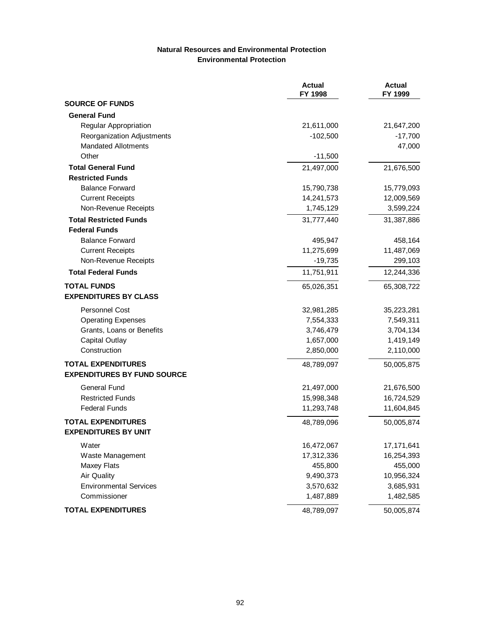### **Natural Resources and Environmental Protection Environmental Protection**

|                                    | <b>Actual</b><br>FY 1998 | <b>Actual</b><br>FY 1999 |
|------------------------------------|--------------------------|--------------------------|
| <b>SOURCE OF FUNDS</b>             |                          |                          |
| <b>General Fund</b>                |                          |                          |
| Regular Appropriation              | 21,611,000               | 21,647,200               |
| Reorganization Adjustments         | $-102,500$               | $-17,700$                |
| <b>Mandated Allotments</b>         |                          | 47,000                   |
| Other                              | $-11,500$                |                          |
| <b>Total General Fund</b>          | 21,497,000               | 21,676,500               |
| <b>Restricted Funds</b>            |                          |                          |
| <b>Balance Forward</b>             | 15,790,738               | 15,779,093               |
| <b>Current Receipts</b>            | 14,241,573               | 12,009,569               |
| Non-Revenue Receipts               | 1,745,129                | 3,599,224                |
| <b>Total Restricted Funds</b>      | 31,777,440               | 31,387,886               |
| <b>Federal Funds</b>               |                          |                          |
| <b>Balance Forward</b>             | 495,947                  | 458,164                  |
| <b>Current Receipts</b>            | 11,275,699               | 11,487,069               |
| Non-Revenue Receipts               | $-19,735$                | 299,103                  |
| <b>Total Federal Funds</b>         | 11,751,911               | 12,244,336               |
| <b>TOTAL FUNDS</b>                 | 65,026,351               | 65,308,722               |
| <b>EXPENDITURES BY CLASS</b>       |                          |                          |
| <b>Personnel Cost</b>              | 32,981,285               | 35,223,281               |
| <b>Operating Expenses</b>          | 7,554,333                | 7,549,311                |
| Grants, Loans or Benefits          | 3,746,479                | 3,704,134                |
| <b>Capital Outlay</b>              | 1,657,000                | 1,419,149                |
| Construction                       | 2,850,000                | 2,110,000                |
| <b>TOTAL EXPENDITURES</b>          | 48,789,097               | 50,005,875               |
| <b>EXPENDITURES BY FUND SOURCE</b> |                          |                          |
| <b>General Fund</b>                | 21,497,000               | 21,676,500               |
| <b>Restricted Funds</b>            | 15,998,348               | 16,724,529               |
| <b>Federal Funds</b>               | 11,293,748               | 11,604,845               |
| <b>TOTAL EXPENDITURES</b>          | 48,789,096               | 50,005,874               |
| <b>EXPENDITURES BY UNIT</b>        |                          |                          |
| Water                              | 16,472,067               | 17,171,641               |
| Waste Management                   | 17,312,336               | 16,254,393               |
| Maxey Flats                        | 455,800                  | 455,000                  |
| <b>Air Quality</b>                 | 9,490,373                | 10,956,324               |
| <b>Environmental Services</b>      | 3,570,632                | 3,685,931                |
| Commissioner                       | 1,487,889                | 1,482,585                |
| <b>TOTAL EXPENDITURES</b>          | 48,789,097               | 50,005,874               |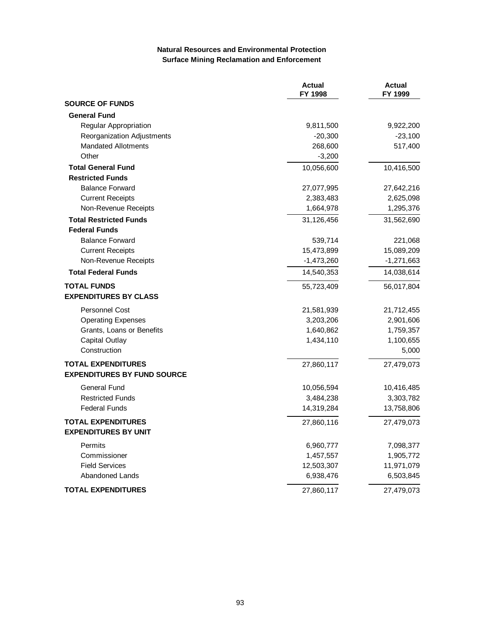### **Natural Resources and Environmental Protection Surface Mining Reclamation and Enforcement**

|                                    | <b>Actual</b><br>FY 1998 | <b>Actual</b><br>FY 1999 |
|------------------------------------|--------------------------|--------------------------|
| <b>SOURCE OF FUNDS</b>             |                          |                          |
| <b>General Fund</b>                |                          |                          |
| Regular Appropriation              | 9,811,500                | 9,922,200                |
| Reorganization Adjustments         | $-20,300$                | $-23,100$                |
| <b>Mandated Allotments</b>         | 268,600                  | 517,400                  |
| Other                              | $-3,200$                 |                          |
| <b>Total General Fund</b>          | 10,056,600               | 10,416,500               |
| <b>Restricted Funds</b>            |                          |                          |
| <b>Balance Forward</b>             | 27,077,995               | 27,642,216               |
| <b>Current Receipts</b>            | 2,383,483                | 2,625,098                |
| Non-Revenue Receipts               | 1,664,978                | 1,295,376                |
| <b>Total Restricted Funds</b>      | 31,126,456               | 31,562,690               |
| <b>Federal Funds</b>               |                          |                          |
| <b>Balance Forward</b>             | 539,714                  | 221,068                  |
| <b>Current Receipts</b>            | 15,473,899               | 15,089,209               |
| Non-Revenue Receipts               | $-1,473,260$             | $-1,271,663$             |
| <b>Total Federal Funds</b>         | 14,540,353               | 14,038,614               |
| <b>TOTAL FUNDS</b>                 | 55,723,409               | 56,017,804               |
| <b>EXPENDITURES BY CLASS</b>       |                          |                          |
| <b>Personnel Cost</b>              | 21,581,939               | 21,712,455               |
| <b>Operating Expenses</b>          | 3,203,206                | 2,901,606                |
| Grants, Loans or Benefits          | 1,640,862                | 1,759,357                |
| <b>Capital Outlay</b>              | 1,434,110                | 1,100,655                |
| Construction                       |                          | 5,000                    |
| <b>TOTAL EXPENDITURES</b>          | 27,860,117               | 27,479,073               |
| <b>EXPENDITURES BY FUND SOURCE</b> |                          |                          |
| <b>General Fund</b>                | 10,056,594               | 10,416,485               |
| <b>Restricted Funds</b>            | 3,484,238                | 3,303,782                |
| <b>Federal Funds</b>               | 14,319,284               | 13,758,806               |
| <b>TOTAL EXPENDITURES</b>          | 27,860,116               | 27,479,073               |
| <b>EXPENDITURES BY UNIT</b>        |                          |                          |
| Permits                            | 6,960,777                | 7,098,377                |
| Commissioner                       | 1,457,557                | 1,905,772                |
| <b>Field Services</b>              | 12,503,307               | 11,971,079               |
| Abandoned Lands                    | 6,938,476                | 6,503,845                |
| <b>TOTAL EXPENDITURES</b>          | 27,860,117               | 27,479,073               |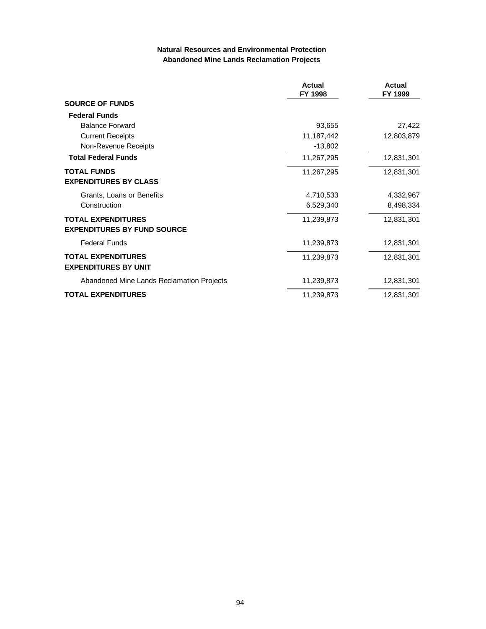### **Natural Resources and Environmental Protection Abandoned Mine Lands Reclamation Projects**

|                                           | <b>Actual</b><br>FY 1998 | <b>Actual</b><br>FY 1999 |
|-------------------------------------------|--------------------------|--------------------------|
| <b>SOURCE OF FUNDS</b>                    |                          |                          |
| <b>Federal Funds</b>                      |                          |                          |
| <b>Balance Forward</b>                    | 93,655                   | 27,422                   |
| <b>Current Receipts</b>                   | 11,187,442               | 12,803,879               |
| Non-Revenue Receipts                      | $-13,802$                |                          |
| <b>Total Federal Funds</b>                | 11,267,295               | 12,831,301               |
| <b>TOTAL FUNDS</b>                        | 11,267,295               | 12,831,301               |
| <b>EXPENDITURES BY CLASS</b>              |                          |                          |
| Grants, Loans or Benefits                 | 4,710,533                | 4,332,967                |
| Construction                              | 6,529,340                | 8,498,334                |
| <b>TOTAL EXPENDITURES</b>                 | 11,239,873               | 12,831,301               |
| <b>EXPENDITURES BY FUND SOURCE</b>        |                          |                          |
| <b>Federal Funds</b>                      | 11,239,873               | 12,831,301               |
| <b>TOTAL EXPENDITURES</b>                 | 11,239,873               | 12,831,301               |
| <b>EXPENDITURES BY UNIT</b>               |                          |                          |
| Abandoned Mine Lands Reclamation Projects | 11,239,873               | 12,831,301               |
| <b>TOTAL EXPENDITURES</b>                 | 11,239,873               | 12,831,301               |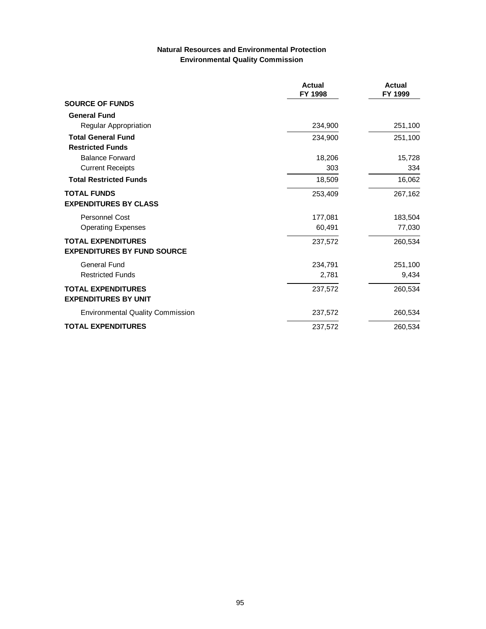# **Natural Resources and Environmental Protection Environmental Quality Commission**

|                                                          | Actual<br>FY 1998 | Actual<br>FY 1999 |
|----------------------------------------------------------|-------------------|-------------------|
| <b>SOURCE OF FUNDS</b>                                   |                   |                   |
| <b>General Fund</b>                                      |                   |                   |
| Regular Appropriation                                    | 234,900           | 251,100           |
| <b>Total General Fund</b>                                | 234,900           | 251,100           |
| <b>Restricted Funds</b>                                  |                   |                   |
| <b>Balance Forward</b>                                   | 18,206            | 15,728            |
| <b>Current Receipts</b>                                  | 303               | 334               |
| <b>Total Restricted Funds</b>                            | 18,509            | 16,062            |
| <b>TOTAL FUNDS</b>                                       | 253,409           | 267,162           |
| <b>EXPENDITURES BY CLASS</b>                             |                   |                   |
| <b>Personnel Cost</b>                                    | 177,081           | 183,504           |
| <b>Operating Expenses</b>                                | 60.491            | 77,030            |
| <b>TOTAL EXPENDITURES</b>                                | 237,572           | 260,534           |
| <b>EXPENDITURES BY FUND SOURCE</b>                       |                   |                   |
| <b>General Fund</b>                                      | 234,791           | 251,100           |
| <b>Restricted Funds</b>                                  | 2,781             | 9,434             |
| <b>TOTAL EXPENDITURES</b><br><b>EXPENDITURES BY UNIT</b> | 237,572           | 260,534           |
| <b>Environmental Quality Commission</b>                  | 237,572           | 260,534           |
| <b>TOTAL EXPENDITURES</b>                                | 237,572           | 260,534           |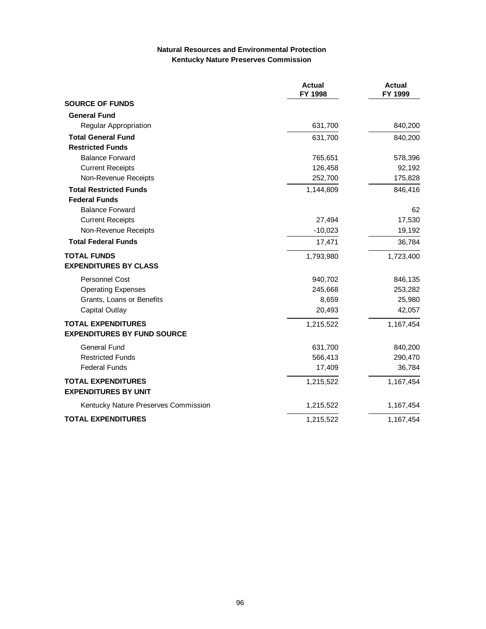### **Natural Resources and Environmental Protection Kentucky Nature Preserves Commission**

|                                                          | <b>Actual</b><br>FY 1998 | <b>Actual</b><br>FY 1999 |
|----------------------------------------------------------|--------------------------|--------------------------|
| <b>SOURCE OF FUNDS</b>                                   |                          |                          |
| <b>General Fund</b>                                      |                          |                          |
| Regular Appropriation                                    | 631,700                  | 840,200                  |
| <b>Total General Fund</b>                                | 631,700                  | 840,200                  |
| <b>Restricted Funds</b>                                  |                          |                          |
| <b>Balance Forward</b>                                   | 765,651                  | 578,396                  |
| <b>Current Receipts</b>                                  | 126,458                  | 92,192                   |
| Non-Revenue Receipts                                     | 252,700                  | 175,828                  |
| <b>Total Restricted Funds</b>                            | 1,144,809                | 846,416                  |
| <b>Federal Funds</b>                                     |                          |                          |
| <b>Balance Forward</b>                                   |                          | 62                       |
| <b>Current Receipts</b>                                  | 27,494                   | 17,530                   |
| Non-Revenue Receipts                                     | $-10,023$                | 19,192                   |
| <b>Total Federal Funds</b>                               | 17,471                   | 36,784                   |
| <b>TOTAL FUNDS</b>                                       | 1,793,980                | 1,723,400                |
| <b>EXPENDITURES BY CLASS</b>                             |                          |                          |
| <b>Personnel Cost</b>                                    | 940,702                  | 846,135                  |
| <b>Operating Expenses</b>                                | 245,668                  | 253,282                  |
| Grants, Loans or Benefits                                | 8,659                    | 25,980                   |
| Capital Outlay                                           | 20,493                   | 42,057                   |
| <b>TOTAL EXPENDITURES</b>                                | 1,215,522                | 1,167,454                |
| <b>EXPENDITURES BY FUND SOURCE</b>                       |                          |                          |
| <b>General Fund</b>                                      | 631,700                  | 840,200                  |
| <b>Restricted Funds</b>                                  | 566,413                  | 290,470                  |
| <b>Federal Funds</b>                                     | 17,409                   | 36,784                   |
| <b>TOTAL EXPENDITURES</b><br><b>EXPENDITURES BY UNIT</b> | 1,215,522                | 1,167,454                |
| Kentucky Nature Preserves Commission                     | 1,215,522                | 1,167,454                |
| <b>TOTAL EXPENDITURES</b>                                | 1,215,522                | 1,167,454                |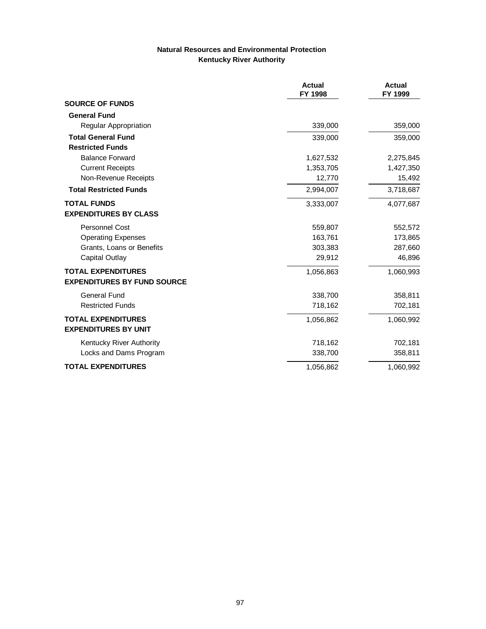## **Natural Resources and Environmental Protection Kentucky River Authority**

|                                                                 | <b>Actual</b><br>FY 1998 | <b>Actual</b><br>FY 1999 |
|-----------------------------------------------------------------|--------------------------|--------------------------|
| <b>SOURCE OF FUNDS</b>                                          |                          |                          |
| <b>General Fund</b>                                             |                          |                          |
| <b>Regular Appropriation</b>                                    | 339,000                  | 359,000                  |
| <b>Total General Fund</b>                                       | 339,000                  | 359,000                  |
| <b>Restricted Funds</b>                                         |                          |                          |
| <b>Balance Forward</b>                                          | 1,627,532                | 2,275,845                |
| <b>Current Receipts</b>                                         | 1,353,705                | 1,427,350                |
| Non-Revenue Receipts                                            | 12,770                   | 15,492                   |
| <b>Total Restricted Funds</b>                                   | 2,994,007                | 3,718,687                |
| <b>TOTAL FUNDS</b>                                              | 3,333,007                | 4,077,687                |
| <b>EXPENDITURES BY CLASS</b>                                    |                          |                          |
| <b>Personnel Cost</b>                                           | 559,807                  | 552,572                  |
| <b>Operating Expenses</b>                                       | 163,761                  | 173,865                  |
| Grants, Loans or Benefits                                       | 303,383                  | 287,660                  |
| Capital Outlay                                                  | 29,912                   | 46,896                   |
| <b>TOTAL EXPENDITURES</b><br><b>EXPENDITURES BY FUND SOURCE</b> | 1,056,863                | 1,060,993                |
| <b>General Fund</b>                                             | 338,700                  | 358,811                  |
| <b>Restricted Funds</b>                                         | 718,162                  | 702,181                  |
| <b>TOTAL EXPENDITURES</b>                                       | 1,056,862                | 1,060,992                |
| <b>EXPENDITURES BY UNIT</b>                                     |                          |                          |
| Kentucky River Authority                                        | 718,162                  | 702,181                  |
| Locks and Dams Program                                          | 338,700                  | 358,811                  |
| <b>TOTAL EXPENDITURES</b>                                       | 1,056,862                | 1,060,992                |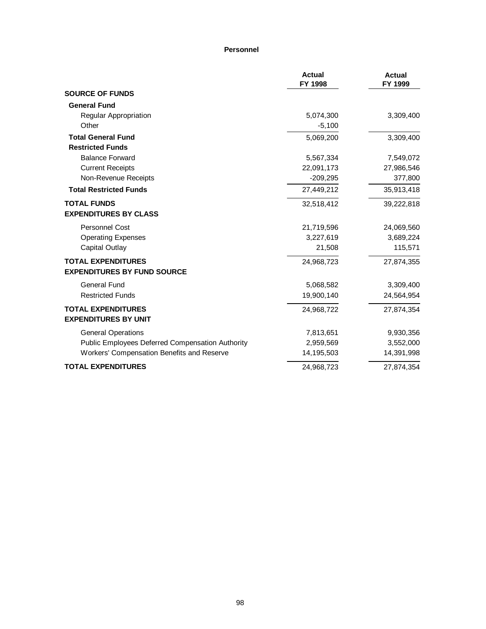#### **Personnel**

|                                                                 | <b>Actual</b><br>FY 1998 | <b>Actual</b><br>FY 1999 |
|-----------------------------------------------------------------|--------------------------|--------------------------|
| <b>SOURCE OF FUNDS</b>                                          |                          |                          |
| <b>General Fund</b>                                             |                          |                          |
| Regular Appropriation                                           | 5,074,300                | 3,309,400                |
| Other                                                           | $-5,100$                 |                          |
| <b>Total General Fund</b>                                       | 5,069,200                | 3,309,400                |
| <b>Restricted Funds</b>                                         |                          |                          |
| <b>Balance Forward</b>                                          | 5,567,334                | 7,549,072                |
| <b>Current Receipts</b>                                         | 22,091,173               | 27,986,546               |
| Non-Revenue Receipts                                            | $-209,295$               | 377,800                  |
| <b>Total Restricted Funds</b>                                   | 27,449,212               | 35,913,418               |
| <b>TOTAL FUNDS</b><br><b>EXPENDITURES BY CLASS</b>              | 32,518,412               | 39,222,818               |
| <b>Personnel Cost</b>                                           | 21,719,596               | 24,069,560               |
| <b>Operating Expenses</b>                                       | 3,227,619                | 3,689,224                |
| Capital Outlay                                                  | 21,508                   | 115,571                  |
| <b>TOTAL EXPENDITURES</b><br><b>EXPENDITURES BY FUND SOURCE</b> | 24,968,723               | 27,874,355               |
| <b>General Fund</b>                                             | 5,068,582                | 3,309,400                |
| <b>Restricted Funds</b>                                         | 19,900,140               | 24,564,954               |
| <b>TOTAL EXPENDITURES</b><br><b>EXPENDITURES BY UNIT</b>        | 24,968,722               | 27,874,354               |
| <b>General Operations</b>                                       | 7,813,651                | 9,930,356                |
| Public Employees Deferred Compensation Authority                | 2,959,569                | 3,552,000                |
| Workers' Compensation Benefits and Reserve                      | 14,195,503               | 14,391,998               |
| <b>TOTAL EXPENDITURES</b>                                       | 24,968,723               | 27,874,354               |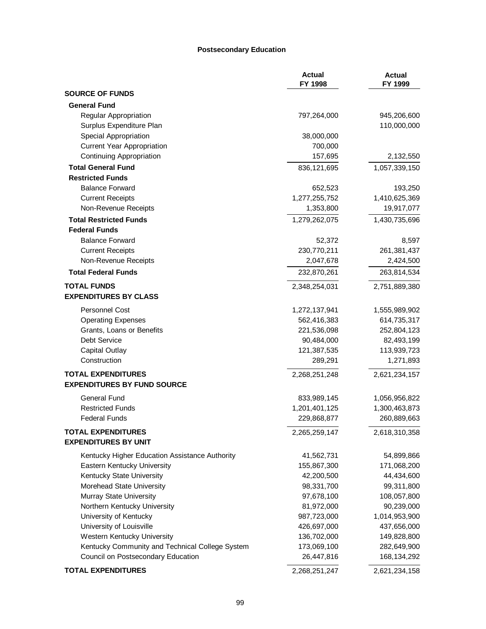#### **Postsecondary Education**

|                                                          | <b>Actual</b><br>FY 1998 | <b>Actual</b><br>FY 1999 |
|----------------------------------------------------------|--------------------------|--------------------------|
| <b>SOURCE OF FUNDS</b>                                   |                          |                          |
| <b>General Fund</b>                                      |                          |                          |
| Regular Appropriation                                    | 797,264,000              | 945,206,600              |
| Surplus Expenditure Plan                                 |                          | 110,000,000              |
| Special Appropriation                                    | 38,000,000               |                          |
| <b>Current Year Appropriation</b>                        | 700,000                  |                          |
| <b>Continuing Appropriation</b>                          | 157,695                  | 2,132,550                |
| <b>Total General Fund</b>                                | 836,121,695              | 1,057,339,150            |
| <b>Restricted Funds</b>                                  |                          |                          |
| <b>Balance Forward</b>                                   | 652,523                  | 193,250                  |
| <b>Current Receipts</b>                                  | 1,277,255,752            | 1,410,625,369            |
| Non-Revenue Receipts                                     | 1,353,800                | 19,917,077               |
| <b>Total Restricted Funds</b>                            | 1,279,262,075            | 1,430,735,696            |
| <b>Federal Funds</b>                                     |                          |                          |
| <b>Balance Forward</b>                                   | 52,372                   | 8,597                    |
| <b>Current Receipts</b>                                  | 230,770,211              | 261,381,437              |
| Non-Revenue Receipts                                     | 2,047,678                | 2,424,500                |
| <b>Total Federal Funds</b>                               | 232,870,261              | 263,814,534              |
| <b>TOTAL FUNDS</b>                                       | 2,348,254,031            | 2,751,889,380            |
| <b>EXPENDITURES BY CLASS</b>                             |                          |                          |
| <b>Personnel Cost</b>                                    | 1,272,137,941            | 1,555,989,902            |
| <b>Operating Expenses</b>                                | 562,416,383              | 614,735,317              |
| Grants, Loans or Benefits                                | 221,536,098              | 252,804,123              |
| Debt Service                                             | 90,484,000               | 82,493,199               |
| <b>Capital Outlay</b>                                    | 121,387,535              | 113,939,723              |
| Construction                                             | 289,291                  | 1,271,893                |
| <b>TOTAL EXPENDITURES</b>                                | 2,268,251,248            | 2,621,234,157            |
| <b>EXPENDITURES BY FUND SOURCE</b>                       |                          |                          |
| General Fund                                             | 833,989,145              | 1,056,956,822            |
| <b>Restricted Funds</b>                                  | 1,201,401,125            | 1,300,463,873            |
| <b>Federal Funds</b>                                     | 229,868,877              | 260,889,663              |
| <b>TOTAL EXPENDITURES</b><br><b>EXPENDITURES BY UNIT</b> | 2,265,259,147            | 2,618,310,358            |
| Kentucky Higher Education Assistance Authority           | 41,562,731               | 54,899,866               |
| Eastern Kentucky University                              | 155,867,300              | 171,068,200              |
| Kentucky State University                                | 42,200,500               | 44,434,600               |
| Morehead State University                                | 98,331,700               | 99,311,800               |
| Murray State University                                  | 97,678,100               | 108,057,800              |
| Northern Kentucky University                             | 81,972,000               | 90,239,000               |
| University of Kentucky                                   | 987,723,000              | 1,014,953,900            |
| University of Louisville                                 | 426,697,000              | 437,656,000              |
| Western Kentucky University                              | 136,702,000              | 149,828,800              |
| Kentucky Community and Technical College System          | 173,069,100              | 282,649,900              |
| Council on Postsecondary Education                       | 26,447,816               | 168,134,292              |
| <b>TOTAL EXPENDITURES</b>                                | 2,268,251,247            | 2,621,234,158            |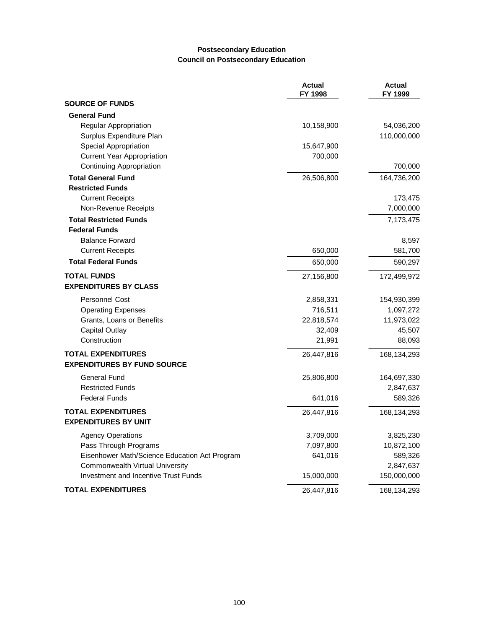### **Postsecondary Education Council on Postsecondary Education**

|                                               | <b>Actual</b><br>FY 1998 | <b>Actual</b><br>FY 1999 |
|-----------------------------------------------|--------------------------|--------------------------|
| <b>SOURCE OF FUNDS</b>                        |                          |                          |
| <b>General Fund</b>                           |                          |                          |
| Regular Appropriation                         | 10,158,900               | 54,036,200               |
| Surplus Expenditure Plan                      |                          | 110,000,000              |
| Special Appropriation                         | 15,647,900               |                          |
| <b>Current Year Appropriation</b>             | 700,000                  |                          |
| <b>Continuing Appropriation</b>               |                          | 700,000                  |
| <b>Total General Fund</b>                     | 26,506,800               | 164,736,200              |
| <b>Restricted Funds</b>                       |                          |                          |
| <b>Current Receipts</b>                       |                          | 173,475                  |
| Non-Revenue Receipts                          |                          | 7,000,000                |
| <b>Total Restricted Funds</b>                 |                          | 7,173,475                |
| <b>Federal Funds</b>                          |                          |                          |
| <b>Balance Forward</b>                        |                          | 8,597                    |
| <b>Current Receipts</b>                       | 650,000                  | 581,700                  |
| <b>Total Federal Funds</b>                    | 650,000                  | 590,297                  |
| <b>TOTAL FUNDS</b>                            | 27,156,800               | 172,499,972              |
| <b>EXPENDITURES BY CLASS</b>                  |                          |                          |
| <b>Personnel Cost</b>                         | 2,858,331                | 154,930,399              |
| <b>Operating Expenses</b>                     | 716,511                  | 1,097,272                |
| Grants, Loans or Benefits                     | 22,818,574               | 11,973,022               |
| <b>Capital Outlay</b>                         | 32,409                   | 45,507                   |
| Construction                                  | 21,991                   | 88,093                   |
| <b>TOTAL EXPENDITURES</b>                     | 26,447,816               | 168,134,293              |
| <b>EXPENDITURES BY FUND SOURCE</b>            |                          |                          |
| <b>General Fund</b>                           | 25,806,800               | 164,697,330              |
| <b>Restricted Funds</b>                       |                          | 2,847,637                |
| <b>Federal Funds</b>                          | 641,016                  | 589,326                  |
| <b>TOTAL EXPENDITURES</b>                     | 26,447,816               | 168,134,293              |
| <b>EXPENDITURES BY UNIT</b>                   |                          |                          |
| <b>Agency Operations</b>                      | 3,709,000                | 3,825,230                |
| Pass Through Programs                         | 7,097,800                | 10,872,100               |
| Eisenhower Math/Science Education Act Program | 641,016                  | 589,326                  |
| Commonwealth Virtual University               |                          | 2,847,637                |
| Investment and Incentive Trust Funds          | 15,000,000               | 150,000,000              |
| <b>TOTAL EXPENDITURES</b>                     | 26,447,816               | 168,134,293              |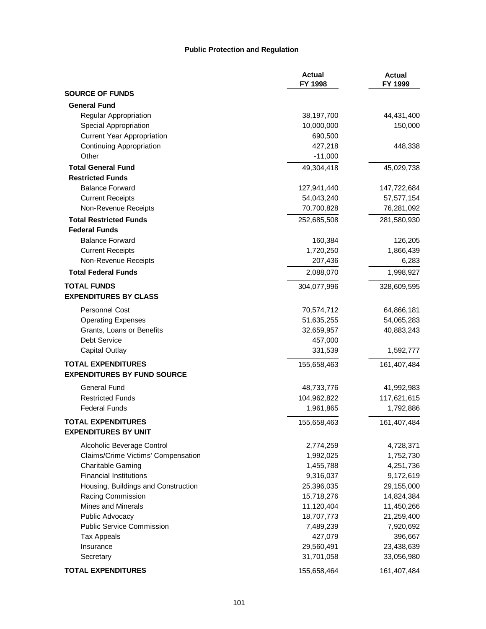#### **Public Protection and Regulation**

|                                     | <b>Actual</b><br>FY 1998 | <b>Actual</b><br>FY 1999 |
|-------------------------------------|--------------------------|--------------------------|
| <b>SOURCE OF FUNDS</b>              |                          |                          |
| <b>General Fund</b>                 |                          |                          |
| Regular Appropriation               | 38,197,700               | 44,431,400               |
| Special Appropriation               | 10,000,000               | 150,000                  |
| <b>Current Year Appropriation</b>   | 690,500                  |                          |
| Continuing Appropriation            | 427,218                  | 448,338                  |
| Other                               | $-11,000$                |                          |
| <b>Total General Fund</b>           | 49,304,418               | 45,029,738               |
| <b>Restricted Funds</b>             |                          |                          |
| <b>Balance Forward</b>              | 127,941,440              | 147,722,684              |
| <b>Current Receipts</b>             | 54,043,240               | 57,577,154               |
| Non-Revenue Receipts                | 70,700,828               | 76,281,092               |
| <b>Total Restricted Funds</b>       | 252,685,508              | 281,580,930              |
| <b>Federal Funds</b>                |                          |                          |
| <b>Balance Forward</b>              | 160,384                  | 126,205                  |
| <b>Current Receipts</b>             | 1,720,250                | 1,866,439                |
| Non-Revenue Receipts                | 207,436                  | 6,283                    |
| <b>Total Federal Funds</b>          | 2,088,070                | 1,998,927                |
| <b>TOTAL FUNDS</b>                  | 304,077,996              | 328,609,595              |
| <b>EXPENDITURES BY CLASS</b>        |                          |                          |
| <b>Personnel Cost</b>               | 70,574,712               | 64,866,181               |
| <b>Operating Expenses</b>           | 51,635,255               | 54,065,283               |
| Grants, Loans or Benefits           | 32,659,957               | 40,883,243               |
| Debt Service                        | 457,000                  |                          |
| Capital Outlay                      | 331,539                  | 1,592,777                |
| <b>TOTAL EXPENDITURES</b>           | 155,658,463              | 161,407,484              |
| <b>EXPENDITURES BY FUND SOURCE</b>  |                          |                          |
| <b>General Fund</b>                 | 48,733,776               | 41,992,983               |
| <b>Restricted Funds</b>             | 104,962,822              | 117,621,615              |
| <b>Federal Funds</b>                | 1,961,865                | 1,792,886                |
| <b>TOTAL EXPENDITURES</b>           | 155,658,463              | 161,407,484              |
| <b>EXPENDITURES BY UNIT</b>         |                          |                          |
| Alcoholic Beverage Control          | 2,774,259                | 4,728,371                |
| Claims/Crime Victims' Compensation  | 1,992,025                | 1,752,730                |
| <b>Charitable Gaming</b>            | 1,455,788                | 4,251,736                |
| <b>Financial Institutions</b>       | 9,316,037                | 9,172,619                |
| Housing, Buildings and Construction | 25,396,035               | 29,155,000               |
| Racing Commission                   | 15,718,276               | 14,824,384               |
| Mines and Minerals                  | 11,120,404               | 11,450,266               |
| Public Advocacy                     | 18,707,773               | 21,259,400               |
| <b>Public Service Commission</b>    | 7,489,239                | 7,920,692                |
| <b>Tax Appeals</b>                  | 427,079                  | 396,667                  |
| Insurance                           | 29,560,491               | 23,438,639               |
| Secretary                           | 31,701,058               | 33,056,980               |
| <b>TOTAL EXPENDITURES</b>           | 155,658,464              | 161,407,484              |
|                                     |                          |                          |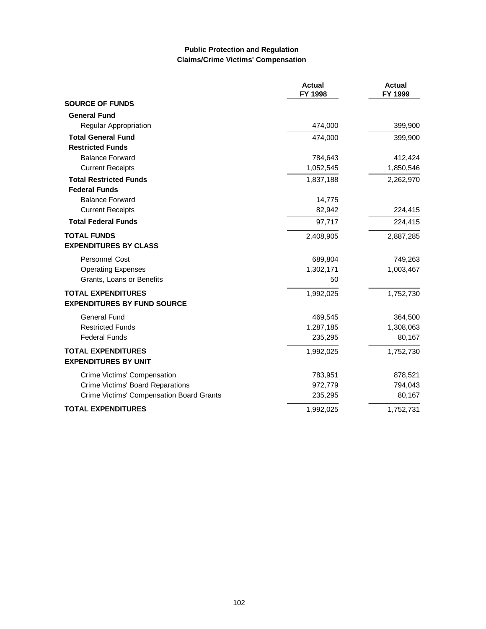# **Public Protection and Regulation Claims/Crime Victims' Compensation**

|                                          | <b>Actual</b><br>FY 1998 | <b>Actual</b><br>FY 1999 |
|------------------------------------------|--------------------------|--------------------------|
| <b>SOURCE OF FUNDS</b>                   |                          |                          |
| <b>General Fund</b>                      |                          |                          |
| Regular Appropriation                    | 474,000                  | 399,900                  |
| <b>Total General Fund</b>                | 474,000                  | 399,900                  |
| <b>Restricted Funds</b>                  |                          |                          |
| <b>Balance Forward</b>                   | 784,643                  | 412,424                  |
| <b>Current Receipts</b>                  | 1,052,545                | 1,850,546                |
| <b>Total Restricted Funds</b>            | 1,837,188                | 2,262,970                |
| <b>Federal Funds</b>                     |                          |                          |
| <b>Balance Forward</b>                   | 14,775                   |                          |
| <b>Current Receipts</b>                  | 82,942                   | 224,415                  |
| <b>Total Federal Funds</b>               | 97,717                   | 224,415                  |
| <b>TOTAL FUNDS</b>                       | 2,408,905                | 2,887,285                |
| <b>EXPENDITURES BY CLASS</b>             |                          |                          |
| <b>Personnel Cost</b>                    | 689,804                  | 749,263                  |
| <b>Operating Expenses</b>                | 1,302,171                | 1,003,467                |
| Grants, Loans or Benefits                | 50                       |                          |
| <b>TOTAL EXPENDITURES</b>                | 1,992,025                | 1,752,730                |
| <b>EXPENDITURES BY FUND SOURCE</b>       |                          |                          |
| General Fund                             | 469,545                  | 364,500                  |
| <b>Restricted Funds</b>                  | 1,287,185                | 1,308,063                |
| <b>Federal Funds</b>                     | 235,295                  | 80,167                   |
| <b>TOTAL EXPENDITURES</b>                | 1,992,025                | 1,752,730                |
| <b>EXPENDITURES BY UNIT</b>              |                          |                          |
| Crime Victims' Compensation              | 783,951                  | 878,521                  |
| Crime Victims' Board Reparations         | 972,779                  | 794,043                  |
| Crime Victims' Compensation Board Grants | 235,295                  | 80,167                   |
| <b>TOTAL EXPENDITURES</b>                | 1,992,025                | 1,752,731                |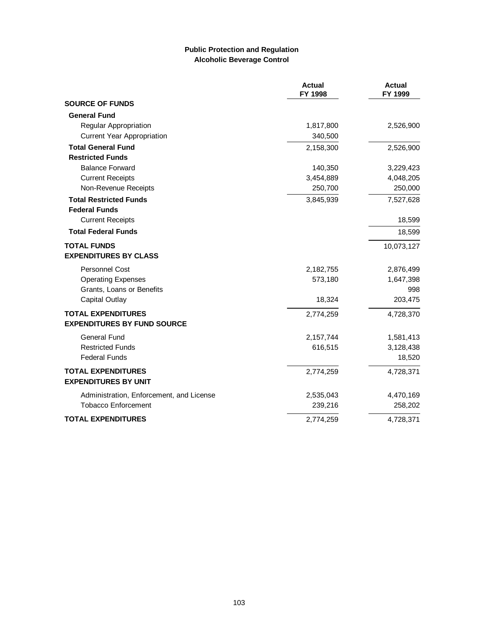### **Public Protection and Regulation Alcoholic Beverage Control**

|                                          | <b>Actual</b><br>FY 1998 | <b>Actual</b><br>FY 1999 |
|------------------------------------------|--------------------------|--------------------------|
| <b>SOURCE OF FUNDS</b>                   |                          |                          |
| <b>General Fund</b>                      |                          |                          |
| Regular Appropriation                    | 1,817,800                | 2,526,900                |
| <b>Current Year Appropriation</b>        | 340,500                  |                          |
| <b>Total General Fund</b>                | 2,158,300                | 2,526,900                |
| <b>Restricted Funds</b>                  |                          |                          |
| <b>Balance Forward</b>                   | 140,350                  | 3,229,423                |
| <b>Current Receipts</b>                  | 3,454,889                | 4,048,205                |
| Non-Revenue Receipts                     | 250,700                  | 250,000                  |
| <b>Total Restricted Funds</b>            | 3,845,939                | 7,527,628                |
| <b>Federal Funds</b>                     |                          |                          |
| <b>Current Receipts</b>                  |                          | 18,599                   |
| <b>Total Federal Funds</b>               |                          | 18,599                   |
| <b>TOTAL FUNDS</b>                       |                          | 10,073,127               |
| <b>EXPENDITURES BY CLASS</b>             |                          |                          |
| <b>Personnel Cost</b>                    | 2,182,755                | 2,876,499                |
| <b>Operating Expenses</b>                | 573,180                  | 1,647,398                |
| Grants, Loans or Benefits                |                          | 998                      |
| <b>Capital Outlay</b>                    | 18,324                   | 203,475                  |
| <b>TOTAL EXPENDITURES</b>                | 2,774,259                | 4,728,370                |
| <b>EXPENDITURES BY FUND SOURCE</b>       |                          |                          |
| <b>General Fund</b>                      | 2,157,744                | 1,581,413                |
| <b>Restricted Funds</b>                  | 616,515                  | 3,128,438                |
| <b>Federal Funds</b>                     |                          | 18,520                   |
| <b>TOTAL EXPENDITURES</b>                | 2,774,259                | 4,728,371                |
| <b>EXPENDITURES BY UNIT</b>              |                          |                          |
| Administration, Enforcement, and License | 2,535,043                | 4,470,169                |
| <b>Tobacco Enforcement</b>               | 239,216                  | 258,202                  |
| <b>TOTAL EXPENDITURES</b>                | 2,774,259                | 4,728,371                |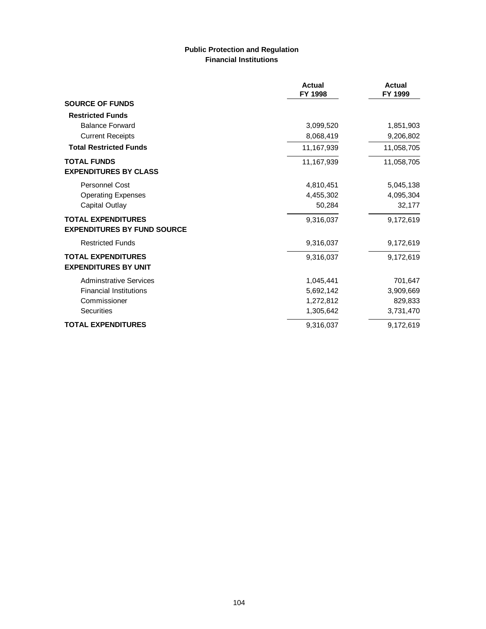# **Public Protection and Regulation Financial Institutions**

|                                    | Actual<br>FY 1998 | Actual<br>FY 1999 |
|------------------------------------|-------------------|-------------------|
| <b>SOURCE OF FUNDS</b>             |                   |                   |
| <b>Restricted Funds</b>            |                   |                   |
| <b>Balance Forward</b>             | 3,099,520         | 1,851,903         |
| <b>Current Receipts</b>            | 8,068,419         | 9,206,802         |
| <b>Total Restricted Funds</b>      | 11,167,939        | 11,058,705        |
| <b>TOTAL FUNDS</b>                 | 11,167,939        | 11,058,705        |
| <b>EXPENDITURES BY CLASS</b>       |                   |                   |
| <b>Personnel Cost</b>              | 4,810,451         | 5,045,138         |
| <b>Operating Expenses</b>          | 4,455,302         | 4,095,304         |
| <b>Capital Outlay</b>              | 50,284            | 32,177            |
| <b>TOTAL EXPENDITURES</b>          | 9,316,037         | 9,172,619         |
| <b>EXPENDITURES BY FUND SOURCE</b> |                   |                   |
| <b>Restricted Funds</b>            | 9,316,037         | 9,172,619         |
| <b>TOTAL EXPENDITURES</b>          | 9,316,037         | 9,172,619         |
| <b>EXPENDITURES BY UNIT</b>        |                   |                   |
| <b>Adminstrative Services</b>      | 1,045,441         | 701,647           |
| <b>Financial Institutions</b>      | 5,692,142         | 3,909,669         |
| Commissioner                       | 1,272,812         | 829,833           |
| <b>Securities</b>                  | 1,305,642         | 3,731,470         |
| <b>TOTAL EXPENDITURES</b>          | 9,316,037         | 9,172,619         |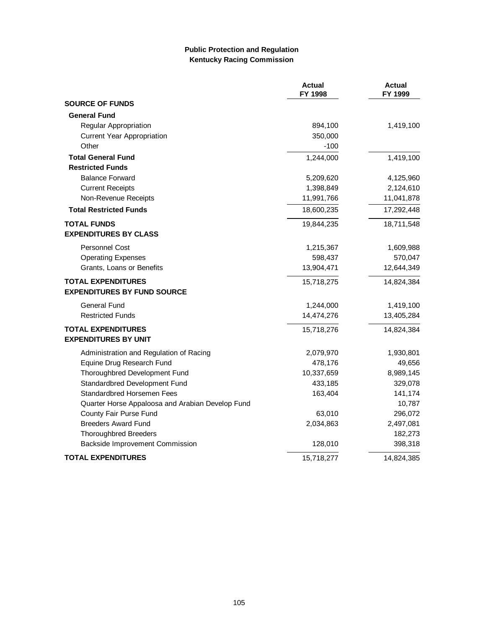## **Public Protection and Regulation Kentucky Racing Commission**

|                                                  | <b>Actual</b><br>FY 1998 | <b>Actual</b><br>FY 1999 |
|--------------------------------------------------|--------------------------|--------------------------|
| <b>SOURCE OF FUNDS</b>                           |                          |                          |
| <b>General Fund</b>                              |                          |                          |
| <b>Regular Appropriation</b>                     | 894,100                  | 1,419,100                |
| <b>Current Year Appropriation</b>                | 350,000                  |                          |
| Other                                            | $-100$                   |                          |
| <b>Total General Fund</b>                        | 1,244,000                | 1,419,100                |
| <b>Restricted Funds</b>                          |                          |                          |
| <b>Balance Forward</b>                           | 5,209,620                | 4,125,960                |
| <b>Current Receipts</b>                          | 1,398,849                | 2,124,610                |
| Non-Revenue Receipts                             | 11,991,766               | 11,041,878               |
| <b>Total Restricted Funds</b>                    | 18,600,235               | 17,292,448               |
| <b>TOTAL FUNDS</b>                               | 19,844,235               | 18,711,548               |
| <b>EXPENDITURES BY CLASS</b>                     |                          |                          |
| <b>Personnel Cost</b>                            | 1,215,367                | 1,609,988                |
| <b>Operating Expenses</b>                        | 598,437                  | 570,047                  |
| Grants, Loans or Benefits                        | 13,904,471               | 12,644,349               |
| <b>TOTAL EXPENDITURES</b>                        | 15,718,275               | 14,824,384               |
| <b>EXPENDITURES BY FUND SOURCE</b>               |                          |                          |
| <b>General Fund</b>                              | 1,244,000                | 1,419,100                |
| <b>Restricted Funds</b>                          | 14,474,276               | 13,405,284               |
| <b>TOTAL EXPENDITURES</b>                        | 15,718,276               | 14,824,384               |
| <b>EXPENDITURES BY UNIT</b>                      |                          |                          |
| Administration and Regulation of Racing          | 2,079,970                | 1,930,801                |
| Equine Drug Research Fund                        | 478,176                  | 49,656                   |
| Thoroughbred Development Fund                    | 10,337,659               | 8,989,145                |
| Standardbred Development Fund                    | 433,185                  | 329,078                  |
| Standardbred Horsemen Fees                       | 163,404                  | 141,174                  |
| Quarter Horse Appaloosa and Arabian Develop Fund |                          | 10,787                   |
| County Fair Purse Fund                           | 63,010                   | 296,072                  |
| <b>Breeders Award Fund</b>                       | 2,034,863                | 2,497,081                |
| <b>Thoroughbred Breeders</b>                     |                          | 182,273                  |
| Backside Improvement Commission                  | 128,010                  | 398,318                  |
| <b>TOTAL EXPENDITURES</b>                        | 15,718,277               | 14,824,385               |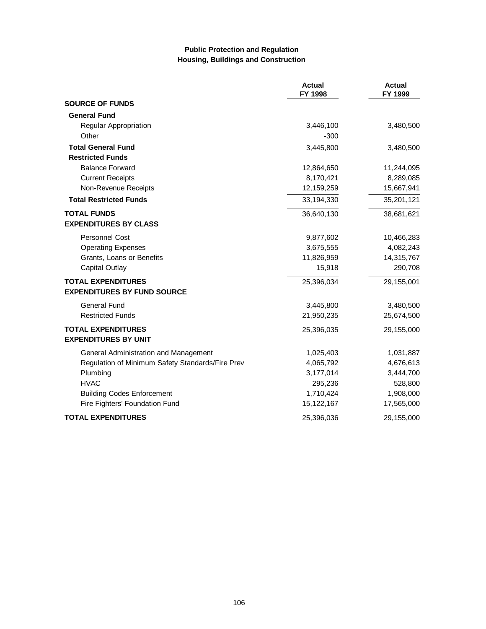## **Public Protection and Regulation Housing, Buildings and Construction**

|                                                  | <b>Actual</b><br>FY 1998 | <b>Actual</b><br>FY 1999 |
|--------------------------------------------------|--------------------------|--------------------------|
| <b>SOURCE OF FUNDS</b>                           |                          |                          |
| <b>General Fund</b>                              |                          |                          |
| Regular Appropriation                            | 3,446,100                | 3,480,500                |
| Other                                            | $-300$                   |                          |
| <b>Total General Fund</b>                        | 3,445,800                | 3,480,500                |
| <b>Restricted Funds</b>                          |                          |                          |
| <b>Balance Forward</b>                           | 12,864,650               | 11,244,095               |
| <b>Current Receipts</b>                          | 8,170,421                | 8,289,085                |
| Non-Revenue Receipts                             | 12,159,259               | 15,667,941               |
| <b>Total Restricted Funds</b>                    | 33,194,330               | 35,201,121               |
| <b>TOTAL FUNDS</b>                               | 36,640,130               | 38,681,621               |
| <b>EXPENDITURES BY CLASS</b>                     |                          |                          |
| <b>Personnel Cost</b>                            | 9,877,602                | 10,466,283               |
| <b>Operating Expenses</b>                        | 3,675,555                | 4,082,243                |
| Grants, Loans or Benefits                        | 11,826,959               | 14,315,767               |
| <b>Capital Outlay</b>                            | 15,918                   | 290,708                  |
| <b>TOTAL EXPENDITURES</b>                        | 25,396,034               | 29,155,001               |
| <b>EXPENDITURES BY FUND SOURCE</b>               |                          |                          |
| General Fund                                     | 3,445,800                | 3,480,500                |
| <b>Restricted Funds</b>                          | 21,950,235               | 25,674,500               |
| <b>TOTAL EXPENDITURES</b>                        | 25,396,035               | 29,155,000               |
| <b>EXPENDITURES BY UNIT</b>                      |                          |                          |
| General Administration and Management            | 1,025,403                | 1,031,887                |
| Regulation of Minimum Safety Standards/Fire Prev | 4,065,792                | 4,676,613                |
| Plumbing                                         | 3,177,014                | 3,444,700                |
| <b>HVAC</b>                                      | 295,236                  | 528,800                  |
| <b>Building Codes Enforcement</b>                | 1,710,424                | 1,908,000                |
| Fire Fighters' Foundation Fund                   | 15,122,167               | 17,565,000               |
| <b>TOTAL EXPENDITURES</b>                        | 25,396,036               | 29,155,000               |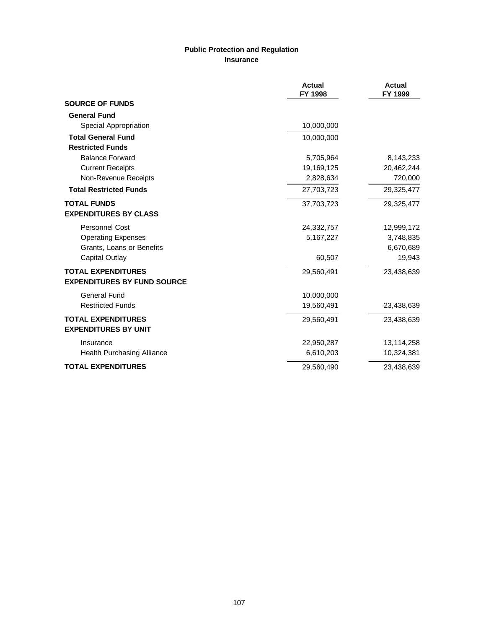# **Public Protection and Regulation Insurance**

|                                    | <b>Actual</b><br>FY 1998 | <b>Actual</b><br>FY 1999 |
|------------------------------------|--------------------------|--------------------------|
| <b>SOURCE OF FUNDS</b>             |                          |                          |
| <b>General Fund</b>                |                          |                          |
| Special Appropriation              | 10,000,000               |                          |
| <b>Total General Fund</b>          | 10,000,000               |                          |
| <b>Restricted Funds</b>            |                          |                          |
| <b>Balance Forward</b>             | 5,705,964                | 8,143,233                |
| <b>Current Receipts</b>            | 19,169,125               | 20,462,244               |
| Non-Revenue Receipts               | 2,828,634                | 720,000                  |
| <b>Total Restricted Funds</b>      | 27,703,723               | 29,325,477               |
| <b>TOTAL FUNDS</b>                 | 37,703,723               | 29,325,477               |
| <b>EXPENDITURES BY CLASS</b>       |                          |                          |
| <b>Personnel Cost</b>              | 24,332,757               | 12,999,172               |
| <b>Operating Expenses</b>          | 5,167,227                | 3,748,835                |
| Grants, Loans or Benefits          |                          | 6,670,689                |
| Capital Outlay                     | 60,507                   | 19,943                   |
| <b>TOTAL EXPENDITURES</b>          | 29,560,491               | 23,438,639               |
| <b>EXPENDITURES BY FUND SOURCE</b> |                          |                          |
| General Fund                       | 10,000,000               |                          |
| <b>Restricted Funds</b>            | 19,560,491               | 23,438,639               |
| <b>TOTAL EXPENDITURES</b>          | 29,560,491               | 23,438,639               |
| <b>EXPENDITURES BY UNIT</b>        |                          |                          |
| Insurance                          | 22,950,287               | 13,114,258               |
| Health Purchasing Alliance         | 6,610,203                | 10,324,381               |
| <b>TOTAL EXPENDITURES</b>          | 29,560,490               | 23,438,639               |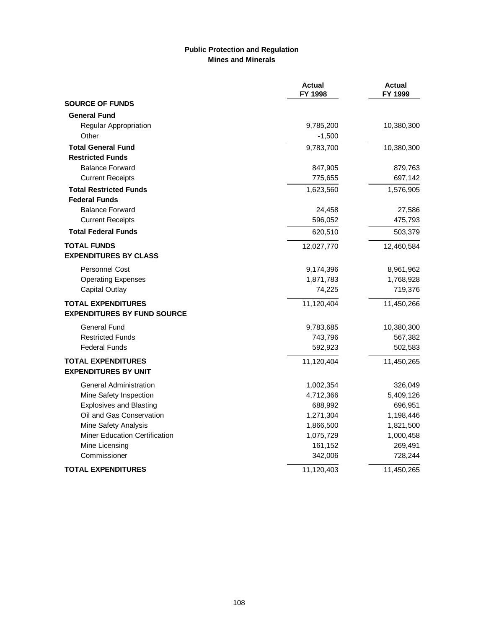# **Public Protection and Regulation Mines and Minerals**

|                                    | <b>Actual</b><br>FY 1998 | <b>Actual</b><br>FY 1999 |
|------------------------------------|--------------------------|--------------------------|
| <b>SOURCE OF FUNDS</b>             |                          |                          |
| <b>General Fund</b>                |                          |                          |
| Regular Appropriation              | 9,785,200                | 10,380,300               |
| Other                              | $-1,500$                 |                          |
| <b>Total General Fund</b>          | 9,783,700                | 10,380,300               |
| <b>Restricted Funds</b>            |                          |                          |
| <b>Balance Forward</b>             | 847,905                  | 879,763                  |
| <b>Current Receipts</b>            | 775,655                  | 697,142                  |
| <b>Total Restricted Funds</b>      | 1,623,560                | 1,576,905                |
| <b>Federal Funds</b>               |                          |                          |
| <b>Balance Forward</b>             | 24,458                   | 27,586                   |
| <b>Current Receipts</b>            | 596,052                  | 475,793                  |
| <b>Total Federal Funds</b>         | 620,510                  | 503,379                  |
| <b>TOTAL FUNDS</b>                 | 12,027,770               | 12,460,584               |
| <b>EXPENDITURES BY CLASS</b>       |                          |                          |
| <b>Personnel Cost</b>              | 9,174,396                | 8,961,962                |
| <b>Operating Expenses</b>          | 1,871,783                | 1,768,928                |
| <b>Capital Outlay</b>              | 74,225                   | 719,376                  |
| <b>TOTAL EXPENDITURES</b>          | 11,120,404               | 11,450,266               |
| <b>EXPENDITURES BY FUND SOURCE</b> |                          |                          |
| <b>General Fund</b>                | 9,783,685                | 10,380,300               |
| <b>Restricted Funds</b>            | 743,796                  | 567,382                  |
| <b>Federal Funds</b>               | 592,923                  | 502,583                  |
| <b>TOTAL EXPENDITURES</b>          | 11,120,404               | 11,450,265               |
| <b>EXPENDITURES BY UNIT</b>        |                          |                          |
| <b>General Administration</b>      | 1,002,354                | 326,049                  |
| Mine Safety Inspection             | 4,712,366                | 5,409,126                |
| <b>Explosives and Blasting</b>     | 688,992                  | 696,951                  |
| Oil and Gas Conservation           | 1,271,304                | 1,198,446                |
| Mine Safety Analysis               | 1,866,500                | 1,821,500                |
| Miner Education Certification      | 1,075,729                | 1,000,458                |
| Mine Licensing                     | 161,152                  | 269,491                  |
| Commissioner                       | 342,006                  | 728,244                  |
| <b>TOTAL EXPENDITURES</b>          | 11,120,403               | 11,450,265               |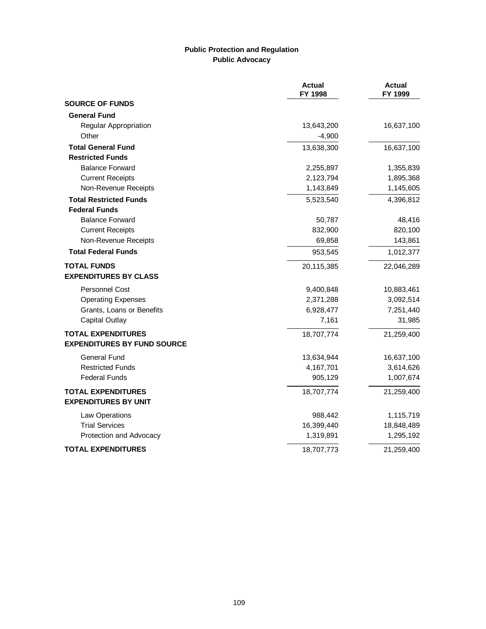#### **Public Protection and Regulation Public Advocacy**

|                                    | <b>Actual</b><br>FY 1998 | <b>Actual</b><br>FY 1999 |
|------------------------------------|--------------------------|--------------------------|
| <b>SOURCE OF FUNDS</b>             |                          |                          |
| <b>General Fund</b>                |                          |                          |
| Regular Appropriation              | 13,643,200               | 16,637,100               |
| Other                              | $-4,900$                 |                          |
| <b>Total General Fund</b>          | 13,638,300               | 16,637,100               |
| <b>Restricted Funds</b>            |                          |                          |
| <b>Balance Forward</b>             | 2,255,897                | 1,355,839                |
| <b>Current Receipts</b>            | 2,123,794                | 1,895,368                |
| Non-Revenue Receipts               | 1,143,849                | 1,145,605                |
| <b>Total Restricted Funds</b>      | 5,523,540                | 4,396,812                |
| <b>Federal Funds</b>               |                          |                          |
| <b>Balance Forward</b>             | 50,787                   | 48,416                   |
| <b>Current Receipts</b>            | 832,900                  | 820,100                  |
| Non-Revenue Receipts               | 69,858                   | 143,861                  |
| <b>Total Federal Funds</b>         | 953,545                  | 1,012,377                |
| <b>TOTAL FUNDS</b>                 | 20,115,385               | 22,046,289               |
| <b>EXPENDITURES BY CLASS</b>       |                          |                          |
| <b>Personnel Cost</b>              | 9,400,848                | 10,883,461               |
| <b>Operating Expenses</b>          | 2,371,288                | 3,092,514                |
| Grants, Loans or Benefits          | 6,928,477                | 7,251,440                |
| <b>Capital Outlay</b>              | 7,161                    | 31,985                   |
| <b>TOTAL EXPENDITURES</b>          | 18,707,774               | 21,259,400               |
| <b>EXPENDITURES BY FUND SOURCE</b> |                          |                          |
| General Fund                       | 13,634,944               | 16,637,100               |
| <b>Restricted Funds</b>            | 4,167,701                | 3,614,626                |
| <b>Federal Funds</b>               | 905,129                  | 1,007,674                |
| <b>TOTAL EXPENDITURES</b>          | 18,707,774               | 21,259,400               |
| <b>EXPENDITURES BY UNIT</b>        |                          |                          |
| Law Operations                     | 988,442                  | 1,115,719                |
| <b>Trial Services</b>              | 16,399,440               | 18,848,489               |
| Protection and Advocacy            | 1,319,891                | 1,295,192                |
| <b>TOTAL EXPENDITURES</b>          | 18,707,773               | 21,259,400               |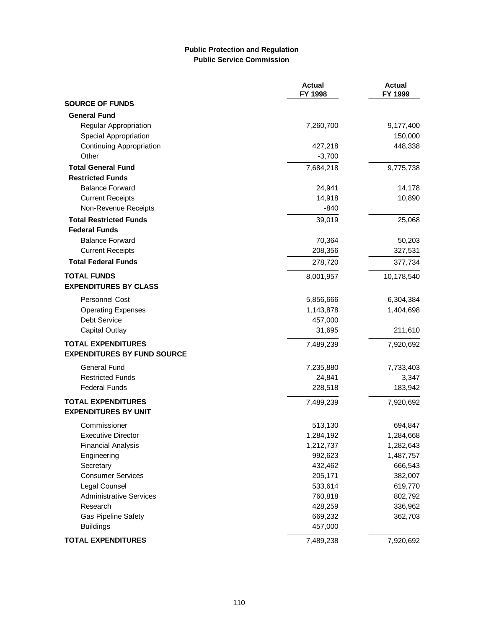# **Public Protection and Regulation Public Service Commission**

|                                    | <b>Actual</b><br>FY 1998 | <b>Actual</b><br>FY 1999 |
|------------------------------------|--------------------------|--------------------------|
| <b>SOURCE OF FUNDS</b>             |                          |                          |
| <b>General Fund</b>                |                          |                          |
| <b>Regular Appropriation</b>       | 7,260,700                | 9,177,400                |
| Special Appropriation              |                          | 150,000                  |
| <b>Continuing Appropriation</b>    | 427,218                  | 448,338                  |
| Other                              | $-3,700$                 |                          |
| <b>Total General Fund</b>          | 7,684,218                | 9,775,738                |
| <b>Restricted Funds</b>            |                          |                          |
| <b>Balance Forward</b>             | 24,941                   | 14,178                   |
| <b>Current Receipts</b>            | 14,918                   | 10,890                   |
| Non-Revenue Receipts               | $-840$                   |                          |
| <b>Total Restricted Funds</b>      | 39,019                   | 25,068                   |
| <b>Federal Funds</b>               |                          |                          |
| <b>Balance Forward</b>             | 70,364                   | 50,203                   |
| <b>Current Receipts</b>            | 208,356                  | 327,531                  |
| <b>Total Federal Funds</b>         | 278,720                  | 377,734                  |
| <b>TOTAL FUNDS</b>                 | 8,001,957                | 10,178,540               |
| <b>EXPENDITURES BY CLASS</b>       |                          |                          |
| <b>Personnel Cost</b>              | 5,856,666                | 6,304,384                |
| <b>Operating Expenses</b>          | 1,143,878                | 1,404,698                |
| Debt Service                       | 457,000                  |                          |
| Capital Outlay                     | 31,695                   | 211,610                  |
| <b>TOTAL EXPENDITURES</b>          | 7,489,239                | 7,920,692                |
| <b>EXPENDITURES BY FUND SOURCE</b> |                          |                          |
| <b>General Fund</b>                | 7,235,880                | 7,733,403                |
| <b>Restricted Funds</b>            | 24,841                   | 3,347                    |
| <b>Federal Funds</b>               | 228,518                  | 183,942                  |
| <b>TOTAL EXPENDITURES</b>          | 7,489,239                | 7,920,692                |
| <b>EXPENDITURES BY UNIT</b>        |                          |                          |
| Commissioner                       | 513,130                  | 694,847                  |
| <b>Executive Director</b>          | 1,284,192                | 1,284,668                |
| <b>Financial Analysis</b>          | 1,212,737                | 1,282,643                |
| Engineering                        | 992,623                  | 1,487,757                |
| Secretary                          | 432,462                  | 666,543                  |
| <b>Consumer Services</b>           | 205,171                  | 382,007                  |
| Legal Counsel                      | 533,614                  | 619,770                  |
| <b>Administrative Services</b>     | 760,818                  | 802,792                  |
| Research                           | 428,259                  | 336,962                  |
| Gas Pipeline Safety                | 669,232                  | 362,703                  |
| <b>Buildings</b>                   | 457,000                  |                          |
| <b>TOTAL EXPENDITURES</b>          | 7,489,238                | 7,920,692                |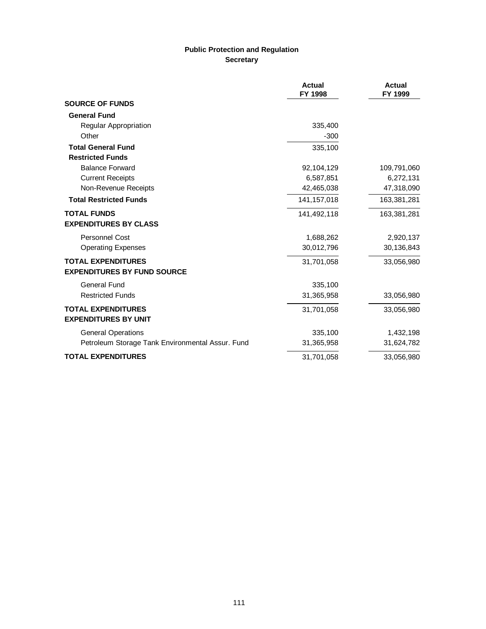# **Public Protection and Regulation Secretary**

|                                                  | <b>Actual</b><br>FY 1998 | <b>Actual</b><br>FY 1999 |
|--------------------------------------------------|--------------------------|--------------------------|
| <b>SOURCE OF FUNDS</b>                           |                          |                          |
| <b>General Fund</b>                              |                          |                          |
| Regular Appropriation                            | 335,400                  |                          |
| Other                                            | $-300$                   |                          |
| <b>Total General Fund</b>                        | 335,100                  |                          |
| <b>Restricted Funds</b>                          |                          |                          |
| <b>Balance Forward</b>                           | 92,104,129               | 109,791,060              |
| <b>Current Receipts</b>                          | 6,587,851                | 6,272,131                |
| Non-Revenue Receipts                             | 42,465,038               | 47,318,090               |
| <b>Total Restricted Funds</b>                    | 141, 157, 018            | 163,381,281              |
| <b>TOTAL FUNDS</b>                               | 141,492,118              | 163,381,281              |
| <b>EXPENDITURES BY CLASS</b>                     |                          |                          |
| Personnel Cost                                   | 1,688,262                | 2,920,137                |
| <b>Operating Expenses</b>                        | 30,012,796               | 30,136,843               |
| <b>TOTAL EXPENDITURES</b>                        | 31,701,058               | 33,056,980               |
| <b>EXPENDITURES BY FUND SOURCE</b>               |                          |                          |
| General Fund                                     | 335,100                  |                          |
| <b>Restricted Funds</b>                          | 31,365,958               | 33,056,980               |
| <b>TOTAL EXPENDITURES</b>                        | 31,701,058               | 33,056,980               |
| <b>EXPENDITURES BY UNIT</b>                      |                          |                          |
| <b>General Operations</b>                        | 335,100                  | 1,432,198                |
| Petroleum Storage Tank Environmental Assur. Fund | 31,365,958               | 31,624,782               |
| <b>TOTAL EXPENDITURES</b>                        | 31,701,058               | 33,056,980               |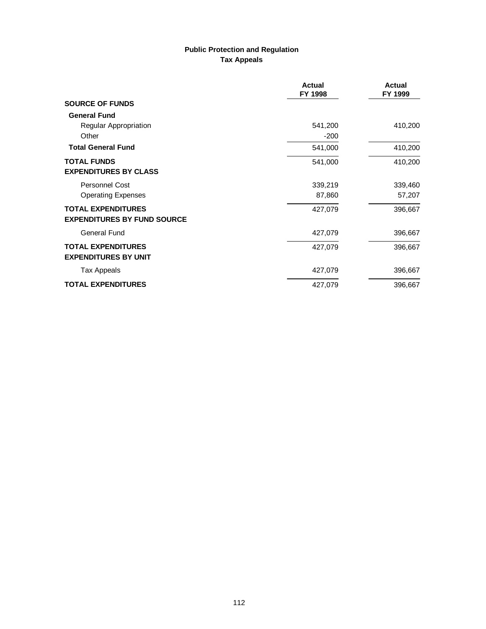# **Public Protection and Regulation Tax Appeals**

|                                    | <b>Actual</b><br>FY 1998 | <b>Actual</b><br>FY 1999 |
|------------------------------------|--------------------------|--------------------------|
| <b>SOURCE OF FUNDS</b>             |                          |                          |
| <b>General Fund</b>                |                          |                          |
| Regular Appropriation              | 541,200                  | 410,200                  |
| Other                              | $-200$                   |                          |
| <b>Total General Fund</b>          | 541,000                  | 410,200                  |
| <b>TOTAL FUNDS</b>                 | 541,000                  | 410,200                  |
| <b>EXPENDITURES BY CLASS</b>       |                          |                          |
| <b>Personnel Cost</b>              | 339,219                  | 339,460                  |
| <b>Operating Expenses</b>          | 87,860                   | 57,207                   |
| <b>TOTAL EXPENDITURES</b>          | 427,079                  | 396,667                  |
| <b>EXPENDITURES BY FUND SOURCE</b> |                          |                          |
| General Fund                       | 427,079                  | 396,667                  |
| <b>TOTAL EXPENDITURES</b>          | 427,079                  | 396,667                  |
| <b>EXPENDITURES BY UNIT</b>        |                          |                          |
| <b>Tax Appeals</b>                 | 427,079                  | 396,667                  |
| <b>TOTAL EXPENDITURES</b>          | 427,079                  | 396,667                  |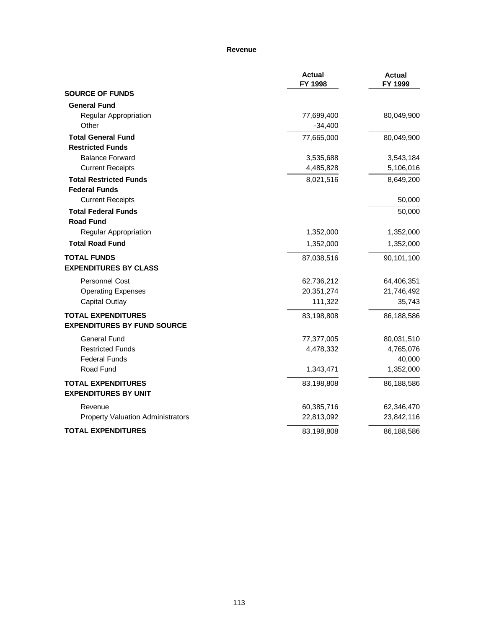#### **Revenue**

|                                                                 | <b>Actual</b><br>FY 1998 | <b>Actual</b><br>FY 1999 |
|-----------------------------------------------------------------|--------------------------|--------------------------|
| <b>SOURCE OF FUNDS</b>                                          |                          |                          |
| <b>General Fund</b>                                             |                          |                          |
| Regular Appropriation                                           | 77,699,400               | 80,049,900               |
| Other                                                           | $-34,400$                |                          |
| <b>Total General Fund</b>                                       | 77,665,000               | 80,049,900               |
| <b>Restricted Funds</b>                                         |                          |                          |
| <b>Balance Forward</b>                                          | 3,535,688                | 3,543,184                |
| <b>Current Receipts</b>                                         | 4,485,828                | 5,106,016                |
| <b>Total Restricted Funds</b>                                   | 8,021,516                | 8,649,200                |
| <b>Federal Funds</b>                                            |                          |                          |
| <b>Current Receipts</b>                                         |                          | 50,000                   |
| <b>Total Federal Funds</b><br><b>Road Fund</b>                  |                          | 50,000                   |
| Regular Appropriation                                           | 1,352,000                | 1,352,000                |
| <b>Total Road Fund</b>                                          | 1,352,000                | 1,352,000                |
| <b>TOTAL FUNDS</b><br><b>EXPENDITURES BY CLASS</b>              | 87,038,516               | 90,101,100               |
| <b>Personnel Cost</b>                                           | 62,736,212               | 64,406,351               |
| <b>Operating Expenses</b>                                       | 20,351,274               | 21,746,492               |
| <b>Capital Outlay</b>                                           | 111,322                  | 35,743                   |
| <b>TOTAL EXPENDITURES</b><br><b>EXPENDITURES BY FUND SOURCE</b> | 83,198,808               | 86,188,586               |
| <b>General Fund</b>                                             | 77,377,005               | 80,031,510               |
| <b>Restricted Funds</b>                                         | 4,478,332                | 4,765,076                |
| <b>Federal Funds</b>                                            |                          | 40,000                   |
| Road Fund                                                       | 1,343,471                | 1,352,000                |
| <b>TOTAL EXPENDITURES</b><br><b>EXPENDITURES BY UNIT</b>        | 83,198,808               | 86,188,586               |
| Revenue                                                         | 60,385,716               | 62,346,470               |
| <b>Property Valuation Administrators</b>                        | 22,813,092               | 23,842,116               |
| <b>TOTAL EXPENDITURES</b>                                       | 83,198,808               | 86,188,586               |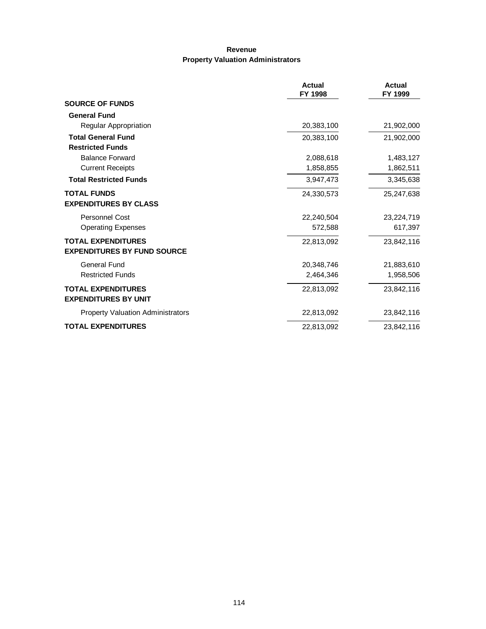### **Revenue Property Valuation Administrators**

|                                          | <b>Actual</b><br>FY 1998 | <b>Actual</b><br>FY 1999 |
|------------------------------------------|--------------------------|--------------------------|
| <b>SOURCE OF FUNDS</b>                   |                          |                          |
| <b>General Fund</b>                      |                          |                          |
| Regular Appropriation                    | 20,383,100               | 21,902,000               |
| <b>Total General Fund</b>                | 20,383,100               | 21,902,000               |
| <b>Restricted Funds</b>                  |                          |                          |
| <b>Balance Forward</b>                   | 2,088,618                | 1,483,127                |
| <b>Current Receipts</b>                  | 1,858,855                | 1,862,511                |
| <b>Total Restricted Funds</b>            | 3,947,473                | 3,345,638                |
| <b>TOTAL FUNDS</b>                       | 24,330,573               | 25,247,638               |
| <b>EXPENDITURES BY CLASS</b>             |                          |                          |
| <b>Personnel Cost</b>                    | 22,240,504               | 23,224,719               |
| <b>Operating Expenses</b>                | 572,588                  | 617,397                  |
| <b>TOTAL EXPENDITURES</b>                | 22,813,092               | 23,842,116               |
| <b>EXPENDITURES BY FUND SOURCE</b>       |                          |                          |
| <b>General Fund</b>                      | 20,348,746               | 21,883,610               |
| <b>Restricted Funds</b>                  | 2,464,346                | 1,958,506                |
| <b>TOTAL EXPENDITURES</b>                | 22,813,092               | 23,842,116               |
| <b>EXPENDITURES BY UNIT</b>              |                          |                          |
| <b>Property Valuation Administrators</b> | 22,813,092               | 23,842,116               |
| <b>TOTAL EXPENDITURES</b>                | 22,813,092               | 23,842,116               |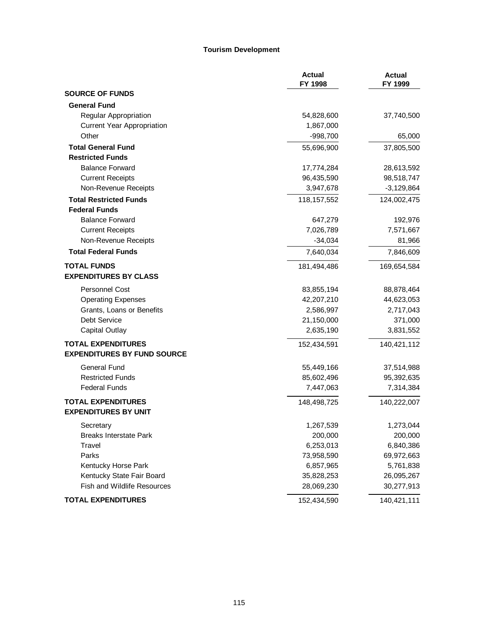#### **Tourism Development**

|                                    | <b>Actual</b><br>FY 1998 | <b>Actual</b><br>FY 1999 |
|------------------------------------|--------------------------|--------------------------|
| <b>SOURCE OF FUNDS</b>             |                          |                          |
| <b>General Fund</b>                |                          |                          |
| <b>Regular Appropriation</b>       | 54,828,600               | 37,740,500               |
| <b>Current Year Appropriation</b>  | 1,867,000                |                          |
| Other                              | $-998,700$               | 65,000                   |
| <b>Total General Fund</b>          | 55,696,900               | 37,805,500               |
| <b>Restricted Funds</b>            |                          |                          |
| <b>Balance Forward</b>             | 17,774,284               | 28,613,592               |
| <b>Current Receipts</b>            | 96,435,590               | 98,518,747               |
| Non-Revenue Receipts               | 3,947,678                | $-3,129,864$             |
| <b>Total Restricted Funds</b>      | 118, 157, 552            | 124,002,475              |
| <b>Federal Funds</b>               |                          |                          |
| <b>Balance Forward</b>             | 647,279                  | 192,976                  |
| <b>Current Receipts</b>            | 7,026,789                | 7,571,667                |
| Non-Revenue Receipts               | $-34,034$                | 81,966                   |
| <b>Total Federal Funds</b>         | 7,640,034                | 7,846,609                |
| <b>TOTAL FUNDS</b>                 | 181,494,486              | 169,654,584              |
| <b>EXPENDITURES BY CLASS</b>       |                          |                          |
| <b>Personnel Cost</b>              | 83,855,194               | 88,878,464               |
| <b>Operating Expenses</b>          | 42,207,210               | 44,623,053               |
| Grants, Loans or Benefits          | 2,586,997                | 2,717,043                |
| Debt Service                       | 21,150,000               | 371,000                  |
| Capital Outlay                     | 2,635,190                | 3,831,552                |
| <b>TOTAL EXPENDITURES</b>          | 152,434,591              | 140,421,112              |
| <b>EXPENDITURES BY FUND SOURCE</b> |                          |                          |
| General Fund                       | 55,449,166               | 37,514,988               |
| <b>Restricted Funds</b>            | 85,602,496               | 95,392,635               |
| <b>Federal Funds</b>               | 7,447,063                | 7,314,384                |
| <b>TOTAL EXPENDITURES</b>          | 148,498,725              | 140,222,007              |
| <b>EXPENDITURES BY UNIT</b>        |                          |                          |
| Secretary                          | 1,267,539                | 1,273,044                |
| <b>Breaks Interstate Park</b>      | 200,000                  | 200,000                  |
| Travel                             | 6,253,013                | 6,840,386                |
| Parks                              | 73,958,590               | 69,972,663               |
| Kentucky Horse Park                | 6,857,965                | 5,761,838                |
| Kentucky State Fair Board          | 35,828,253               | 26,095,267               |
| <b>Fish and Wildlife Resources</b> | 28,069,230               | 30,277,913               |
| <b>TOTAL EXPENDITURES</b>          | 152,434,590              | 140,421,111              |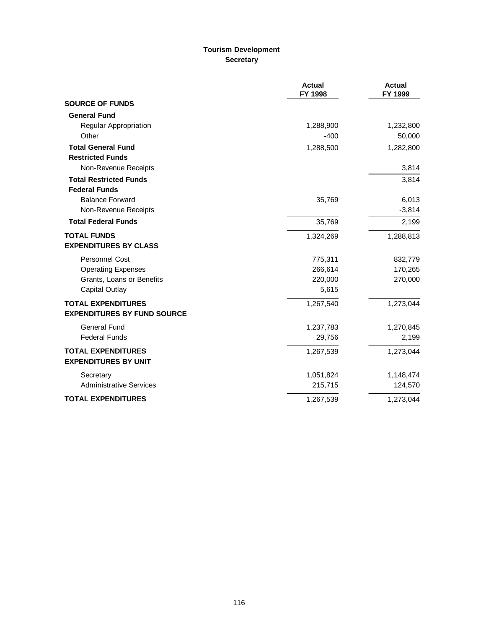# **Tourism Development Secretary**

|                                    | <b>Actual</b><br>FY 1998 | <b>Actual</b><br>FY 1999 |
|------------------------------------|--------------------------|--------------------------|
| <b>SOURCE OF FUNDS</b>             |                          |                          |
| <b>General Fund</b>                |                          |                          |
| Regular Appropriation              | 1,288,900                | 1,232,800                |
| Other                              | $-400$                   | 50,000                   |
| <b>Total General Fund</b>          | 1,288,500                | 1,282,800                |
| <b>Restricted Funds</b>            |                          |                          |
| Non-Revenue Receipts               |                          | 3,814                    |
| <b>Total Restricted Funds</b>      |                          | 3,814                    |
| <b>Federal Funds</b>               |                          |                          |
| <b>Balance Forward</b>             | 35,769                   | 6,013                    |
| Non-Revenue Receipts               |                          | $-3,814$                 |
| <b>Total Federal Funds</b>         | 35,769                   | 2,199                    |
| <b>TOTAL FUNDS</b>                 | 1,324,269                | 1,288,813                |
| <b>EXPENDITURES BY CLASS</b>       |                          |                          |
| <b>Personnel Cost</b>              | 775,311                  | 832,779                  |
| <b>Operating Expenses</b>          | 266,614                  | 170,265                  |
| Grants, Loans or Benefits          | 220,000                  | 270,000                  |
| Capital Outlay                     | 5,615                    |                          |
| <b>TOTAL EXPENDITURES</b>          | 1,267,540                | 1,273,044                |
| <b>EXPENDITURES BY FUND SOURCE</b> |                          |                          |
| <b>General Fund</b>                | 1,237,783                | 1,270,845                |
| <b>Federal Funds</b>               | 29,756                   | 2,199                    |
| <b>TOTAL EXPENDITURES</b>          | 1,267,539                | 1,273,044                |
| <b>EXPENDITURES BY UNIT</b>        |                          |                          |
| Secretary                          | 1,051,824                | 1,148,474                |
| <b>Administrative Services</b>     | 215,715                  | 124,570                  |
| <b>TOTAL EXPENDITURES</b>          | 1,267,539                | 1,273,044                |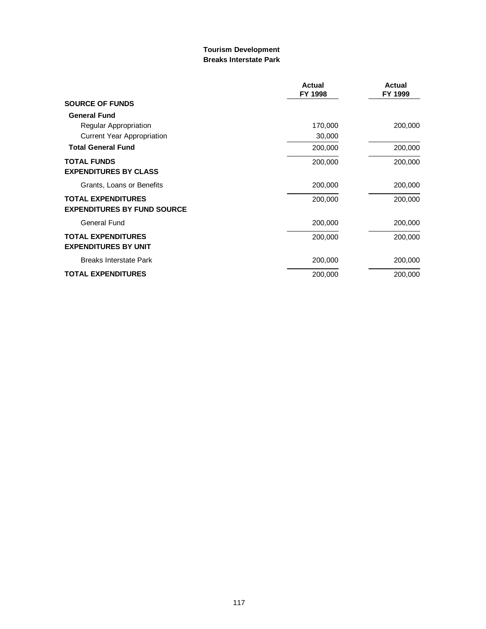### **Tourism Development Breaks Interstate Park**

|                                                                 | <b>Actual</b><br>FY 1998 | <b>Actual</b><br>FY 1999 |
|-----------------------------------------------------------------|--------------------------|--------------------------|
| <b>SOURCE OF FUNDS</b>                                          |                          |                          |
| <b>General Fund</b>                                             |                          |                          |
| Regular Appropriation                                           | 170,000                  | 200,000                  |
| Current Year Appropriation                                      | 30,000                   |                          |
| <b>Total General Fund</b>                                       | 200,000                  | 200,000                  |
| <b>TOTAL FUNDS</b><br><b>EXPENDITURES BY CLASS</b>              | 200,000                  | 200,000                  |
| Grants, Loans or Benefits                                       | 200,000                  | 200,000                  |
| <b>TOTAL EXPENDITURES</b><br><b>EXPENDITURES BY FUND SOURCE</b> | 200,000                  | 200,000                  |
| General Fund                                                    | 200,000                  | 200,000                  |
| <b>TOTAL EXPENDITURES</b><br><b>EXPENDITURES BY UNIT</b>        | 200,000                  | 200,000                  |
| <b>Breaks Interstate Park</b>                                   | 200,000                  | 200,000                  |
| <b>TOTAL EXPENDITURES</b>                                       | 200,000                  | 200,000                  |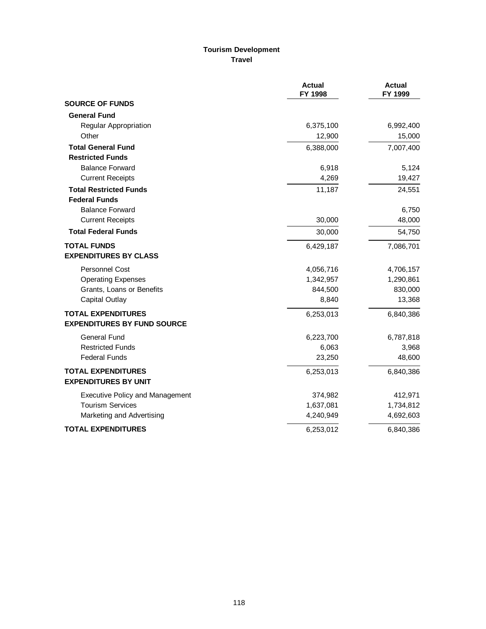### **Tourism Development Travel**

|                                        | <b>Actual</b><br>FY 1998 | <b>Actual</b><br>FY 1999 |
|----------------------------------------|--------------------------|--------------------------|
| <b>SOURCE OF FUNDS</b>                 |                          |                          |
| <b>General Fund</b>                    |                          |                          |
| Regular Appropriation                  | 6,375,100                | 6,992,400                |
| Other                                  | 12,900                   | 15,000                   |
| <b>Total General Fund</b>              | 6,388,000                | 7,007,400                |
| <b>Restricted Funds</b>                |                          |                          |
| <b>Balance Forward</b>                 | 6,918                    | 5,124                    |
| <b>Current Receipts</b>                | 4,269                    | 19,427                   |
| <b>Total Restricted Funds</b>          | 11,187                   | 24,551                   |
| <b>Federal Funds</b>                   |                          |                          |
| <b>Balance Forward</b>                 |                          | 6,750                    |
| <b>Current Receipts</b>                | 30,000                   | 48,000                   |
| <b>Total Federal Funds</b>             | 30,000                   | 54,750                   |
| <b>TOTAL FUNDS</b>                     | 6,429,187                | 7,086,701                |
| <b>EXPENDITURES BY CLASS</b>           |                          |                          |
| <b>Personnel Cost</b>                  | 4,056,716                | 4,706,157                |
| <b>Operating Expenses</b>              | 1,342,957                | 1,290,861                |
| Grants, Loans or Benefits              | 844,500                  | 830,000                  |
| Capital Outlay                         | 8,840                    | 13,368                   |
| <b>TOTAL EXPENDITURES</b>              | 6,253,013                | 6,840,386                |
| <b>EXPENDITURES BY FUND SOURCE</b>     |                          |                          |
| <b>General Fund</b>                    | 6,223,700                | 6,787,818                |
| <b>Restricted Funds</b>                | 6,063                    | 3,968                    |
| <b>Federal Funds</b>                   | 23,250                   | 48,600                   |
| <b>TOTAL EXPENDITURES</b>              | 6,253,013                | 6,840,386                |
| <b>EXPENDITURES BY UNIT</b>            |                          |                          |
| <b>Executive Policy and Management</b> | 374,982                  | 412,971                  |
| <b>Tourism Services</b>                | 1,637,081                | 1,734,812                |
| Marketing and Advertising              | 4,240,949                | 4,692,603                |
| <b>TOTAL EXPENDITURES</b>              | 6,253,012                | 6,840,386                |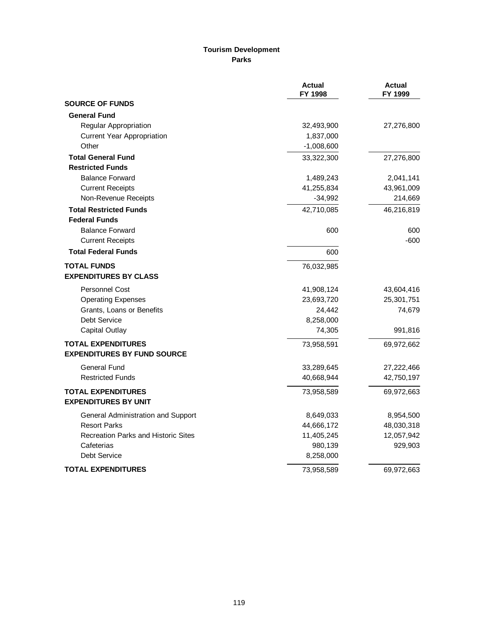### **Tourism Development Parks**

|                                            | <b>Actual</b><br>FY 1998 | <b>Actual</b><br>FY 1999 |
|--------------------------------------------|--------------------------|--------------------------|
| <b>SOURCE OF FUNDS</b>                     |                          |                          |
| <b>General Fund</b>                        |                          |                          |
| Regular Appropriation                      | 32,493,900               | 27,276,800               |
| <b>Current Year Appropriation</b>          | 1,837,000                |                          |
| Other                                      | $-1,008,600$             |                          |
| <b>Total General Fund</b>                  | 33,322,300               | 27,276,800               |
| <b>Restricted Funds</b>                    |                          |                          |
| <b>Balance Forward</b>                     | 1,489,243                | 2,041,141                |
| <b>Current Receipts</b>                    | 41,255,834               | 43,961,009               |
| Non-Revenue Receipts                       | $-34,992$                | 214,669                  |
| <b>Total Restricted Funds</b>              | 42,710,085               | 46,216,819               |
| <b>Federal Funds</b>                       |                          |                          |
| <b>Balance Forward</b>                     | 600                      | 600                      |
| <b>Current Receipts</b>                    |                          | $-600$                   |
| <b>Total Federal Funds</b>                 | 600                      |                          |
| <b>TOTAL FUNDS</b>                         | 76,032,985               |                          |
| <b>EXPENDITURES BY CLASS</b>               |                          |                          |
| <b>Personnel Cost</b>                      | 41,908,124               | 43,604,416               |
| <b>Operating Expenses</b>                  | 23,693,720               | 25,301,751               |
| Grants, Loans or Benefits                  | 24,442                   | 74,679                   |
| Debt Service                               | 8,258,000                |                          |
| <b>Capital Outlay</b>                      | 74,305                   | 991,816                  |
| <b>TOTAL EXPENDITURES</b>                  | 73,958,591               | 69,972,662               |
| <b>EXPENDITURES BY FUND SOURCE</b>         |                          |                          |
| General Fund                               | 33,289,645               | 27,222,466               |
| <b>Restricted Funds</b>                    | 40,668,944               | 42,750,197               |
| <b>TOTAL EXPENDITURES</b>                  | 73,958,589               | 69,972,663               |
| <b>EXPENDITURES BY UNIT</b>                |                          |                          |
| General Administration and Support         | 8,649,033                | 8,954,500                |
| <b>Resort Parks</b>                        | 44,666,172               | 48,030,318               |
| <b>Recreation Parks and Historic Sites</b> | 11,405,245               | 12,057,942               |
| Cafeterias                                 | 980,139                  | 929,903                  |
| Debt Service                               | 8,258,000                |                          |
| <b>TOTAL EXPENDITURES</b>                  | 73,958,589               | 69,972,663               |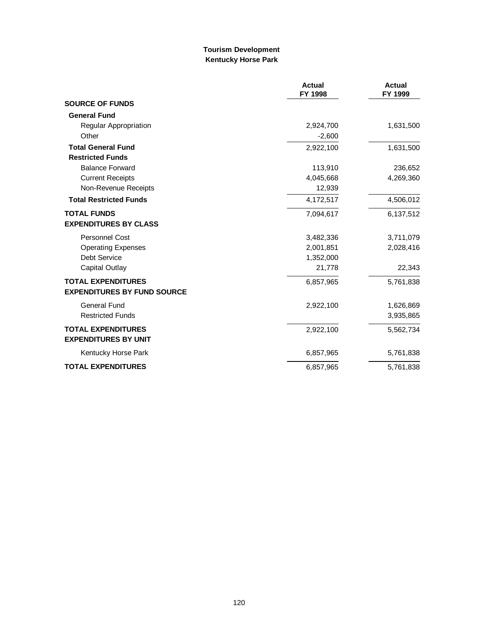### **Tourism Development Kentucky Horse Park**

|                                    | <b>Actual</b><br>FY 1998 | <b>Actual</b><br>FY 1999 |
|------------------------------------|--------------------------|--------------------------|
| <b>SOURCE OF FUNDS</b>             |                          |                          |
| <b>General Fund</b>                |                          |                          |
| <b>Regular Appropriation</b>       | 2,924,700                | 1,631,500                |
| Other                              | $-2,600$                 |                          |
| <b>Total General Fund</b>          | 2,922,100                | 1,631,500                |
| <b>Restricted Funds</b>            |                          |                          |
| <b>Balance Forward</b>             | 113,910                  | 236,652                  |
| <b>Current Receipts</b>            | 4,045,668                | 4,269,360                |
| Non-Revenue Receipts               | 12,939                   |                          |
| <b>Total Restricted Funds</b>      | 4,172,517                | 4,506,012                |
| <b>TOTAL FUNDS</b>                 | 7,094,617                | 6,137,512                |
| <b>EXPENDITURES BY CLASS</b>       |                          |                          |
| <b>Personnel Cost</b>              | 3,482,336                | 3,711,079                |
| <b>Operating Expenses</b>          | 2,001,851                | 2,028,416                |
| Debt Service                       | 1,352,000                |                          |
| Capital Outlay                     | 21,778                   | 22,343                   |
| <b>TOTAL EXPENDITURES</b>          | 6,857,965                | 5,761,838                |
| <b>EXPENDITURES BY FUND SOURCE</b> |                          |                          |
| General Fund                       | 2,922,100                | 1,626,869                |
| <b>Restricted Funds</b>            |                          | 3,935,865                |
| <b>TOTAL EXPENDITURES</b>          | 2,922,100                | 5,562,734                |
| <b>EXPENDITURES BY UNIT</b>        |                          |                          |
| Kentucky Horse Park                | 6,857,965                | 5,761,838                |
| <b>TOTAL EXPENDITURES</b>          | 6,857,965                | 5,761,838                |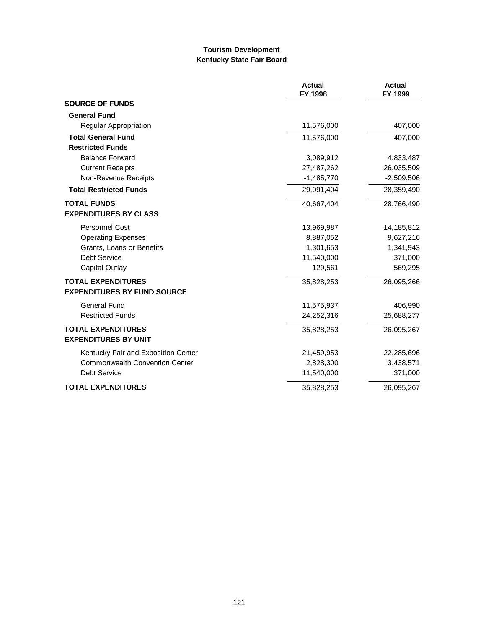#### **Tourism Development Kentucky State Fair Board**

|                                       | <b>Actual</b><br>FY 1998 | <b>Actual</b><br>FY 1999 |
|---------------------------------------|--------------------------|--------------------------|
| <b>SOURCE OF FUNDS</b>                |                          |                          |
| <b>General Fund</b>                   |                          |                          |
| Regular Appropriation                 | 11,576,000               | 407,000                  |
| <b>Total General Fund</b>             | 11,576,000               | 407,000                  |
| <b>Restricted Funds</b>               |                          |                          |
| <b>Balance Forward</b>                | 3,089,912                | 4,833,487                |
| <b>Current Receipts</b>               | 27,487,262               | 26,035,509               |
| Non-Revenue Receipts                  | $-1,485,770$             | $-2,509,506$             |
| <b>Total Restricted Funds</b>         | 29,091,404               | 28,359,490               |
| <b>TOTAL FUNDS</b>                    | 40,667,404               | 28,766,490               |
| <b>EXPENDITURES BY CLASS</b>          |                          |                          |
| Personnel Cost                        | 13,969,987               | 14,185,812               |
| <b>Operating Expenses</b>             | 8,887,052                | 9,627,216                |
| Grants, Loans or Benefits             | 1,301,653                | 1,341,943                |
| Debt Service                          | 11,540,000               | 371,000                  |
| <b>Capital Outlay</b>                 | 129,561                  | 569,295                  |
| <b>TOTAL EXPENDITURES</b>             | 35,828,253               | 26,095,266               |
| <b>EXPENDITURES BY FUND SOURCE</b>    |                          |                          |
| <b>General Fund</b>                   | 11,575,937               | 406,990                  |
| <b>Restricted Funds</b>               | 24,252,316               | 25,688,277               |
| <b>TOTAL EXPENDITURES</b>             | 35,828,253               | 26,095,267               |
| <b>EXPENDITURES BY UNIT</b>           |                          |                          |
| Kentucky Fair and Exposition Center   | 21,459,953               | 22,285,696               |
| <b>Commonwealth Convention Center</b> | 2,828,300                | 3,438,571                |
| Debt Service                          | 11,540,000               | 371,000                  |
| <b>TOTAL EXPENDITURES</b>             | 35,828,253               | 26,095,267               |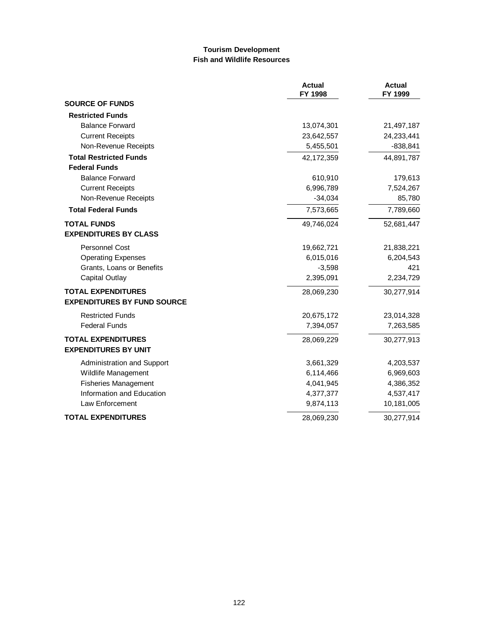### **Tourism Development Fish and Wildlife Resources**

|                                    | <b>Actual</b><br>FY 1998 | <b>Actual</b><br>FY 1999 |
|------------------------------------|--------------------------|--------------------------|
| <b>SOURCE OF FUNDS</b>             |                          |                          |
| <b>Restricted Funds</b>            |                          |                          |
| <b>Balance Forward</b>             | 13,074,301               | 21,497,187               |
| <b>Current Receipts</b>            | 23,642,557               | 24,233,441               |
| Non-Revenue Receipts               | 5,455,501                | $-838, 841$              |
| <b>Total Restricted Funds</b>      | 42,172,359               | 44,891,787               |
| <b>Federal Funds</b>               |                          |                          |
| <b>Balance Forward</b>             | 610,910                  | 179,613                  |
| <b>Current Receipts</b>            | 6,996,789                | 7,524,267                |
| Non-Revenue Receipts               | $-34,034$                | 85,780                   |
| <b>Total Federal Funds</b>         | 7,573,665                | 7,789,660                |
| <b>TOTAL FUNDS</b>                 | 49,746,024               | 52,681,447               |
| <b>EXPENDITURES BY CLASS</b>       |                          |                          |
| <b>Personnel Cost</b>              | 19,662,721               | 21,838,221               |
| <b>Operating Expenses</b>          | 6,015,016                | 6,204,543                |
| Grants, Loans or Benefits          | $-3,598$                 | 421                      |
| <b>Capital Outlay</b>              | 2,395,091                | 2,234,729                |
| <b>TOTAL EXPENDITURES</b>          | 28,069,230               | 30,277,914               |
| <b>EXPENDITURES BY FUND SOURCE</b> |                          |                          |
| <b>Restricted Funds</b>            | 20,675,172               | 23,014,328               |
| <b>Federal Funds</b>               | 7,394,057                | 7,263,585                |
| <b>TOTAL EXPENDITURES</b>          | 28,069,229               | 30,277,913               |
| <b>EXPENDITURES BY UNIT</b>        |                          |                          |
| Administration and Support         | 3,661,329                | 4,203,537                |
| Wildlife Management                | 6,114,466                | 6,969,603                |
| <b>Fisheries Management</b>        | 4,041,945                | 4,386,352                |
| Information and Education          | 4,377,377                | 4,537,417                |
| Law Enforcement                    | 9,874,113                | 10,181,005               |
| <b>TOTAL EXPENDITURES</b>          | 28,069,230               | 30,277,914               |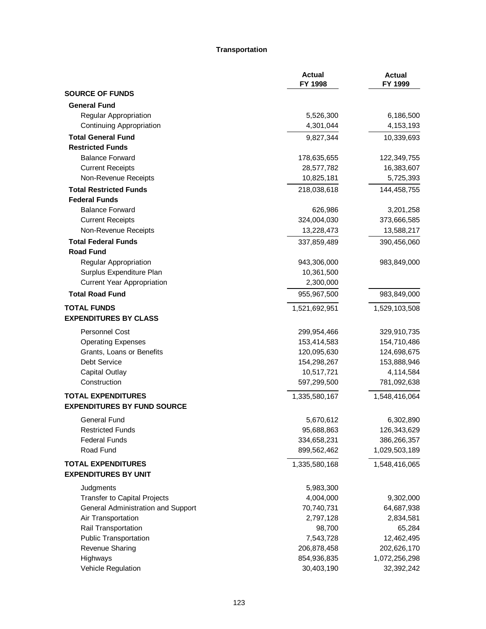#### **Transportation**

|                                                                 | <b>Actual</b><br>FY 1998 | <b>Actual</b><br>FY 1999 |
|-----------------------------------------------------------------|--------------------------|--------------------------|
| <b>SOURCE OF FUNDS</b>                                          |                          |                          |
| <b>General Fund</b>                                             |                          |                          |
| Regular Appropriation                                           | 5,526,300                | 6,186,500                |
| <b>Continuing Appropriation</b>                                 | 4,301,044                | 4,153,193                |
| <b>Total General Fund</b>                                       | 9,827,344                | 10,339,693               |
| <b>Restricted Funds</b>                                         |                          |                          |
| <b>Balance Forward</b>                                          | 178,635,655              | 122,349,755              |
| <b>Current Receipts</b>                                         | 28,577,782               | 16,383,607               |
| Non-Revenue Receipts                                            | 10,825,181               | 5,725,393                |
| <b>Total Restricted Funds</b>                                   | 218,038,618              | 144,458,755              |
| <b>Federal Funds</b>                                            |                          |                          |
| <b>Balance Forward</b>                                          | 626,986                  | 3,201,258                |
| <b>Current Receipts</b>                                         | 324,004,030              | 373,666,585              |
| Non-Revenue Receipts                                            | 13,228,473               | 13,588,217               |
| <b>Total Federal Funds</b>                                      | 337,859,489              | 390,456,060              |
| <b>Road Fund</b>                                                |                          |                          |
| Regular Appropriation                                           | 943,306,000              | 983,849,000              |
| Surplus Expenditure Plan                                        | 10,361,500               |                          |
| <b>Current Year Appropriation</b>                               | 2,300,000                |                          |
| <b>Total Road Fund</b>                                          | 955,967,500              | 983,849,000              |
| <b>TOTAL FUNDS</b>                                              | 1,521,692,951            | 1,529,103,508            |
| <b>EXPENDITURES BY CLASS</b>                                    |                          |                          |
| <b>Personnel Cost</b>                                           | 299,954,466              | 329,910,735              |
| <b>Operating Expenses</b>                                       | 153,414,583              | 154,710,486              |
| Grants, Loans or Benefits                                       | 120,095,630              | 124,698,675              |
| Debt Service                                                    | 154,298,267              | 153,888,946              |
| <b>Capital Outlay</b>                                           | 10,517,721               | 4,114,584                |
| Construction                                                    | 597,299,500              | 781,092,638              |
| <b>TOTAL EXPENDITURES</b><br><b>EXPENDITURES BY FUND SOURCE</b> | 1,335,580,167            | 1,548,416,064            |
|                                                                 |                          |                          |
| <b>General Fund</b>                                             | 5,670,612                | 6,302,890                |
| <b>Restricted Funds</b>                                         | 95,688,863               | 126,343,629              |
| <b>Federal Funds</b>                                            | 334,658,231              | 386,266,357              |
| Road Fund                                                       | 899,562,462              | 1,029,503,189            |
| <b>TOTAL EXPENDITURES</b><br><b>EXPENDITURES BY UNIT</b>        | 1,335,580,168            | 1,548,416,065            |
| Judgments                                                       | 5,983,300                |                          |
| <b>Transfer to Capital Projects</b>                             | 4,004,000                | 9,302,000                |
| General Administration and Support                              | 70,740,731               | 64,687,938               |
| Air Transportation                                              | 2,797,128                | 2,834,581                |
| Rail Transportation                                             | 98,700                   | 65,284                   |
| <b>Public Transportation</b>                                    | 7,543,728                | 12,462,495               |
| Revenue Sharing                                                 | 206,878,458              | 202,626,170              |
| Highways                                                        | 854,936,835              | 1,072,256,298            |
| Vehicle Regulation                                              | 30,403,190               | 32,392,242               |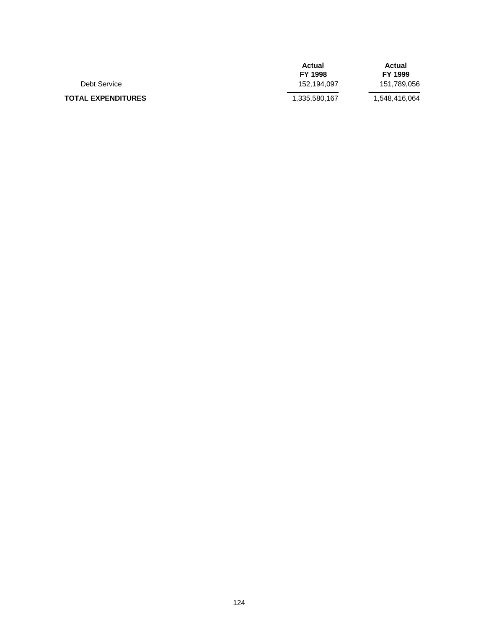|                           | Actual<br><b>FY 1998</b> | Actual<br>FY 1999 |
|---------------------------|--------------------------|-------------------|
|                           |                          |                   |
| Debt Service              | 152,194,097              | 151,789,056       |
| <b>TOTAL EXPENDITURES</b> | 1,335,580,167            | 1,548,416,064     |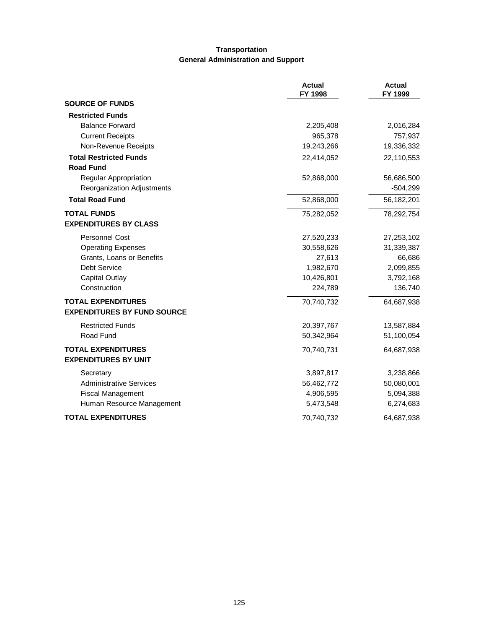## **Transportation General Administration and Support**

|                                    | <b>Actual</b><br>FY 1998 | <b>Actual</b><br>FY 1999 |
|------------------------------------|--------------------------|--------------------------|
| <b>SOURCE OF FUNDS</b>             |                          |                          |
| <b>Restricted Funds</b>            |                          |                          |
| <b>Balance Forward</b>             | 2,205,408                | 2,016,284                |
| <b>Current Receipts</b>            | 965,378                  | 757,937                  |
| Non-Revenue Receipts               | 19,243,266               | 19,336,332               |
| <b>Total Restricted Funds</b>      | 22,414,052               | 22,110,553               |
| <b>Road Fund</b>                   |                          |                          |
| <b>Regular Appropriation</b>       | 52,868,000               | 56,686,500               |
| Reorganization Adjustments         |                          | $-504,299$               |
| <b>Total Road Fund</b>             | 52,868,000               | 56,182,201               |
| <b>TOTAL FUNDS</b>                 | 75,282,052               | 78,292,754               |
| <b>EXPENDITURES BY CLASS</b>       |                          |                          |
| <b>Personnel Cost</b>              | 27,520,233               | 27,253,102               |
| <b>Operating Expenses</b>          | 30,558,626               | 31,339,387               |
| Grants, Loans or Benefits          | 27,613                   | 66,686                   |
| Debt Service                       | 1,982,670                | 2,099,855                |
| <b>Capital Outlay</b>              | 10,426,801               | 3,792,168                |
| Construction                       | 224,789                  | 136,740                  |
| <b>TOTAL EXPENDITURES</b>          | 70,740,732               | 64,687,938               |
| <b>EXPENDITURES BY FUND SOURCE</b> |                          |                          |
| <b>Restricted Funds</b>            | 20,397,767               | 13,587,884               |
| Road Fund                          | 50,342,964               | 51,100,054               |
| <b>TOTAL EXPENDITURES</b>          | 70,740,731               | 64,687,938               |
| <b>EXPENDITURES BY UNIT</b>        |                          |                          |
| Secretary                          | 3,897,817                | 3,238,866                |
| <b>Administrative Services</b>     | 56,462,772               | 50,080,001               |
| <b>Fiscal Management</b>           | 4,906,595                | 5,094,388                |
| Human Resource Management          | 5,473,548                | 6,274,683                |
| <b>TOTAL EXPENDITURES</b>          | 70,740,732               | 64,687,938               |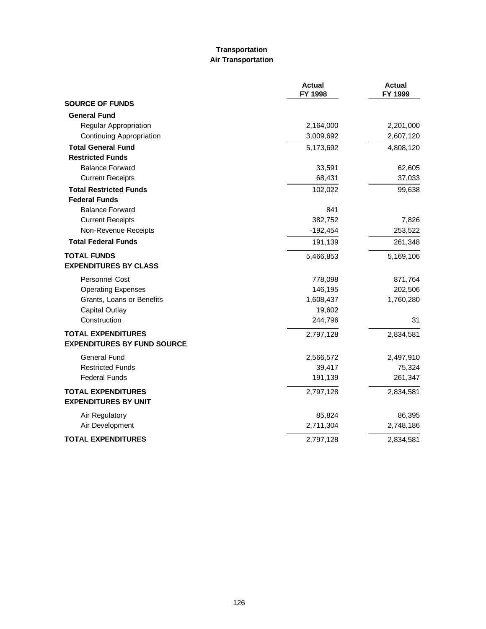### **Transportation Air Transportation**

|                                                                 | <b>Actual</b><br>FY 1998 | <b>Actual</b><br>FY 1999 |
|-----------------------------------------------------------------|--------------------------|--------------------------|
| <b>SOURCE OF FUNDS</b>                                          |                          |                          |
| <b>General Fund</b>                                             |                          |                          |
| Regular Appropriation                                           | 2,164,000                | 2,201,000                |
| Continuing Appropriation                                        | 3,009,692                | 2,607,120                |
| <b>Total General Fund</b>                                       | 5,173,692                | 4,808,120                |
| <b>Restricted Funds</b>                                         |                          |                          |
| <b>Balance Forward</b>                                          | 33,591                   | 62,605                   |
| <b>Current Receipts</b>                                         | 68,431                   | 37,033                   |
| <b>Total Restricted Funds</b>                                   | 102,022                  | 99,638                   |
| <b>Federal Funds</b>                                            |                          |                          |
| <b>Balance Forward</b>                                          | 841                      |                          |
| <b>Current Receipts</b>                                         | 382,752                  | 7,826                    |
| Non-Revenue Receipts                                            | $-192,454$               | 253,522                  |
| <b>Total Federal Funds</b>                                      | 191,139                  | 261,348                  |
| <b>TOTAL FUNDS</b><br><b>EXPENDITURES BY CLASS</b>              | 5,466,853                | 5,169,106                |
| <b>Personnel Cost</b>                                           | 778,098                  | 871,764                  |
| <b>Operating Expenses</b>                                       | 146,195                  | 202,506                  |
| Grants, Loans or Benefits                                       | 1,608,437                | 1,760,280                |
| <b>Capital Outlay</b>                                           | 19,602                   |                          |
| Construction                                                    | 244,796                  | 31                       |
| <b>TOTAL EXPENDITURES</b><br><b>EXPENDITURES BY FUND SOURCE</b> | 2,797,128                | 2,834,581                |
| <b>General Fund</b>                                             | 2,566,572                | 2,497,910                |
| <b>Restricted Funds</b>                                         | 39,417                   | 75,324                   |
| <b>Federal Funds</b>                                            | 191,139                  | 261,347                  |
| <b>TOTAL EXPENDITURES</b><br><b>EXPENDITURES BY UNIT</b>        | 2,797,128                | 2,834,581                |
| Air Regulatory                                                  | 85,824                   | 86,395                   |
| Air Development                                                 | 2,711,304                | 2,748,186                |
| <b>TOTAL EXPENDITURES</b>                                       | 2,797,128                | 2,834,581                |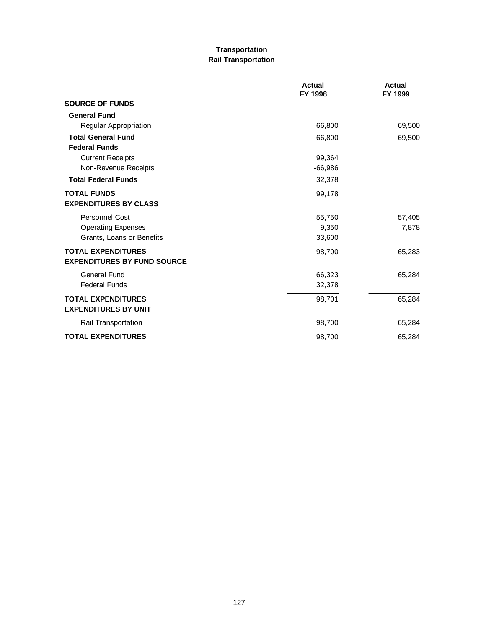# **Transportation Rail Transportation**

|                                    | Actual<br>FY 1998 | Actual<br>FY 1999 |
|------------------------------------|-------------------|-------------------|
| <b>SOURCE OF FUNDS</b>             |                   |                   |
| <b>General Fund</b>                |                   |                   |
| Regular Appropriation              | 66,800            | 69,500            |
| <b>Total General Fund</b>          | 66,800            | 69,500            |
| <b>Federal Funds</b>               |                   |                   |
| <b>Current Receipts</b>            | 99,364            |                   |
| Non-Revenue Receipts               | $-66,986$         |                   |
| <b>Total Federal Funds</b>         | 32,378            |                   |
| <b>TOTAL FUNDS</b>                 | 99,178            |                   |
| <b>EXPENDITURES BY CLASS</b>       |                   |                   |
| Personnel Cost                     | 55,750            | 57,405            |
| <b>Operating Expenses</b>          | 9,350             | 7,878             |
| Grants, Loans or Benefits          | 33,600            |                   |
| <b>TOTAL EXPENDITURES</b>          | 98,700            | 65,283            |
| <b>EXPENDITURES BY FUND SOURCE</b> |                   |                   |
| General Fund                       | 66,323            | 65,284            |
| <b>Federal Funds</b>               | 32,378            |                   |
| <b>TOTAL EXPENDITURES</b>          | 98,701            | 65,284            |
| <b>EXPENDITURES BY UNIT</b>        |                   |                   |
| <b>Rail Transportation</b>         | 98,700            | 65,284            |
| <b>TOTAL EXPENDITURES</b>          | 98,700            | 65,284            |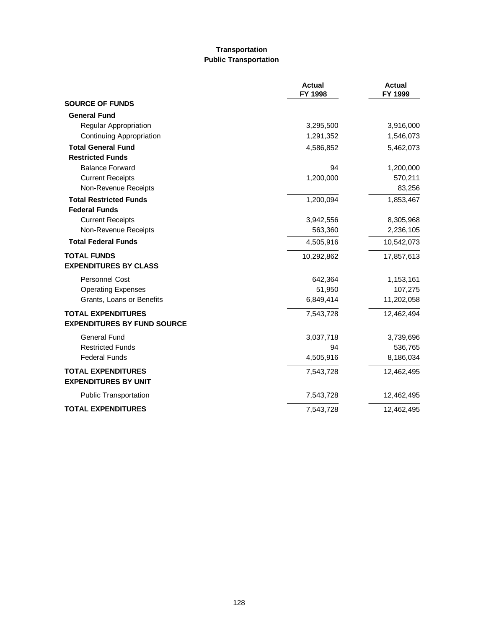### **Transportation Public Transportation**

|                                                          | <b>Actual</b><br>FY 1998 | <b>Actual</b><br>FY 1999 |
|----------------------------------------------------------|--------------------------|--------------------------|
| <b>SOURCE OF FUNDS</b>                                   |                          |                          |
| <b>General Fund</b>                                      |                          |                          |
| Regular Appropriation                                    | 3,295,500                | 3,916,000                |
| Continuing Appropriation                                 | 1,291,352                | 1,546,073                |
| <b>Total General Fund</b>                                | 4,586,852                | 5,462,073                |
| <b>Restricted Funds</b>                                  |                          |                          |
| <b>Balance Forward</b>                                   | 94                       | 1,200,000                |
| <b>Current Receipts</b>                                  | 1,200,000                | 570,211                  |
| Non-Revenue Receipts                                     |                          | 83,256                   |
| <b>Total Restricted Funds</b>                            | 1,200,094                | 1,853,467                |
| <b>Federal Funds</b>                                     |                          |                          |
| <b>Current Receipts</b>                                  | 3,942,556                | 8,305,968                |
| Non-Revenue Receipts                                     | 563,360                  | 2,236,105                |
| <b>Total Federal Funds</b>                               | 4,505,916                | 10,542,073               |
| <b>TOTAL FUNDS</b>                                       | 10,292,862               | 17,857,613               |
| <b>EXPENDITURES BY CLASS</b>                             |                          |                          |
| Personnel Cost                                           | 642,364                  | 1,153,161                |
| <b>Operating Expenses</b>                                | 51,950                   | 107,275                  |
| Grants, Loans or Benefits                                | 6,849,414                | 11,202,058               |
| <b>TOTAL EXPENDITURES</b>                                | 7,543,728                | 12,462,494               |
| <b>EXPENDITURES BY FUND SOURCE</b>                       |                          |                          |
| <b>General Fund</b>                                      | 3,037,718                | 3,739,696                |
| <b>Restricted Funds</b>                                  | 94                       | 536,765                  |
| <b>Federal Funds</b>                                     | 4,505,916                | 8,186,034                |
| <b>TOTAL EXPENDITURES</b><br><b>EXPENDITURES BY UNIT</b> | 7,543,728                | 12,462,495               |
| <b>Public Transportation</b>                             | 7,543,728                | 12,462,495               |
| <b>TOTAL EXPENDITURES</b>                                | 7,543,728                | 12,462,495               |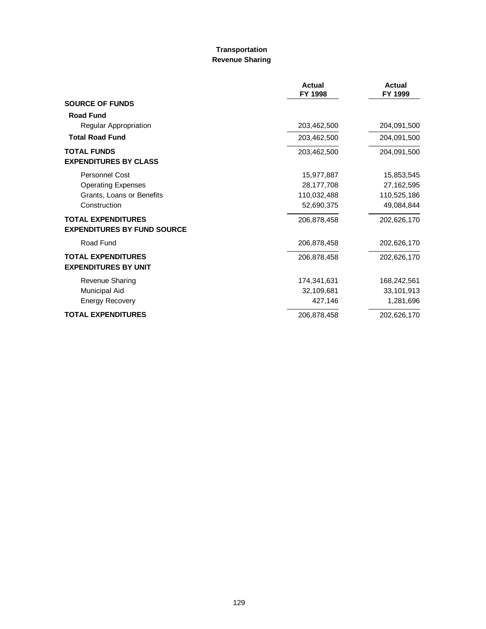#### **Transportation Revenue Sharing**

|                                                                 | <b>Actual</b><br>FY 1998 | <b>Actual</b><br>FY 1999 |
|-----------------------------------------------------------------|--------------------------|--------------------------|
| <b>SOURCE OF FUNDS</b>                                          |                          |                          |
| <b>Road Fund</b>                                                |                          |                          |
| Regular Appropriation                                           | 203,462,500              | 204,091,500              |
| <b>Total Road Fund</b>                                          | 203,462,500              | 204,091,500              |
| <b>TOTAL FUNDS</b><br><b>EXPENDITURES BY CLASS</b>              | 203,462,500              | 204,091,500              |
| Personnel Cost                                                  | 15,977,887               | 15,853,545               |
| <b>Operating Expenses</b>                                       | 28,177,708               | 27,162,595               |
| Grants, Loans or Benefits                                       | 110,032,488              | 110,525,186              |
| Construction                                                    | 52,690,375               | 49,084,844               |
| <b>TOTAL EXPENDITURES</b><br><b>EXPENDITURES BY FUND SOURCE</b> | 206,878,458              | 202,626,170              |
| Road Fund                                                       | 206,878,458              | 202,626,170              |
| <b>TOTAL EXPENDITURES</b><br><b>EXPENDITURES BY UNIT</b>        | 206,878,458              | 202,626,170              |
| Revenue Sharing                                                 | 174,341,631              | 168,242,561              |
| Municipal Aid                                                   | 32,109,681               | 33,101,913               |
| <b>Energy Recovery</b>                                          | 427,146                  | 1,281,696                |
| <b>TOTAL EXPENDITURES</b>                                       | 206,878,458              | 202,626,170              |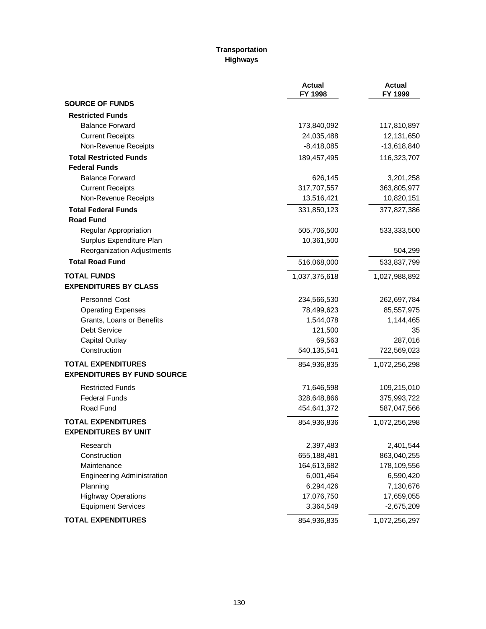# **Transportation Highways**

|                                    | <b>Actual</b><br>FY 1998 | <b>Actual</b><br>FY 1999 |
|------------------------------------|--------------------------|--------------------------|
| <b>SOURCE OF FUNDS</b>             |                          |                          |
| <b>Restricted Funds</b>            |                          |                          |
| <b>Balance Forward</b>             | 173,840,092              | 117,810,897              |
| <b>Current Receipts</b>            | 24,035,488               | 12,131,650               |
| Non-Revenue Receipts               | $-8,418,085$             | $-13,618,840$            |
| <b>Total Restricted Funds</b>      | 189,457,495              | 116,323,707              |
| <b>Federal Funds</b>               |                          |                          |
| <b>Balance Forward</b>             | 626,145                  | 3,201,258                |
| <b>Current Receipts</b>            | 317,707,557              | 363,805,977              |
| Non-Revenue Receipts               | 13,516,421               | 10,820,151               |
| <b>Total Federal Funds</b>         | 331,850,123              | 377,827,386              |
| <b>Road Fund</b>                   |                          |                          |
| Regular Appropriation              | 505,706,500              | 533,333,500              |
| Surplus Expenditure Plan           | 10,361,500               |                          |
| Reorganization Adjustments         |                          | 504,299                  |
| <b>Total Road Fund</b>             | 516,068,000              | 533,837,799              |
| <b>TOTAL FUNDS</b>                 | 1,037,375,618            | 1,027,988,892            |
| <b>EXPENDITURES BY CLASS</b>       |                          |                          |
| <b>Personnel Cost</b>              | 234,566,530              | 262,697,784              |
| <b>Operating Expenses</b>          | 78,499,623               | 85,557,975               |
| Grants, Loans or Benefits          | 1,544,078                | 1,144,465                |
| <b>Debt Service</b>                | 121,500                  | 35                       |
| <b>Capital Outlay</b>              | 69,563                   | 287,016                  |
| Construction                       | 540,135,541              | 722,569,023              |
| <b>TOTAL EXPENDITURES</b>          | 854,936,835              | 1,072,256,298            |
| <b>EXPENDITURES BY FUND SOURCE</b> |                          |                          |
| <b>Restricted Funds</b>            | 71,646,598               | 109,215,010              |
| <b>Federal Funds</b>               | 328,648,866              | 375,993,722              |
| Road Fund                          | 454,641,372              | 587,047,566              |
| <b>TOTAL EXPENDITURES</b>          | 854,936,836              | 1,072,256,298            |
| <b>EXPENDITURES BY UNIT</b>        |                          |                          |
| Research                           | 2,397,483                | 2,401,544                |
| Construction                       | 655,188,481              | 863,040,255              |
| Maintenance                        | 164,613,682              | 178,109,556              |
| <b>Engineering Administration</b>  | 6,001,464                | 6,590,420                |
| Planning                           | 6,294,426                | 7,130,676                |
| <b>Highway Operations</b>          | 17,076,750               | 17,659,055               |
| <b>Equipment Services</b>          | 3,364,549                | $-2,675,209$             |
| <b>TOTAL EXPENDITURES</b>          | 854,936,835              | 1,072,256,297            |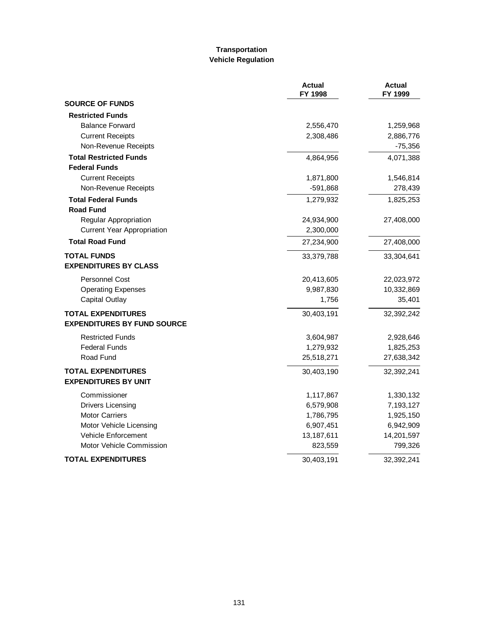# **Transportation Vehicle Regulation**

|                                    | <b>Actual</b><br>FY 1998 | <b>Actual</b><br>FY 1999 |
|------------------------------------|--------------------------|--------------------------|
| <b>SOURCE OF FUNDS</b>             |                          |                          |
| <b>Restricted Funds</b>            |                          |                          |
| <b>Balance Forward</b>             | 2,556,470                | 1,259,968                |
| <b>Current Receipts</b>            | 2,308,486                | 2,886,776                |
| Non-Revenue Receipts               |                          | $-75,356$                |
| <b>Total Restricted Funds</b>      | 4,864,956                | 4,071,388                |
| <b>Federal Funds</b>               |                          |                          |
| <b>Current Receipts</b>            | 1,871,800                | 1,546,814                |
| Non-Revenue Receipts               | $-591,868$               | 278,439                  |
| <b>Total Federal Funds</b>         | 1,279,932                | 1,825,253                |
| <b>Road Fund</b>                   |                          |                          |
| Regular Appropriation              | 24,934,900               | 27,408,000               |
| <b>Current Year Appropriation</b>  | 2,300,000                |                          |
| <b>Total Road Fund</b>             | 27,234,900               | 27,408,000               |
| <b>TOTAL FUNDS</b>                 | 33,379,788               | 33,304,641               |
| <b>EXPENDITURES BY CLASS</b>       |                          |                          |
| <b>Personnel Cost</b>              | 20,413,605               | 22,023,972               |
| <b>Operating Expenses</b>          | 9,987,830                | 10,332,869               |
| <b>Capital Outlay</b>              | 1,756                    | 35,401                   |
| <b>TOTAL EXPENDITURES</b>          | 30,403,191               | 32,392,242               |
| <b>EXPENDITURES BY FUND SOURCE</b> |                          |                          |
| <b>Restricted Funds</b>            | 3,604,987                | 2,928,646                |
| <b>Federal Funds</b>               | 1,279,932                | 1,825,253                |
| Road Fund                          | 25,518,271               | 27,638,342               |
| <b>TOTAL EXPENDITURES</b>          | 30,403,190               | 32,392,241               |
| <b>EXPENDITURES BY UNIT</b>        |                          |                          |
| Commissioner                       | 1,117,867                | 1,330,132                |
| <b>Drivers Licensing</b>           | 6,579,908                | 7,193,127                |
| <b>Motor Carriers</b>              | 1,786,795                | 1,925,150                |
| Motor Vehicle Licensing            | 6,907,451                | 6,942,909                |
| Vehicle Enforcement                | 13,187,611               | 14,201,597               |
| Motor Vehicle Commission           | 823,559                  | 799,326                  |
| <b>TOTAL EXPENDITURES</b>          | 30,403,191               | 32,392,241               |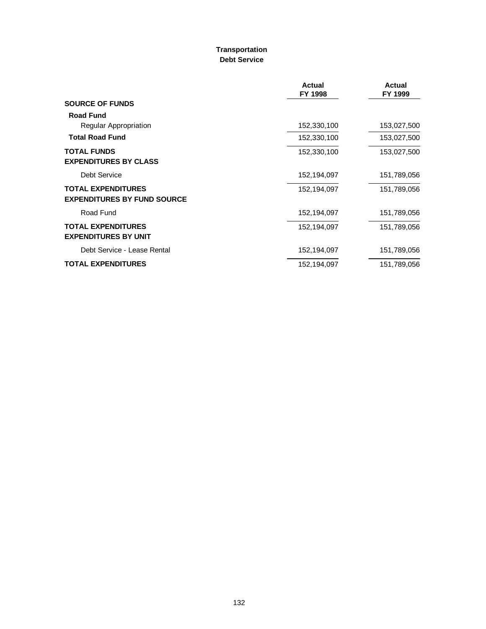### **Transportation Debt Service**

|                                                                 | <b>Actual</b><br>FY 1998 | Actual<br>FY 1999 |
|-----------------------------------------------------------------|--------------------------|-------------------|
| <b>SOURCE OF FUNDS</b>                                          |                          |                   |
| <b>Road Fund</b>                                                |                          |                   |
| Regular Appropriation                                           | 152,330,100              | 153,027,500       |
| <b>Total Road Fund</b>                                          | 152,330,100              | 153,027,500       |
| <b>TOTAL FUNDS</b><br><b>EXPENDITURES BY CLASS</b>              | 152,330,100              | 153,027,500       |
| Debt Service                                                    | 152,194,097              | 151,789,056       |
| <b>TOTAL EXPENDITURES</b><br><b>EXPENDITURES BY FUND SOURCE</b> | 152,194,097              | 151,789,056       |
| Road Fund                                                       | 152,194,097              | 151,789,056       |
| <b>TOTAL EXPENDITURES</b><br><b>EXPENDITURES BY UNIT</b>        | 152,194,097              | 151,789,056       |
| Debt Service - Lease Rental                                     | 152,194,097              | 151,789,056       |
| <b>TOTAL EXPENDITURES</b>                                       | 152,194,097              | 151,789,056       |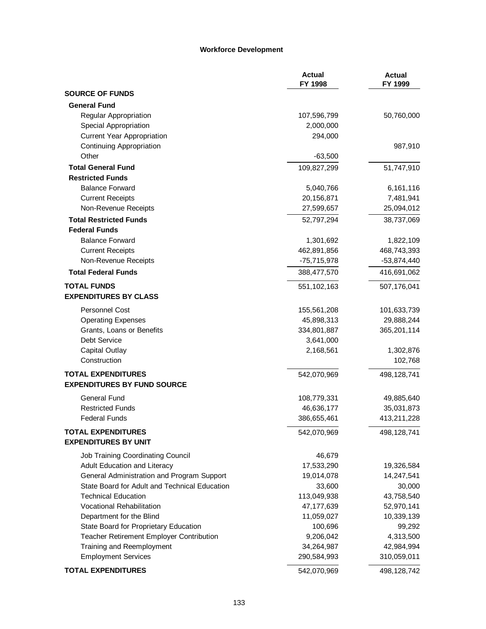#### **Workforce Development**

|                                               | <b>Actual</b><br>FY 1998 | <b>Actual</b><br>FY 1999 |
|-----------------------------------------------|--------------------------|--------------------------|
| <b>SOURCE OF FUNDS</b>                        |                          |                          |
| <b>General Fund</b>                           |                          |                          |
| <b>Regular Appropriation</b>                  | 107,596,799              | 50,760,000               |
| Special Appropriation                         | 2,000,000                |                          |
| <b>Current Year Appropriation</b>             | 294,000                  |                          |
| <b>Continuing Appropriation</b>               |                          | 987,910                  |
| Other                                         | $-63,500$                |                          |
| <b>Total General Fund</b>                     | 109,827,299              | 51,747,910               |
| <b>Restricted Funds</b>                       |                          |                          |
| <b>Balance Forward</b>                        | 5,040,766                | 6,161,116                |
| <b>Current Receipts</b>                       | 20,156,871               | 7,481,941                |
| Non-Revenue Receipts                          | 27,599,657               | 25,094,012               |
| <b>Total Restricted Funds</b>                 | 52,797,294               | 38,737,069               |
| <b>Federal Funds</b>                          |                          |                          |
| <b>Balance Forward</b>                        | 1,301,692                | 1,822,109                |
| <b>Current Receipts</b>                       | 462,891,856              | 468,743,393              |
| Non-Revenue Receipts                          | $-75,715,978$            | -53,874,440              |
| <b>Total Federal Funds</b>                    | 388,477,570              | 416,691,062              |
| <b>TOTAL FUNDS</b>                            | 551, 102, 163            | 507,176,041              |
| <b>EXPENDITURES BY CLASS</b>                  |                          |                          |
| Personnel Cost                                | 155,561,208              | 101,633,739              |
| <b>Operating Expenses</b>                     | 45,898,313               | 29,888,244               |
| Grants, Loans or Benefits                     | 334,801,887              | 365,201,114              |
| Debt Service                                  | 3,641,000                |                          |
| <b>Capital Outlay</b>                         | 2,168,561                | 1,302,876                |
| Construction                                  |                          | 102,768                  |
| <b>TOTAL EXPENDITURES</b>                     | 542,070,969              | 498,128,741              |
| <b>EXPENDITURES BY FUND SOURCE</b>            |                          |                          |
| <b>General Fund</b>                           | 108,779,331              | 49,885,640               |
| <b>Restricted Funds</b>                       | 46,636,177               | 35,031,873               |
| <b>Federal Funds</b>                          | 386,655,461              | 413,211,228              |
| <b>TOTAL EXPENDITURES</b>                     | 542,070,969              | 498,128,741              |
| <b>EXPENDITURES BY UNIT</b>                   |                          |                          |
| Job Training Coordinating Council             | 46,679                   |                          |
| Adult Education and Literacy                  | 17,533,290               | 19,326,584               |
| General Administration and Program Support    | 19,014,078               | 14,247,541               |
| State Board for Adult and Technical Education | 33,600                   | 30,000                   |
| <b>Technical Education</b>                    | 113,049,938              | 43,758,540               |
| <b>Vocational Rehabilitation</b>              | 47,177,639               | 52,970,141               |
| Department for the Blind                      | 11,059,027               | 10,339,139               |
| State Board for Proprietary Education         | 100,696                  | 99,292                   |
| Teacher Retirement Employer Contribution      | 9,206,042                | 4,313,500                |
| Training and Reemployment                     | 34,264,987               | 42,984,994               |
| <b>Employment Services</b>                    | 290,584,993              | 310,059,011              |
| <b>TOTAL EXPENDITURES</b>                     | 542,070,969              | 498,128,742              |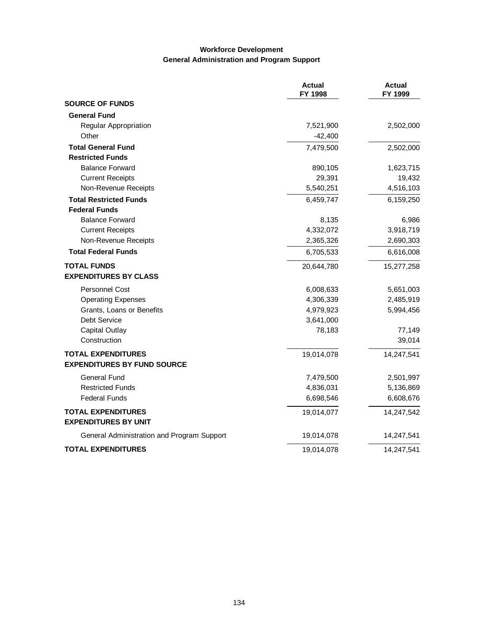# **Workforce Development General Administration and Program Support**

|                                            | <b>Actual</b><br>FY 1998 | <b>Actual</b><br>FY 1999 |
|--------------------------------------------|--------------------------|--------------------------|
| <b>SOURCE OF FUNDS</b>                     |                          |                          |
| <b>General Fund</b>                        |                          |                          |
| Regular Appropriation                      | 7,521,900                | 2,502,000                |
| Other                                      | $-42,400$                |                          |
| <b>Total General Fund</b>                  | 7,479,500                | 2,502,000                |
| <b>Restricted Funds</b>                    |                          |                          |
| <b>Balance Forward</b>                     | 890,105                  | 1,623,715                |
| <b>Current Receipts</b>                    | 29,391                   | 19,432                   |
| Non-Revenue Receipts                       | 5,540,251                | 4,516,103                |
| <b>Total Restricted Funds</b>              | 6,459,747                | 6,159,250                |
| <b>Federal Funds</b>                       |                          |                          |
| <b>Balance Forward</b>                     | 8,135                    | 6,986                    |
| <b>Current Receipts</b>                    | 4,332,072                | 3,918,719                |
| Non-Revenue Receipts                       | 2,365,326                | 2,690,303                |
| <b>Total Federal Funds</b>                 | 6,705,533                | 6,616,008                |
| <b>TOTAL FUNDS</b>                         | 20,644,780               | 15,277,258               |
| <b>EXPENDITURES BY CLASS</b>               |                          |                          |
| <b>Personnel Cost</b>                      | 6,008,633                | 5,651,003                |
| <b>Operating Expenses</b>                  | 4,306,339                | 2,485,919                |
| Grants, Loans or Benefits                  | 4,979,923                | 5,994,456                |
| Debt Service                               | 3,641,000                |                          |
| <b>Capital Outlay</b>                      | 78,183                   | 77,149                   |
| Construction                               |                          | 39,014                   |
| <b>TOTAL EXPENDITURES</b>                  | 19,014,078               | 14,247,541               |
| <b>EXPENDITURES BY FUND SOURCE</b>         |                          |                          |
| <b>General Fund</b>                        | 7,479,500                | 2,501,997                |
| <b>Restricted Funds</b>                    | 4,836,031                | 5,136,869                |
| <b>Federal Funds</b>                       | 6,698,546                | 6,608,676                |
| <b>TOTAL EXPENDITURES</b>                  | 19,014,077               | 14,247,542               |
| <b>EXPENDITURES BY UNIT</b>                |                          |                          |
| General Administration and Program Support | 19,014,078               | 14,247,541               |
| <b>TOTAL EXPENDITURES</b>                  | 19,014,078               | 14,247,541               |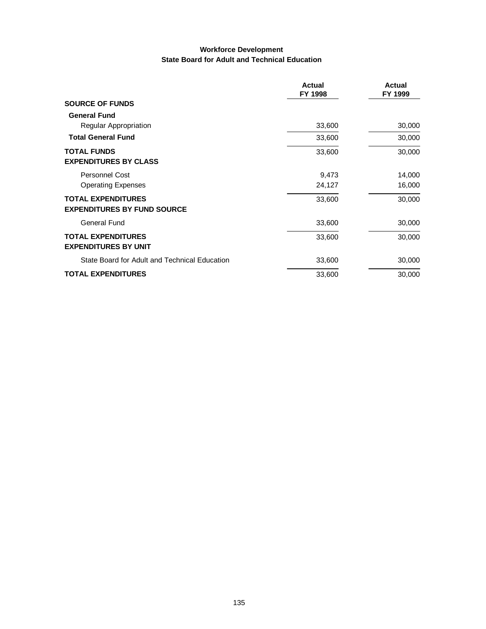# **Workforce Development State Board for Adult and Technical Education**

|                                                                 | <b>Actual</b><br>FY 1998 | <b>Actual</b><br>FY 1999 |
|-----------------------------------------------------------------|--------------------------|--------------------------|
| <b>SOURCE OF FUNDS</b>                                          |                          |                          |
| <b>General Fund</b>                                             |                          |                          |
| Regular Appropriation                                           | 33,600                   | 30,000                   |
| <b>Total General Fund</b>                                       | 33,600                   | 30,000                   |
| <b>TOTAL FUNDS</b><br><b>EXPENDITURES BY CLASS</b>              | 33,600                   | 30,000                   |
| <b>Personnel Cost</b>                                           | 9,473                    | 14,000                   |
| <b>Operating Expenses</b>                                       | 24,127                   | 16,000                   |
| <b>TOTAL EXPENDITURES</b><br><b>EXPENDITURES BY FUND SOURCE</b> | 33,600                   | 30,000                   |
| General Fund                                                    | 33,600                   | 30,000                   |
| <b>TOTAL EXPENDITURES</b><br><b>EXPENDITURES BY UNIT</b>        | 33,600                   | 30,000                   |
| State Board for Adult and Technical Education                   | 33,600                   | 30,000                   |
| <b>TOTAL EXPENDITURES</b>                                       | 33,600                   | 30,000                   |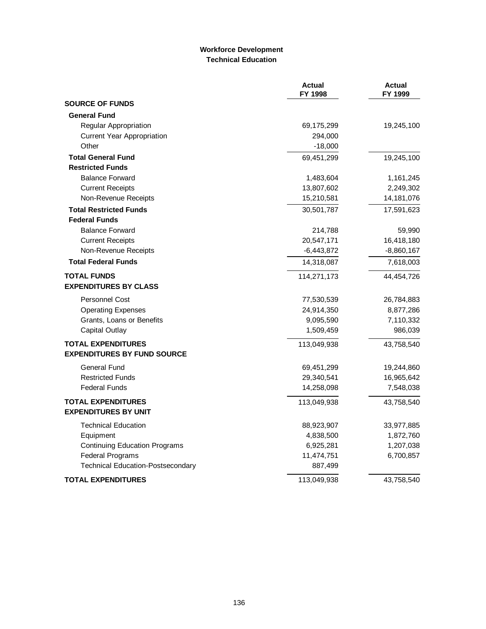## **Workforce Development Technical Education**

|                                          | <b>Actual</b><br>FY 1998 | <b>Actual</b><br>FY 1999 |
|------------------------------------------|--------------------------|--------------------------|
| <b>SOURCE OF FUNDS</b>                   |                          |                          |
| <b>General Fund</b>                      |                          |                          |
| Regular Appropriation                    | 69,175,299               | 19,245,100               |
| <b>Current Year Appropriation</b>        | 294,000                  |                          |
| Other                                    | $-18,000$                |                          |
| <b>Total General Fund</b>                | 69,451,299               | 19,245,100               |
| <b>Restricted Funds</b>                  |                          |                          |
| <b>Balance Forward</b>                   | 1,483,604                | 1,161,245                |
| <b>Current Receipts</b>                  | 13,807,602               | 2,249,302                |
| Non-Revenue Receipts                     | 15,210,581               | 14,181,076               |
| <b>Total Restricted Funds</b>            | 30,501,787               | 17,591,623               |
| <b>Federal Funds</b>                     |                          |                          |
| <b>Balance Forward</b>                   | 214,788                  | 59,990                   |
| <b>Current Receipts</b>                  | 20,547,171               | 16,418,180               |
| Non-Revenue Receipts                     | $-6,443,872$             | $-8,860,167$             |
| <b>Total Federal Funds</b>               | 14,318,087               | 7,618,003                |
| <b>TOTAL FUNDS</b>                       | 114,271,173              | 44,454,726               |
| <b>EXPENDITURES BY CLASS</b>             |                          |                          |
| <b>Personnel Cost</b>                    | 77,530,539               | 26,784,883               |
| <b>Operating Expenses</b>                | 24,914,350               | 8,877,286                |
| Grants, Loans or Benefits                | 9,095,590                | 7,110,332                |
| <b>Capital Outlay</b>                    | 1,509,459                | 986,039                  |
| <b>TOTAL EXPENDITURES</b>                | 113,049,938              | 43,758,540               |
| <b>EXPENDITURES BY FUND SOURCE</b>       |                          |                          |
| General Fund                             | 69,451,299               | 19,244,860               |
| <b>Restricted Funds</b>                  | 29,340,541               | 16,965,642               |
| <b>Federal Funds</b>                     | 14,258,098               | 7,548,038                |
| <b>TOTAL EXPENDITURES</b>                | 113,049,938              | 43,758,540               |
| <b>EXPENDITURES BY UNIT</b>              |                          |                          |
| <b>Technical Education</b>               | 88,923,907               | 33,977,885               |
| Equipment                                | 4,838,500                | 1,872,760                |
| <b>Continuing Education Programs</b>     | 6,925,281                | 1,207,038                |
| <b>Federal Programs</b>                  | 11,474,751               | 6,700,857                |
| <b>Technical Education-Postsecondary</b> | 887,499                  |                          |
| <b>TOTAL EXPENDITURES</b>                | 113,049,938              | 43,758,540               |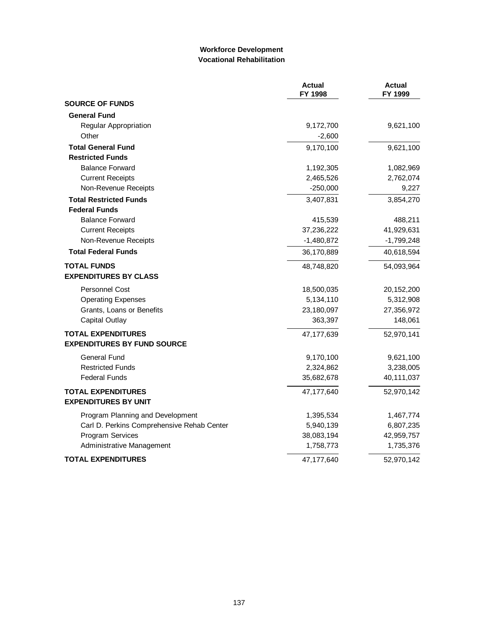## **Workforce Development Vocational Rehabilitation**

|                                                          | <b>Actual</b><br>FY 1998 | <b>Actual</b><br>FY 1999 |
|----------------------------------------------------------|--------------------------|--------------------------|
| <b>SOURCE OF FUNDS</b>                                   |                          |                          |
| <b>General Fund</b>                                      |                          |                          |
| Regular Appropriation                                    | 9,172,700                | 9,621,100                |
| Other                                                    | $-2,600$                 |                          |
| <b>Total General Fund</b>                                | 9,170,100                | 9,621,100                |
| <b>Restricted Funds</b>                                  |                          |                          |
| <b>Balance Forward</b>                                   | 1,192,305                | 1,082,969                |
| <b>Current Receipts</b>                                  | 2,465,526                | 2,762,074                |
| Non-Revenue Receipts                                     | $-250,000$               | 9,227                    |
| <b>Total Restricted Funds</b>                            | 3,407,831                | 3,854,270                |
| <b>Federal Funds</b>                                     |                          |                          |
| <b>Balance Forward</b>                                   | 415,539                  | 488,211                  |
| <b>Current Receipts</b>                                  | 37,236,222               | 41,929,631               |
| Non-Revenue Receipts                                     | $-1,480,872$             | $-1,799,248$             |
| <b>Total Federal Funds</b>                               | 36,170,889               | 40,618,594               |
| <b>TOTAL FUNDS</b><br><b>EXPENDITURES BY CLASS</b>       | 48,748,820               | 54,093,964               |
| <b>Personnel Cost</b>                                    | 18,500,035               | 20,152,200               |
| <b>Operating Expenses</b>                                | 5,134,110                | 5,312,908                |
| Grants, Loans or Benefits                                | 23,180,097               | 27,356,972               |
| <b>Capital Outlay</b>                                    | 363,397                  | 148,061                  |
| <b>TOTAL EXPENDITURES</b>                                | 47,177,639               | 52,970,141               |
| <b>EXPENDITURES BY FUND SOURCE</b>                       |                          |                          |
| General Fund                                             | 9,170,100                | 9,621,100                |
| <b>Restricted Funds</b>                                  | 2,324,862                | 3,238,005                |
| <b>Federal Funds</b>                                     | 35,682,678               | 40,111,037               |
| <b>TOTAL EXPENDITURES</b><br><b>EXPENDITURES BY UNIT</b> | 47,177,640               | 52,970,142               |
| Program Planning and Development                         | 1,395,534                | 1,467,774                |
| Carl D. Perkins Comprehensive Rehab Center               | 5,940,139                | 6,807,235                |
| <b>Program Services</b>                                  | 38,083,194               | 42,959,757               |
| Administrative Management                                | 1,758,773                | 1,735,376                |
| TOTAL EXPENDITURES                                       | 47,177,640               | 52,970,142               |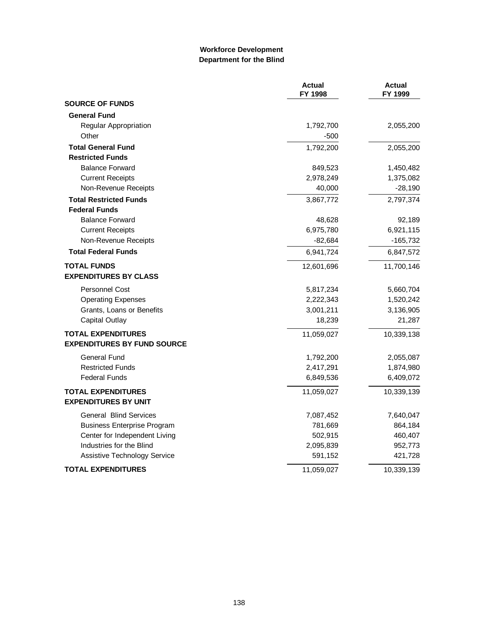### **Workforce Development Department for the Blind**

|                                                                 | <b>Actual</b><br>FY 1998 | <b>Actual</b><br>FY 1999 |
|-----------------------------------------------------------------|--------------------------|--------------------------|
| <b>SOURCE OF FUNDS</b>                                          |                          |                          |
| <b>General Fund</b>                                             |                          |                          |
| Regular Appropriation                                           | 1,792,700                | 2,055,200                |
| Other                                                           | -500                     |                          |
| <b>Total General Fund</b>                                       | 1,792,200                | 2,055,200                |
| <b>Restricted Funds</b>                                         |                          |                          |
| <b>Balance Forward</b>                                          | 849,523                  | 1,450,482                |
| <b>Current Receipts</b>                                         | 2,978,249                | 1,375,082                |
| Non-Revenue Receipts                                            | 40,000                   | $-28,190$                |
| <b>Total Restricted Funds</b>                                   | 3,867,772                | 2,797,374                |
| <b>Federal Funds</b>                                            |                          |                          |
| <b>Balance Forward</b>                                          | 48,628                   | 92,189                   |
| <b>Current Receipts</b>                                         | 6,975,780                | 6,921,115                |
| Non-Revenue Receipts                                            | $-82,684$                | $-165,732$               |
| <b>Total Federal Funds</b>                                      | 6,941,724                | 6,847,572                |
| <b>TOTAL FUNDS</b><br><b>EXPENDITURES BY CLASS</b>              | 12,601,696               | 11,700,146               |
| <b>Personnel Cost</b>                                           | 5,817,234                | 5,660,704                |
| <b>Operating Expenses</b>                                       | 2,222,343                | 1,520,242                |
| Grants, Loans or Benefits                                       | 3,001,211                | 3,136,905                |
| <b>Capital Outlay</b>                                           | 18,239                   | 21,287                   |
| <b>TOTAL EXPENDITURES</b><br><b>EXPENDITURES BY FUND SOURCE</b> | 11,059,027               | 10,339,138               |
| General Fund                                                    | 1,792,200                | 2,055,087                |
| <b>Restricted Funds</b>                                         | 2,417,291                | 1,874,980                |
| <b>Federal Funds</b>                                            | 6,849,536                | 6,409,072                |
| <b>TOTAL EXPENDITURES</b><br><b>EXPENDITURES BY UNIT</b>        | 11,059,027               | 10,339,139               |
| <b>General Blind Services</b>                                   | 7,087,452                | 7,640,047                |
| <b>Business Enterprise Program</b>                              | 781,669                  | 864,184                  |
| Center for Independent Living                                   | 502,915                  | 460,407                  |
| Industries for the Blind                                        | 2,095,839                | 952,773                  |
| Assistive Technology Service                                    | 591,152                  | 421,728                  |
| <b>TOTAL EXPENDITURES</b>                                       | 11,059,027               | 10,339,139               |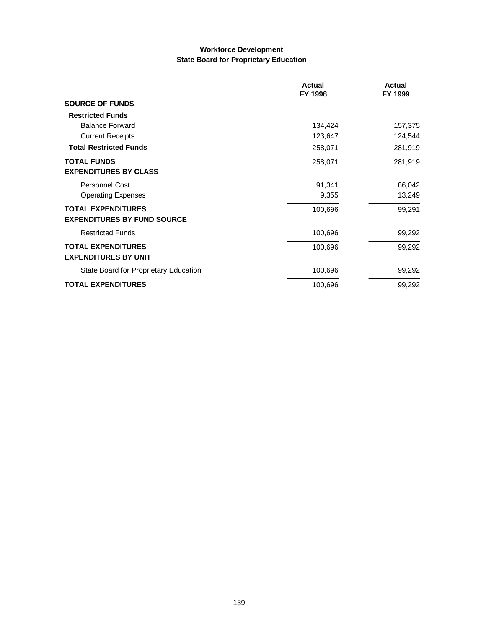### **Workforce Development State Board for Proprietary Education**

|                                       | <b>Actual</b><br>FY 1998 | <b>Actual</b><br>FY 1999 |
|---------------------------------------|--------------------------|--------------------------|
| <b>SOURCE OF FUNDS</b>                |                          |                          |
| <b>Restricted Funds</b>               |                          |                          |
| <b>Balance Forward</b>                | 134,424                  | 157,375                  |
| <b>Current Receipts</b>               | 123,647                  | 124,544                  |
| <b>Total Restricted Funds</b>         | 258,071                  | 281,919                  |
| <b>TOTAL FUNDS</b>                    | 258,071                  | 281,919                  |
| <b>EXPENDITURES BY CLASS</b>          |                          |                          |
| Personnel Cost                        | 91,341                   | 86,042                   |
| <b>Operating Expenses</b>             | 9,355                    | 13,249                   |
| <b>TOTAL EXPENDITURES</b>             | 100,696                  | 99,291                   |
| <b>EXPENDITURES BY FUND SOURCE</b>    |                          |                          |
| <b>Restricted Funds</b>               | 100,696                  | 99,292                   |
| <b>TOTAL EXPENDITURES</b>             | 100,696                  | 99,292                   |
| <b>EXPENDITURES BY UNIT</b>           |                          |                          |
| State Board for Proprietary Education | 100,696                  | 99,292                   |
| <b>TOTAL EXPENDITURES</b>             | 100,696                  | 99,292                   |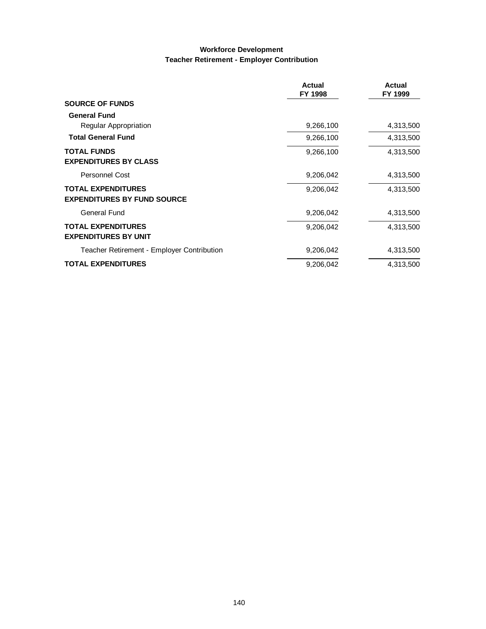#### **Workforce Development Teacher Retirement - Employer Contribution**

|                                                                 | <b>Actual</b><br>FY 1998 | Actual<br>FY 1999 |
|-----------------------------------------------------------------|--------------------------|-------------------|
| <b>SOURCE OF FUNDS</b>                                          |                          |                   |
| <b>General Fund</b>                                             |                          |                   |
| Regular Appropriation                                           | 9,266,100                | 4,313,500         |
| <b>Total General Fund</b>                                       | 9,266,100                | 4,313,500         |
| <b>TOTAL FUNDS</b><br><b>EXPENDITURES BY CLASS</b>              | 9,266,100                | 4,313,500         |
| <b>Personnel Cost</b>                                           | 9,206,042                | 4,313,500         |
| <b>TOTAL EXPENDITURES</b><br><b>EXPENDITURES BY FUND SOURCE</b> | 9,206,042                | 4,313,500         |
| <b>General Fund</b>                                             | 9,206,042                | 4,313,500         |
| <b>TOTAL EXPENDITURES</b><br><b>EXPENDITURES BY UNIT</b>        | 9,206,042                | 4,313,500         |
| Teacher Retirement - Employer Contribution                      | 9,206,042                | 4,313,500         |
| <b>TOTAL EXPENDITURES</b>                                       | 9,206,042                | 4,313,500         |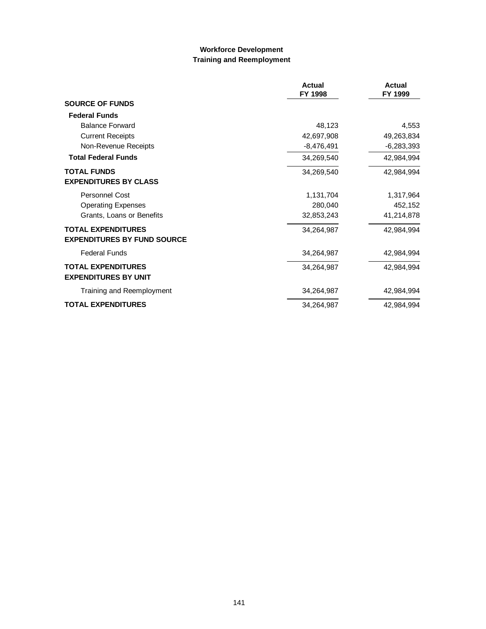# **Workforce Development Training and Reemployment**

|                                    | <b>Actual</b><br>FY 1998 | <b>Actual</b><br>FY 1999 |
|------------------------------------|--------------------------|--------------------------|
| <b>SOURCE OF FUNDS</b>             |                          |                          |
| <b>Federal Funds</b>               |                          |                          |
| <b>Balance Forward</b>             | 48.123                   | 4,553                    |
| <b>Current Receipts</b>            | 42,697,908               | 49,263,834               |
| Non-Revenue Receipts               | $-8,476,491$             | $-6,283,393$             |
| <b>Total Federal Funds</b>         | 34,269,540               | 42,984,994               |
| <b>TOTAL FUNDS</b>                 | 34,269,540               | 42,984,994               |
| <b>EXPENDITURES BY CLASS</b>       |                          |                          |
| <b>Personnel Cost</b>              | 1,131,704                | 1,317,964                |
| <b>Operating Expenses</b>          | 280,040                  | 452,152                  |
| Grants, Loans or Benefits          | 32,853,243               | 41,214,878               |
| <b>TOTAL EXPENDITURES</b>          | 34,264,987               | 42,984,994               |
| <b>EXPENDITURES BY FUND SOURCE</b> |                          |                          |
| <b>Federal Funds</b>               | 34,264,987               | 42,984,994               |
| <b>TOTAL EXPENDITURES</b>          | 34,264,987               | 42,984,994               |
| <b>EXPENDITURES BY UNIT</b>        |                          |                          |
| Training and Reemployment          | 34,264,987               | 42,984,994               |
| <b>TOTAL EXPENDITURES</b>          | 34,264,987               | 42,984,994               |